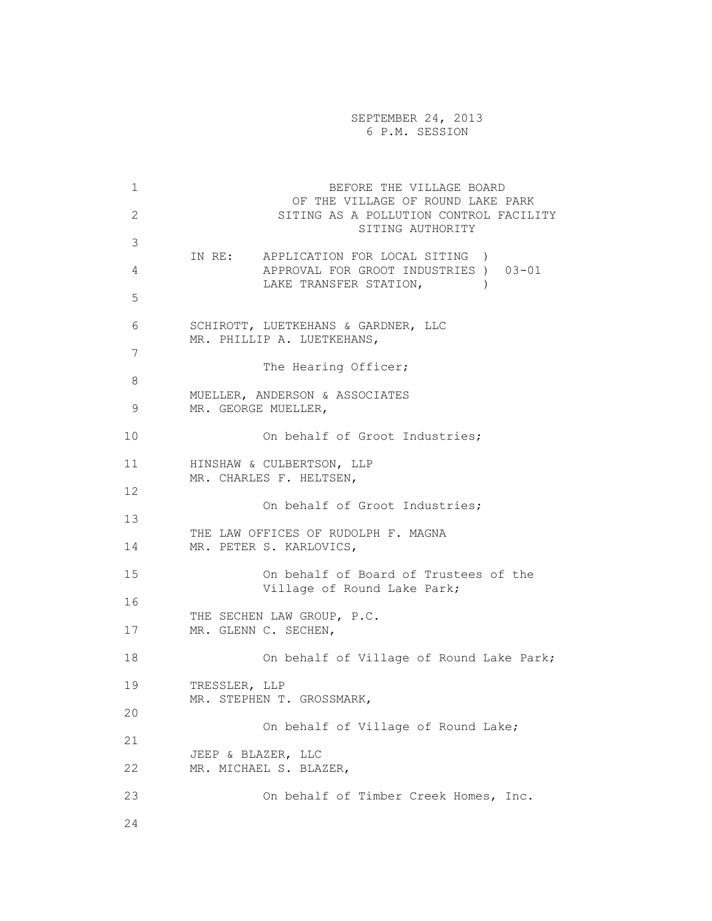1 BEFORE THE VILLAGE BOARD OF THE VILLAGE OF ROUND LAKE PARK 2 SITING AS A POLLUTION CONTROL FACILITY SITING AUTHORITY 3 IN RE: APPLICATION FOR LOCAL SITING ) 4 APPROVAL FOR GROOT INDUSTRIES ) 03-01 LAKE TRANSFER STATION,  $)$  5 6 SCHIROTT, LUETKEHANS & GARDNER, LLC MR. PHILLIP A. LUETKEHANS, 7 The Hearing Officer; 8 MUELLER, ANDERSON & ASSOCIATES 9 MR. GEORGE MUELLER, 10 On behalf of Groot Industries; 11 HINSHAW & CULBERTSON, LLP MR. CHARLES F. HELTSEN, 12 On behalf of Groot Industries; 13 THE LAW OFFICES OF RUDOLPH F. MAGNA 14 MR. PETER S. KARLOVICS, 15 On behalf of Board of Trustees of the Village of Round Lake Park; 16 THE SECHEN LAW GROUP, P.C. 17 MR. GLENN C. SECHEN, 18 On behalf of Village of Round Lake Park; 19 TRESSLER, LLP MR. STEPHEN T. GROSSMARK, 20 On behalf of Village of Round Lake; 21 JEEP & BLAZER, LLC 22 MR. MICHAEL S. BLAZER, 23 On behalf of Timber Creek Homes, Inc. 24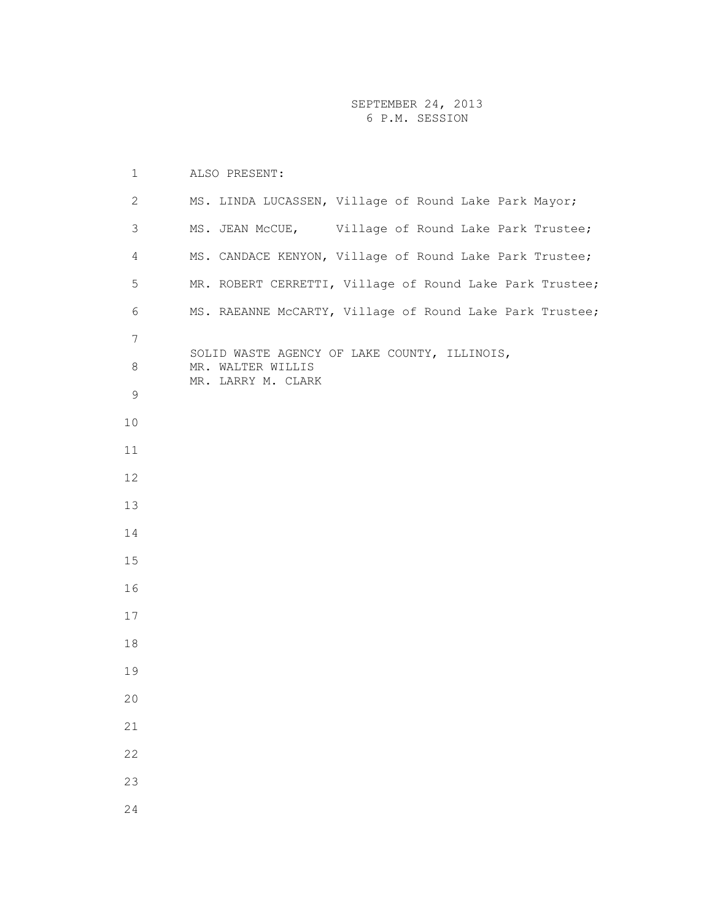|    | ALSO PRESENT:<br>$\mathbf 1$                                                                 |
|----|----------------------------------------------------------------------------------------------|
|    | $\mathbf{2}$<br>MS. LINDA LUCASSEN, Village of Round Lake Park Mayor;                        |
|    | 3<br>Village of Round Lake Park Trustee;<br>MS. JEAN McCUE,                                  |
|    | MS. CANDACE KENYON, Village of Round Lake Park Trustee;<br>$\overline{4}$                    |
|    | 5<br>MR. ROBERT CERRETTI, Village of Round Lake Park Trustee;                                |
|    | MS. RAEANNE McCARTY, Village of Round Lake Park Trustee;<br>6                                |
|    | 7                                                                                            |
|    | SOLID WASTE AGENCY OF LAKE COUNTY, ILLINOIS,<br>8<br>MR. WALTER WILLIS<br>MR. LARRY M. CLARK |
|    | $\mathcal{G}$                                                                                |
| 10 |                                                                                              |
| 11 |                                                                                              |
| 12 |                                                                                              |
| 13 |                                                                                              |
| 14 |                                                                                              |
| 15 |                                                                                              |
| 16 |                                                                                              |
| 17 |                                                                                              |
| 18 |                                                                                              |
| 19 |                                                                                              |
| 20 |                                                                                              |
| 21 |                                                                                              |
| 22 |                                                                                              |
| 23 |                                                                                              |
| 24 |                                                                                              |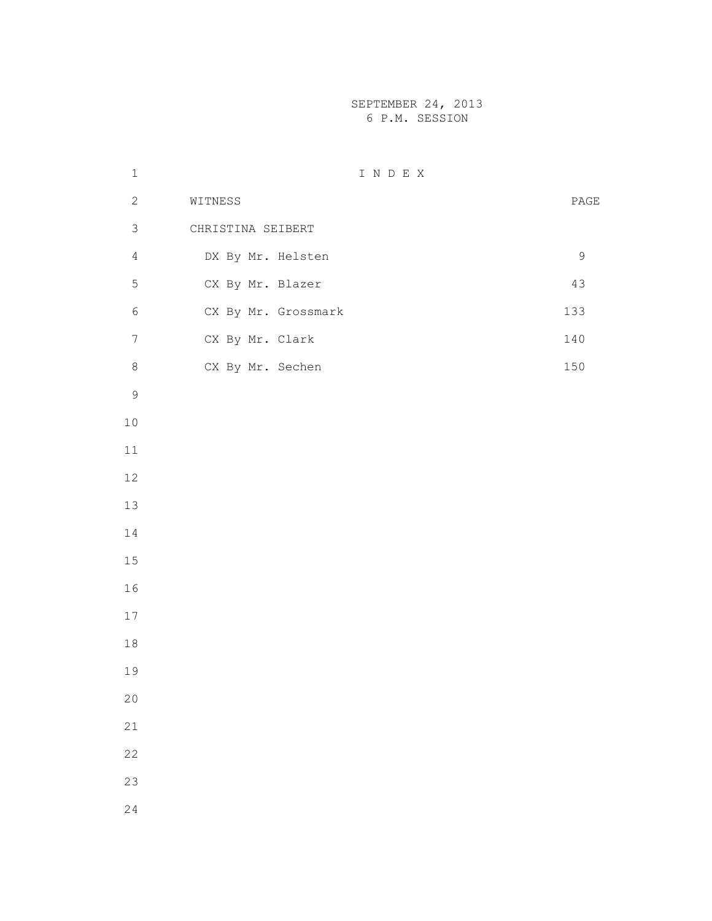1 I N D E X 2 WITNESS PAGE 3 CHRISTINA SEIBERT 4 DX By Mr. Helsten 9 5 CX By Mr. Blazer 43 6 CX By Mr. Grossmark 133 7 CX By Mr. Clark 140 8 CX By Mr. Sechen 150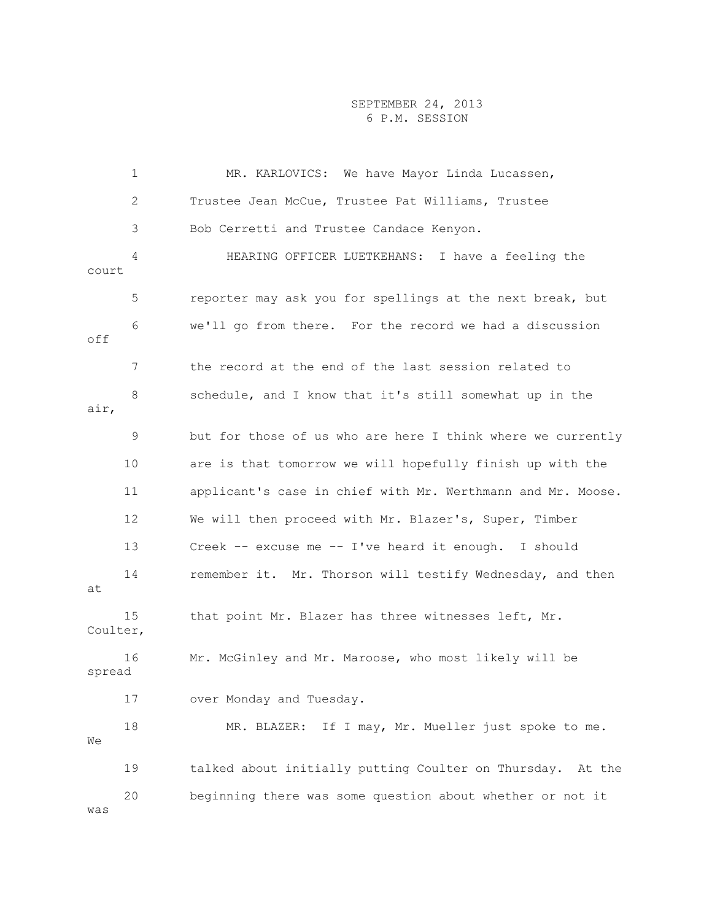1 MR. KARLOVICS: We have Mayor Linda Lucassen, 2 Trustee Jean McCue, Trustee Pat Williams, Trustee 3 Bob Cerretti and Trustee Candace Kenyon. 4 HEARING OFFICER LUETKEHANS: I have a feeling the court 5 reporter may ask you for spellings at the next break, but 6 we'll go from there. For the record we had a discussion off 7 the record at the end of the last session related to 8 schedule, and I know that it's still somewhat up in the air, 9 but for those of us who are here I think where we currently 10 are is that tomorrow we will hopefully finish up with the 11 applicant's case in chief with Mr. Werthmann and Mr. Moose. 12 We will then proceed with Mr. Blazer's, Super, Timber 13 Creek -- excuse me -- I've heard it enough. I should 14 remember it. Mr. Thorson will testify Wednesday, and then at 15 that point Mr. Blazer has three witnesses left, Mr. Coulter, 16 Mr. McGinley and Mr. Maroose, who most likely will be spread 17 over Monday and Tuesday. 18 MR. BLAZER: If I may, Mr. Mueller just spoke to me.  $M \cap$  19 talked about initially putting Coulter on Thursday. At the 20 beginning there was some question about whether or not it was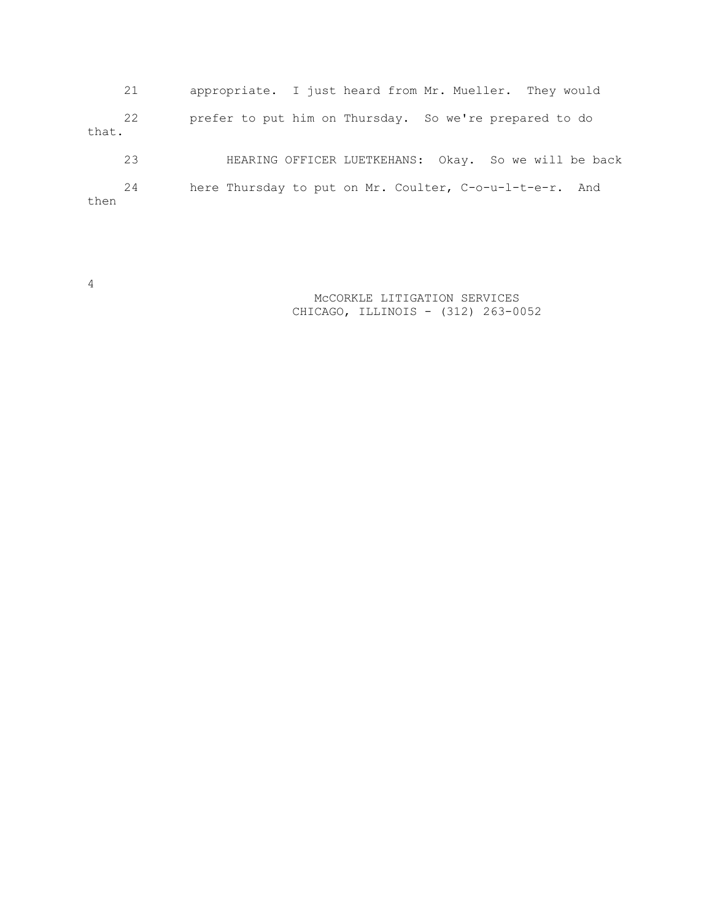21 appropriate. I just heard from Mr. Mueller. They would 22 prefer to put him on Thursday. So we're prepared to do that. 23 HEARING OFFICER LUETKEHANS: Okay. So we will be back 24 here Thursday to put on Mr. Coulter, C-o-u-l-t-e-r. And then

4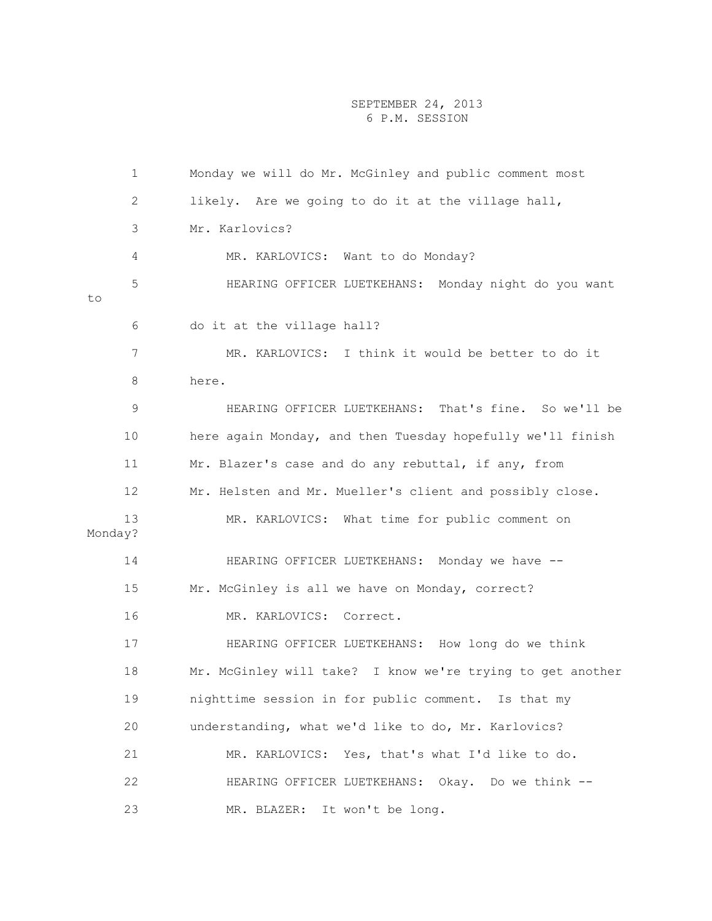1 Monday we will do Mr. McGinley and public comment most 2 likely. Are we going to do it at the village hall, 3 Mr. Karlovics? 4 MR. KARLOVICS: Want to do Monday? 5 HEARING OFFICER LUETKEHANS: Monday night do you want to 6 do it at the village hall? 7 MR. KARLOVICS: I think it would be better to do it 8 here. 9 HEARING OFFICER LUETKEHANS: That's fine. So we'll be 10 here again Monday, and then Tuesday hopefully we'll finish 11 Mr. Blazer's case and do any rebuttal, if any, from 12 Mr. Helsten and Mr. Mueller's client and possibly close. 13 MR. KARLOVICS: What time for public comment on Monday? 14 HEARING OFFICER LUETKEHANS: Monday we have -- 15 Mr. McGinley is all we have on Monday, correct? 16 MR. KARLOVICS: Correct. 17 HEARING OFFICER LUETKEHANS: How long do we think 18 Mr. McGinley will take? I know we're trying to get another 19 nighttime session in for public comment. Is that my 20 understanding, what we'd like to do, Mr. Karlovics? 21 MR. KARLOVICS: Yes, that's what I'd like to do. 22 HEARING OFFICER LUETKEHANS: Okay. Do we think -- 23 MR. BLAZER: It won't be long.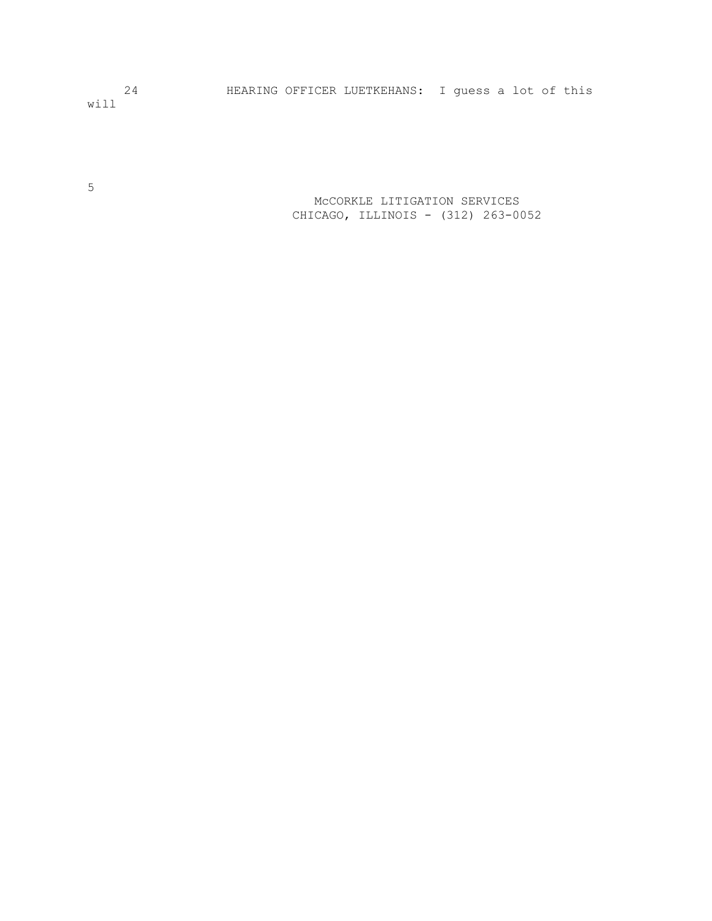24 HEARING OFFICER LUETKEHANS: I guess a lot of this

will

5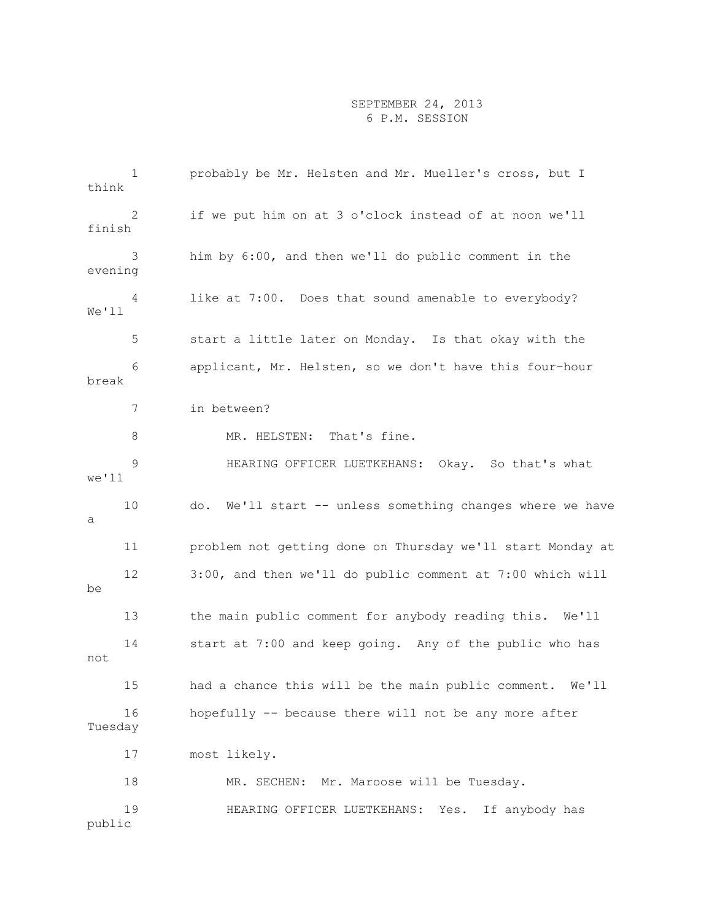| think         | $\mathbf{1}$   | probably be Mr. Helsten and Mr. Mueller's cross, but I     |
|---------------|----------------|------------------------------------------------------------|
| finish        | $\overline{2}$ | if we put him on at 3 o'clock instead of at noon we'll     |
| evening       | 3              | him by 6:00, and then we'll do public comment in the       |
| We'll         | 4              | like at 7:00. Does that sound amenable to everybody?       |
|               | 5              | start a little later on Monday. Is that okay with the      |
| break         | 6              | applicant, Mr. Helsten, so we don't have this four-hour    |
|               | 7              | in between?                                                |
|               | 8              | MR. HELSTEN: That's fine.                                  |
| we'll         | 9              | HEARING OFFICER LUETKEHANS: Okay. So that's what           |
| 10<br>а       |                | do. We'll start -- unless something changes where we have  |
| 11            |                | problem not getting done on Thursday we'll start Monday at |
| 12<br>be      |                | 3:00, and then we'll do public comment at 7:00 which will  |
| 13            |                | the main public comment for anybody reading this. We'll    |
| 14<br>not     |                | start at 7:00 and keep going. Any of the public who has    |
| 15            |                | had a chance this will be the main public comment. We'll   |
| 16<br>Tuesday |                | hopefully -- because there will not be any more after      |
| 17            |                | most likely.                                               |
| 18            |                | MR. SECHEN: Mr. Maroose will be Tuesday.                   |
| 19<br>public  |                | HEARING OFFICER LUETKEHANS: Yes.<br>If anybody has         |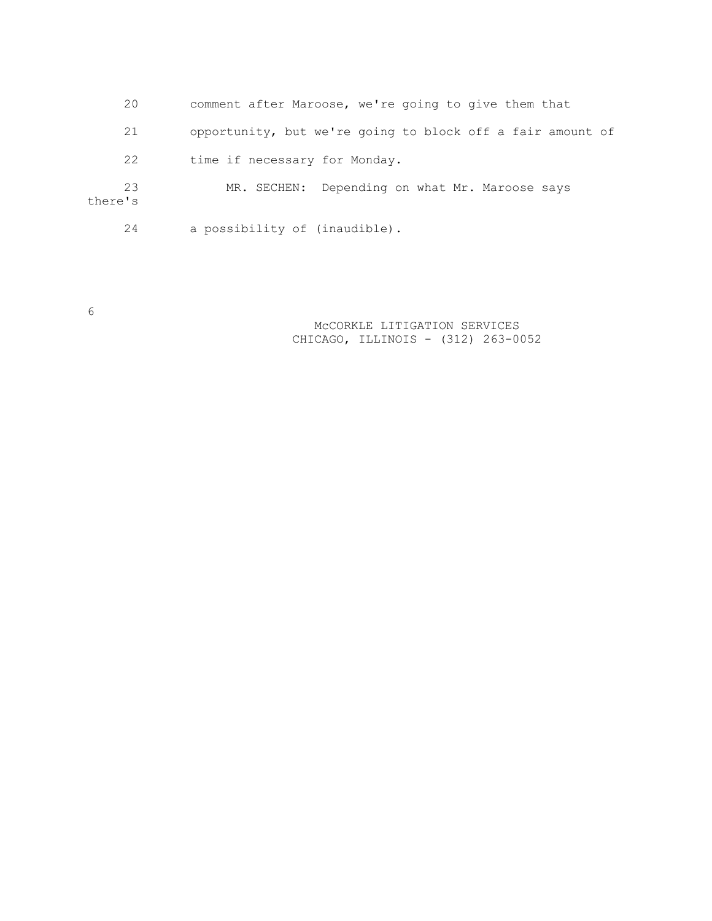20 comment after Maroose, we're going to give them that 21 opportunity, but we're going to block off a fair amount of 22 time if necessary for Monday. 23 MR. SECHEN: Depending on what Mr. Maroose says there's 24 a possibility of (inaudible).

6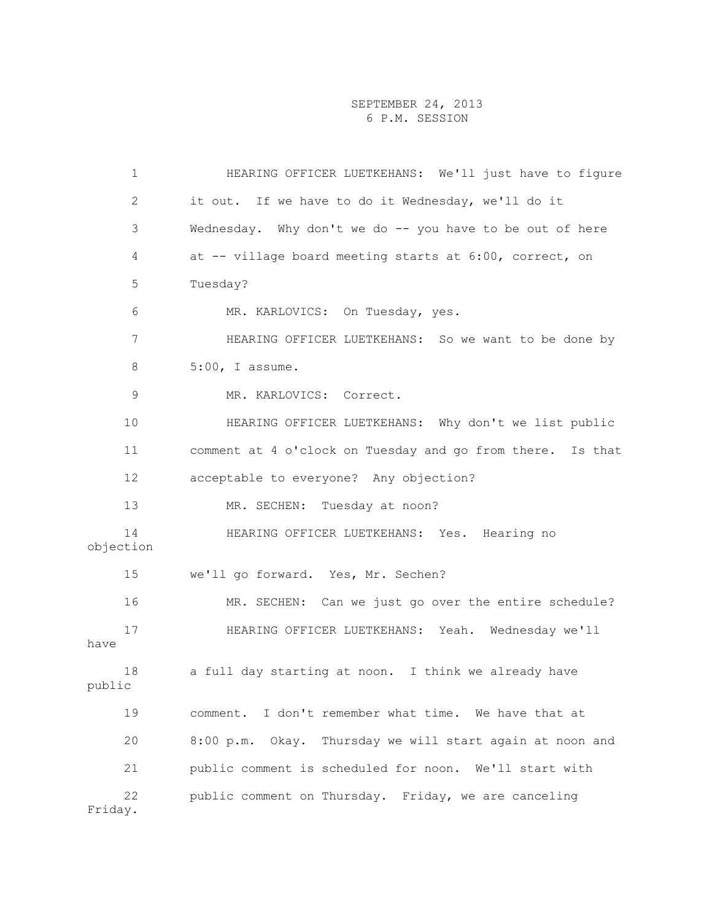| 1               | HEARING OFFICER LUETKEHANS: We'll just have to figure      |
|-----------------|------------------------------------------------------------|
| $\overline{2}$  | it out. If we have to do it Wednesday, we'll do it         |
| 3               | Wednesday. Why don't we do -- you have to be out of here   |
| 4               | at -- village board meeting starts at 6:00, correct, on    |
| 5               | Tuesday?                                                   |
| 6               | MR. KARLOVICS: On Tuesday, yes.                            |
| 7               | HEARING OFFICER LUETKEHANS: So we want to be done by       |
| 8               | $5:00$ , I assume.                                         |
| 9               | MR. KARLOVICS: Correct.                                    |
| 10              | HEARING OFFICER LUETKEHANS: Why don't we list public       |
| 11              | comment at 4 o'clock on Tuesday and go from there. Is that |
| 12 <sup>°</sup> | acceptable to everyone? Any objection?                     |
| 13              | MR. SECHEN: Tuesday at noon?                               |
| 14<br>objection | HEARING OFFICER LUETKEHANS: Yes. Hearing no                |
| 15              | we'll go forward. Yes, Mr. Sechen?                         |
| 16              | MR. SECHEN: Can we just go over the entire schedule?       |
| 17<br>have      | HEARING OFFICER LUETKEHANS: Yeah. Wednesday we'll          |
| 18<br>public    | a full day starting at noon. I think we already have       |
| 19              | comment. I don't remember what time. We have that at       |
| 20              | 8:00 p.m. Okay. Thursday we will start again at noon and   |
| 21              | public comment is scheduled for noon. We'll start with     |
| 22<br>Friday.   | public comment on Thursday. Friday, we are canceling       |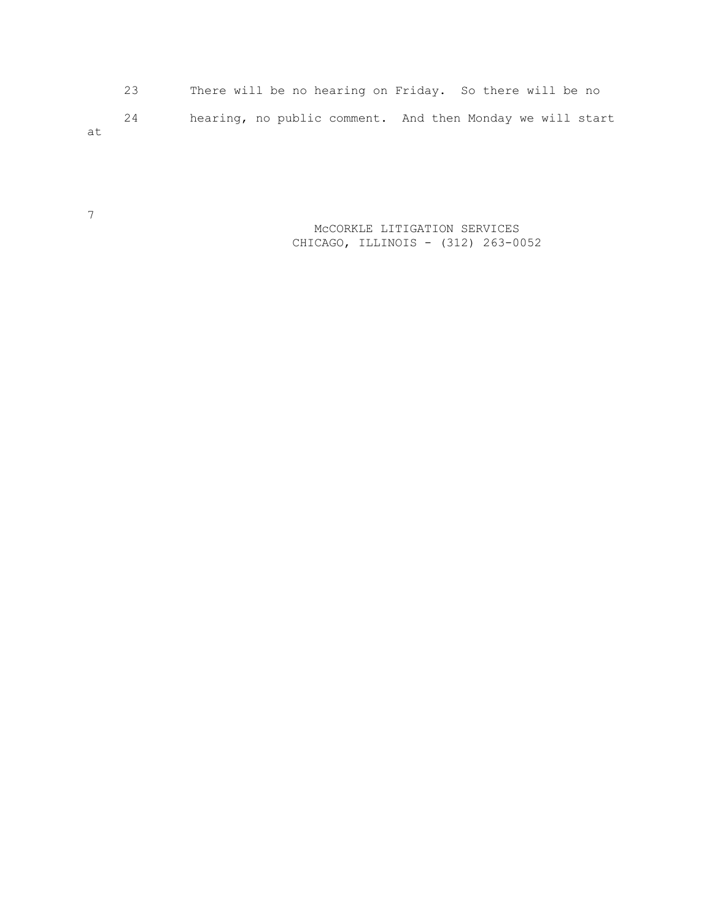23 There will be no hearing on Friday. So there will be no 24 hearing, no public comment. And then Monday we will start at

> McCORKLE LITIGATION SERVICES CHICAGO, ILLINOIS - (312) 263-0052

7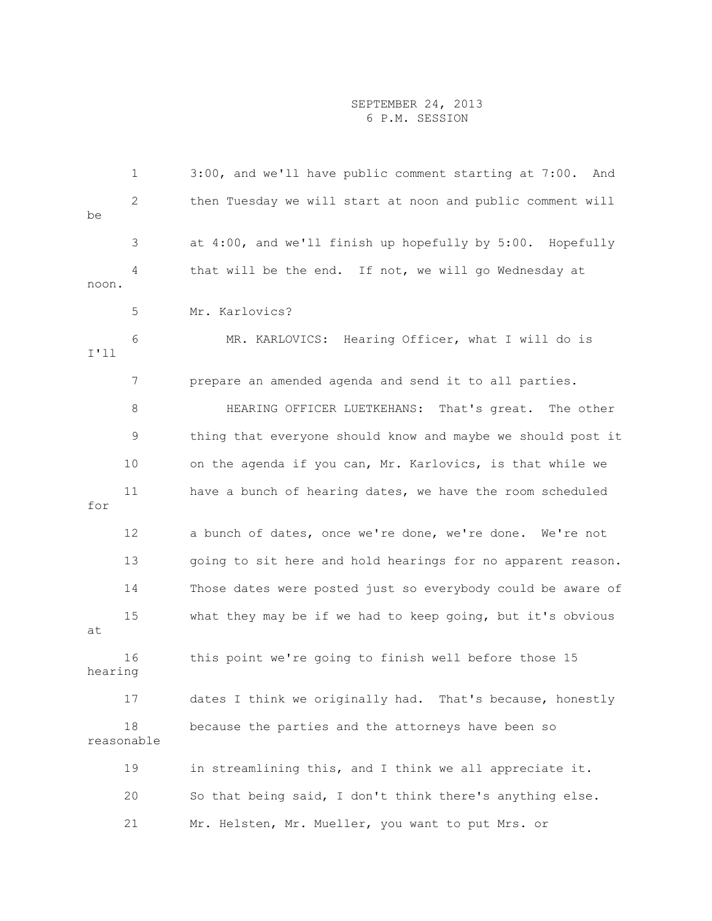|         | 1                | 3:00, and we'll have public comment starting at 7:00.<br>And |
|---------|------------------|--------------------------------------------------------------|
| be      | 2                | then Tuesday we will start at noon and public comment will   |
|         | 3                | at 4:00, and we'll finish up hopefully by 5:00. Hopefully    |
| noon.   | 4                | that will be the end. If not, we will go Wednesday at        |
|         | 5                | Mr. Karlovics?                                               |
| I'11    | 6                | MR. KARLOVICS: Hearing Officer, what I will do is            |
|         | 7                | prepare an amended agenda and send it to all parties.        |
|         | 8                | HEARING OFFICER LUETKEHANS: That's great. The other          |
|         | 9                | thing that everyone should know and maybe we should post it  |
|         | 10               | on the agenda if you can, Mr. Karlovics, is that while we    |
| for     | 11               | have a bunch of hearing dates, we have the room scheduled    |
|         | 12               | a bunch of dates, once we're done, we're done. We're not     |
|         | 13               | going to sit here and hold hearings for no apparent reason.  |
|         | 14               | Those dates were posted just so everybody could be aware of  |
| at      | 15               | what they may be if we had to keep going, but it's obvious   |
| hearing | 16               | this point we're going to finish well before those 15        |
|         | 17               | dates I think we originally had. That's because, honestly    |
|         | 18<br>reasonable | because the parties and the attorneys have been so           |
|         | 19               | in streamlining this, and I think we all appreciate it.      |
|         | 20               | So that being said, I don't think there's anything else.     |
|         | 21               | Mr. Helsten, Mr. Mueller, you want to put Mrs. or            |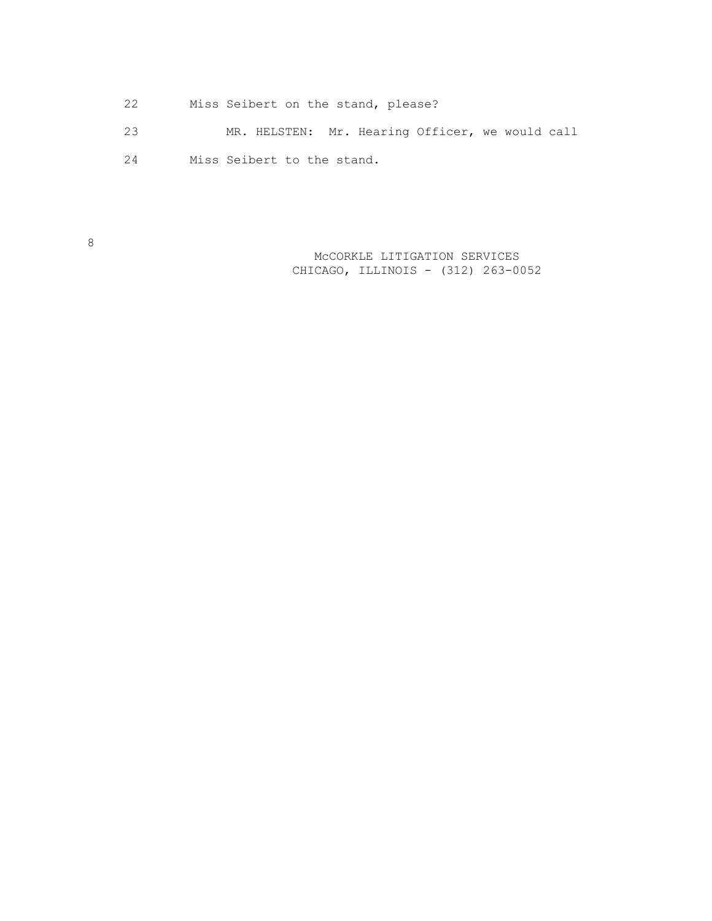22 Miss Seibert on the stand, please? 23 MR. HELSTEN: Mr. Hearing Officer, we would call 24 Miss Seibert to the stand.

8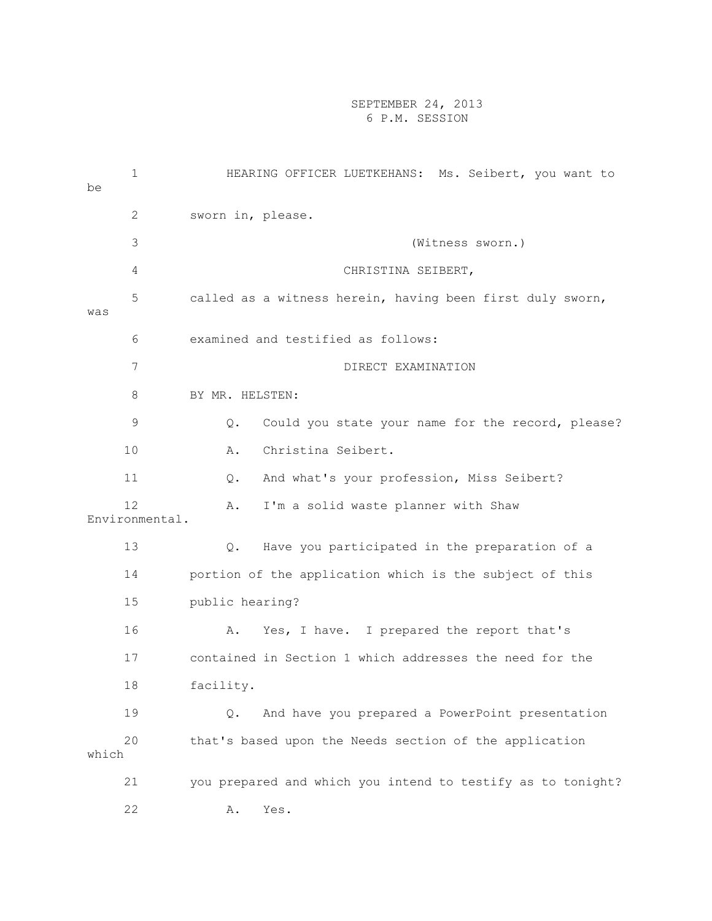| be    | 1                    | HEARING OFFICER LUETKEHANS: Ms. Seibert, you want to        |
|-------|----------------------|-------------------------------------------------------------|
|       | 2                    | sworn in, please.                                           |
|       | 3                    | (Witness sworn.)                                            |
|       | 4                    | CHRISTINA SEIBERT,                                          |
| was   | 5                    | called as a witness herein, having been first duly sworn,   |
|       | 6                    | examined and testified as follows:                          |
|       | 7                    | DIRECT EXAMINATION                                          |
|       | 8                    | BY MR. HELSTEN:                                             |
|       | 9                    | Could you state your name for the record, please?<br>Q.     |
|       | 10                   | Christina Seibert.<br>Α.                                    |
|       | 11                   | And what's your profession, Miss Seibert?<br>$Q_{\bullet}$  |
|       | 12<br>Environmental. | I'm a solid waste planner with Shaw<br>Α.                   |
|       | 13                   | Have you participated in the preparation of a<br>Q.         |
|       | 14                   | portion of the application which is the subject of this     |
|       | 15                   | public hearing?                                             |
|       | 16                   | Yes, I have. I prepared the report that's<br>Α.             |
|       | 17                   | contained in Section 1 which addresses the need for the     |
|       | $1\,8$               | facility.                                                   |
|       | 19                   | And have you prepared a PowerPoint presentation<br>Q.       |
| which | 20                   | that's based upon the Needs section of the application      |
|       | 21                   | you prepared and which you intend to testify as to tonight? |
|       | 22                   | Yes.<br>Α.                                                  |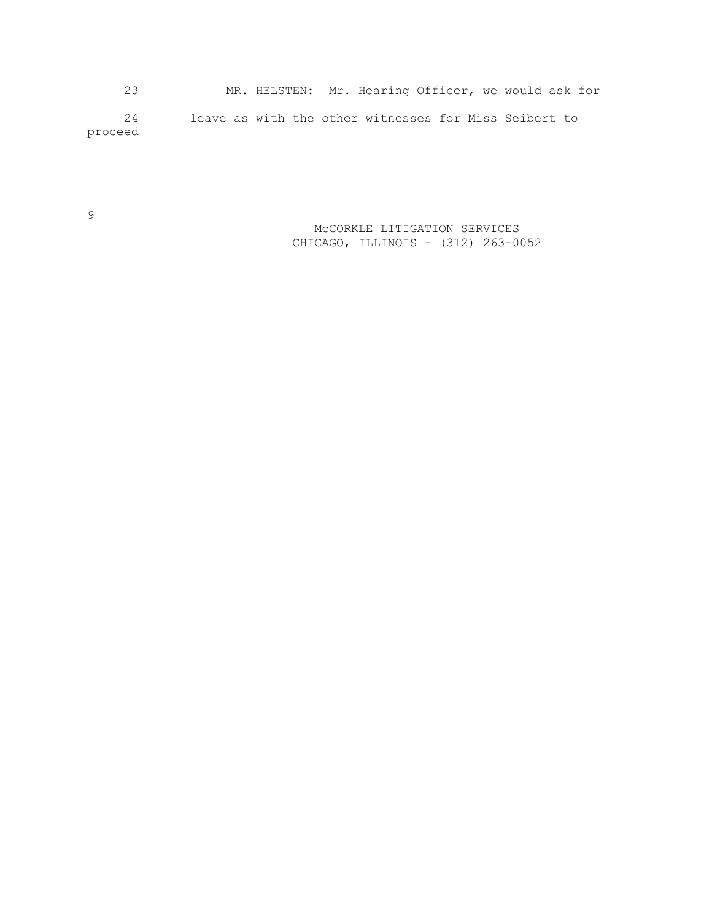23 MR. HELSTEN: Mr. Hearing Officer, we would ask for 24 leave as with the other witnesses for Miss Seibert to proceed

> McCORKLE LITIGATION SERVICES CHICAGO, ILLINOIS - (312) 263-0052

9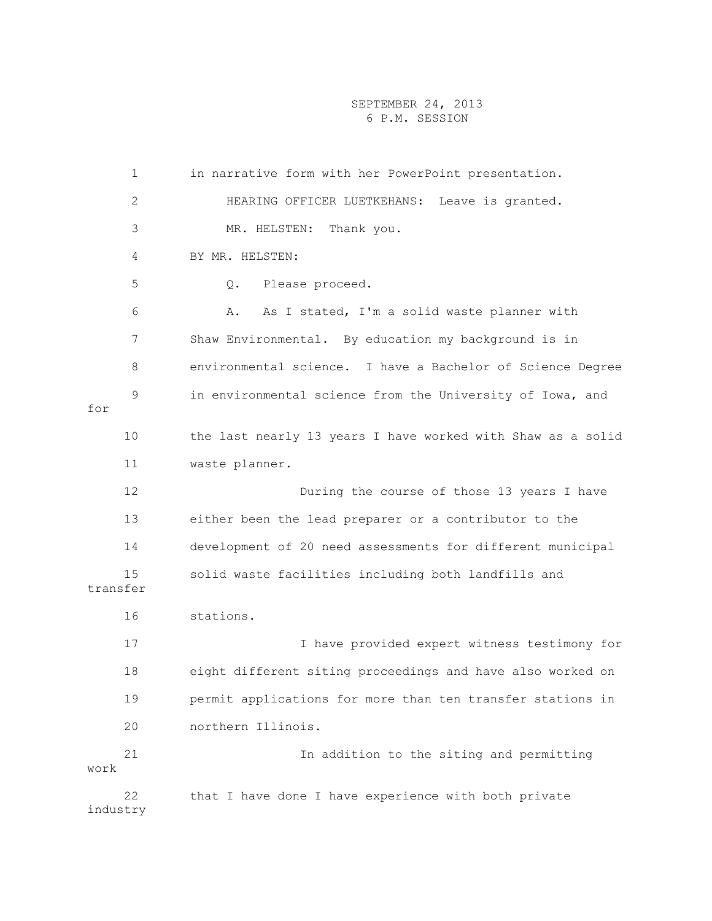1 in narrative form with her PowerPoint presentation. 2 HEARING OFFICER LUETKEHANS: Leave is granted. 3 MR. HELSTEN: Thank you. 4 BY MR. HELSTEN: 5 Q. Please proceed. 6 A. As I stated, I'm a solid waste planner with 7 Shaw Environmental. By education my background is in 8 environmental science. I have a Bachelor of Science Degree 9 in environmental science from the University of Iowa, and for 10 the last nearly 13 years I have worked with Shaw as a solid 11 waste planner. 12 During the course of those 13 years I have 13 either been the lead preparer or a contributor to the 14 development of 20 need assessments for different municipal 15 solid waste facilities including both landfills and transfer 16 stations. 17 I have provided expert witness testimony for 18 eight different siting proceedings and have also worked on 19 permit applications for more than ten transfer stations in 20 northern Illinois. 21 In addition to the siting and permitting work 22 that I have done I have experience with both private industry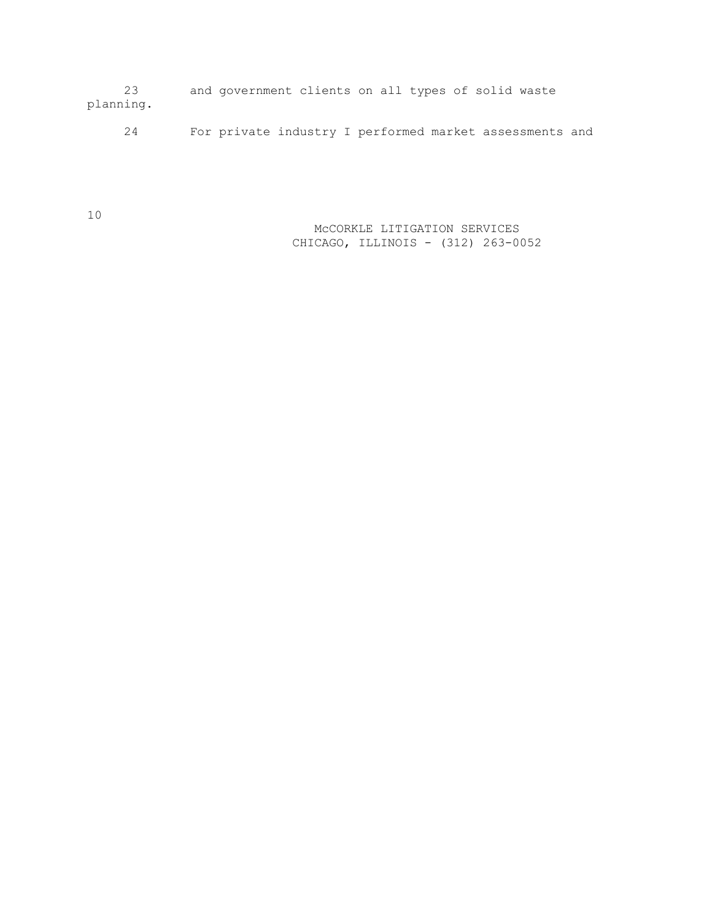23 and government clients on all types of solid waste planning.

24 For private industry I performed market assessments and

10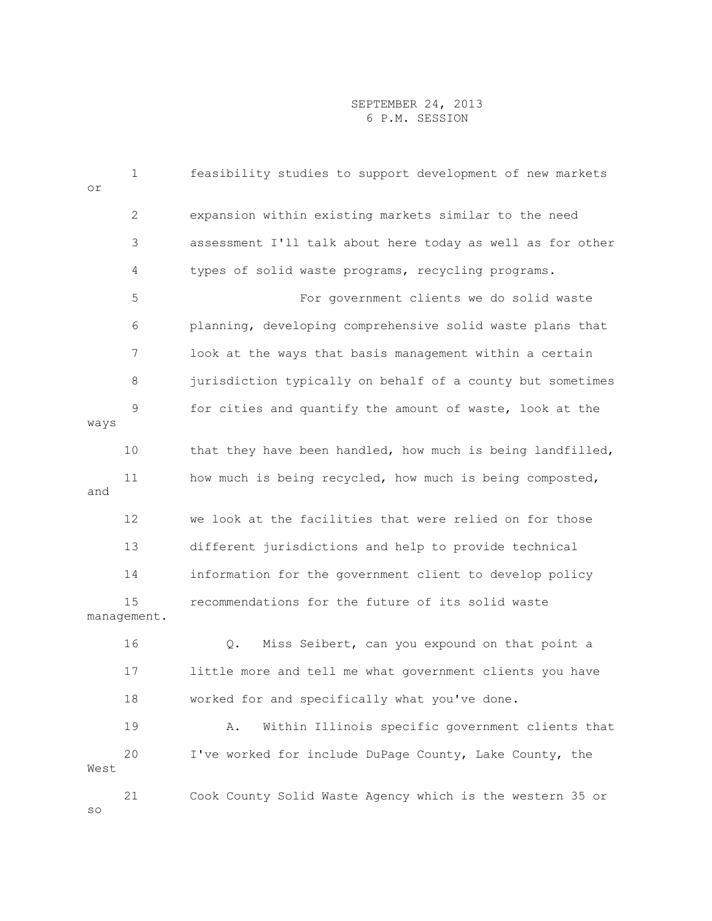| Оr   | $\mathbf 1$       | feasibility studies to support development of new markets  |
|------|-------------------|------------------------------------------------------------|
|      | 2                 | expansion within existing markets similar to the need      |
|      | 3                 | assessment I'll talk about here today as well as for other |
|      | 4                 | types of solid waste programs, recycling programs.         |
|      | 5                 | For government clients we do solid waste                   |
|      | 6                 | planning, developing comprehensive solid waste plans that  |
|      | 7                 | look at the ways that basis management within a certain    |
|      | 8                 | jurisdiction typically on behalf of a county but sometimes |
| ways | 9                 | for cities and quantify the amount of waste, look at the   |
|      | 10                | that they have been handled, how much is being landfilled, |
|      | 11                | how much is being recycled, how much is being composted,   |
| and  |                   |                                                            |
|      | 12                | we look at the facilities that were relied on for those    |
|      | 13                | different jurisdictions and help to provide technical      |
|      | 14                | information for the government client to develop policy    |
|      | 15<br>management. | recommendations for the future of its solid waste          |
|      | 16                | Miss Seibert, can you expound on that point a<br>Q.        |
|      | 17                | little more and tell me what government clients you have   |
|      | 18                | worked for and specifically what you've done.              |
|      | 19                | Within Illinois specific government clients that<br>Α.     |
| West | 20                | I've worked for include DuPage County, Lake County, the    |
| SO   | 21                | Cook County Solid Waste Agency which is the western 35 or  |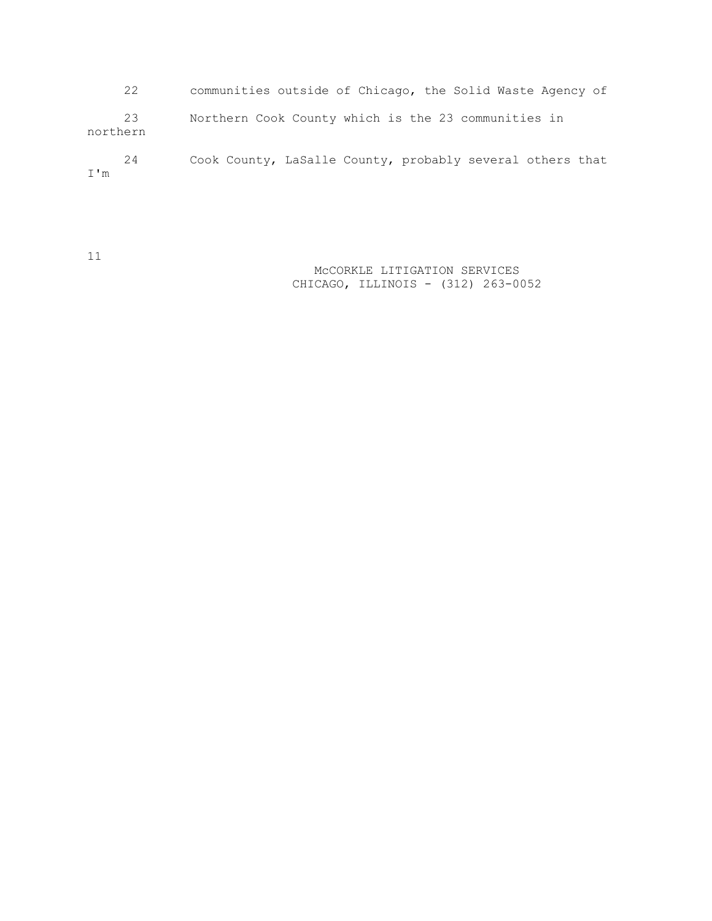22 communities outside of Chicago, the Solid Waste Agency of 23 Northern Cook County which is the 23 communities in northern 24 Cook County, LaSalle County, probably several others that I'm

11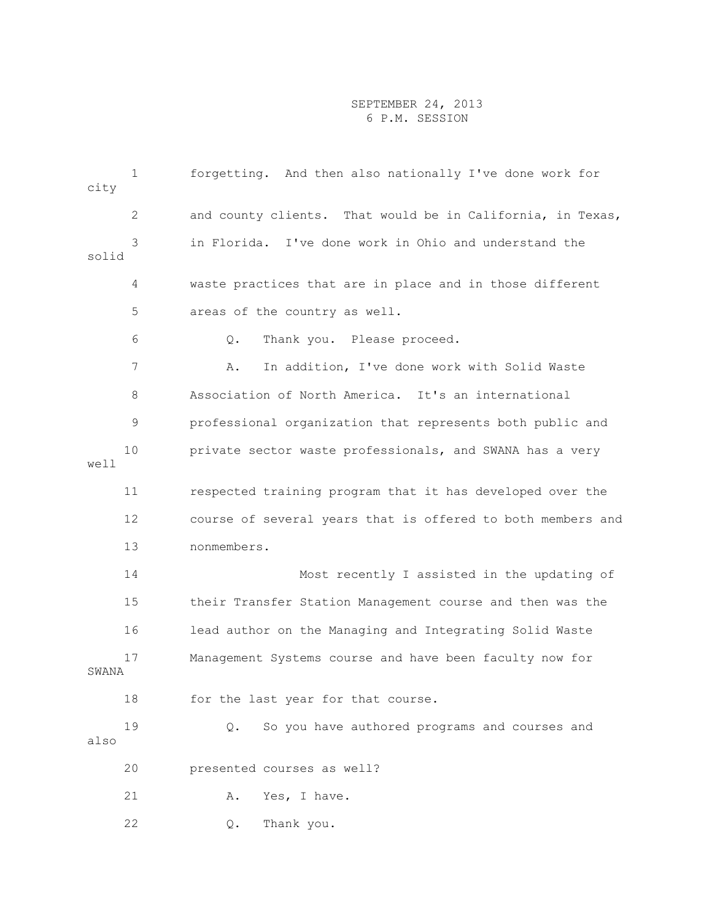| city  | $\mathbf{1}$ | forgetting. And then also nationally I've done work for     |
|-------|--------------|-------------------------------------------------------------|
|       | 2            | and county clients. That would be in California, in Texas,  |
| solid | 3            | in Florida. I've done work in Ohio and understand the       |
|       | 4            | waste practices that are in place and in those different    |
|       | 5            | areas of the country as well.                               |
|       | 6            | Thank you. Please proceed.<br>Q.                            |
|       | 7            | In addition, I've done work with Solid Waste<br>Α.          |
|       | 8            | Association of North America. It's an international         |
|       | 9            | professional organization that represents both public and   |
| well  | 10           | private sector waste professionals, and SWANA has a very    |
|       | 11           | respected training program that it has developed over the   |
|       | 12           | course of several years that is offered to both members and |
|       | 13           | nonmembers.                                                 |
|       | 14           | Most recently I assisted in the updating of                 |
|       | 15           | their Transfer Station Management course and then was the   |
|       | 16           | lead author on the Managing and Integrating Solid Waste     |
| SWANA | 17           | Management Systems course and have been faculty now for     |
|       | 18           | for the last year for that course.                          |
| also  | 19           | So you have authored programs and courses and<br>Q.         |
|       | 20           | presented courses as well?                                  |
|       | 21           | Α.<br>Yes, I have.                                          |
|       | 22           | Thank you.<br>Q.                                            |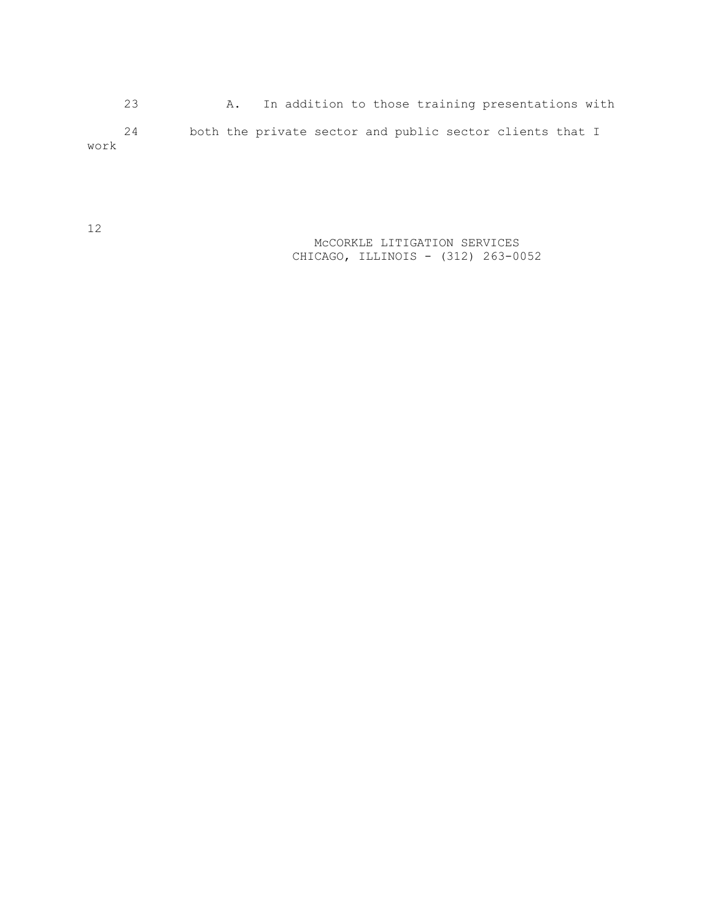23 A. In addition to those training presentations with 24 both the private sector and public sector clients that I work

> McCORKLE LITIGATION SERVICES CHICAGO, ILLINOIS - (312) 263-0052

12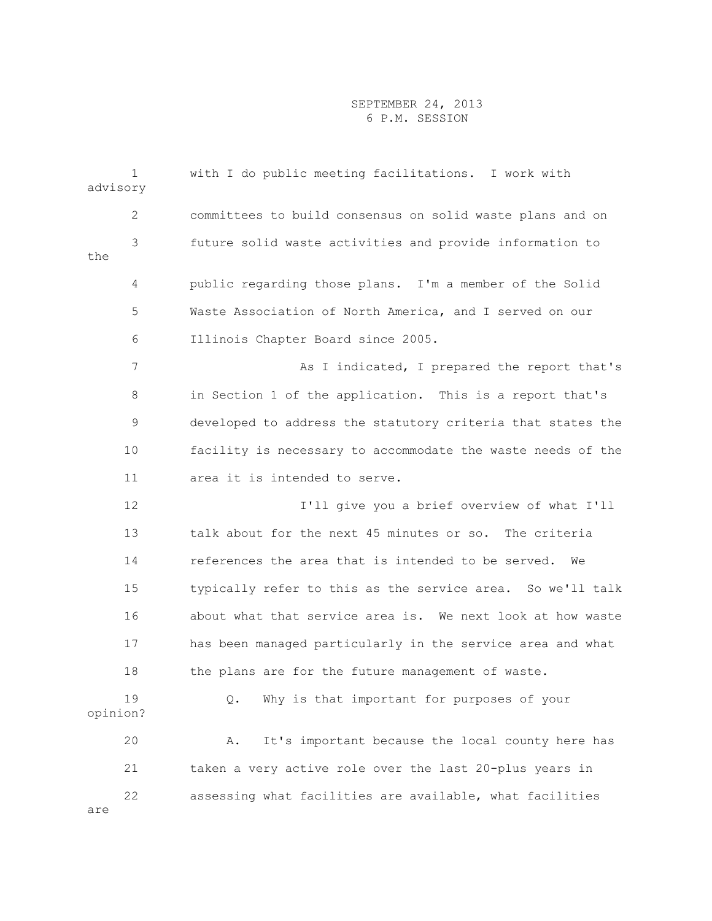| advisory | $\mathbf{1}$ | with I do public meeting facilitations. I work with         |
|----------|--------------|-------------------------------------------------------------|
|          | 2            | committees to build consensus on solid waste plans and on   |
| the      | 3            | future solid waste activities and provide information to    |
|          | 4            | public regarding those plans. I'm a member of the Solid     |
|          | 5            | Waste Association of North America, and I served on our     |
|          | 6            | Illinois Chapter Board since 2005.                          |
|          | 7            | As I indicated, I prepared the report that's                |
|          | 8            | in Section 1 of the application. This is a report that's    |
|          | 9            | developed to address the statutory criteria that states the |
|          | 10           | facility is necessary to accommodate the waste needs of the |
|          | 11           | area it is intended to serve.                               |
|          | 12           | I'll give you a brief overview of what I'll                 |
|          | 13           | talk about for the next 45 minutes or so. The criteria      |
|          | 14           | references the area that is intended to be served. We       |
|          | 15           | typically refer to this as the service area. So we'll talk  |
|          | 16           | about what that service area is. We next look at how waste  |
|          | 17           | has been managed particularly in the service area and what  |
|          | 18           | the plans are for the future management of waste.           |
| opinion? | 19           | Why is that important for purposes of your<br>Q.            |
|          | 20           | It's important because the local county here has<br>Α.      |
|          | 21           | taken a very active role over the last 20-plus years in     |
| are      | 22           | assessing what facilities are available, what facilities    |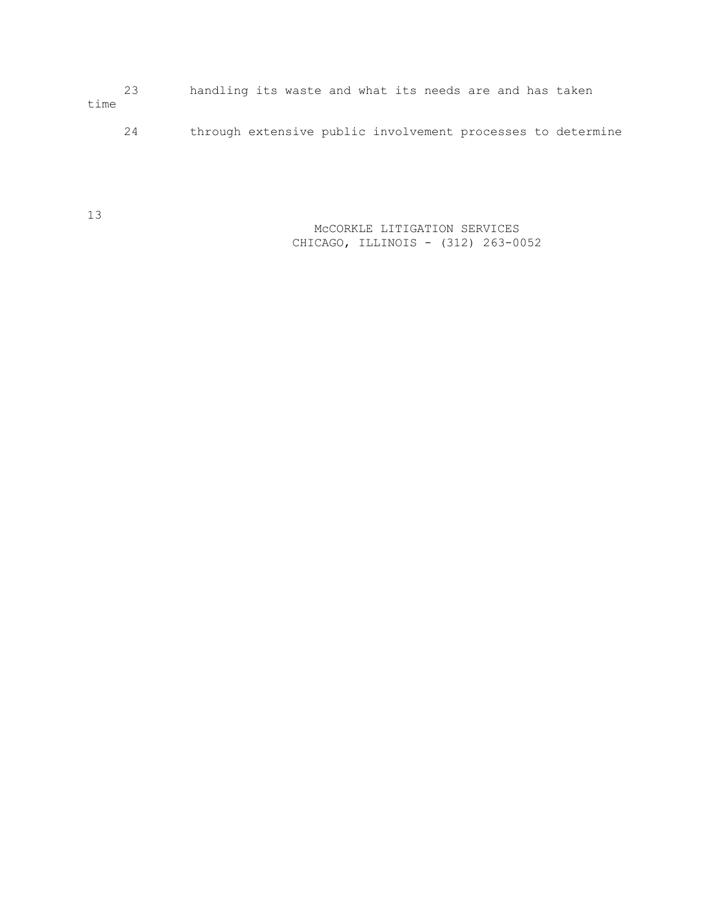23 handling its waste and what its needs are and has taken time

24 through extensive public involvement processes to determine

13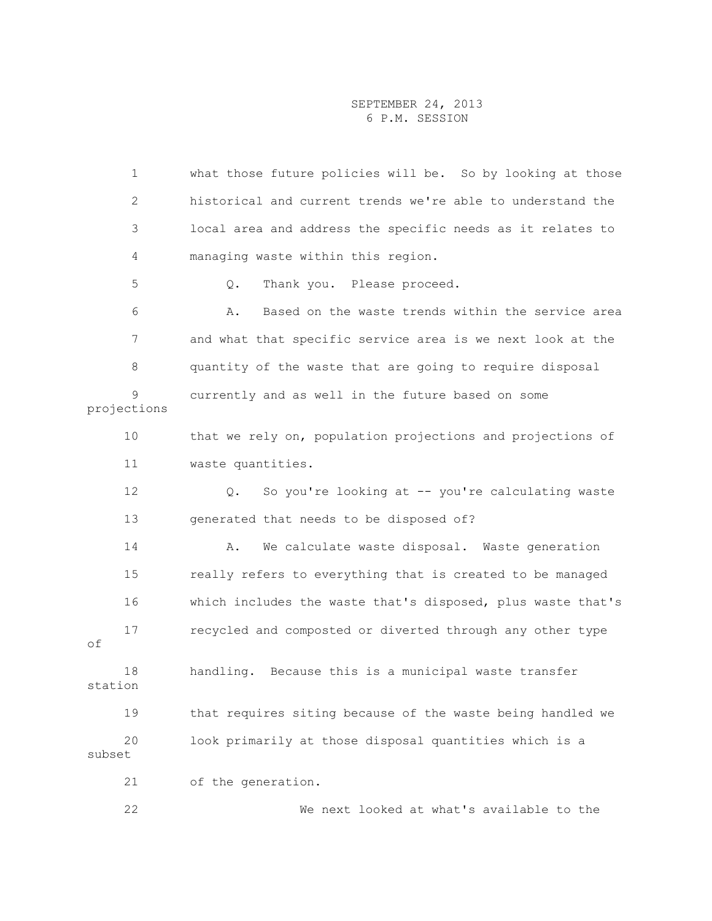1 what those future policies will be. So by looking at those 2 historical and current trends we're able to understand the 3 local area and address the specific needs as it relates to 4 managing waste within this region. 5 Q. Thank you. Please proceed. 6 A. Based on the waste trends within the service area 7 and what that specific service area is we next look at the 8 quantity of the waste that are going to require disposal 9 currently and as well in the future based on some projections 10 that we rely on, population projections and projections of 11 waste quantities. 12 Q. So you're looking at -- you're calculating waste 13 generated that needs to be disposed of? 14 A. We calculate waste disposal. Waste generation 15 really refers to everything that is created to be managed 16 which includes the waste that's disposed, plus waste that's 17 recycled and composted or diverted through any other type of 18 handling. Because this is a municipal waste transfer station 19 that requires siting because of the waste being handled we 20 look primarily at those disposal quantities which is a subset 21 of the generation.

22 We next looked at what's available to the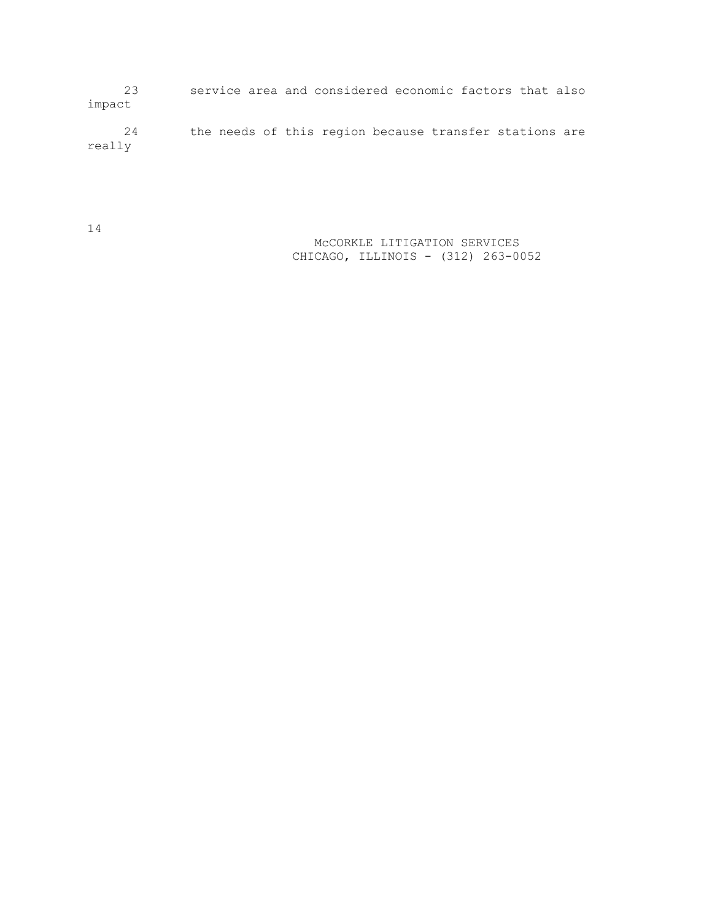23 service area and considered economic factors that also impact 24 the needs of this region because transfer stations are

really

14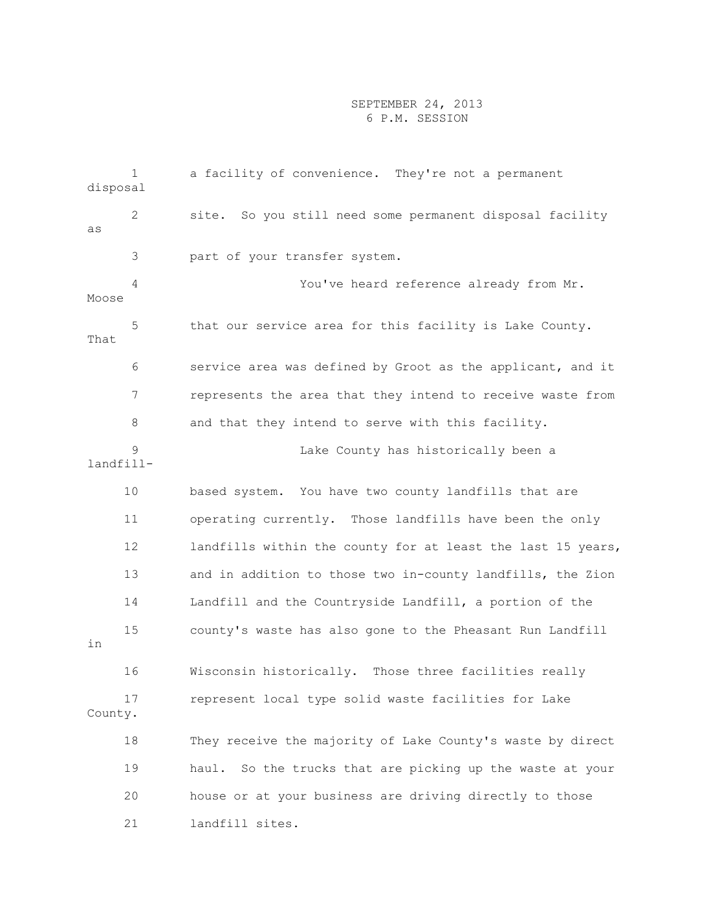| disposal  | $\mathbf{1}$   | a facility of convenience. They're not a permanent           |
|-----------|----------------|--------------------------------------------------------------|
| as        | $\overline{2}$ | site. So you still need some permanent disposal facility     |
|           | 3              | part of your transfer system.                                |
| Moose     | 4              | You've heard reference already from Mr.                      |
| That      | 5              | that our service area for this facility is Lake County.      |
|           | 6              | service area was defined by Groot as the applicant, and it   |
|           | 7              | represents the area that they intend to receive waste from   |
|           | 8              | and that they intend to serve with this facility.            |
| landfill- | 9              | Lake County has historically been a                          |
|           | 10             | based system. You have two county landfills that are         |
|           | 11             | operating currently. Those landfills have been the only      |
|           | 12             | landfills within the county for at least the last 15 years,  |
|           | 13             | and in addition to those two in-county landfills, the Zion   |
|           | 14             | Landfill and the Countryside Landfill, a portion of the      |
| in        | 15             | county's waste has also gone to the Pheasant Run Landfill    |
|           | 16             | Wisconsin historically. Those three facilities really        |
| County.   | 17             | represent local type solid waste facilities for Lake         |
|           | 18             | They receive the majority of Lake County's waste by direct   |
|           | 19             | So the trucks that are picking up the waste at your<br>haul. |
|           | 20             | house or at your business are driving directly to those      |
|           | 21             | landfill sites.                                              |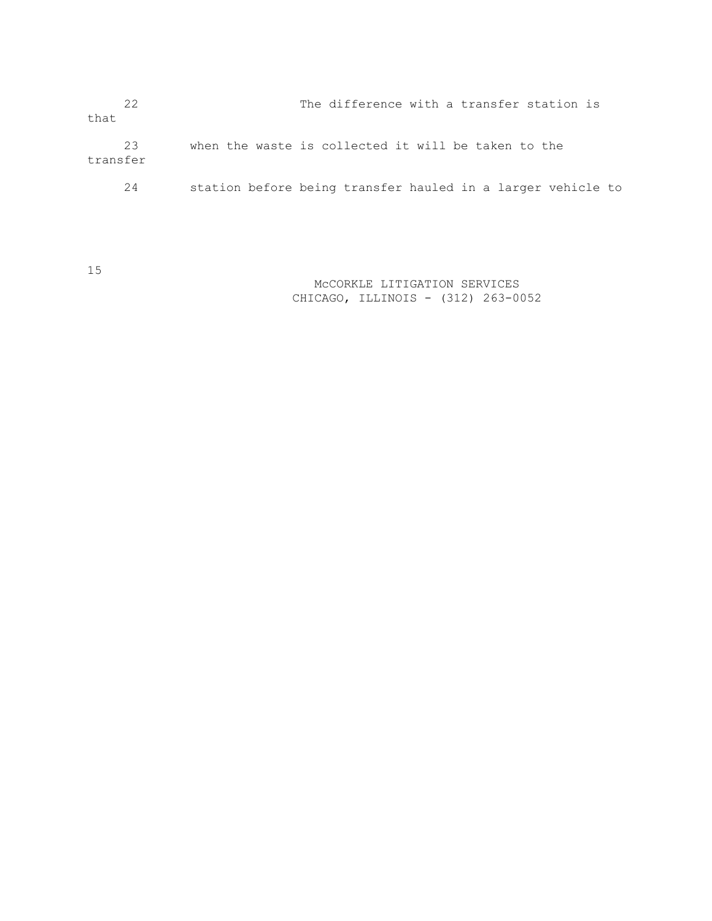| 22<br>that     | The difference with a transfer station is                   |
|----------------|-------------------------------------------------------------|
| 23<br>transfer | when the waste is collected it will be taken to the         |
| 24             | station before being transfer hauled in a larger vehicle to |

15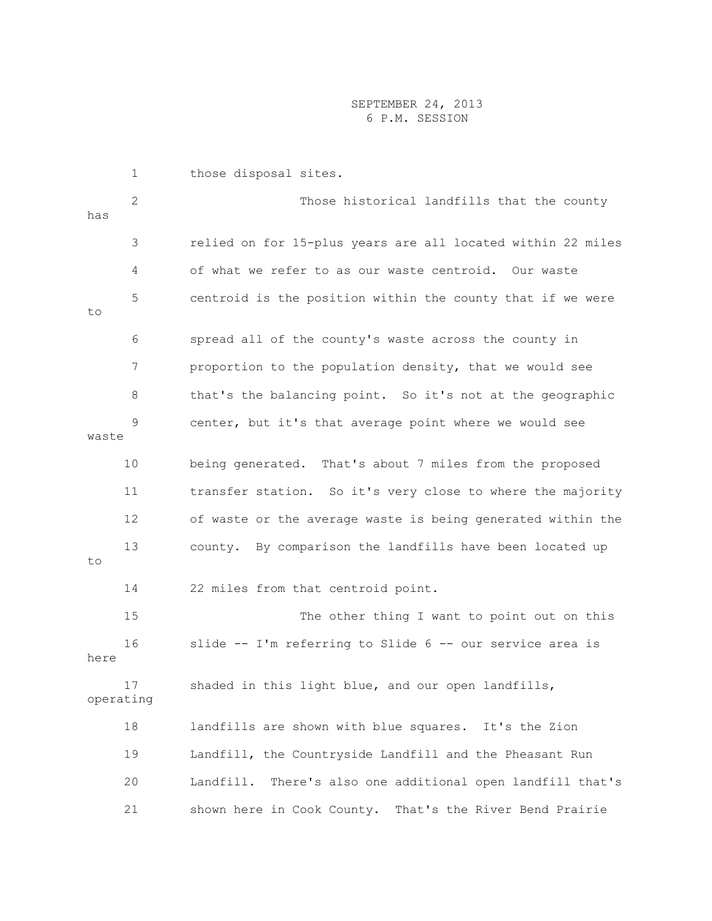|           | $\mathbf 1$ | those disposal sites.                                         |
|-----------|-------------|---------------------------------------------------------------|
| has       | 2           | Those historical landfills that the county                    |
|           | 3           | relied on for 15-plus years are all located within 22 miles   |
|           | 4           | of what we refer to as our waste centroid. Our waste          |
| to        | 5           | centroid is the position within the county that if we were    |
|           | 6           | spread all of the county's waste across the county in         |
|           | 7           | proportion to the population density, that we would see       |
|           | 8           | that's the balancing point. So it's not at the geographic     |
| waste     | 9           | center, but it's that average point where we would see        |
|           | 10          | being generated. That's about 7 miles from the proposed       |
|           | 11          | transfer station. So it's very close to where the majority    |
|           | 12          | of waste or the average waste is being generated within the   |
| to        | 13          | county. By comparison the landfills have been located up      |
|           | 14          | 22 miles from that centroid point.                            |
|           | 15          | The other thing I want to point out on this                   |
| here      | 16          | slide -- I'm referring to Slide 6 -- our service area is      |
| operating |             | shaded in this light blue, and our open landfills,            |
|           | 18          | landfills are shown with blue squares. It's the Zion          |
|           | 19          | Landfill, the Countryside Landfill and the Pheasant Run       |
|           | 20          | There's also one additional open landfill that's<br>Landfill. |
|           | 21          | shown here in Cook County.<br>That's the River Bend Prairie   |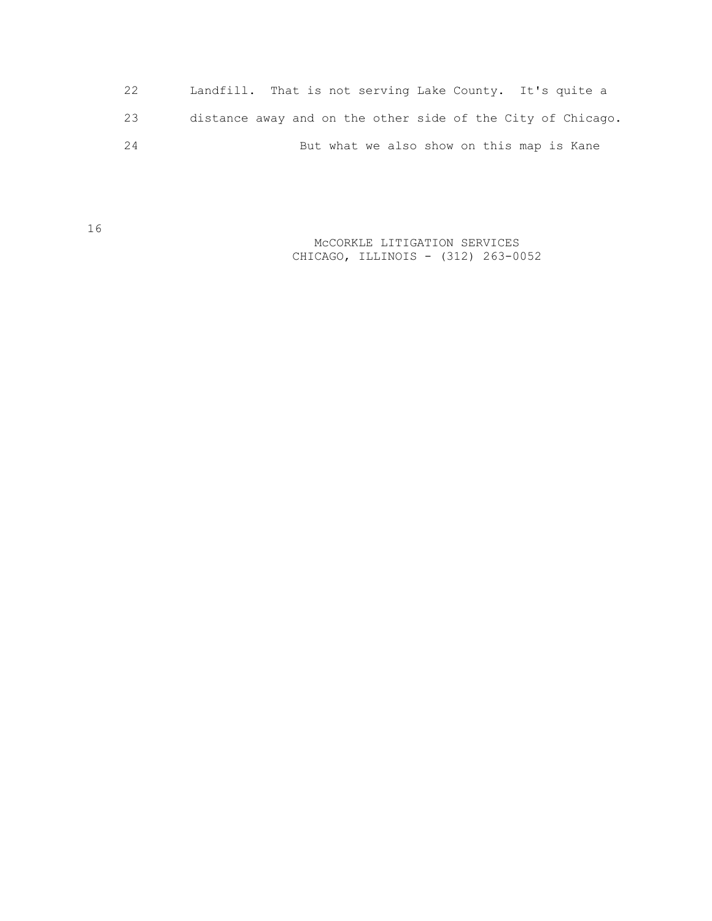| 22 | Landfill. That is not serving Lake County. It's quite a     |
|----|-------------------------------------------------------------|
| 23 | distance away and on the other side of the City of Chicago. |
| 24 | But what we also show on this map is Kane                   |

 McCORKLE LITIGATION SERVICES CHICAGO, ILLINOIS - (312) 263-0052

16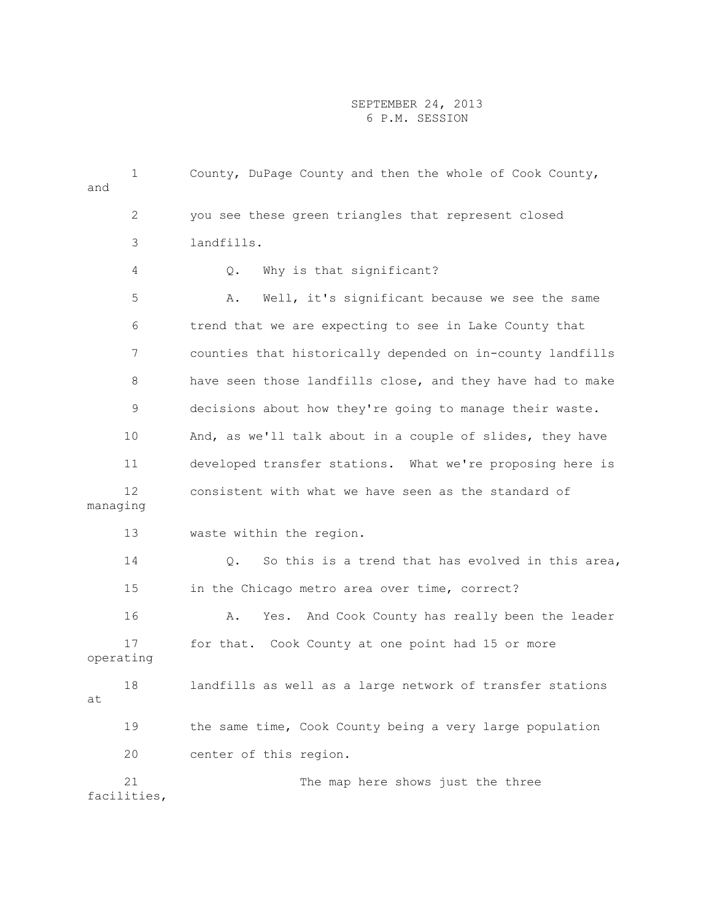| 1<br>and          | County, DuPage County and then the whole of Cook County,       |  |  |  |  |  |  |  |  |
|-------------------|----------------------------------------------------------------|--|--|--|--|--|--|--|--|
| 2                 | you see these green triangles that represent closed            |  |  |  |  |  |  |  |  |
| 3                 | landfills.                                                     |  |  |  |  |  |  |  |  |
| 4                 | Why is that significant?<br>$Q$ .                              |  |  |  |  |  |  |  |  |
| 5                 | Well, it's significant because we see the same<br>Α.           |  |  |  |  |  |  |  |  |
| 6                 | trend that we are expecting to see in Lake County that         |  |  |  |  |  |  |  |  |
| 7                 | counties that historically depended on in-county landfills     |  |  |  |  |  |  |  |  |
| 8                 | have seen those landfills close, and they have had to make     |  |  |  |  |  |  |  |  |
| 9                 | decisions about how they're going to manage their waste.       |  |  |  |  |  |  |  |  |
| 10                | And, as we'll talk about in a couple of slides, they have      |  |  |  |  |  |  |  |  |
| 11                | developed transfer stations. What we're proposing here is      |  |  |  |  |  |  |  |  |
| 12<br>managing    | consistent with what we have seen as the standard of           |  |  |  |  |  |  |  |  |
| 13                | waste within the region.                                       |  |  |  |  |  |  |  |  |
| 14                | $\circ$ .<br>So this is a trend that has evolved in this area, |  |  |  |  |  |  |  |  |
| 15                | in the Chicago metro area over time, correct?                  |  |  |  |  |  |  |  |  |
| 16                | Α.<br>Yes. And Cook County has really been the leader          |  |  |  |  |  |  |  |  |
| 17<br>operating   | for that. Cook County at one point had 15 or more              |  |  |  |  |  |  |  |  |
| 18<br>at          | landfills as well as a large network of transfer stations      |  |  |  |  |  |  |  |  |
| 19                | the same time, Cook County being a very large population       |  |  |  |  |  |  |  |  |
| 20                | center of this region.                                         |  |  |  |  |  |  |  |  |
| 21<br>facilities, | The map here shows just the three                              |  |  |  |  |  |  |  |  |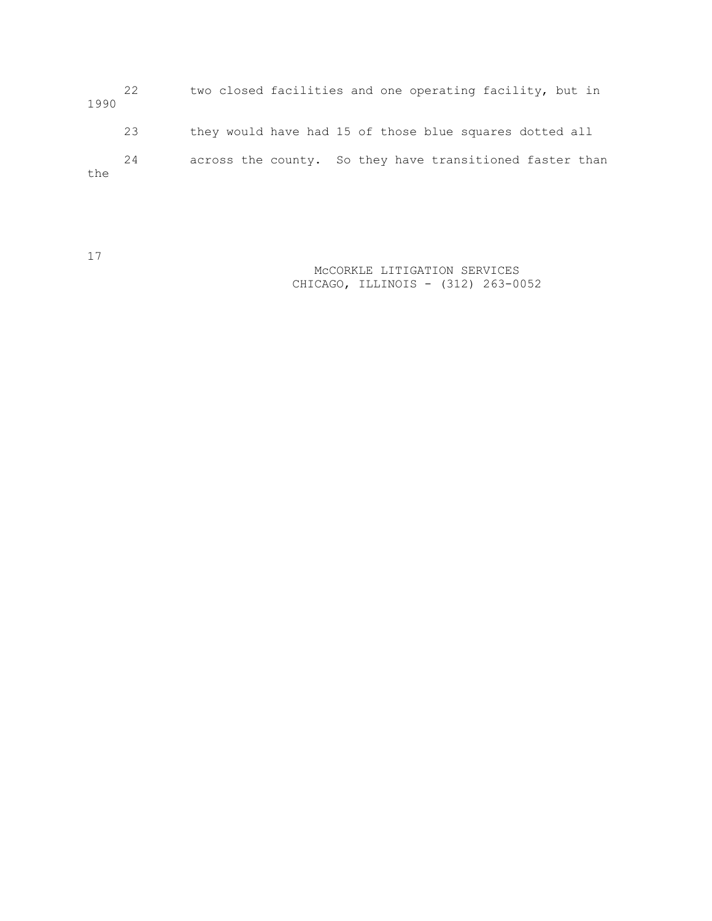| 1990 | 22 | two closed facilities and one operating facility, but in |
|------|----|----------------------------------------------------------|
|      | 23 | they would have had 15 of those blue squares dotted all  |
| the  | 24 | across the county. So they have transitioned faster than |

17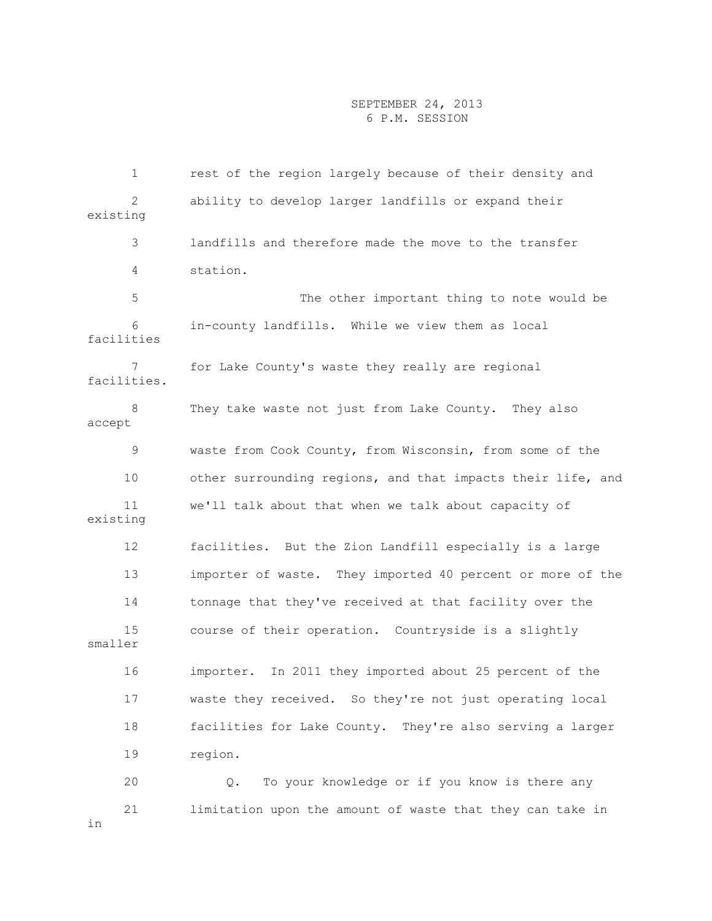1 rest of the region largely because of their density and 2 ability to develop larger landfills or expand their existing 3 landfills and therefore made the move to the transfer 4 station. 5 The other important thing to note would be 6 in-county landfills. While we view them as local facilities for Lake County's waste they really are regional facilities. 8 They take waste not just from Lake County. They also accept 9 waste from Cook County, from Wisconsin, from some of the 10 other surrounding regions, and that impacts their life, and 11 we'll talk about that when we talk about capacity of existing 12 facilities. But the Zion Landfill especially is a large 13 importer of waste. They imported 40 percent or more of the 14 tonnage that they've received at that facility over the 15 course of their operation. Countryside is a slightly smaller 16 importer. In 2011 they imported about 25 percent of the 17 waste they received. So they're not just operating local 18 facilities for Lake County. They're also serving a larger 19 region. 20 Q. To your knowledge or if you know is there any 21 limitation upon the amount of waste that they can take in in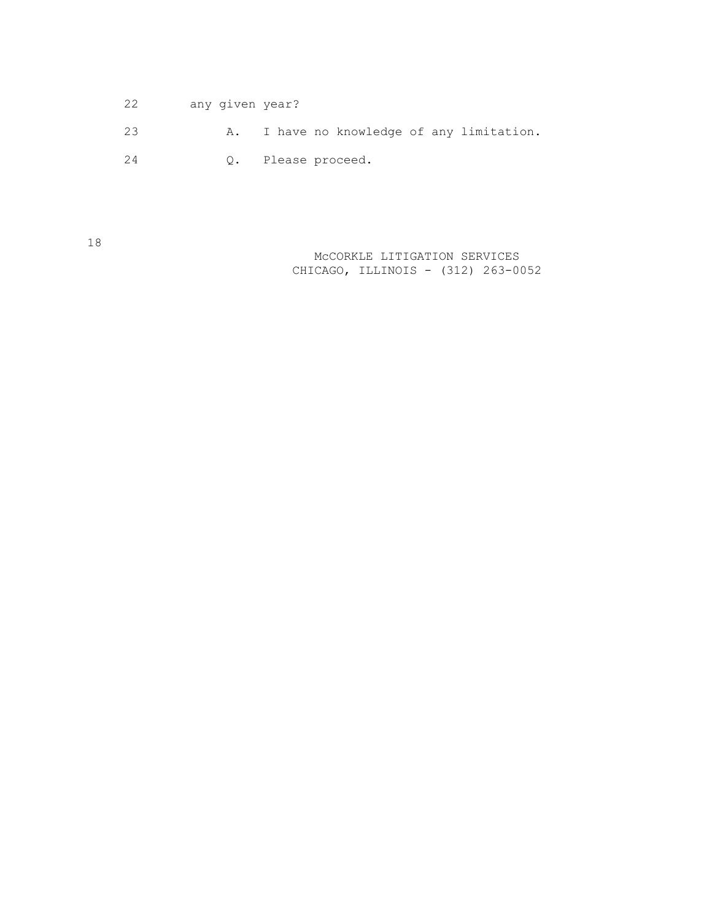| 22 |  | any given year?    |  |  |                                           |
|----|--|--------------------|--|--|-------------------------------------------|
| 23 |  |                    |  |  | A. I have no knowledge of any limitation. |
| 24 |  | Q. Please proceed. |  |  |                                           |

18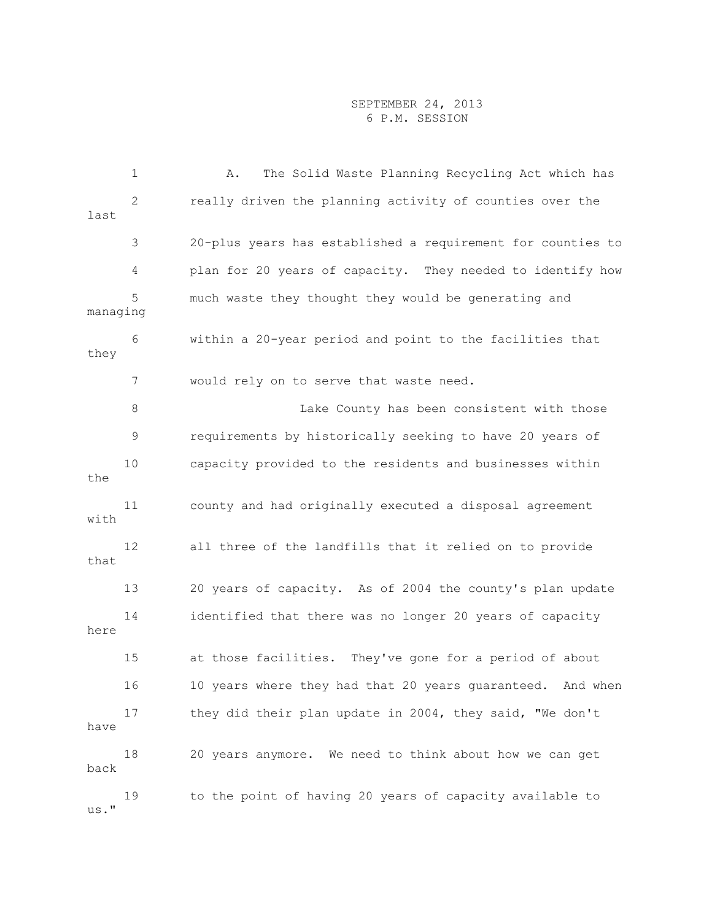1 A. The Solid Waste Planning Recycling Act which has 2 really driven the planning activity of counties over the last 3 20-plus years has established a requirement for counties to 4 plan for 20 years of capacity. They needed to identify how 5 much waste they thought they would be generating and managing 6 within a 20-year period and point to the facilities that they 7 would rely on to serve that waste need. 8 a Lake County has been consistent with those 9 requirements by historically seeking to have 20 years of 10 capacity provided to the residents and businesses within the 11 county and had originally executed a disposal agreement with 12 all three of the landfills that it relied on to provide that 13 20 years of capacity. As of 2004 the county's plan update 14 identified that there was no longer 20 years of capacity here 15 at those facilities. They've gone for a period of about 16 10 years where they had that 20 years guaranteed. And when 17 they did their plan update in 2004, they said, "We don't have 18 20 years anymore. We need to think about how we can get back 19 to the point of having 20 years of capacity available to us."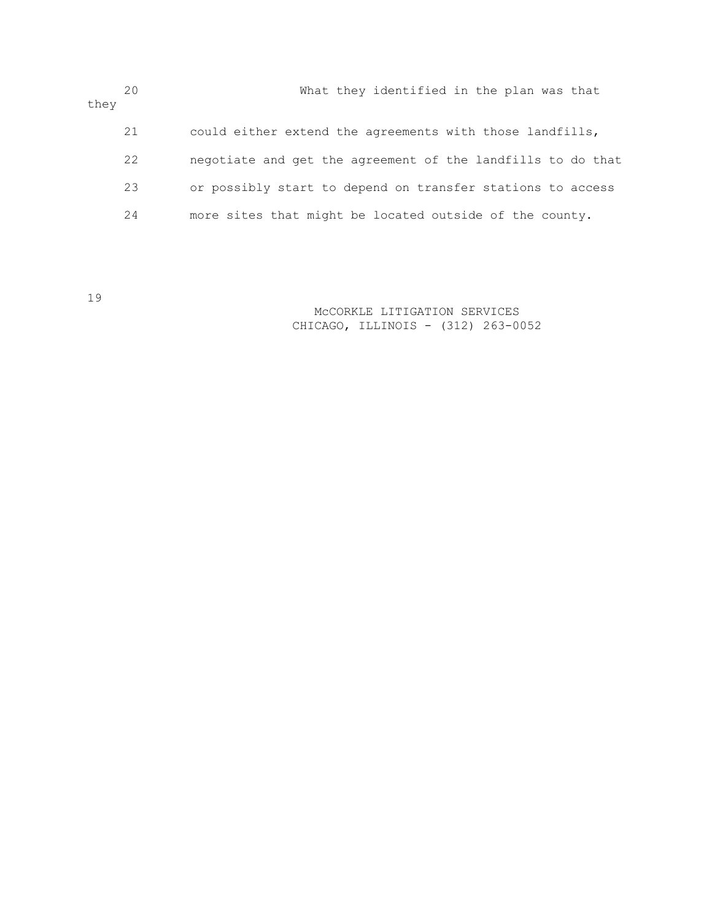| they | 20 | What they identified in the plan was that                   |
|------|----|-------------------------------------------------------------|
|      | 21 | could either extend the agreements with those landfills,    |
|      | 22 | negotiate and get the agreement of the landfills to do that |
|      | 23 | or possibly start to depend on transfer stations to access  |
|      | 24 | more sites that might be located outside of the county.     |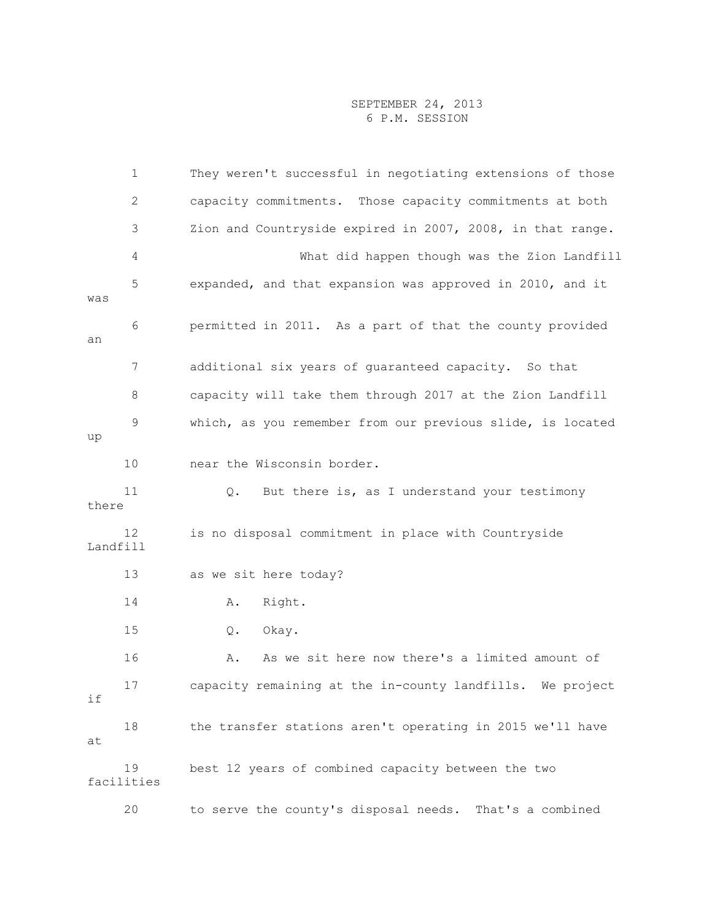|          | $\mathbf 1$      | They weren't successful in negotiating extensions of those |
|----------|------------------|------------------------------------------------------------|
|          | 2                | capacity commitments. Those capacity commitments at both   |
|          | 3                | Zion and Countryside expired in 2007, 2008, in that range. |
|          | 4                | What did happen though was the Zion Landfill               |
| was      | 5                | expanded, and that expansion was approved in 2010, and it  |
| an       | 6                | permitted in 2011. As a part of that the county provided   |
|          | 7                | additional six years of guaranteed capacity. So that       |
|          | 8                | capacity will take them through 2017 at the Zion Landfill  |
| up       | 9                | which, as you remember from our previous slide, is located |
|          | 10               | near the Wisconsin border.                                 |
| there    | 11               | But there is, as I understand your testimony<br>Q.         |
| Landfill | 12               | is no disposal commitment in place with Countryside        |
|          | 13               | as we sit here today?                                      |
|          | 14               | Right.<br>Α.                                               |
|          | 15               | Okay.<br>Q.                                                |
|          | 16               | As we sit here now there's a limited amount of<br>Α.       |
| if       | 17               | capacity remaining at the in-county landfills. We project  |
| at       | 18               | the transfer stations aren't operating in 2015 we'll have  |
|          | 19<br>facilities | best 12 years of combined capacity between the two         |
|          | 20               | to serve the county's disposal needs. That's a combined    |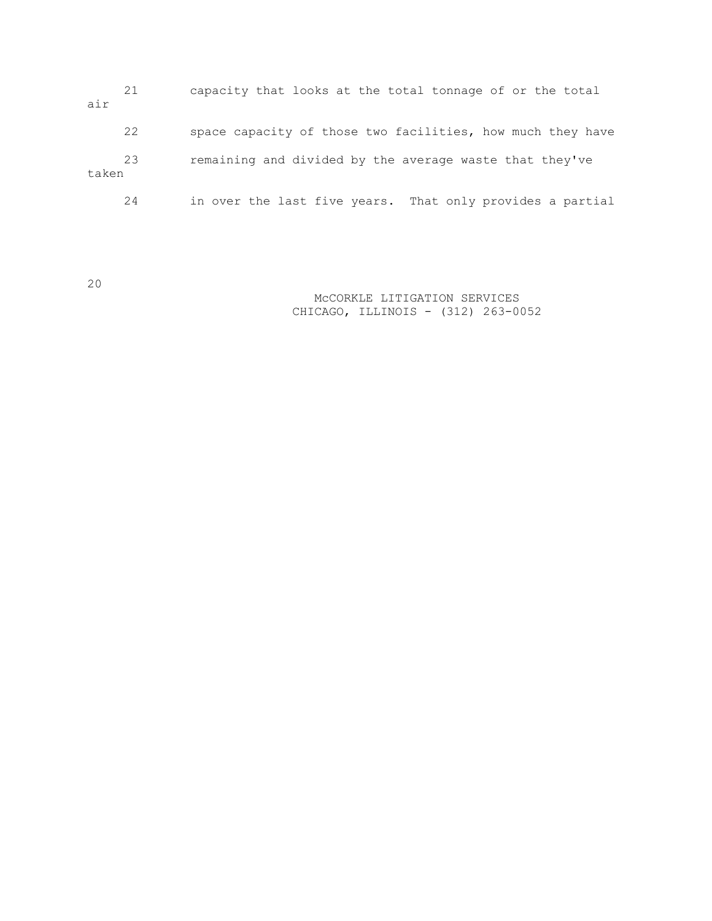| air   | 21 | capacity that looks at the total tonnage of or the total   |
|-------|----|------------------------------------------------------------|
|       | 22 | space capacity of those two facilities, how much they have |
| taken | 23 | remaining and divided by the average waste that they've    |
|       | 24 | in over the last five years. That only provides a partial  |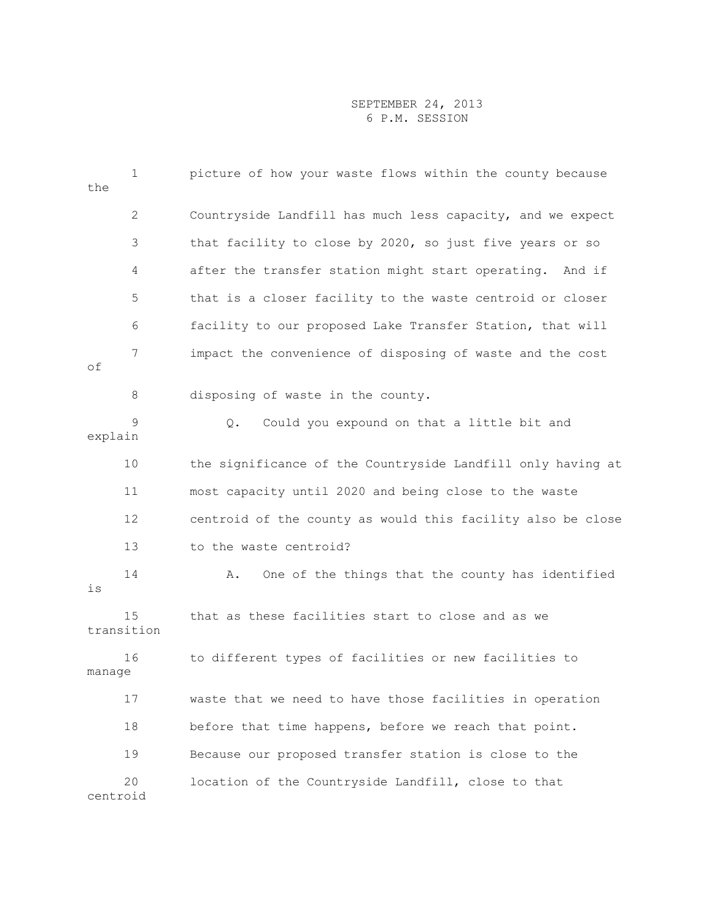| the     | 1                | picture of how your waste flows within the county because   |
|---------|------------------|-------------------------------------------------------------|
|         | $\mathbf{2}$     | Countryside Landfill has much less capacity, and we expect  |
|         | 3                | that facility to close by 2020, so just five years or so    |
|         | 4                | after the transfer station might start operating. And if    |
|         | 5                | that is a closer facility to the waste centroid or closer   |
|         | 6                | facility to our proposed Lake Transfer Station, that will   |
| оf      | 7                | impact the convenience of disposing of waste and the cost   |
|         | 8                | disposing of waste in the county.                           |
| explain | 9                | Q.<br>Could you expound on that a little bit and            |
|         | 10               | the significance of the Countryside Landfill only having at |
|         | 11               | most capacity until 2020 and being close to the waste       |
|         | 12               | centroid of the county as would this facility also be close |
|         | 13               | to the waste centroid?                                      |
| is      | 14               | One of the things that the county has identified<br>Α.      |
|         | 15<br>transition | that as these facilities start to close and as we           |
| manage  | 16               | to different types of facilities or new facilities to       |
|         | 17               | waste that we need to have those facilities in operation    |
|         | 18               | before that time happens, before we reach that point.       |
|         | 19               | Because our proposed transfer station is close to the       |
|         | 20<br>centroid   | location of the Countryside Landfill, close to that         |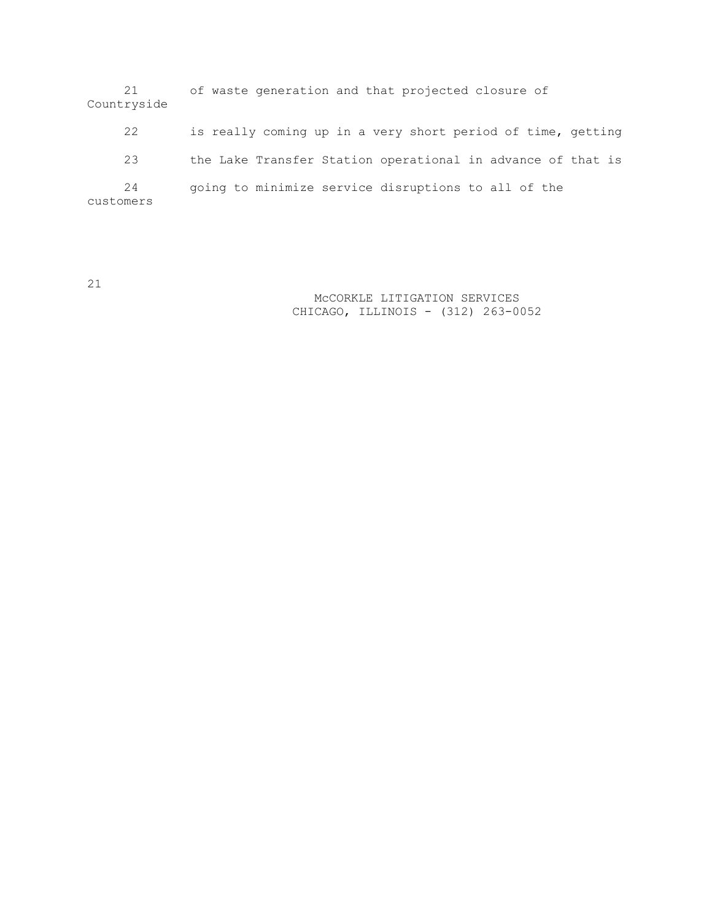21 of waste generation and that projected closure of Countryside 22 is really coming up in a very short period of time, getting 23 the Lake Transfer Station operational in advance of that is 24 going to minimize service disruptions to all of the customers

21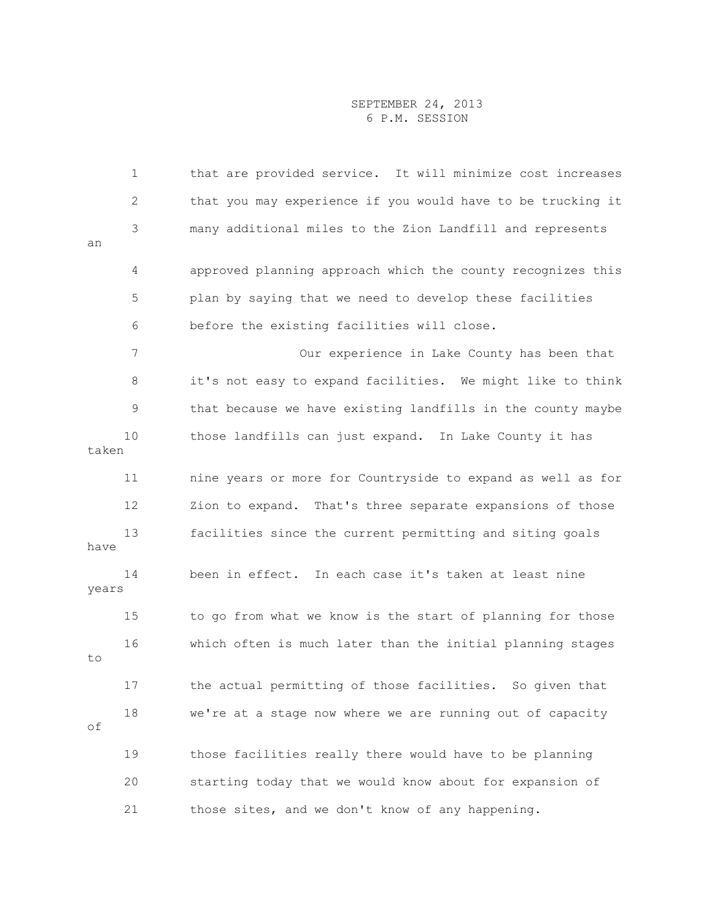|       | 1            | that are provided service. It will minimize cost increases  |
|-------|--------------|-------------------------------------------------------------|
|       | $\mathbf{2}$ | that you may experience if you would have to be trucking it |
| an    | 3            | many additional miles to the Zion Landfill and represents   |
|       | 4            | approved planning approach which the county recognizes this |
|       | 5            | plan by saying that we need to develop these facilities     |
|       | 6            | before the existing facilities will close.                  |
|       | 7            | Our experience in Lake County has been that                 |
|       | 8            | it's not easy to expand facilities. We might like to think  |
|       | 9            | that because we have existing landfills in the county maybe |
| taken | 10           | those landfills can just expand. In Lake County it has      |
|       | 11           | nine years or more for Countryside to expand as well as for |
|       | 12           | Zion to expand. That's three separate expansions of those   |
| have  | 13           | facilities since the current permitting and siting goals    |
| years | 14           | been in effect. In each case it's taken at least nine       |
|       | 15           | to go from what we know is the start of planning for those  |
| to    | 16           | which often is much later than the initial planning stages  |
|       | 17           | the actual permitting of those facilities. So given that    |
| оf    | 18           | we're at a stage now where we are running out of capacity   |
|       | 19           | those facilities really there would have to be planning     |
|       | 20           | starting today that we would know about for expansion of    |
|       | 21           | those sites, and we don't know of any happening.            |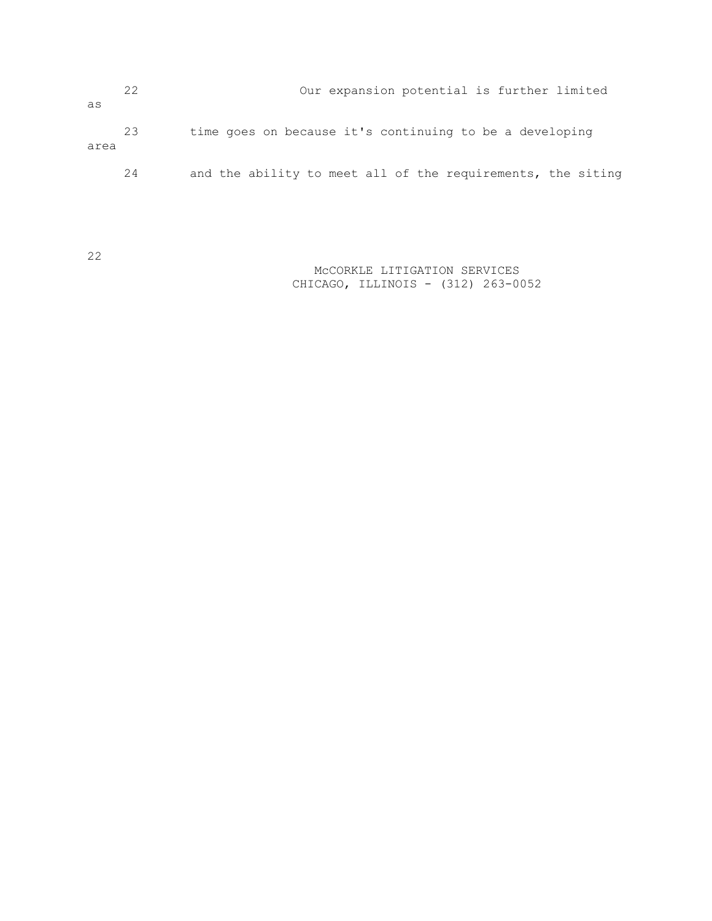|      | 22 | Our expansion potential is further limited                  |
|------|----|-------------------------------------------------------------|
| as   |    |                                                             |
| area | 23 | time goes on because it's continuing to be a developing     |
|      | 24 | and the ability to meet all of the requirements, the siting |

 McCORKLE LITIGATION SERVICES CHICAGO, ILLINOIS - (312) 263-0052

22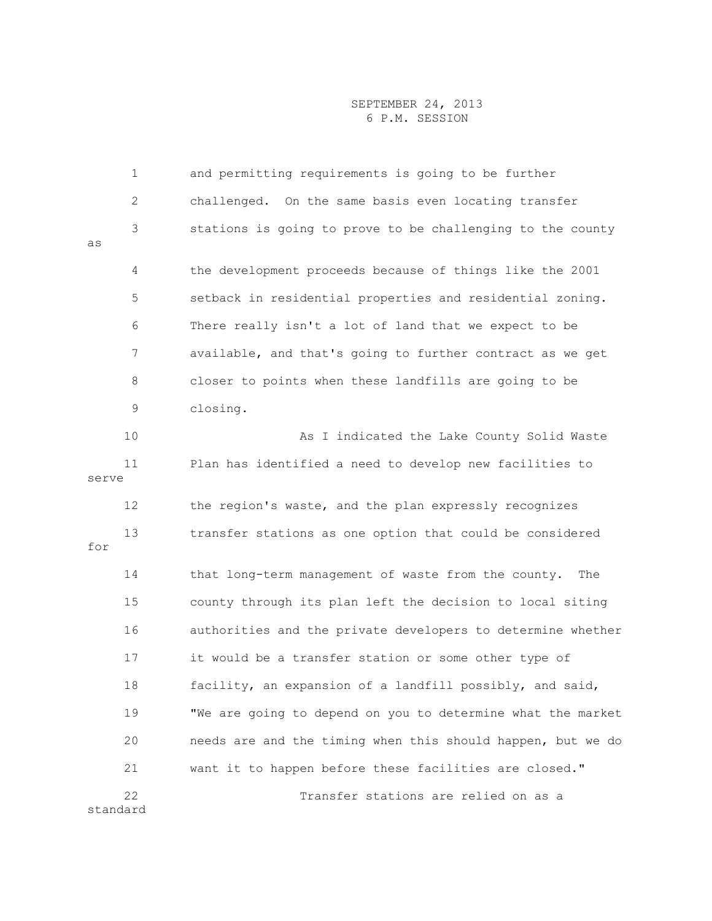|          | $\mathbf 1$  | and permitting requirements is going to be further          |
|----------|--------------|-------------------------------------------------------------|
|          | $\mathbf{2}$ | challenged. On the same basis even locating transfer        |
| as       | 3            | stations is going to prove to be challenging to the county  |
|          | 4            | the development proceeds because of things like the 2001    |
|          | 5            | setback in residential properties and residential zoning.   |
|          | 6            | There really isn't a lot of land that we expect to be       |
|          | 7            | available, and that's going to further contract as we get   |
|          | 8            | closer to points when these landfills are going to be       |
|          | 9            | closing.                                                    |
|          | 10           | As I indicated the Lake County Solid Waste                  |
| serve    | 11           | Plan has identified a need to develop new facilities to     |
|          | 12           | the region's waste, and the plan expressly recognizes       |
| for      | 13           | transfer stations as one option that could be considered    |
|          | 14           | that long-term management of waste from the county.<br>The  |
|          | 15           | county through its plan left the decision to local siting   |
|          | 16           | authorities and the private developers to determine whether |
|          | 17           | it would be a transfer station or some other type of        |
|          | 18           | facility, an expansion of a landfill possibly, and said,    |
|          | 19           | "We are going to depend on you to determine what the market |
|          | 20           | needs are and the timing when this should happen, but we do |
|          | 21           | want it to happen before these facilities are closed."      |
| standard | 22           | Transfer stations are relied on as a                        |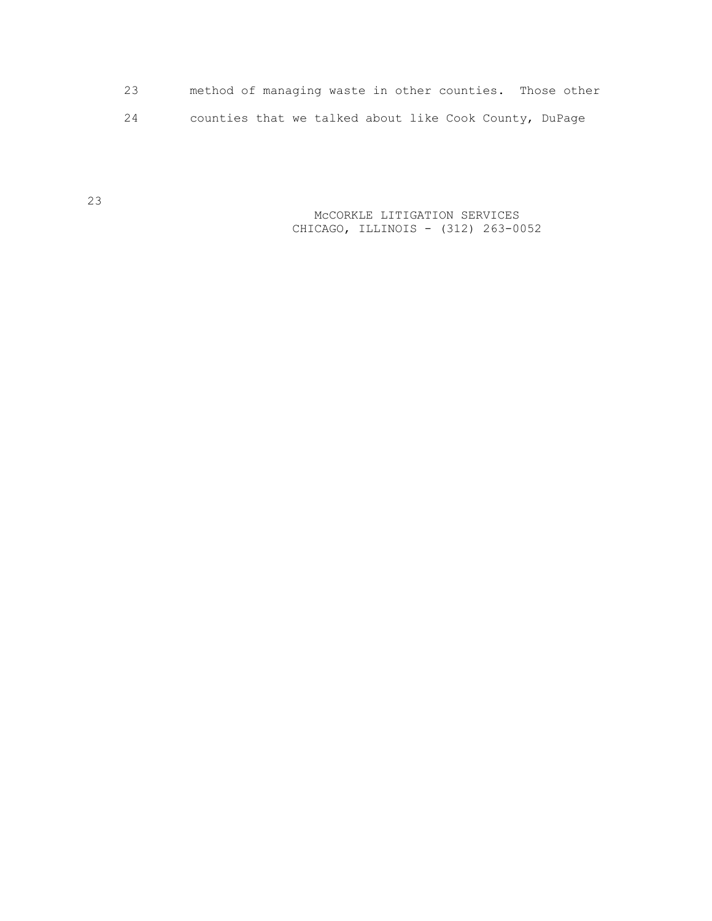23 method of managing waste in other counties. Those other 24 counties that we talked about like Cook County, DuPage

> McCORKLE LITIGATION SERVICES CHICAGO, ILLINOIS - (312) 263-0052

23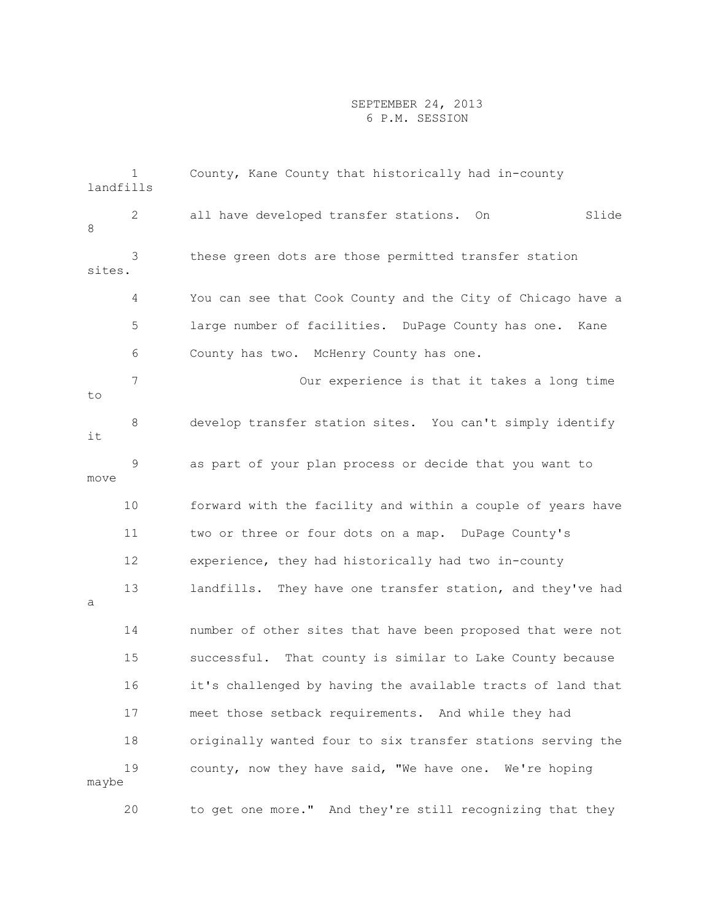| landfills | $\mathbf{1}$ | County, Kane County that historically had in-county         |
|-----------|--------------|-------------------------------------------------------------|
| 8         | 2            | Slide<br>all have developed transfer stations. On           |
| sites.    | 3            | these green dots are those permitted transfer station       |
|           | 4            | You can see that Cook County and the City of Chicago have a |
|           | 5            | large number of facilities. DuPage County has one. Kane     |
|           | 6            | County has two. McHenry County has one.                     |
| to        | 7            | Our experience is that it takes a long time                 |
| it        | 8            | develop transfer station sites. You can't simply identify   |
| move      | 9            | as part of your plan process or decide that you want to     |
|           | 10           | forward with the facility and within a couple of years have |
|           | 11           | two or three or four dots on a map. DuPage County's         |
|           | 12           | experience, they had historically had two in-county         |
| а         | 13           | landfills. They have one transfer station, and they've had  |
|           | 14           | number of other sites that have been proposed that were not |
|           | 15           | successful. That county is similar to Lake County because   |
|           | 16           | it's challenged by having the available tracts of land that |
|           | 17           | meet those setback requirements. And while they had         |
|           | 18           | originally wanted four to six transfer stations serving the |
| maybe     | 19           | county, now they have said, "We have one. We're hoping      |
|           | 20           | to get one more." And they're still recognizing that they   |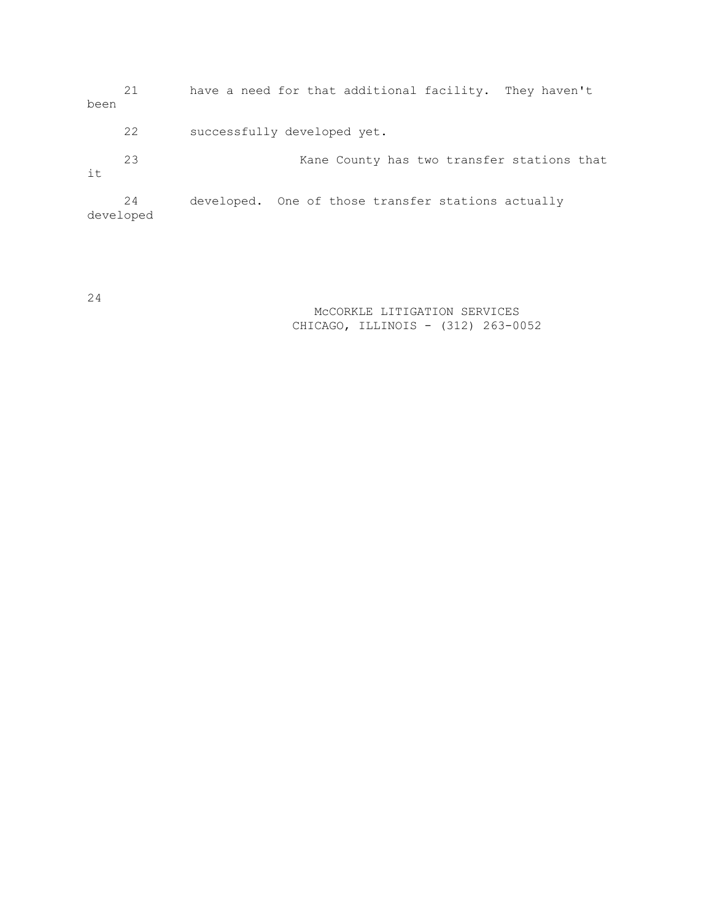21 have a need for that additional facility. They haven't been 22 successfully developed yet. 23 Kane County has two transfer stations that it 24 developed. One of those transfer stations actually developed

24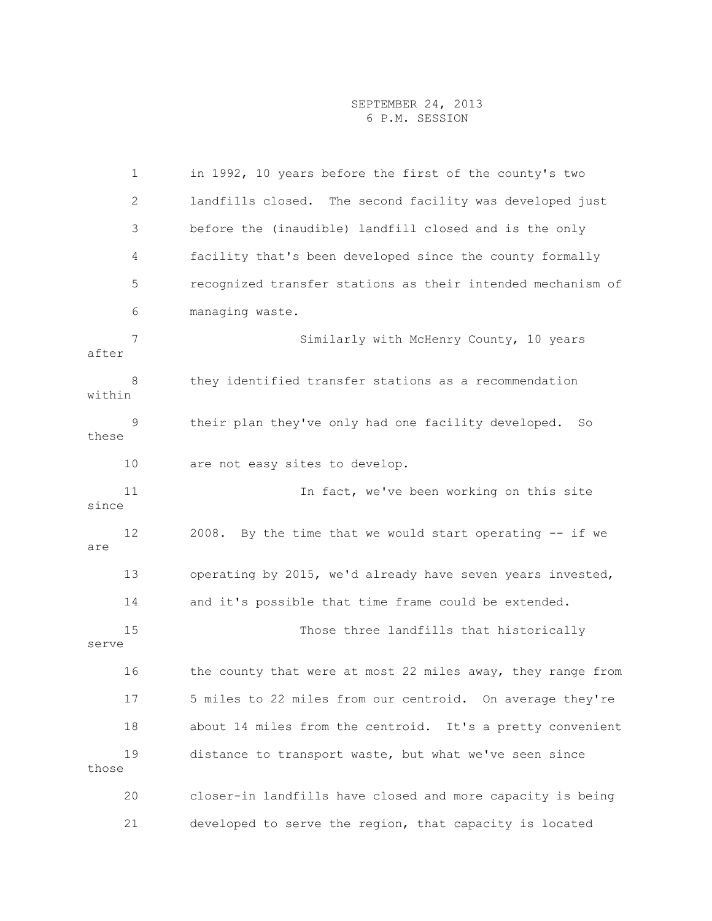1 in 1992, 10 years before the first of the county's two 2 landfills closed. The second facility was developed just 3 before the (inaudible) landfill closed and is the only 4 facility that's been developed since the county formally 5 recognized transfer stations as their intended mechanism of 6 managing waste. 7 Similarly with McHenry County, 10 years after 8 they identified transfer stations as a recommendation within 9 their plan they've only had one facility developed. So these 10 are not easy sites to develop. 11 11 In fact, we've been working on this site since 12 2008. By the time that we would start operating -- if we are 13 operating by 2015, we'd already have seven years invested, 14 and it's possible that time frame could be extended. 15 Those three landfills that historically serve 16 the county that were at most 22 miles away, they range from 17 5 miles to 22 miles from our centroid. On average they're 18 about 14 miles from the centroid. It's a pretty convenient 19 distance to transport waste, but what we've seen since those 20 closer-in landfills have closed and more capacity is being 21 developed to serve the region, that capacity is located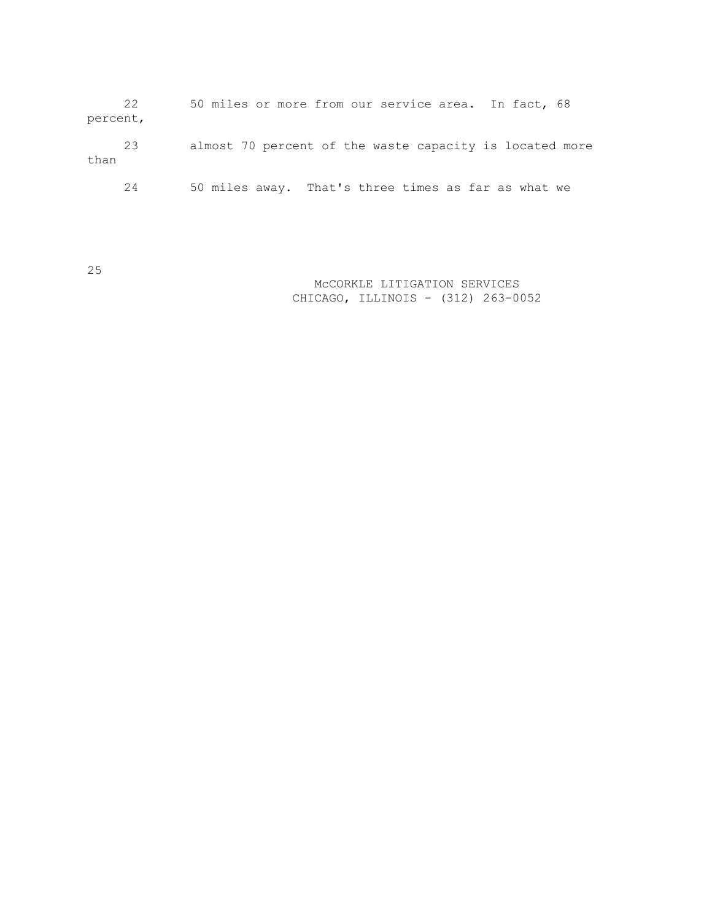|          | 22 | 50 miles or more from our service area. In fact, 68     |
|----------|----|---------------------------------------------------------|
| percent, |    |                                                         |
| than     | 23 | almost 70 percent of the waste capacity is located more |
|          | 24 | 50 miles away. That's three times as far as what we     |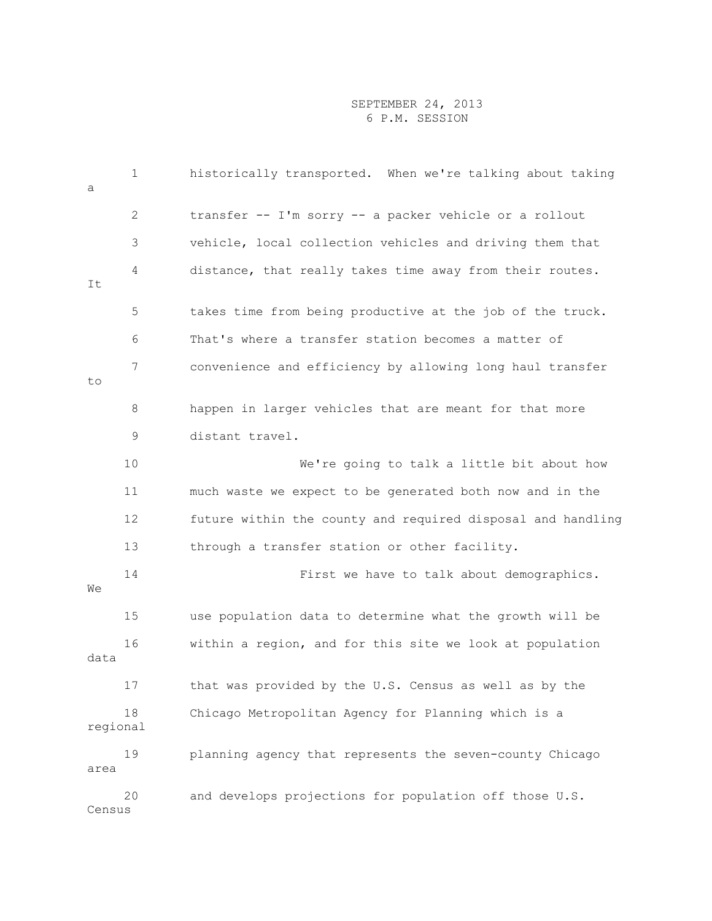| а        | $\mathbf 1$  | historically transported. When we're talking about taking   |
|----------|--------------|-------------------------------------------------------------|
|          | $\mathbf{2}$ | transfer -- I'm sorry -- a packer vehicle or a rollout      |
|          | 3            | vehicle, local collection vehicles and driving them that    |
| It       | 4            | distance, that really takes time away from their routes.    |
|          | 5            | takes time from being productive at the job of the truck.   |
|          | 6            | That's where a transfer station becomes a matter of         |
| to       | 7            | convenience and efficiency by allowing long haul transfer   |
|          | 8            | happen in larger vehicles that are meant for that more      |
|          | 9            | distant travel.                                             |
|          | 10           | We're going to talk a little bit about how                  |
|          | 11           | much waste we expect to be generated both now and in the    |
|          | 12           | future within the county and required disposal and handling |
|          | 13           | through a transfer station or other facility.               |
| We       | 14           | First we have to talk about demographics.                   |
|          | 15           | use population data to determine what the growth will be    |
| data     | 16           | within a region, and for this site we look at population    |
|          | 17           | that was provided by the U.S. Census as well as by the      |
| regional | 18           | Chicago Metropolitan Agency for Planning which is a         |
| area     | 19           | planning agency that represents the seven-county Chicago    |
| Census   | 20           | and develops projections for population off those U.S.      |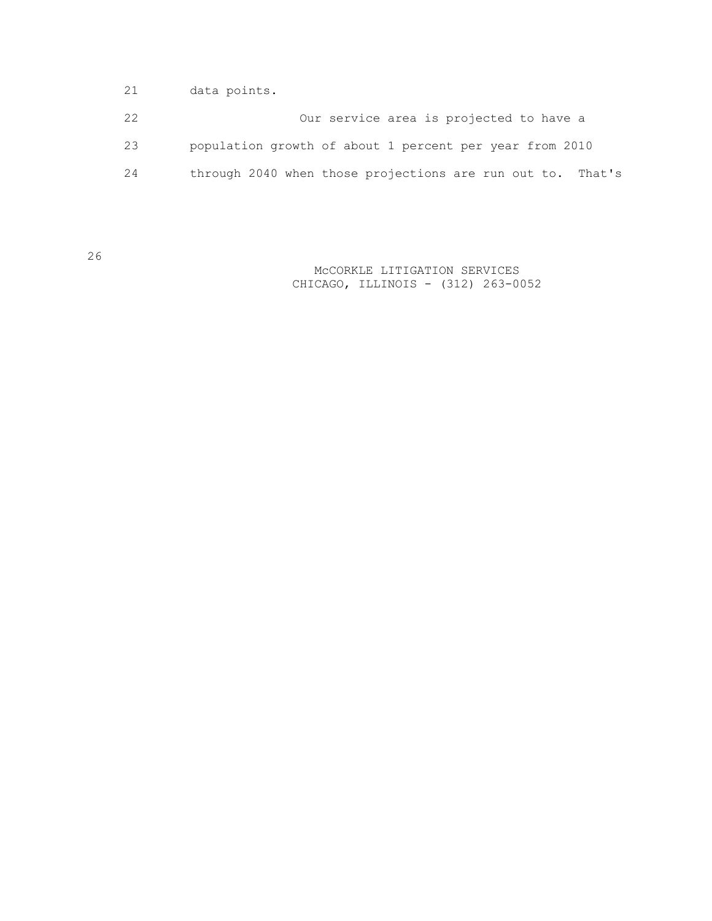21 data points.

|    | Our service area is projected to have a                    |
|----|------------------------------------------------------------|
| 23 | population growth of about 1 percent per year from 2010    |
| 24 | through 2040 when those projections are run out to. That's |

 McCORKLE LITIGATION SERVICES CHICAGO, ILLINOIS - (312) 263-0052

26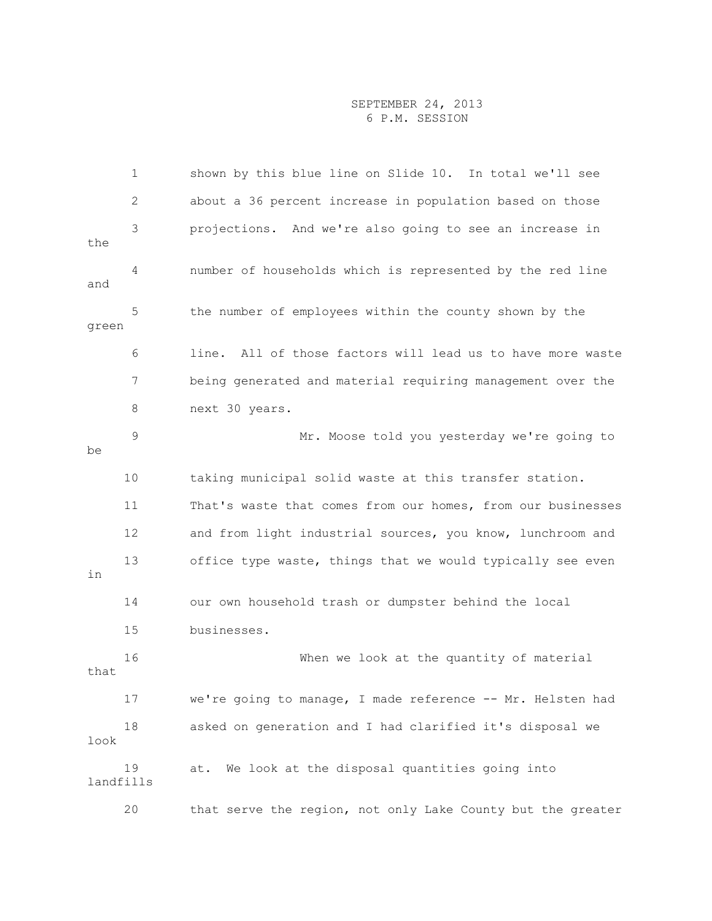|           | $\mathbf 1$   | shown by this blue line on Slide 10. In total we'll see     |
|-----------|---------------|-------------------------------------------------------------|
|           | $\mathbf{2}$  | about a 36 percent increase in population based on those    |
| the       | $\mathcal{S}$ | projections. And we're also going to see an increase in     |
| and       | 4             | number of households which is represented by the red line   |
| green     | 5             | the number of employees within the county shown by the      |
|           | 6             | line. All of those factors will lead us to have more waste  |
|           | 7             | being generated and material requiring management over the  |
|           | 8             | next 30 years.                                              |
| be        | 9             | Mr. Moose told you yesterday we're going to                 |
|           | 10            | taking municipal solid waste at this transfer station.      |
|           | 11            | That's waste that comes from our homes, from our businesses |
|           | 12            | and from light industrial sources, you know, lunchroom and  |
| in        | 13            | office type waste, things that we would typically see even  |
|           | 14            | our own household trash or dumpster behind the local        |
|           | 15            | businesses.                                                 |
| that      | 16            | When we look at the quantity of material                    |
|           | 17            | we're going to manage, I made reference -- Mr. Helsten had  |
| look      | 18            | asked on generation and I had clarified it's disposal we    |
| landfills | 19            | We look at the disposal quantities going into<br>at.        |
|           | 20            | that serve the region, not only Lake County but the greater |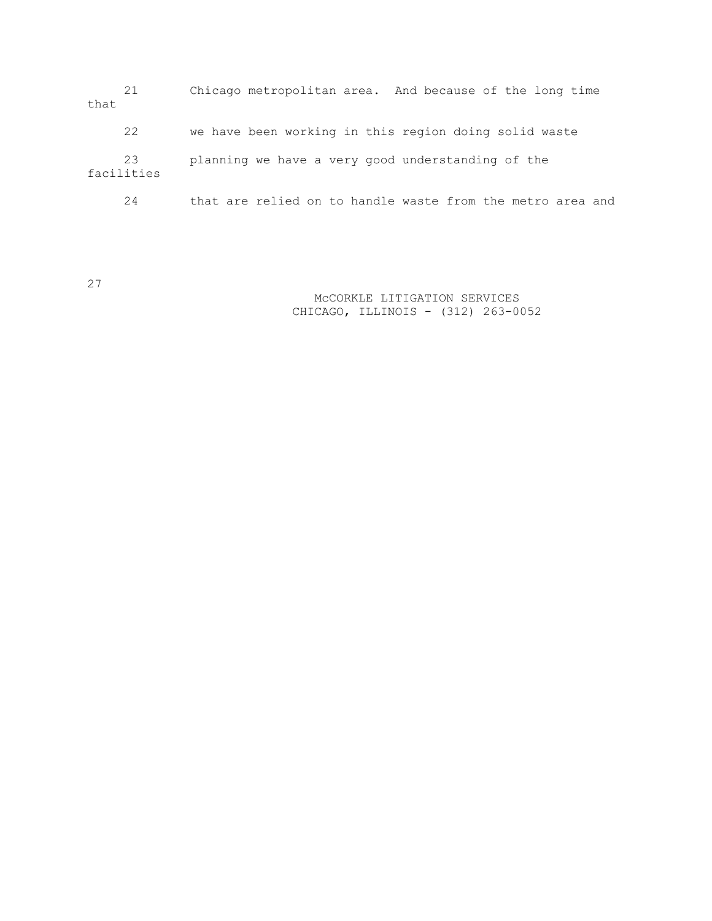21 Chicago metropolitan area. And because of the long time that 22 we have been working in this region doing solid waste 23 planning we have a very good understanding of the facilities 24 that are relied on to handle waste from the metro area and

27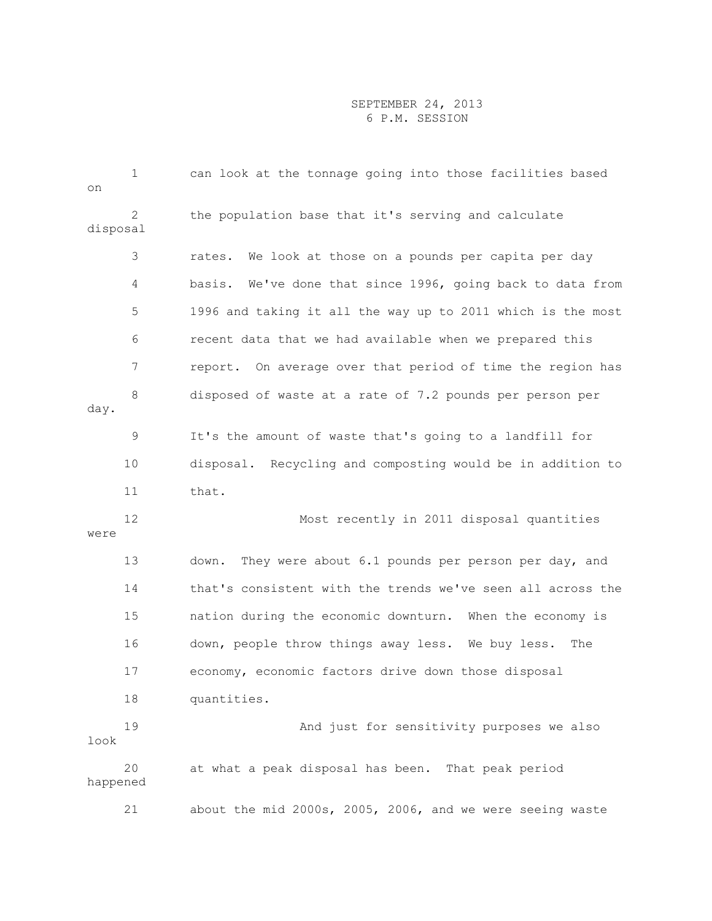| on       | $\mathbf 1$    | can look at the tonnage going into those facilities based     |
|----------|----------------|---------------------------------------------------------------|
| disposal | $\overline{2}$ | the population base that it's serving and calculate           |
|          | 3              | We look at those on a pounds per capita per day<br>rates.     |
|          | 4              | We've done that since 1996, going back to data from<br>basis. |
|          | 5              | 1996 and taking it all the way up to 2011 which is the most   |
|          | 6              | recent data that we had available when we prepared this       |
|          | 7              | report. On average over that period of time the region has    |
| day.     | 8              | disposed of waste at a rate of 7.2 pounds per person per      |
|          | 9              | It's the amount of waste that's going to a landfill for       |
|          | 10             | disposal. Recycling and composting would be in addition to    |
|          | 11             | that.                                                         |
| were     | 12             | Most recently in 2011 disposal quantities                     |
|          | 13             | They were about 6.1 pounds per person per day, and<br>down.   |
|          | 14             | that's consistent with the trends we've seen all across the   |
|          | 15             | nation during the economic downturn. When the economy is      |
|          | 16             | down, people throw things away less. We buy less.<br>The      |
|          | 17             | economy, economic factors drive down those disposal           |
|          | 18             | quantities.                                                   |
| look     | 19             | And just for sensitivity purposes we also                     |
| happened | 20             | at what a peak disposal has been. That peak period            |
|          | 21             | about the mid 2000s, 2005, 2006, and we were seeing waste     |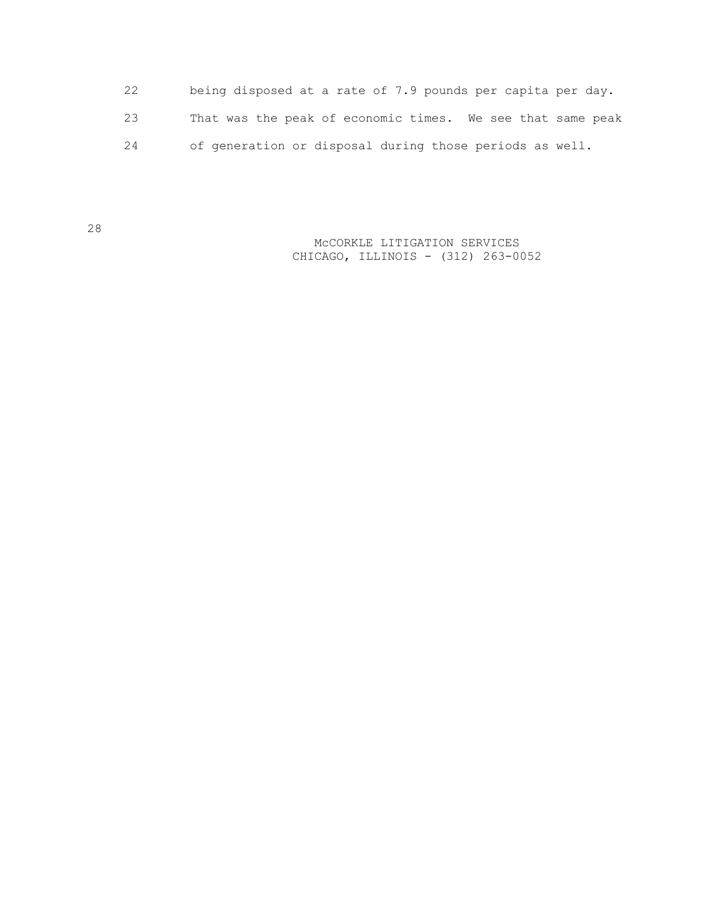22 being disposed at a rate of 7.9 pounds per capita per day. 23 That was the peak of economic times. We see that same peak 24 of generation or disposal during those periods as well.

> McCORKLE LITIGATION SERVICES CHICAGO, ILLINOIS - (312) 263-0052

28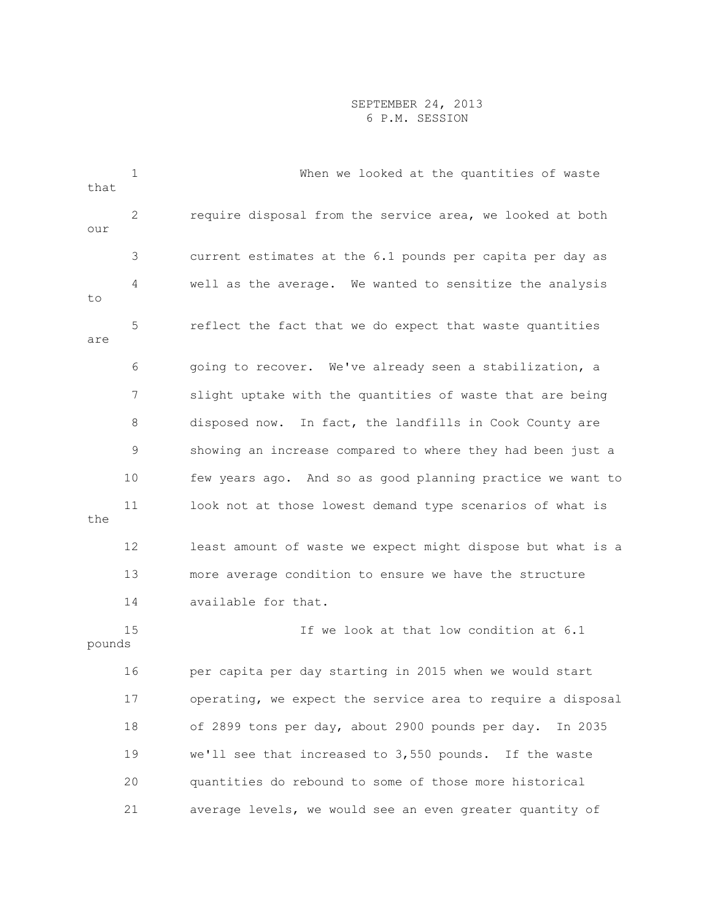| that   | 1  | When we looked at the quantities of waste                   |
|--------|----|-------------------------------------------------------------|
| our    | 2  | require disposal from the service area, we looked at both   |
|        | 3  | current estimates at the 6.1 pounds per capita per day as   |
| to     | 4  | well as the average. We wanted to sensitize the analysis    |
| are    | 5  | reflect the fact that we do expect that waste quantities    |
|        | 6  | going to recover. We've already seen a stabilization, a     |
|        | 7  | slight uptake with the quantities of waste that are being   |
|        | 8  | disposed now. In fact, the landfills in Cook County are     |
|        | 9  | showing an increase compared to where they had been just a  |
|        | 10 | few years ago. And so as good planning practice we want to  |
| the    | 11 | look not at those lowest demand type scenarios of what is   |
|        | 12 | least amount of waste we expect might dispose but what is a |
|        | 13 | more average condition to ensure we have the structure      |
|        | 14 | available for that.                                         |
| pounds | 15 | If we look at that low condition at 6.1                     |
|        | 16 | per capita per day starting in 2015 when we would start     |
|        | 17 | operating, we expect the service area to require a disposal |
|        | 18 | of 2899 tons per day, about 2900 pounds per day.<br>In 2035 |
|        | 19 | we'll see that increased to 3,550 pounds. If the waste      |
|        | 20 | quantities do rebound to some of those more historical      |
|        | 21 | average levels, we would see an even greater quantity of    |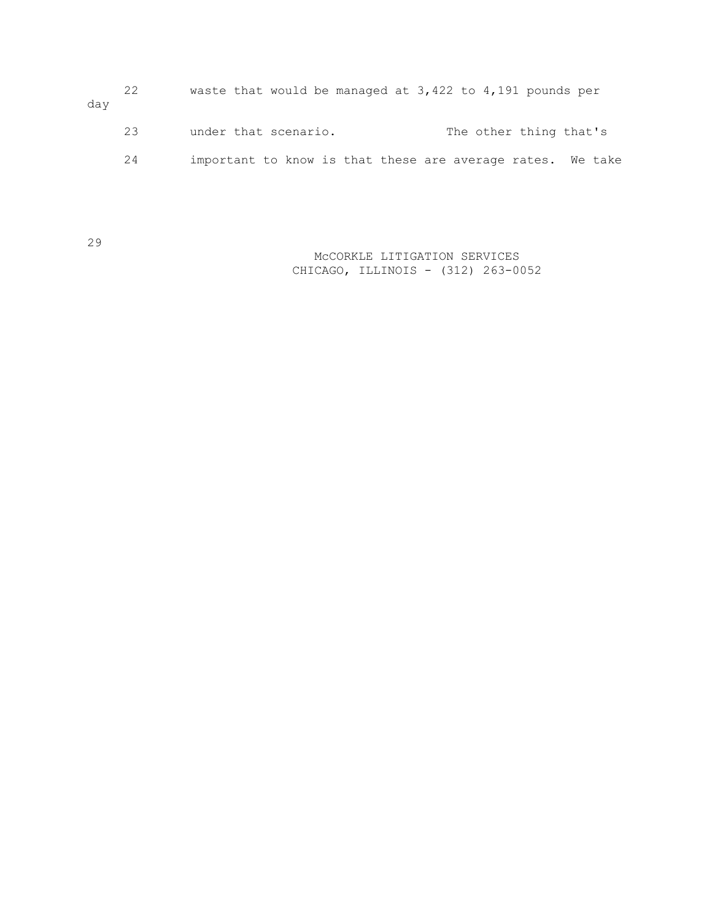| dav | 22 | waste that would be managed at $3,422$ to $4,191$ pounds per |
|-----|----|--------------------------------------------------------------|
|     | 23 | The other thing that's<br>under that scenario.               |
|     | 24 | important to know is that these are average rates. We take   |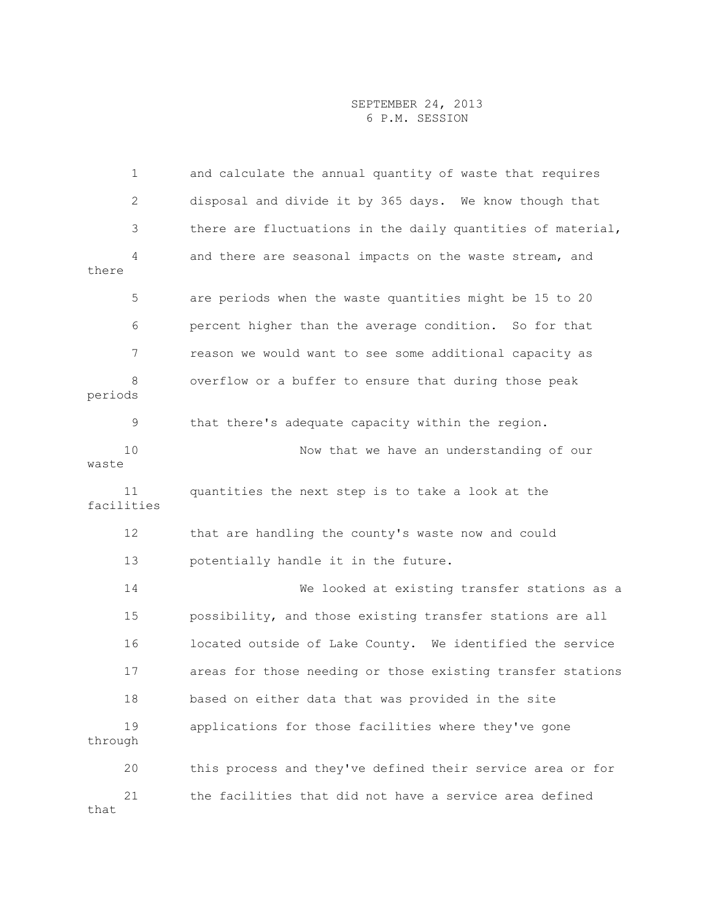|         | 1                | and calculate the annual quantity of waste that requires    |
|---------|------------------|-------------------------------------------------------------|
|         | 2                | disposal and divide it by 365 days. We know though that     |
|         | 3                | there are fluctuations in the daily quantities of material, |
| there   | 4                | and there are seasonal impacts on the waste stream, and     |
|         | 5                | are periods when the waste quantities might be 15 to 20     |
|         | 6                | percent higher than the average condition. So for that      |
|         | 7                | reason we would want to see some additional capacity as     |
| periods | 8                | overflow or a buffer to ensure that during those peak       |
|         | 9                | that there's adequate capacity within the region.           |
| waste   | 10               | Now that we have an understanding of our                    |
|         | 11<br>facilities | quantities the next step is to take a look at the           |
|         | 12               | that are handling the county's waste now and could          |
|         | 13               | potentially handle it in the future.                        |
|         | 14               | We looked at existing transfer stations as a                |
|         | 15               | possibility, and those existing transfer stations are all   |
|         | 16               | located outside of Lake County. We identified the service   |
|         | 17               | areas for those needing or those existing transfer stations |
|         | 18               | based on either data that was provided in the site          |
| through | 19               | applications for those facilities where they've gone        |
|         | 20               | this process and they've defined their service area or for  |
| that    | 21               | the facilities that did not have a service area defined     |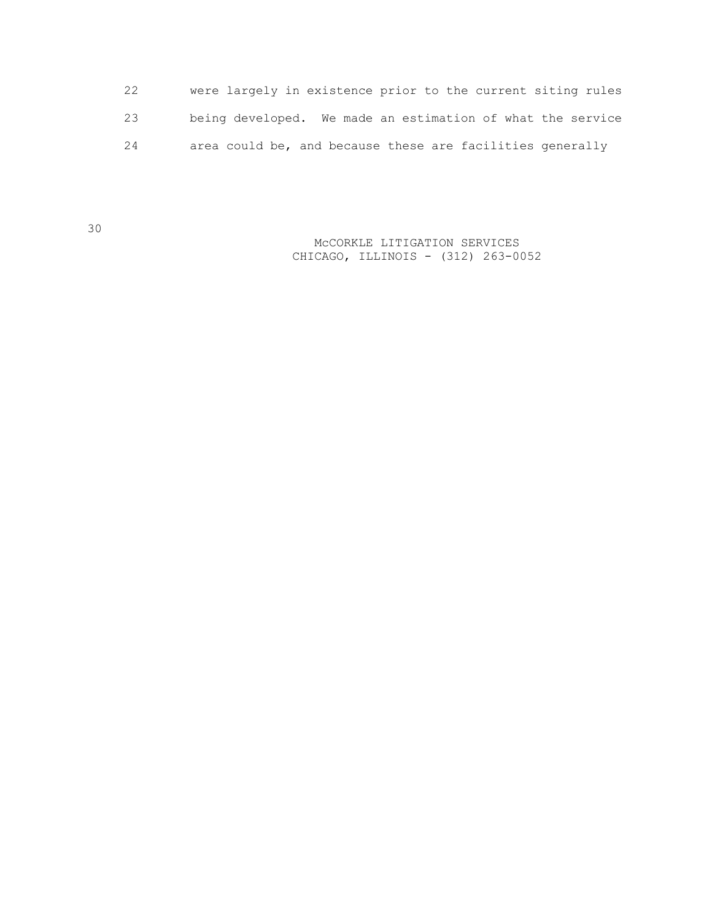22 were largely in existence prior to the current siting rules 23 being developed. We made an estimation of what the service 24 area could be, and because these are facilities generally

> McCORKLE LITIGATION SERVICES CHICAGO, ILLINOIS - (312) 263-0052

30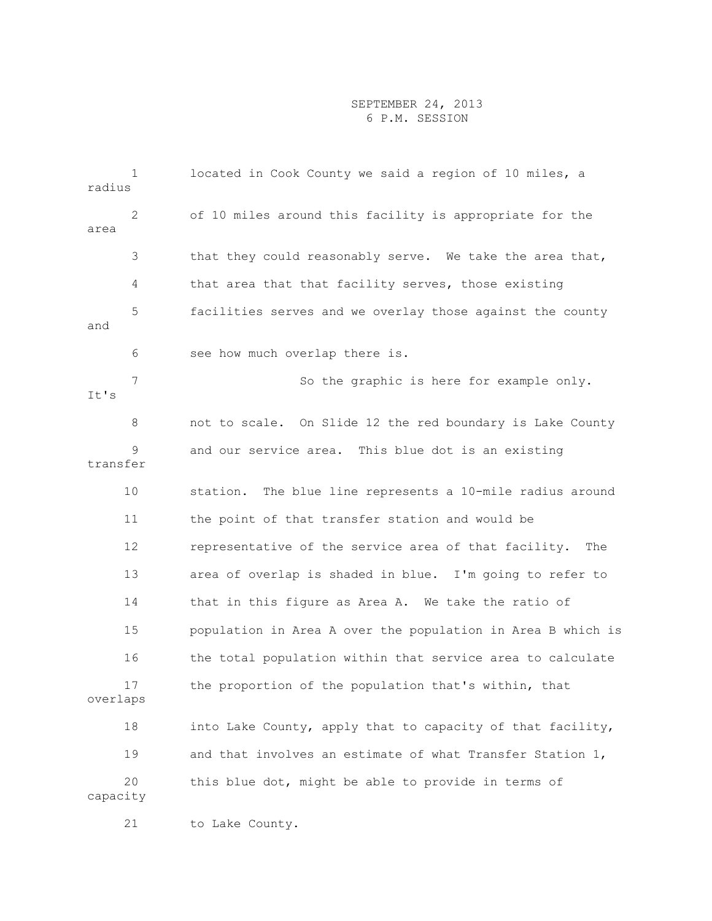| radius   | 1            | located in Cook County we said a region of 10 miles, a       |
|----------|--------------|--------------------------------------------------------------|
| area     | $\mathbf{2}$ | of 10 miles around this facility is appropriate for the      |
|          | 3            | that they could reasonably serve. We take the area that,     |
|          | 4            | that area that that facility serves, those existing          |
| and      | 5            | facilities serves and we overlay those against the county    |
|          | 6            | see how much overlap there is.                               |
| It's     | 7            | So the graphic is here for example only.                     |
|          | 8            | not to scale. On Slide 12 the red boundary is Lake County    |
| transfer | 9            | and our service area. This blue dot is an existing           |
|          | 10           | station. The blue line represents a 10-mile radius around    |
|          | 11           | the point of that transfer station and would be              |
|          | 12           | representative of the service area of that facility.<br>The  |
|          | 13           | area of overlap is shaded in blue. I'm going to refer to     |
|          | 14           | that in this figure as Area A. We take the ratio of          |
|          | 15           | population in Area A over the population in Area B which is  |
|          | 16           | the total population within that service area to calculate   |
| overlaps | 17           | the proportion of the population that's within, that         |
|          | 18           | into Lake County, apply that to capacity of that facility,   |
|          | 19           | and that involves an estimate of what Transfer Station $1$ , |
| capacity | 20           | this blue dot, might be able to provide in terms of          |
|          |              |                                                              |

21 to Lake County.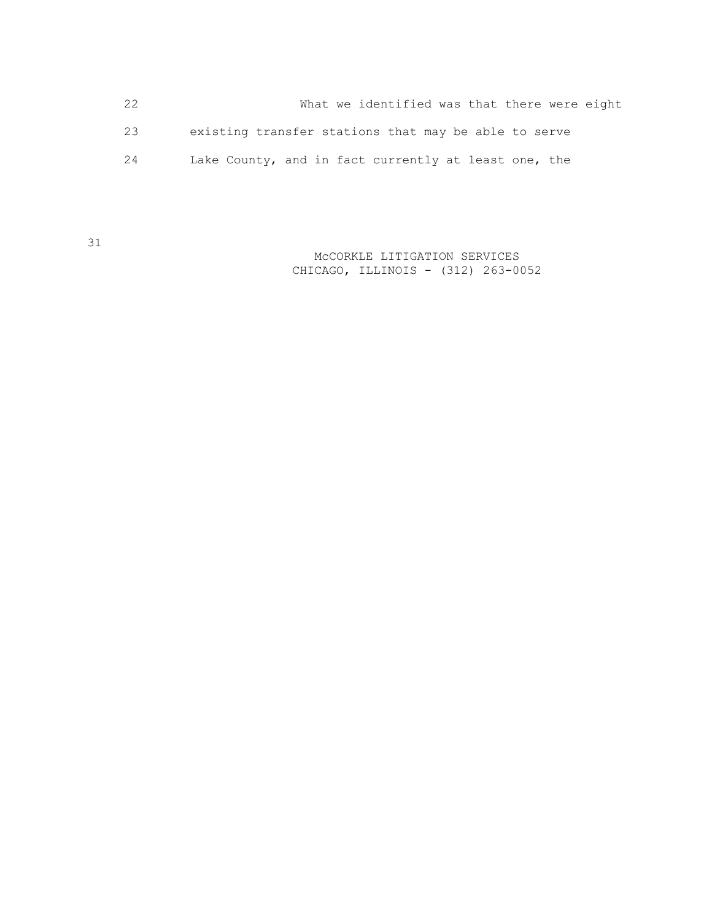|    | What we identified was that there were eight         |
|----|------------------------------------------------------|
| 23 | existing transfer stations that may be able to serve |
| 24 | Lake County, and in fact currently at least one, the |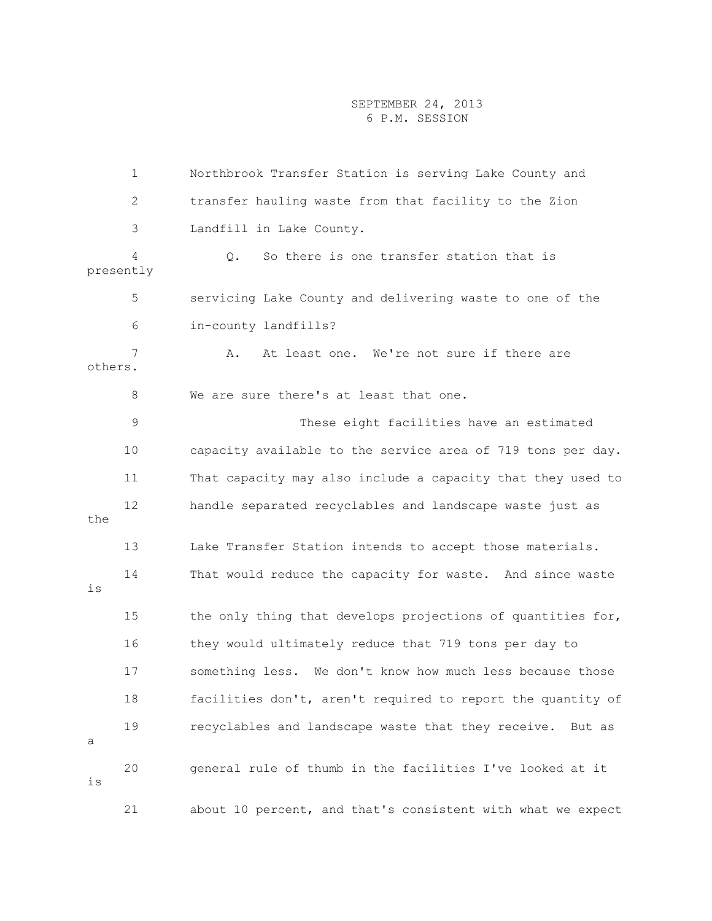1 Northbrook Transfer Station is serving Lake County and 2 transfer hauling waste from that facility to the Zion 3 Landfill in Lake County. 4 Q. So there is one transfer station that is presently 5 servicing Lake County and delivering waste to one of the 6 in-county landfills? 7 A. At least one. We're not sure if there are others. 8 We are sure there's at least that one. 9 These eight facilities have an estimated 10 capacity available to the service area of 719 tons per day. 11 That capacity may also include a capacity that they used to 12 handle separated recyclables and landscape waste just as the 13 Lake Transfer Station intends to accept those materials. 14 That would reduce the capacity for waste. And since waste is 15 the only thing that develops projections of quantities for, 16 they would ultimately reduce that 719 tons per day to 17 something less. We don't know how much less because those 18 facilities don't, aren't required to report the quantity of 19 recyclables and landscape waste that they receive. But as a 20 general rule of thumb in the facilities I've looked at it is 21 about 10 percent, and that's consistent with what we expect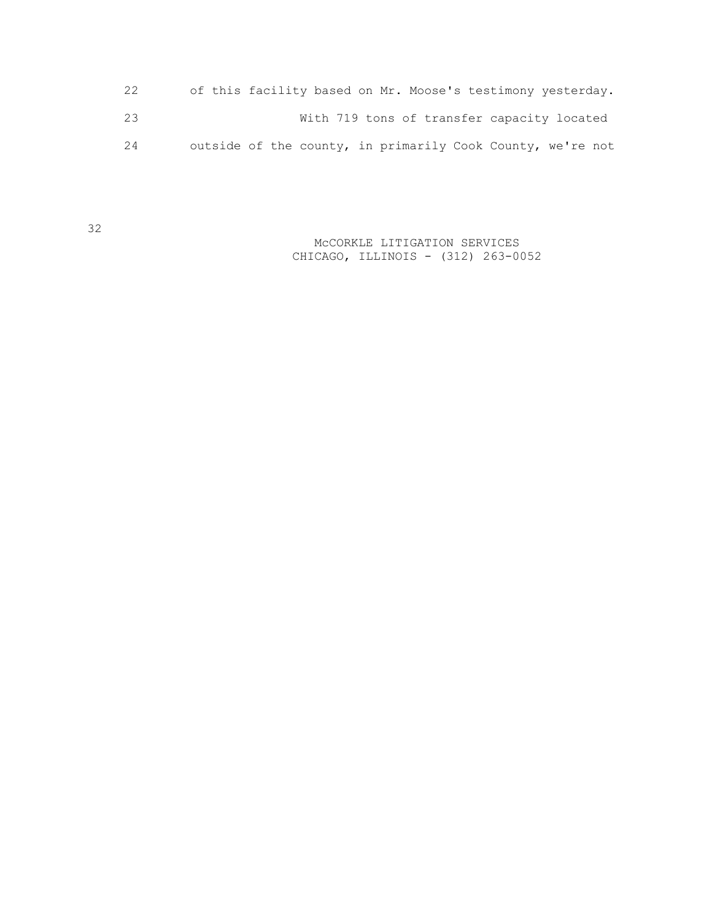| of this facility based on Mr. Moose's testimony yesterday.<br>22 |  |
|------------------------------------------------------------------|--|
| With 719 tons of transfer capacity located<br>23                 |  |
| outside of the county, in primarily Cook County, we're not<br>24 |  |

 McCORKLE LITIGATION SERVICES CHICAGO, ILLINOIS - (312) 263-0052

32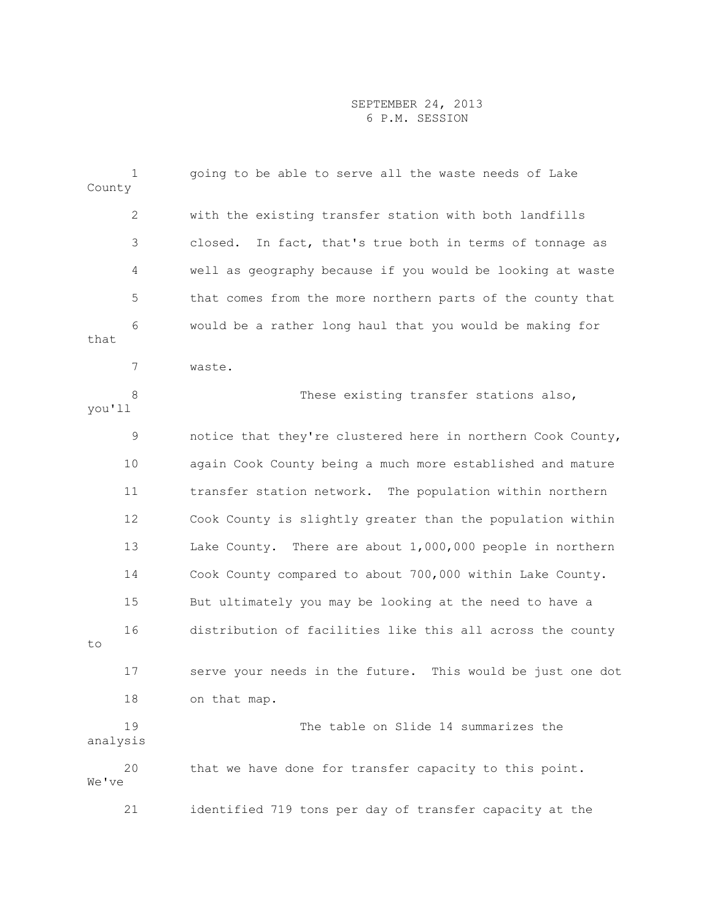| County   | 1            | going to be able to serve all the waste needs of Lake       |
|----------|--------------|-------------------------------------------------------------|
|          | $\mathbf{2}$ | with the existing transfer station with both landfills      |
|          | 3            | closed.<br>In fact, that's true both in terms of tonnage as |
|          | 4            | well as geography because if you would be looking at waste  |
|          | 5            | that comes from the more northern parts of the county that  |
| that     | 6            | would be a rather long haul that you would be making for    |
|          | 7            | waste.                                                      |
| you'll   | 8            | These existing transfer stations also,                      |
|          | 9            | notice that they're clustered here in northern Cook County, |
|          | 10           | again Cook County being a much more established and mature  |
|          | 11           | transfer station network. The population within northern    |
|          | 12           | Cook County is slightly greater than the population within  |
|          | 13           | Lake County. There are about $1,000,000$ people in northern |
|          | 14           | Cook County compared to about 700,000 within Lake County.   |
|          | 15           | But ultimately you may be looking at the need to have a     |
| to       | 16           | distribution of facilities like this all across the county  |
|          | 17           | serve your needs in the future. This would be just one dot  |
|          | 18           | on that map.                                                |
| analysis | 19           | The table on Slide 14 summarizes the                        |
| We've    | 20           | that we have done for transfer capacity to this point.      |
|          | 21           | identified 719 tons per day of transfer capacity at the     |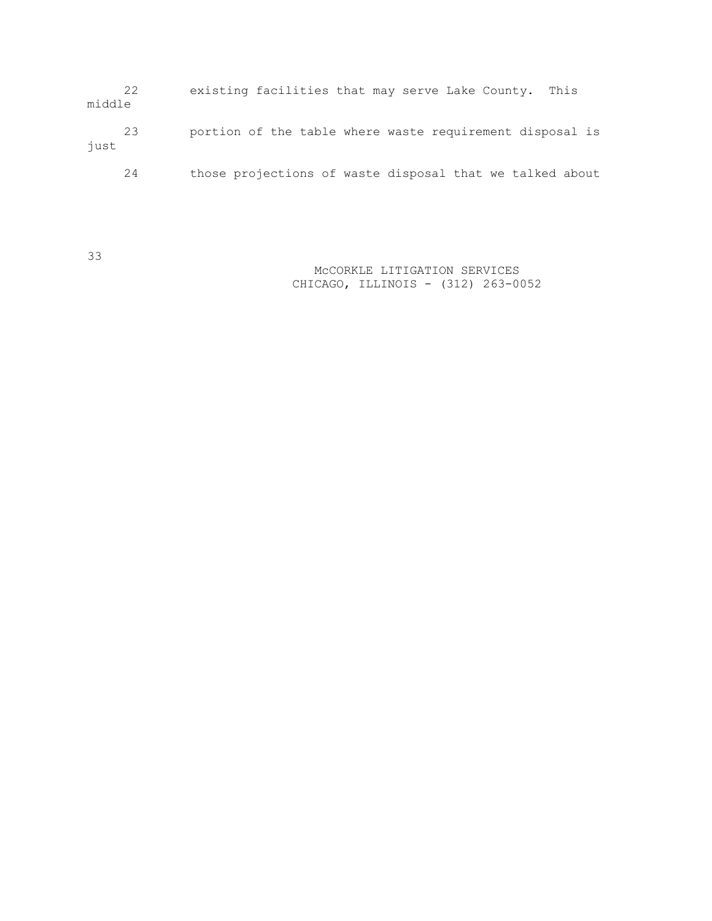| 22<br>middle | existing facilities that may serve Lake County. This     |
|--------------|----------------------------------------------------------|
| 23<br>just   | portion of the table where waste requirement disposal is |
| 24           | those projections of waste disposal that we talked about |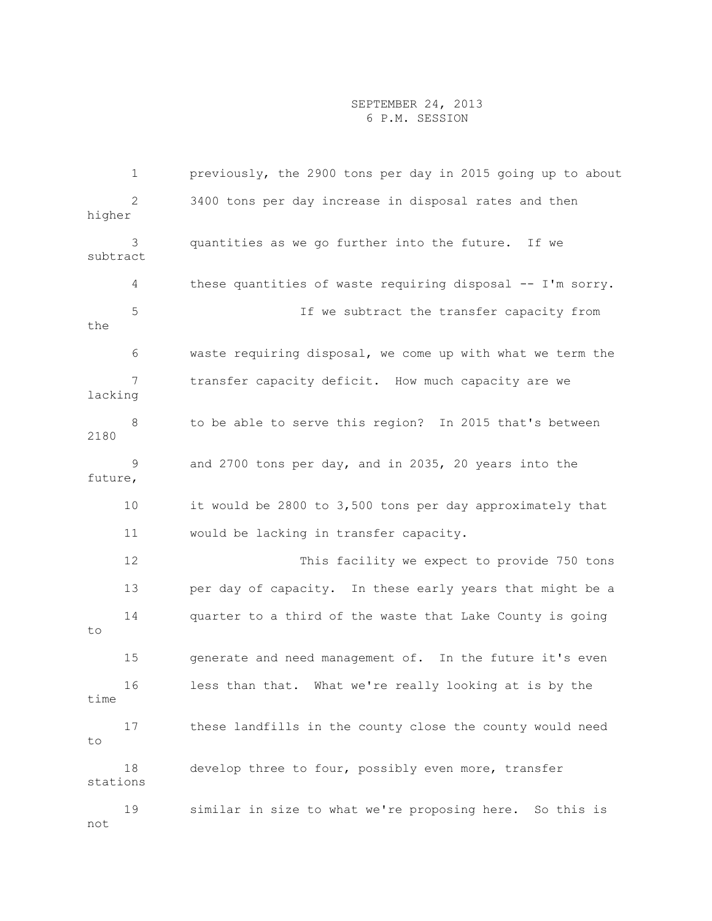|          | 1              | previously, the 2900 tons per day in 2015 going up to about |
|----------|----------------|-------------------------------------------------------------|
| higher   | $\overline{2}$ | 3400 tons per day increase in disposal rates and then       |
| subtract | 3              | quantities as we go further into the future. If we          |
|          | 4              | these quantities of waste requiring disposal -- I'm sorry.  |
| the      | 5              | If we subtract the transfer capacity from                   |
|          | 6              | waste requiring disposal, we come up with what we term the  |
| lacking  | 7              | transfer capacity deficit. How much capacity are we         |
| 2180     | 8              | to be able to serve this region? In 2015 that's between     |
| future,  | 9              | and 2700 tons per day, and in 2035, 20 years into the       |
|          | 10             | it would be 2800 to 3,500 tons per day approximately that   |
|          | 11             | would be lacking in transfer capacity.                      |
|          | 12             | This facility we expect to provide 750 tons                 |
|          | 13             | per day of capacity. In these early years that might be a   |
| to       | 14             | quarter to a third of the waste that Lake County is going   |
|          | 15             | generate and need management of. In the future it's even    |
| time     | 16             | less than that. What we're really looking at is by the      |
| to       | 17             | these landfills in the county close the county would need   |
| stations | 18             | develop three to four, possibly even more, transfer         |
| not      | 19             | similar in size to what we're proposing here. So this is    |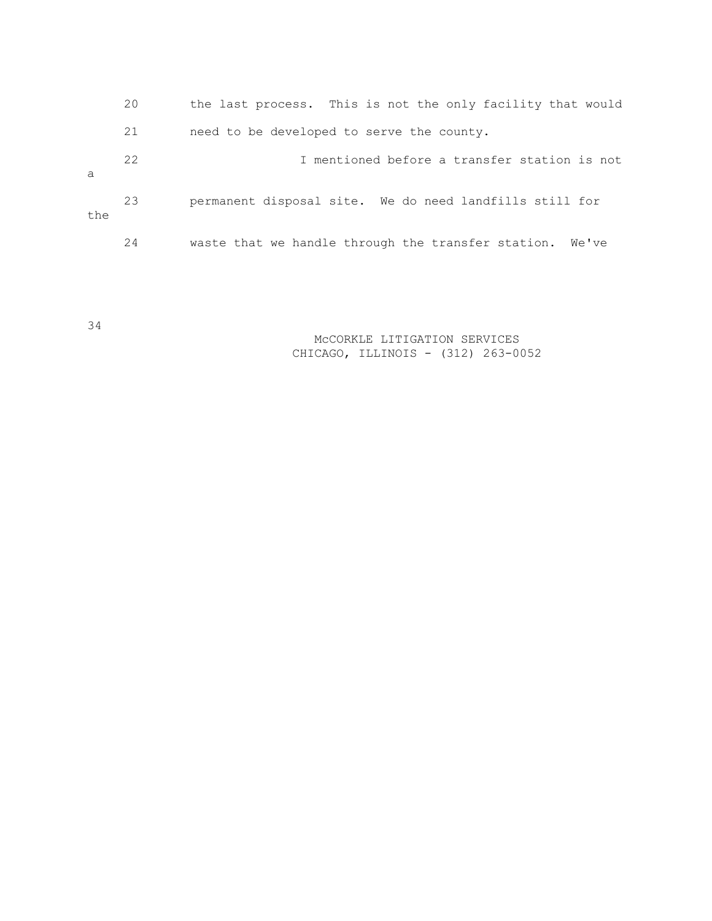|     | 20 | the last process. This is not the only facility that would  |
|-----|----|-------------------------------------------------------------|
|     | 21 | need to be developed to serve the county.                   |
| а   | 22 | I mentioned before a transfer station is not                |
| the | 23 | permanent disposal site. We do need landfills still for     |
|     | 24 | waste that we handle through the transfer station.<br>We've |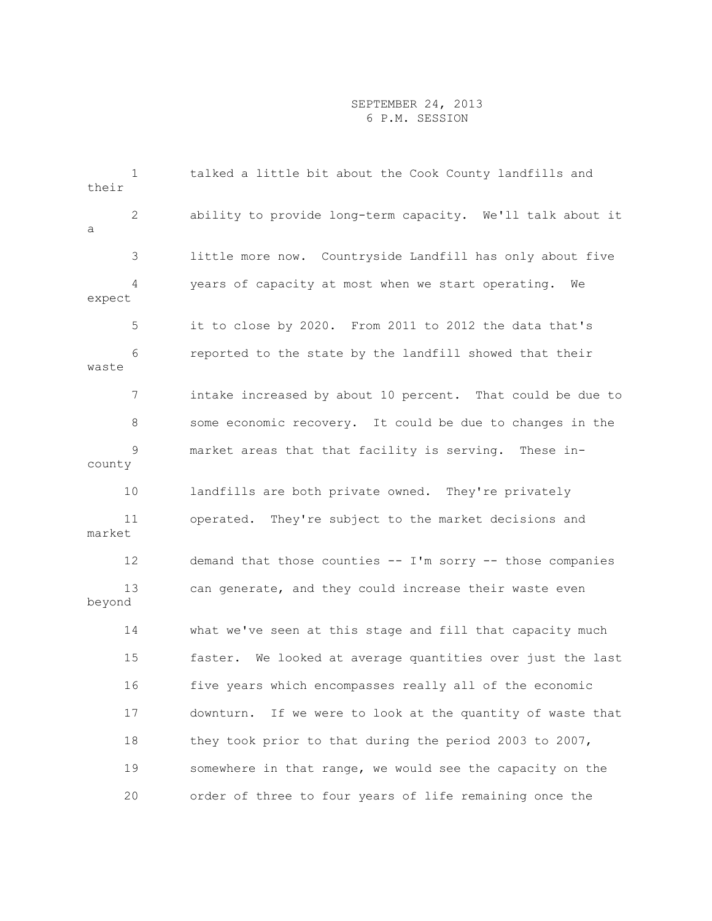| their  | $\mathbf{1}$ | talked a little bit about the Cook County landfills and    |
|--------|--------------|------------------------------------------------------------|
| а      | 2            | ability to provide long-term capacity. We'll talk about it |
|        | 3            | little more now. Countryside Landfill has only about five  |
| expect | 4            | years of capacity at most when we start operating. We      |
|        | 5            | it to close by 2020. From 2011 to 2012 the data that's     |
| waste  | 6            | reported to the state by the landfill showed that their    |
|        | 7            | intake increased by about 10 percent. That could be due to |
|        | 8            | some economic recovery. It could be due to changes in the  |
| county | 9            | market areas that that facility is serving. These in-      |
|        | 10           | landfills are both private owned. They're privately        |
| market | 11           | operated. They're subject to the market decisions and      |
|        | 12           | demand that those counties -- I'm sorry -- those companies |
| beyond | 13           | can generate, and they could increase their waste even     |
|        | 14           | what we've seen at this stage and fill that capacity much  |
|        | 15           | faster. We looked at average quantities over just the last |
|        | 16           | five years which encompasses really all of the economic    |
|        | 17           | downturn. If we were to look at the quantity of waste that |
|        | 18           | they took prior to that during the period 2003 to 2007,    |
|        | 19           | somewhere in that range, we would see the capacity on the  |
|        | 20           | order of three to four years of life remaining once the    |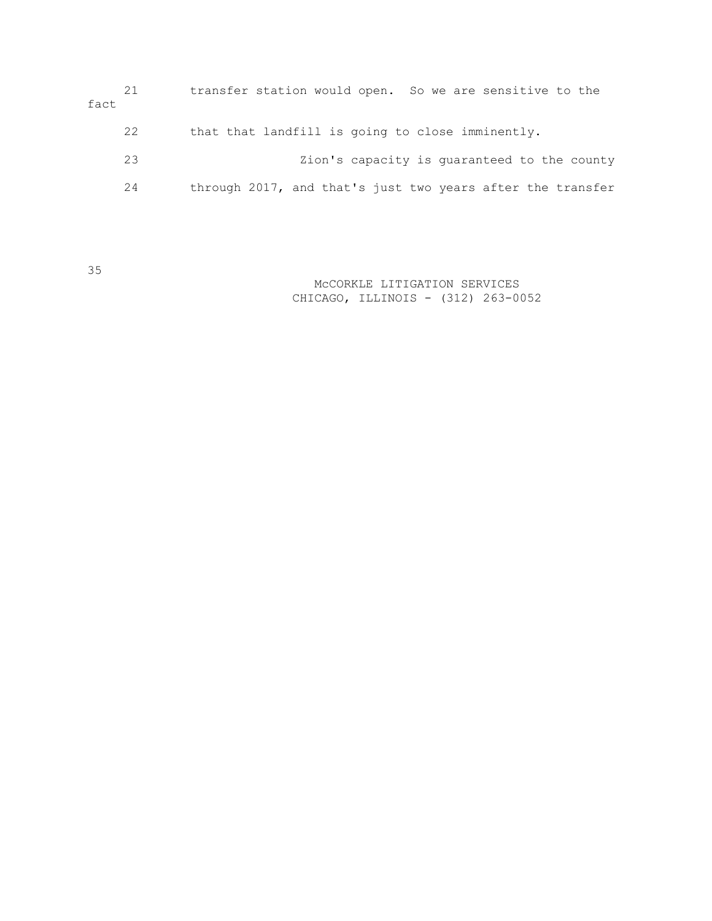| fact | 21 | transfer station would open. So we are sensitive to the    |
|------|----|------------------------------------------------------------|
|      | 22 | that that landfill is going to close imminently.           |
|      | 23 | Zion's capacity is quaranteed to the county                |
|      | 24 | through 2017, and that's just two years after the transfer |
|      |    |                                                            |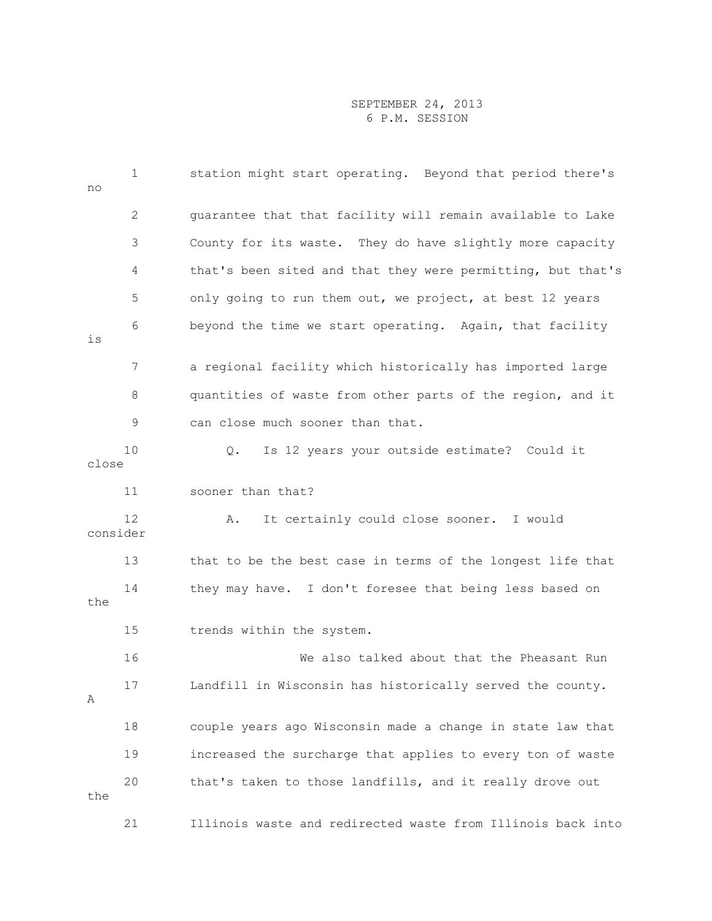| no       | $\mathbf 1$    | station might start operating. Beyond that period there's   |
|----------|----------------|-------------------------------------------------------------|
|          | $\overline{2}$ | guarantee that that facility will remain available to Lake  |
|          | 3              | County for its waste. They do have slightly more capacity   |
|          | 4              | that's been sited and that they were permitting, but that's |
|          | 5              | only going to run them out, we project, at best 12 years    |
| is       | 6              | beyond the time we start operating. Again, that facility    |
|          | 7              | a regional facility which historically has imported large   |
|          | 8              | quantities of waste from other parts of the region, and it  |
|          | 9              | can close much sooner than that.                            |
| close    | 10             | Is 12 years your outside estimate? Could it<br>Q.           |
|          | 11             | sooner than that?                                           |
| consider | 12             | It certainly could close sooner. I would<br>Α.              |
|          | 13             | that to be the best case in terms of the longest life that  |
| the      | 14             | they may have. I don't foresee that being less based on     |
|          | 15             | trends within the system.                                   |
|          | 16             | We also talked about that the Pheasant Run                  |
| Α        | 17             | Landfill in Wisconsin has historically served the county.   |
|          | 18             | couple years ago Wisconsin made a change in state law that  |
|          | 19             | increased the surcharge that applies to every ton of waste  |
| the      | 20             | that's taken to those landfills, and it really drove out    |
|          | 21             | Illinois waste and redirected waste from Illinois back into |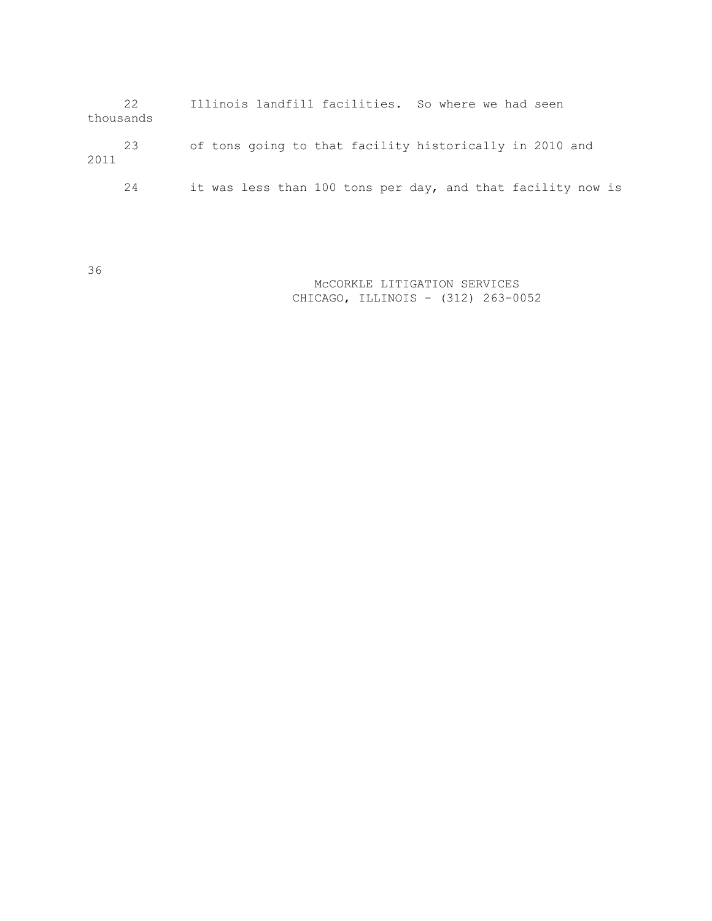|      | 22<br>thousands | Illinois landfill facilities. So where we had seen          |
|------|-----------------|-------------------------------------------------------------|
| 2011 | 23              | of tons going to that facility historically in 2010 and     |
|      | 24              | it was less than 100 tons per day, and that facility now is |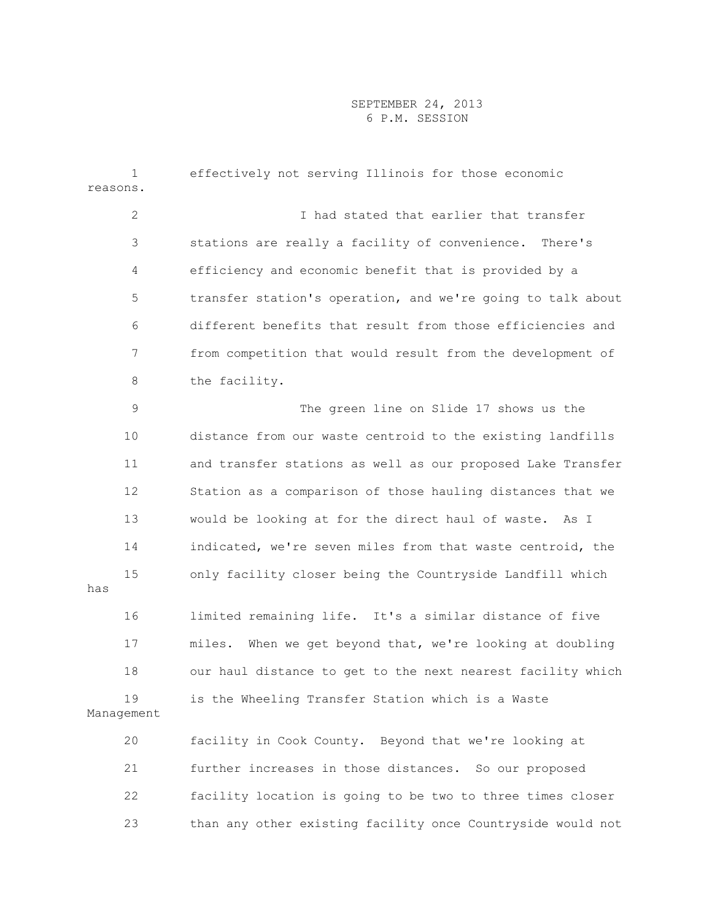| reasons. | 1                | effectively not serving Illinois for those economic          |
|----------|------------------|--------------------------------------------------------------|
|          | 2                | I had stated that earlier that transfer                      |
|          | 3                | stations are really a facility of convenience. There's       |
|          | 4                | efficiency and economic benefit that is provided by a        |
|          | 5                | transfer station's operation, and we're going to talk about  |
|          | 6                | different benefits that result from those efficiencies and   |
|          | 7                | from competition that would result from the development of   |
|          | 8                | the facility.                                                |
|          | 9                | The green line on Slide 17 shows us the                      |
|          | 10               | distance from our waste centroid to the existing landfills   |
|          | 11               | and transfer stations as well as our proposed Lake Transfer  |
|          | 12               | Station as a comparison of those hauling distances that we   |
|          | 13               | would be looking at for the direct haul of waste. As I       |
|          | 14               | indicated, we're seven miles from that waste centroid, the   |
| has      | 15               | only facility closer being the Countryside Landfill which    |
|          | 16               | limited remaining life. It's a similar distance of five      |
|          | 17               | When we get beyond that, we're looking at doubling<br>miles. |
|          | 18               | our haul distance to get to the next nearest facility which  |
|          | 19<br>Management | is the Wheeling Transfer Station which is a Waste            |
|          | 20               | facility in Cook County. Beyond that we're looking at        |
|          | 21               | further increases in those distances. So our proposed        |
|          | 22               | facility location is going to be two to three times closer   |
|          | 23               | than any other existing facility once Countryside would not  |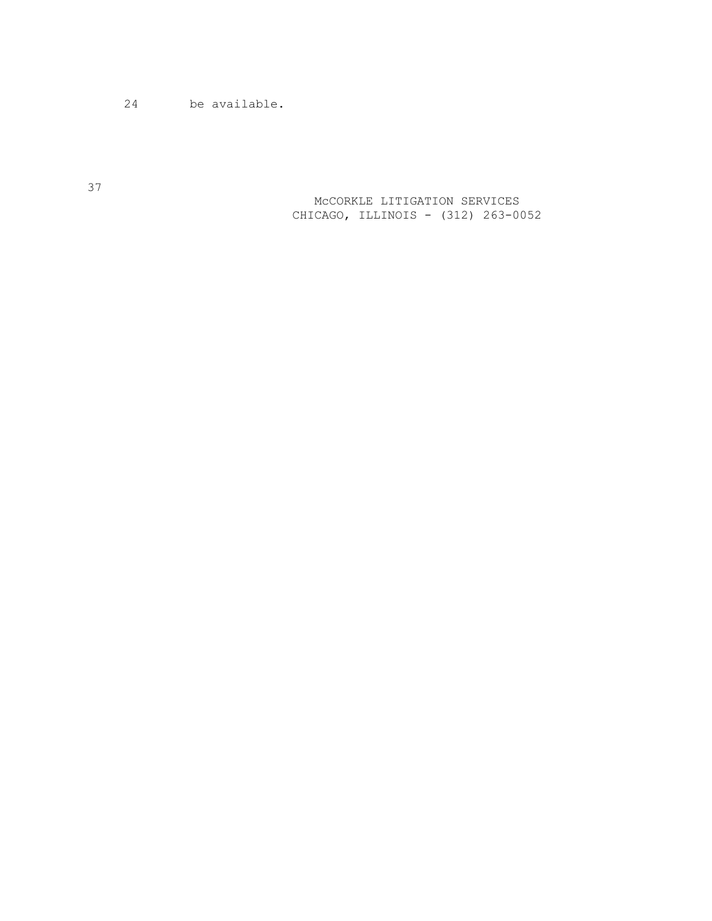24 be available.

 McCORKLE LITIGATION SERVICES CHICAGO, ILLINOIS - (312) 263-0052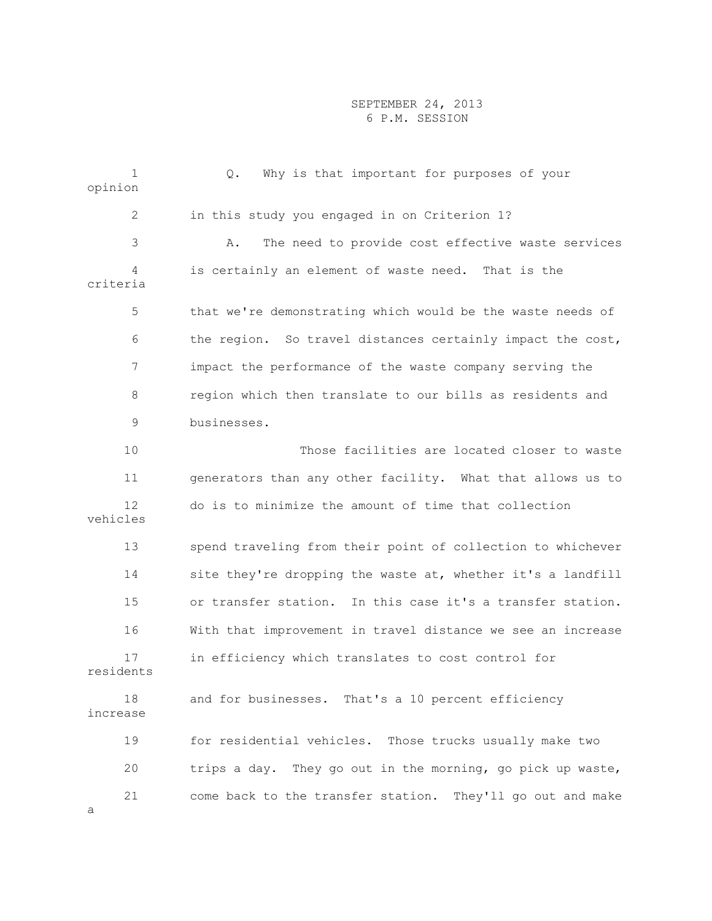| 1<br>opinion    | Why is that important for purposes of your<br>Q.            |
|-----------------|-------------------------------------------------------------|
| $\mathbf{2}$    | in this study you engaged in on Criterion 1?                |
| 3               | The need to provide cost effective waste services<br>Α.     |
| 4<br>criteria   | is certainly an element of waste need. That is the          |
| 5               | that we're demonstrating which would be the waste needs of  |
| 6               | the region. So travel distances certainly impact the cost,  |
| 7               | impact the performance of the waste company serving the     |
| 8               | region which then translate to our bills as residents and   |
| 9               | businesses.                                                 |
| 10              | Those facilities are located closer to waste                |
| 11              | generators than any other facility. What that allows us to  |
| 12<br>vehicles  | do is to minimize the amount of time that collection        |
| 13              | spend traveling from their point of collection to whichever |
| 14              | site they're dropping the waste at, whether it's a landfill |
| 15              | or transfer station. In this case it's a transfer station.  |
| 16              | With that improvement in travel distance we see an increase |
| 17<br>residents | in efficiency which translates to cost control for          |
| 18<br>increase  | and for businesses. That's a 10 percent efficiency          |
| 19              | for residential vehicles. Those trucks usually make two     |
| 20              | trips a day. They go out in the morning, go pick up waste,  |
| 21<br>а         | come back to the transfer station. They'll go out and make  |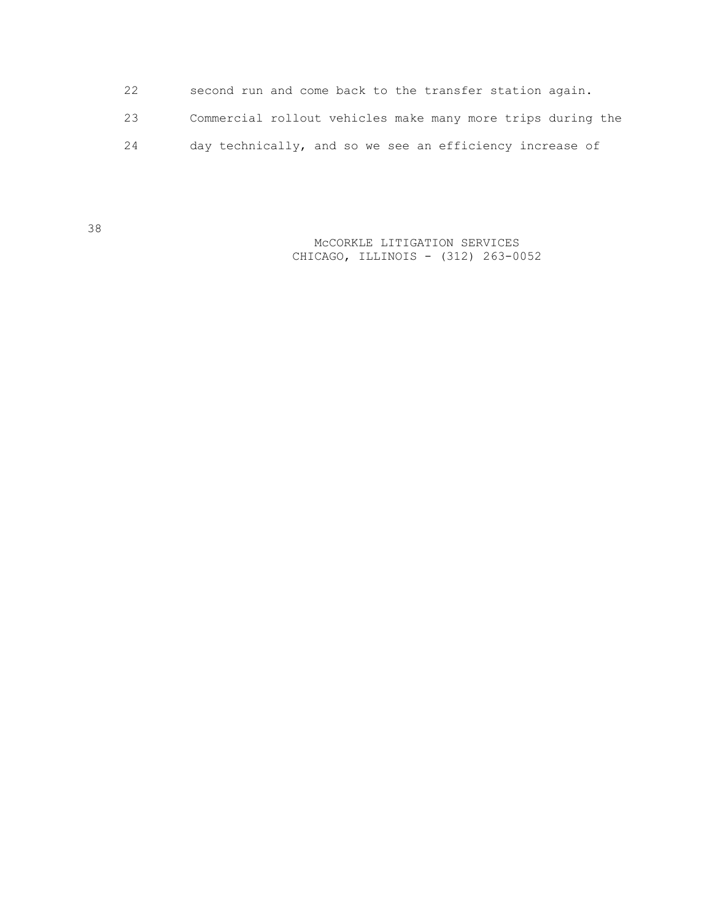22 second run and come back to the transfer station again. 23 Commercial rollout vehicles make many more trips during the 24 day technically, and so we see an efficiency increase of

> McCORKLE LITIGATION SERVICES CHICAGO, ILLINOIS - (312) 263-0052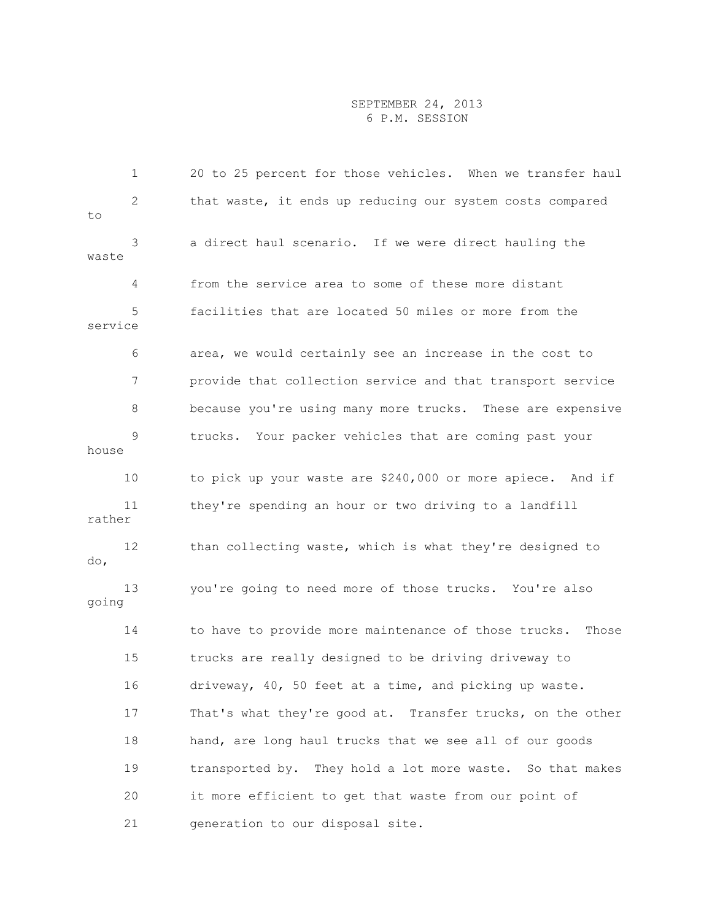|         | $\mathbf 1$  | 20 to 25 percent for those vehicles. When we transfer haul    |
|---------|--------------|---------------------------------------------------------------|
| to      | $\mathbf{2}$ | that waste, it ends up reducing our system costs compared     |
| waste   | 3            | a direct haul scenario. If we were direct hauling the         |
|         | 4            | from the service area to some of these more distant           |
| service | 5            | facilities that are located 50 miles or more from the         |
|         | 6            | area, we would certainly see an increase in the cost to       |
|         | 7            | provide that collection service and that transport service    |
|         | 8            | because you're using many more trucks. These are expensive    |
| house   | 9            | trucks. Your packer vehicles that are coming past your        |
|         | 10           | to pick up your waste are \$240,000 or more apiece. And if    |
| rather  | 11           | they're spending an hour or two driving to a landfill         |
| do,     | 12           | than collecting waste, which is what they're designed to      |
| going   | 13           | you're going to need more of those trucks. You're also        |
|         | 14           | to have to provide more maintenance of those trucks.<br>Those |
|         | 15           | trucks are really designed to be driving driveway to          |
|         | 16           | driveway, 40, 50 feet at a time, and picking up waste.        |
|         | 17           | That's what they're good at. Transfer trucks, on the other    |
|         | 18           | hand, are long haul trucks that we see all of our goods       |
|         | 19           | transported by. They hold a lot more waste. So that makes     |
|         | 20           | it more efficient to get that waste from our point of         |
|         | 21           | generation to our disposal site.                              |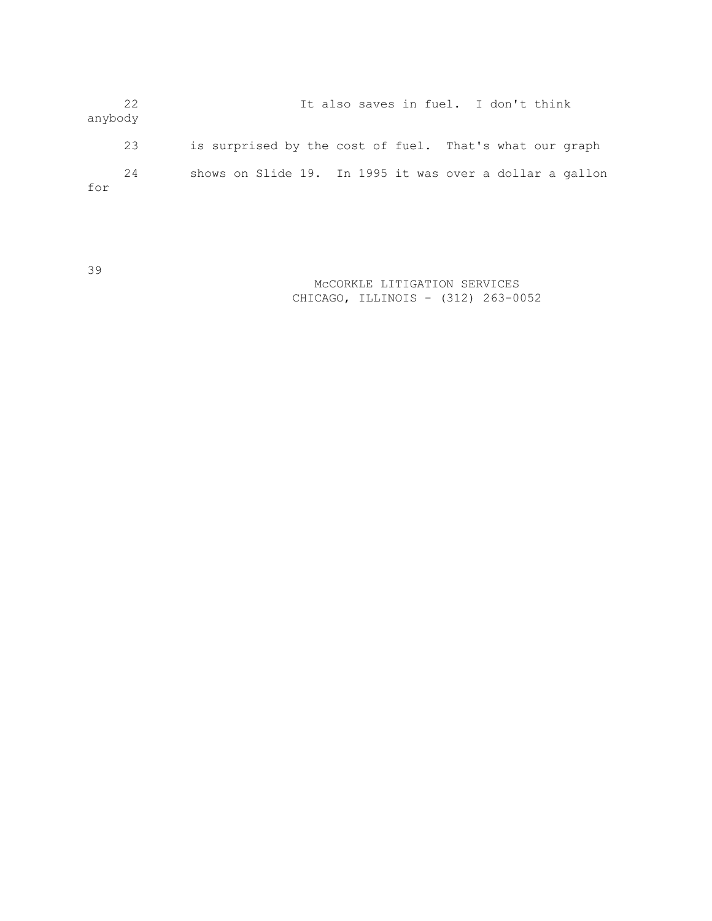| 22<br>anybody | It also saves in fuel. I don't think                     |
|---------------|----------------------------------------------------------|
| 23            | is surprised by the cost of fuel. That's what our graph  |
| 24<br>for     | shows on Slide 19. In 1995 it was over a dollar a gallon |

39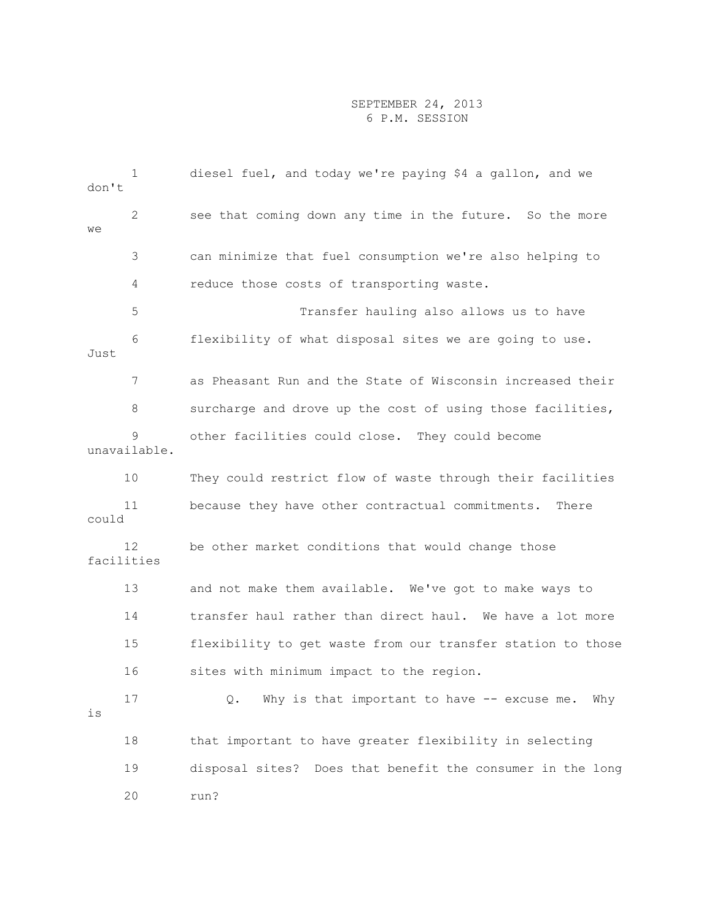| don't | 1                 | diesel fuel, and today we're paying \$4 a gallon, and we    |
|-------|-------------------|-------------------------------------------------------------|
| we    | 2                 | see that coming down any time in the future. So the more    |
|       | 3                 | can minimize that fuel consumption we're also helping to    |
|       | 4                 | reduce those costs of transporting waste.                   |
|       | 5                 | Transfer hauling also allows us to have                     |
| Just  | 6                 | flexibility of what disposal sites we are going to use.     |
|       | 7                 | as Pheasant Run and the State of Wisconsin increased their  |
|       | 8                 | surcharge and drove up the cost of using those facilities,  |
|       | 9<br>unavailable. | other facilities could close. They could become             |
|       | 10                | They could restrict flow of waste through their facilities  |
| could | 11                | because they have other contractual commitments.<br>There   |
|       | 12<br>facilities  | be other market conditions that would change those          |
|       | 13                | and not make them available. We've got to make ways to      |
|       | 14                | transfer haul rather than direct haul. We have a lot more   |
|       | 15                | flexibility to get waste from our transfer station to those |
|       | 16                | sites with minimum impact to the region.                    |
| is    | 17                | Why is that important to have -- excuse me.<br>Why<br>Q.    |
|       | 18                | that important to have greater flexibility in selecting     |
|       | 19                | disposal sites? Does that benefit the consumer in the long  |
|       | 20                | run?                                                        |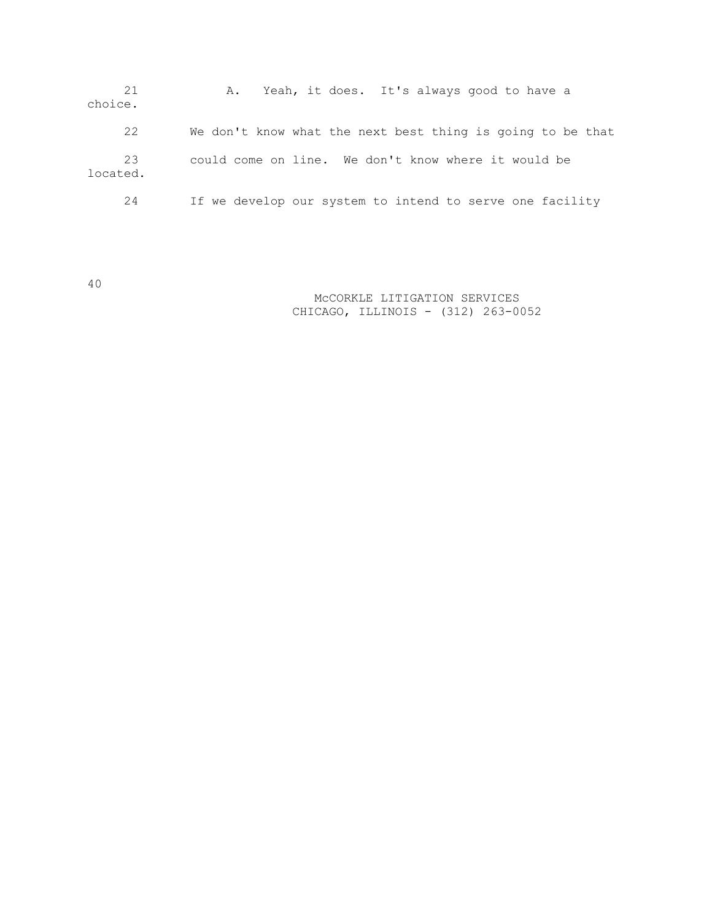21 A. Yeah, it does. It's always good to have a choice. 22 We don't know what the next best thing is going to be that 23 could come on line. We don't know where it would be located. 24 If we develop our system to intend to serve one facility

40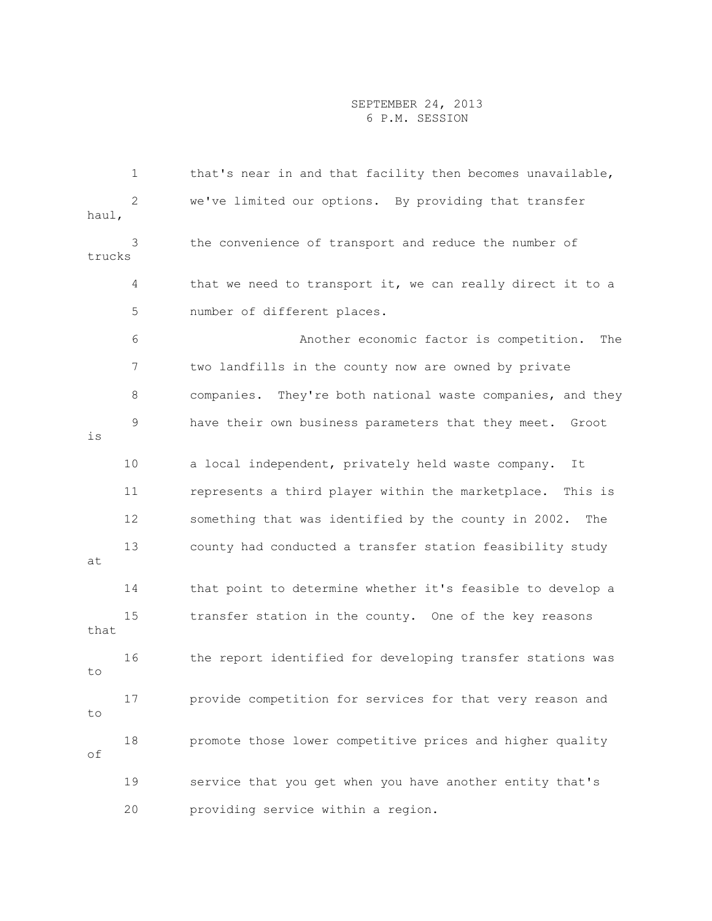|        | 1            | that's near in and that facility then becomes unavailable,  |
|--------|--------------|-------------------------------------------------------------|
| haul,  | $\mathbf{2}$ | we've limited our options. By providing that transfer       |
| trucks | 3            | the convenience of transport and reduce the number of       |
|        | 4            | that we need to transport it, we can really direct it to a  |
|        | 5            | number of different places.                                 |
|        | 6            | Another economic factor is competition.<br>The              |
|        | 7            | two landfills in the county now are owned by private        |
|        | 8            | companies. They're both national waste companies, and they  |
| is     | 9            | have their own business parameters that they meet. Groot    |
|        | 10           | a local independent, privately held waste company.<br>It    |
|        | 11           | represents a third player within the marketplace. This is   |
|        | 12           | something that was identified by the county in 2002.<br>The |
| at     | 13           | county had conducted a transfer station feasibility study   |
|        | 14           | that point to determine whether it's feasible to develop a  |
| that   | 15           | transfer station in the county. One of the key reasons      |
| to     | 16           | the report identified for developing transfer stations was  |
| to     | 17           | provide competition for services for that very reason and   |
| оf     | 18           | promote those lower competitive prices and higher quality   |
|        | 19           | service that you get when you have another entity that's    |
|        | 20           | providing service within a region.                          |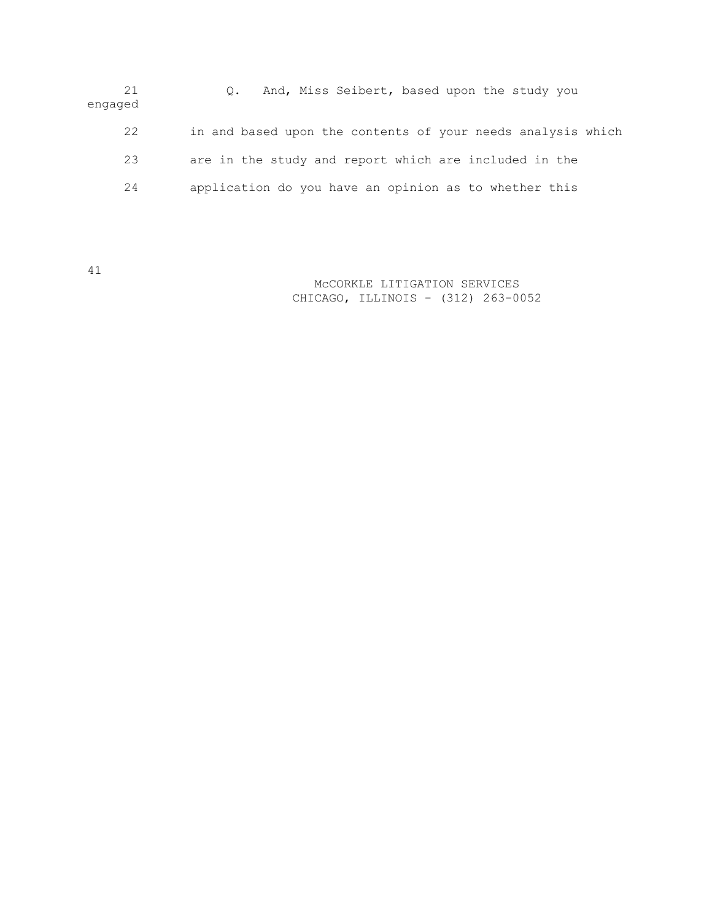| 21<br>engaged | And, Miss Seibert, based upon the study you                 |
|---------------|-------------------------------------------------------------|
| 22            | in and based upon the contents of your needs analysis which |
| 23            | are in the study and report which are included in the       |
| 24            | application do you have an opinion as to whether this       |

41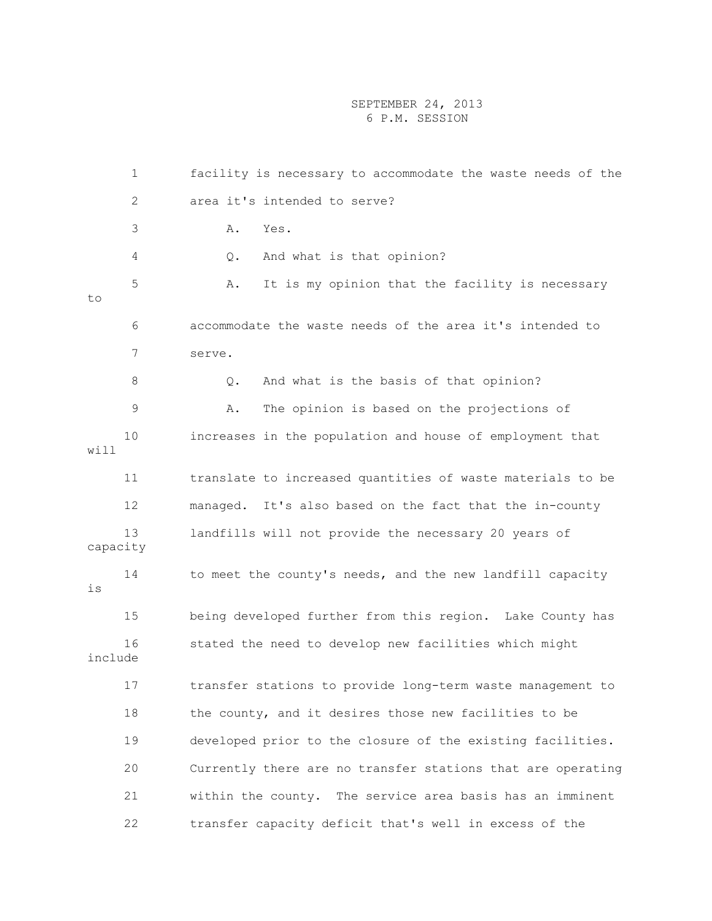1 facility is necessary to accommodate the waste needs of the 2 area it's intended to serve? 3 A. Yes. 4 Q. And what is that opinion? 5 A. It is my opinion that the facility is necessary to 6 accommodate the waste needs of the area it's intended to 7 serve. 8 Q. And what is the basis of that opinion? 9 A. The opinion is based on the projections of 10 increases in the population and house of employment that will 11 translate to increased quantities of waste materials to be 12 managed. It's also based on the fact that the in-county 13 landfills will not provide the necessary 20 years of capacity 14 to meet the county's needs, and the new landfill capacity is 15 being developed further from this region. Lake County has 16 stated the need to develop new facilities which might include 17 transfer stations to provide long-term waste management to 18 the county, and it desires those new facilities to be 19 developed prior to the closure of the existing facilities. 20 Currently there are no transfer stations that are operating 21 within the county. The service area basis has an imminent 22 transfer capacity deficit that's well in excess of the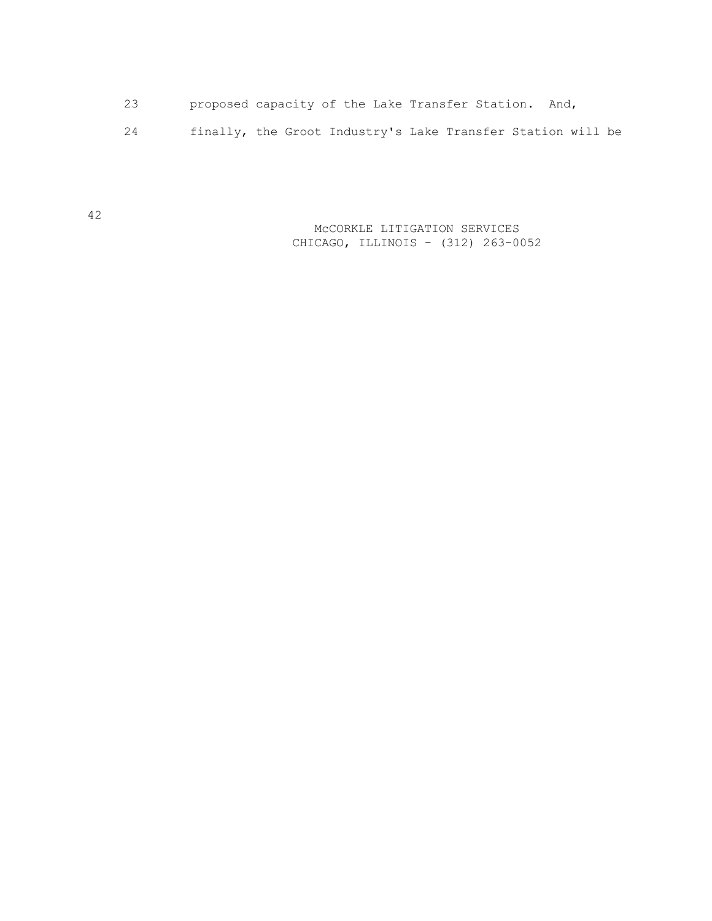- 23 proposed capacity of the Lake Transfer Station. And,
- 24 finally, the Groot Industry's Lake Transfer Station will be

 McCORKLE LITIGATION SERVICES CHICAGO, ILLINOIS - (312) 263-0052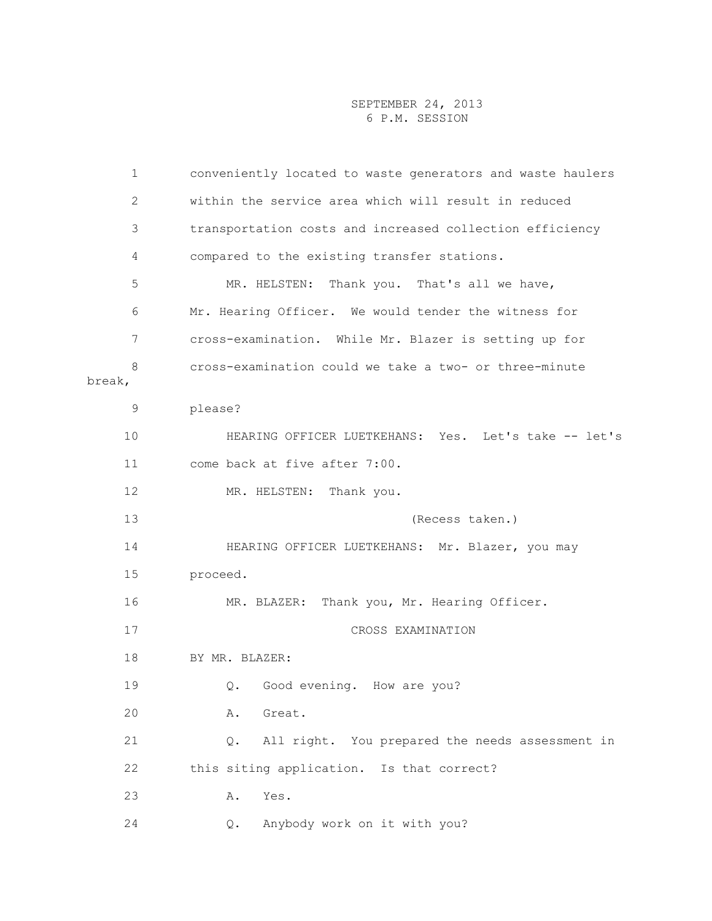| 1           | conveniently located to waste generators and waste haulers  |  |  |  |  |  |  |  |
|-------------|-------------------------------------------------------------|--|--|--|--|--|--|--|
| 2           | within the service area which will result in reduced        |  |  |  |  |  |  |  |
| 3           | transportation costs and increased collection efficiency    |  |  |  |  |  |  |  |
| 4           | compared to the existing transfer stations.                 |  |  |  |  |  |  |  |
| 5           | Thank you. That's all we have,<br>MR. HELSTEN:              |  |  |  |  |  |  |  |
| 6           | Mr. Hearing Officer. We would tender the witness for        |  |  |  |  |  |  |  |
| 7           | cross-examination. While Mr. Blazer is setting up for       |  |  |  |  |  |  |  |
| 8<br>break, | cross-examination could we take a two- or three-minute      |  |  |  |  |  |  |  |
| 9           | please?                                                     |  |  |  |  |  |  |  |
| 10          | HEARING OFFICER LUETKEHANS: Yes. Let's take -- let's        |  |  |  |  |  |  |  |
| 11          | come back at five after 7:00.<br>MR. HELSTEN:<br>Thank you. |  |  |  |  |  |  |  |
| 12          |                                                             |  |  |  |  |  |  |  |
| 13          | (Recess taken.)                                             |  |  |  |  |  |  |  |
| 14          | HEARING OFFICER LUETKEHANS: Mr. Blazer, you may             |  |  |  |  |  |  |  |
| 15          | proceed.                                                    |  |  |  |  |  |  |  |
| 16          | Thank you, Mr. Hearing Officer.<br>MR. BLAZER:              |  |  |  |  |  |  |  |
| 17          | CROSS EXAMINATION                                           |  |  |  |  |  |  |  |
| 18          | BY MR. BLAZER:                                              |  |  |  |  |  |  |  |
| 19          | Q. Good evening. How are you?                               |  |  |  |  |  |  |  |
| 20          | Great.<br>Α.                                                |  |  |  |  |  |  |  |
| 21          | All right. You prepared the needs assessment in<br>Q.       |  |  |  |  |  |  |  |
| 22          | this siting application. Is that correct?                   |  |  |  |  |  |  |  |
| 23          | Yes.<br>Α.                                                  |  |  |  |  |  |  |  |
| 24          | Anybody work on it with you?<br>Q.                          |  |  |  |  |  |  |  |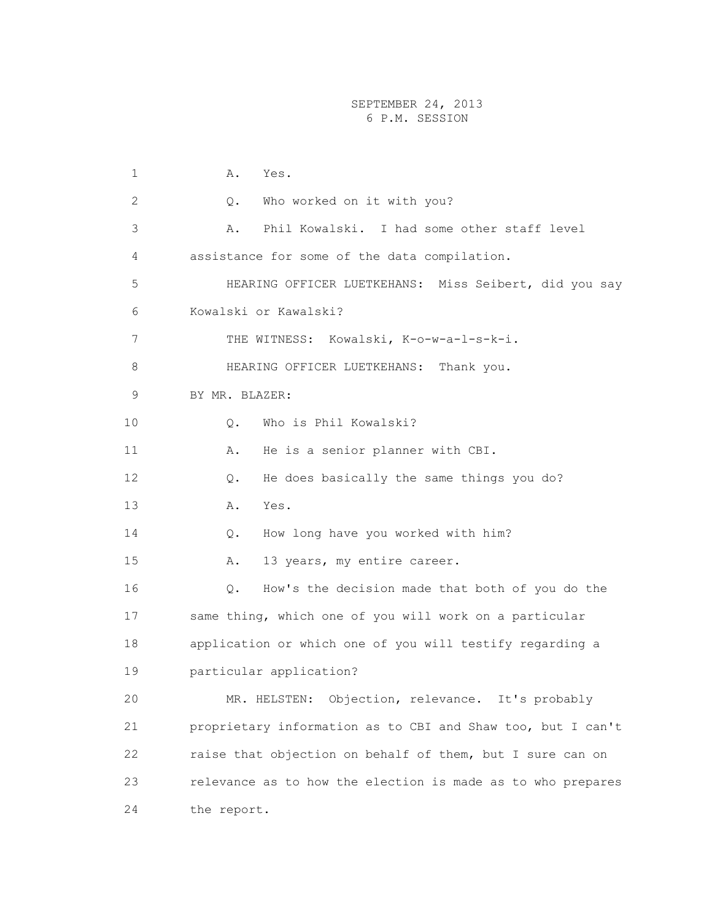| 1  | Yes.<br>Α.                                                  |
|----|-------------------------------------------------------------|
| 2  | Who worked on it with you?<br>Q.                            |
| 3  | Phil Kowalski. I had some other staff level<br>Α.           |
| 4  | assistance for some of the data compilation.                |
| 5  | HEARING OFFICER LUETKEHANS: Miss Seibert, did you say       |
| 6  | Kowalski or Kawalski?                                       |
| 7  | THE WITNESS: Kowalski, K-o-w-a-l-s-k-i.                     |
| 8  | HEARING OFFICER LUETKEHANS: Thank you.                      |
| 9  | BY MR. BLAZER:                                              |
| 10 | Who is Phil Kowalski?<br>$Q$ .                              |
| 11 | He is a senior planner with CBI.<br>Α.                      |
| 12 | He does basically the same things you do?<br>$Q$ .          |
| 13 | Yes.<br>Α.                                                  |
| 14 | How long have you worked with him?<br>$Q$ .                 |
| 15 | 13 years, my entire career.<br>Α.                           |
| 16 | How's the decision made that both of you do the<br>$Q$ .    |
| 17 | same thing, which one of you will work on a particular      |
| 18 | application or which one of you will testify regarding a    |
| 19 | particular application?                                     |
| 20 | MR. HELSTEN: Objection, relevance. It's probably            |
| 21 | proprietary information as to CBI and Shaw too, but I can't |
| 22 | raise that objection on behalf of them, but I sure can on   |
| 23 | relevance as to how the election is made as to who prepares |
| 24 | the report.                                                 |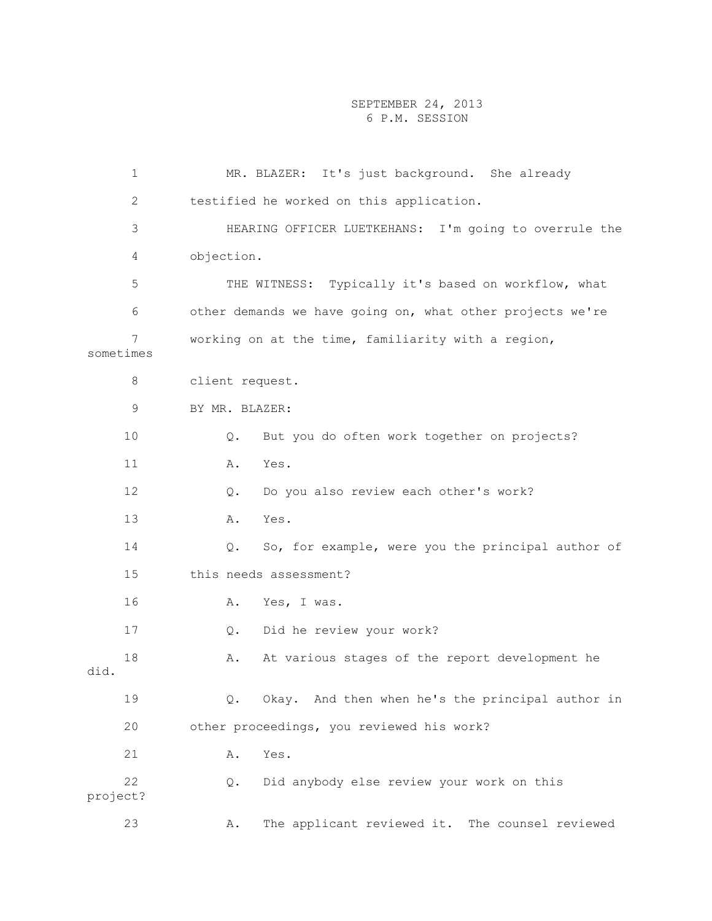1 MR. BLAZER: It's just background. She already 2 testified he worked on this application. 3 HEARING OFFICER LUETKEHANS: I'm going to overrule the 4 objection. 5 THE WITNESS: Typically it's based on workflow, what 6 other demands we have going on, what other projects we're 7 working on at the time, familiarity with a region, sometimes 8 client request. 9 BY MR. BLAZER: 10 Q. But you do often work together on projects? 11 A. Yes. 12 Q. Do you also review each other's work? 13 A. Yes. 14 Q. So, for example, were you the principal author of 15 this needs assessment? 16 A. Yes, I was. 17 Q. Did he review your work? 18 A. At various stages of the report development he did. 19 Q. Okay. And then when he's the principal author in 20 other proceedings, you reviewed his work? 21 A. Yes. 22 Q. Did anybody else review your work on this project? 23 A. The applicant reviewed it. The counsel reviewed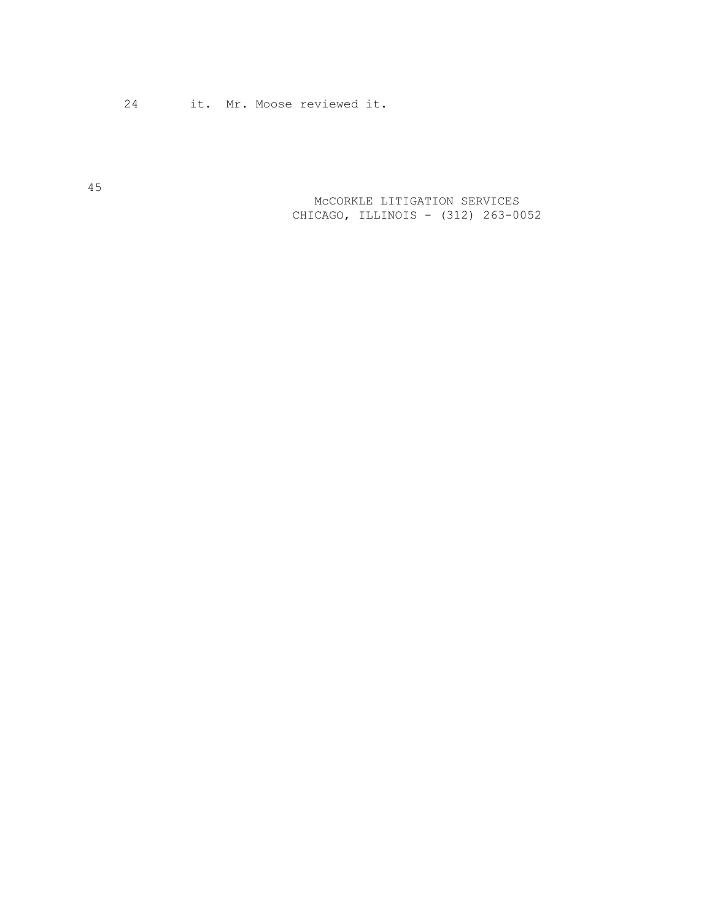24 it. Mr. Moose reviewed it.

 McCORKLE LITIGATION SERVICES CHICAGO, ILLINOIS - (312) 263-0052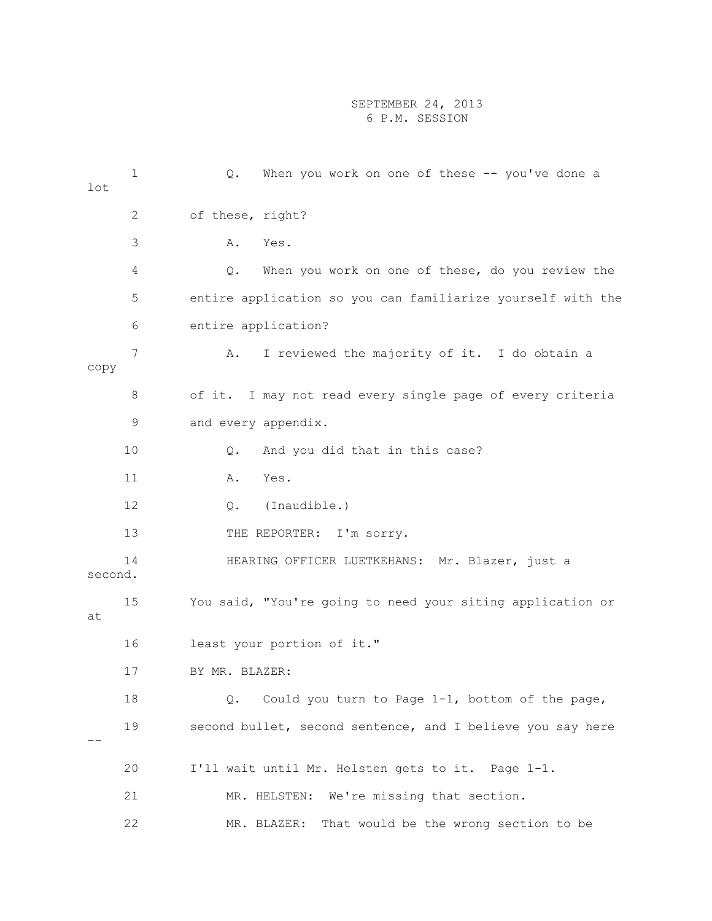| lot     | 1  | When you work on one of these $-$ you've done a<br>Q.       |  |  |  |  |  |  |  |  |  |
|---------|----|-------------------------------------------------------------|--|--|--|--|--|--|--|--|--|
|         | 2  | of these, right?                                            |  |  |  |  |  |  |  |  |  |
|         | 3  | Α.<br>Yes.                                                  |  |  |  |  |  |  |  |  |  |
|         | 4  | When you work on one of these, do you review the<br>$Q$ .   |  |  |  |  |  |  |  |  |  |
|         | 5  | entire application so you can familiarize yourself with the |  |  |  |  |  |  |  |  |  |
|         | 6  | entire application?                                         |  |  |  |  |  |  |  |  |  |
| copy    | 7  | I reviewed the majority of it. I do obtain a<br>Α.          |  |  |  |  |  |  |  |  |  |
|         | 8  | of it. I may not read every single page of every criteria   |  |  |  |  |  |  |  |  |  |
|         | 9  | and every appendix.                                         |  |  |  |  |  |  |  |  |  |
|         | 10 | Q.<br>And you did that in this case?                        |  |  |  |  |  |  |  |  |  |
|         | 11 | Α.<br>Yes.                                                  |  |  |  |  |  |  |  |  |  |
|         | 12 | (Inaudible.)<br>$Q$ .                                       |  |  |  |  |  |  |  |  |  |
|         | 13 | THE REPORTER: I'm sorry.                                    |  |  |  |  |  |  |  |  |  |
| second. | 14 | HEARING OFFICER LUETKEHANS: Mr. Blazer, just a              |  |  |  |  |  |  |  |  |  |
| at      | 15 | You said, "You're going to need your siting application or  |  |  |  |  |  |  |  |  |  |
|         | 16 | least your portion of it."                                  |  |  |  |  |  |  |  |  |  |
|         | 17 | BY MR. BLAZER:                                              |  |  |  |  |  |  |  |  |  |
|         | 18 | Could you turn to Page 1-1, bottom of the page,<br>Q.       |  |  |  |  |  |  |  |  |  |
|         | 19 | second bullet, second sentence, and I believe you say here  |  |  |  |  |  |  |  |  |  |
|         | 20 | I'll wait until Mr. Helsten gets to it. Page 1-1.           |  |  |  |  |  |  |  |  |  |
|         | 21 | We're missing that section.<br>MR. HELSTEN:                 |  |  |  |  |  |  |  |  |  |
|         | 22 | That would be the wrong section to be<br>MR. BLAZER:        |  |  |  |  |  |  |  |  |  |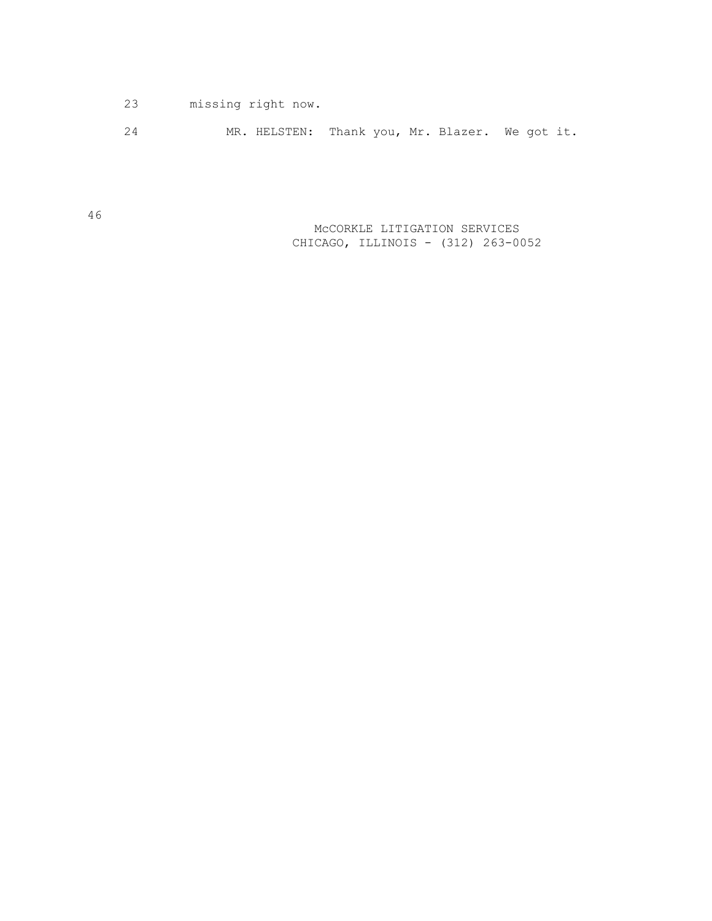- 23 missing right now.
- 24 MR. HELSTEN: Thank you, Mr. Blazer. We got it.

 McCORKLE LITIGATION SERVICES CHICAGO, ILLINOIS - (312) 263-0052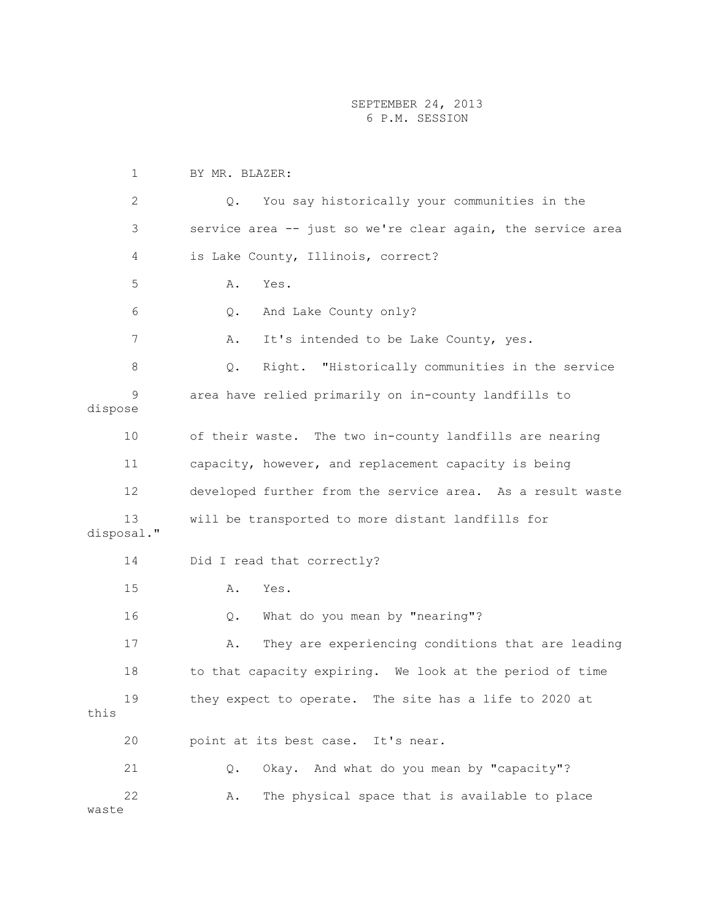|                                                                      | $\mathbf 1$      | BY MR. BLAZER:                                              |  |  |  |  |  |  |  |
|----------------------------------------------------------------------|------------------|-------------------------------------------------------------|--|--|--|--|--|--|--|
|                                                                      | $\overline{2}$   | You say historically your communities in the<br>$Q$ .       |  |  |  |  |  |  |  |
|                                                                      | 3                | service area -- just so we're clear again, the service area |  |  |  |  |  |  |  |
|                                                                      | 4                | is Lake County, Illinois, correct?                          |  |  |  |  |  |  |  |
|                                                                      | 5                | Α.<br>Yes.                                                  |  |  |  |  |  |  |  |
|                                                                      | 6                | And Lake County only?<br>Q.                                 |  |  |  |  |  |  |  |
|                                                                      | 7                | It's intended to be Lake County, yes.<br>Α.                 |  |  |  |  |  |  |  |
|                                                                      | 8                | Right. "Historically communities in the service<br>Q.       |  |  |  |  |  |  |  |
| 9<br>area have relied primarily on in-county landfills to<br>dispose |                  |                                                             |  |  |  |  |  |  |  |
|                                                                      | 10               | of their waste. The two in-county landfills are nearing     |  |  |  |  |  |  |  |
|                                                                      | 11               | capacity, however, and replacement capacity is being        |  |  |  |  |  |  |  |
|                                                                      | 12               | developed further from the service area. As a result waste  |  |  |  |  |  |  |  |
|                                                                      | 13<br>disposal." | will be transported to more distant landfills for           |  |  |  |  |  |  |  |
| 14<br>Did I read that correctly?                                     |                  |                                                             |  |  |  |  |  |  |  |
|                                                                      | 15               | Α.<br>Yes.                                                  |  |  |  |  |  |  |  |
|                                                                      | 16               | What do you mean by "nearing"?<br>Q.                        |  |  |  |  |  |  |  |
|                                                                      | 17               | They are experiencing conditions that are leading<br>Α.     |  |  |  |  |  |  |  |
|                                                                      | 18               | to that capacity expiring. We look at the period of time    |  |  |  |  |  |  |  |
| this                                                                 | 19               | they expect to operate. The site has a life to 2020 at      |  |  |  |  |  |  |  |
|                                                                      | 20               | point at its best case. It's near.                          |  |  |  |  |  |  |  |
|                                                                      | 21               | Okay. And what do you mean by "capacity"?<br>Q.             |  |  |  |  |  |  |  |
| waste                                                                | 22               | The physical space that is available to place<br>Α.         |  |  |  |  |  |  |  |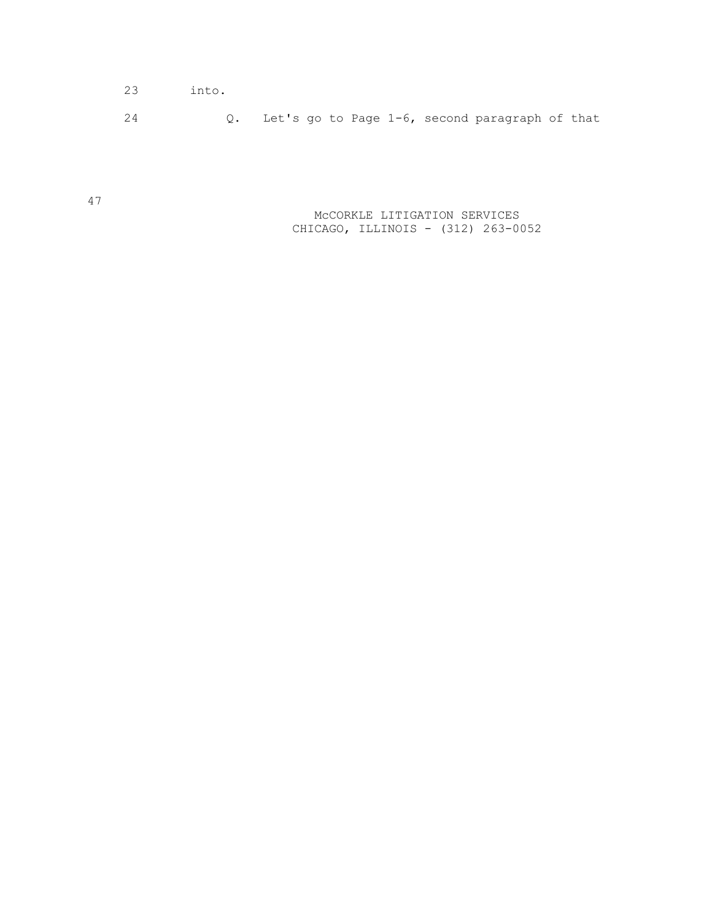|    | 23 into. |  |  |                                                   |  |
|----|----------|--|--|---------------------------------------------------|--|
| 24 |          |  |  | Q. Let's go to Page 1-6, second paragraph of that |  |

47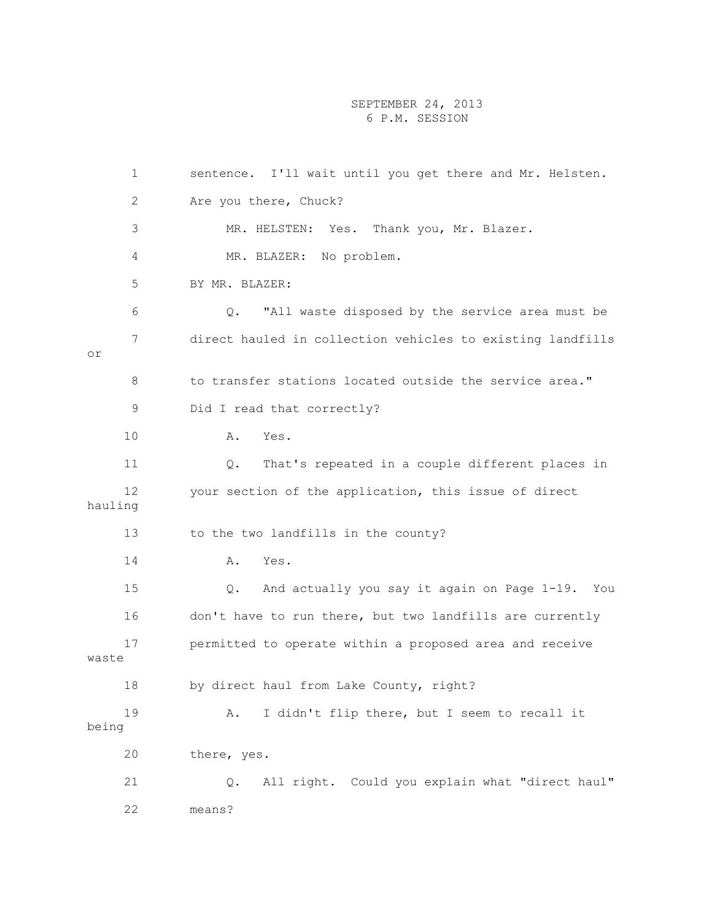1 sentence. I'll wait until you get there and Mr. Helsten. 2 Are you there, Chuck? 3 MR. HELSTEN: Yes. Thank you, Mr. Blazer. 4 MR. BLAZER: No problem. 5 BY MR. BLAZER: 6 Q. "All waste disposed by the service area must be 7 direct hauled in collection vehicles to existing landfills or 8 to transfer stations located outside the service area." 9 Did I read that correctly? 10 A. Yes. 11 Q. That's repeated in a couple different places in 12 your section of the application, this issue of direct hauling 13 to the two landfills in the county? 14 A. Yes. 15 Q. And actually you say it again on Page 1-19. You 16 don't have to run there, but two landfills are currently 17 permitted to operate within a proposed area and receive waste 18 by direct haul from Lake County, right? 19 A. I didn't flip there, but I seem to recall it being 20 there, yes. 21 Q. All right. Could you explain what "direct haul" 22 means?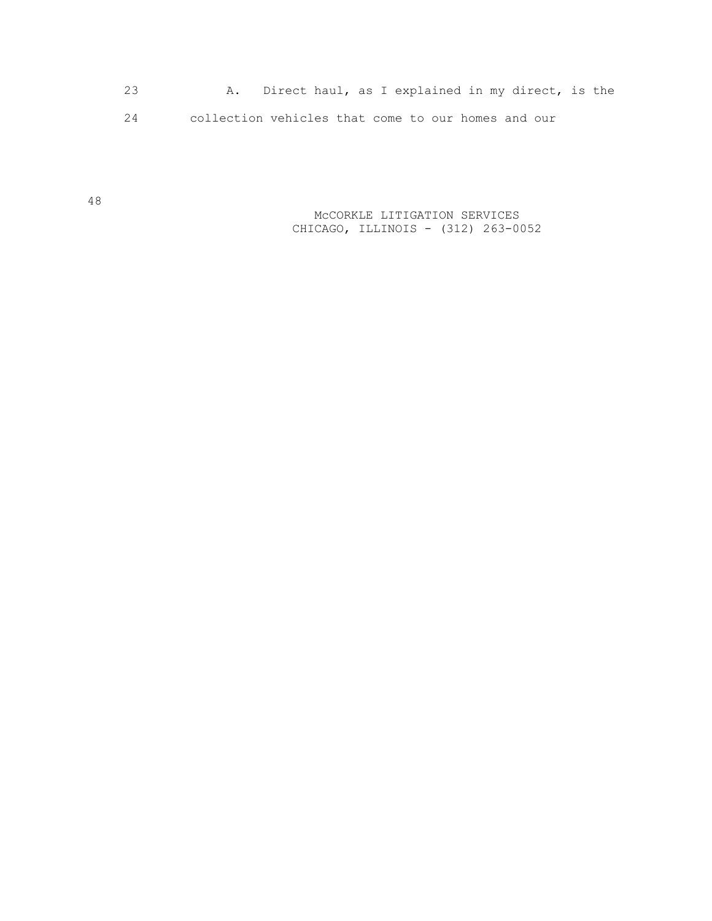23 A. Direct haul, as I explained in my direct, is the 24 collection vehicles that come to our homes and our

> McCORKLE LITIGATION SERVICES CHICAGO, ILLINOIS - (312) 263-0052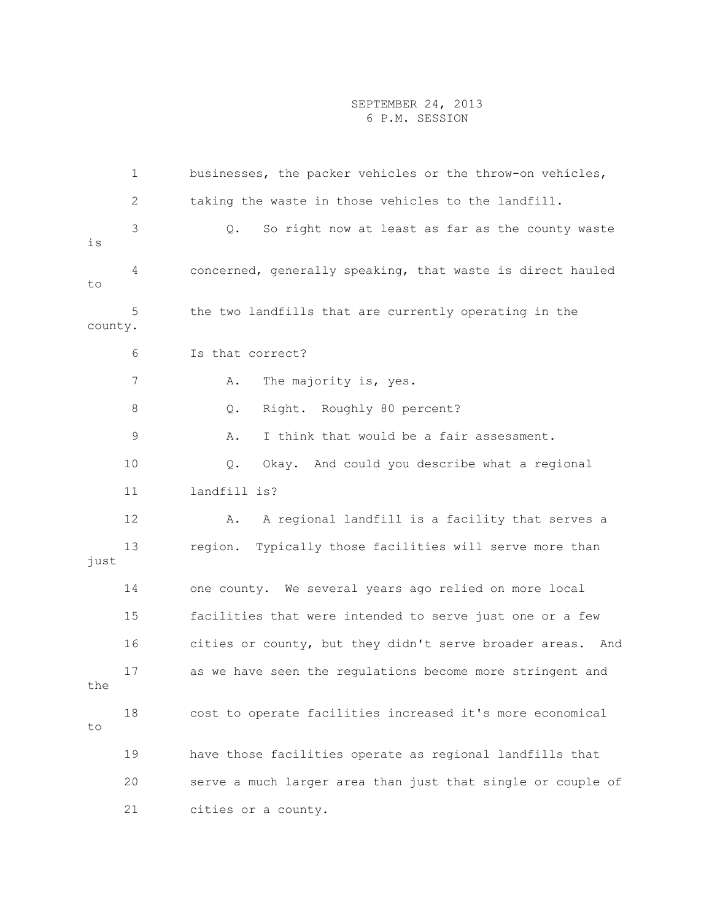|         | $\mathbf 1$ | businesses, the packer vehicles or the throw-on vehicles,         |
|---------|-------------|-------------------------------------------------------------------|
|         | 2           | taking the waste in those vehicles to the landfill.               |
| is      | 3           | So right now at least as far as the county waste<br>$Q_{\bullet}$ |
| to      | 4           | concerned, generally speaking, that waste is direct hauled        |
| county. | 5           | the two landfills that are currently operating in the             |
|         | 6           | Is that correct?                                                  |
|         | 7           | The majority is, yes.<br>Α.                                       |
|         | 8           | Right. Roughly 80 percent?<br>Q.                                  |
|         | 9           | I think that would be a fair assessment.<br>Α.                    |
|         | 10          | Okay. And could you describe what a regional<br>Q.                |
|         | 11          | landfill is?                                                      |
|         | 12          | A regional landfill is a facility that serves a<br>Α.             |
| just    | 13          | Typically those facilities will serve more than<br>region.        |
|         | 14          | one county. We several years ago relied on more local             |
|         | 15          | facilities that were intended to serve just one or a few          |
|         | 16          | cities or county, but they didn't serve broader areas. And        |
| the     | 17          | as we have seen the regulations become more stringent and         |
| to      | 18          | cost to operate facilities increased it's more economical         |
|         | 19          | have those facilities operate as regional landfills that          |
|         | 20          | serve a much larger area than just that single or couple of       |
|         | 21          | cities or a county.                                               |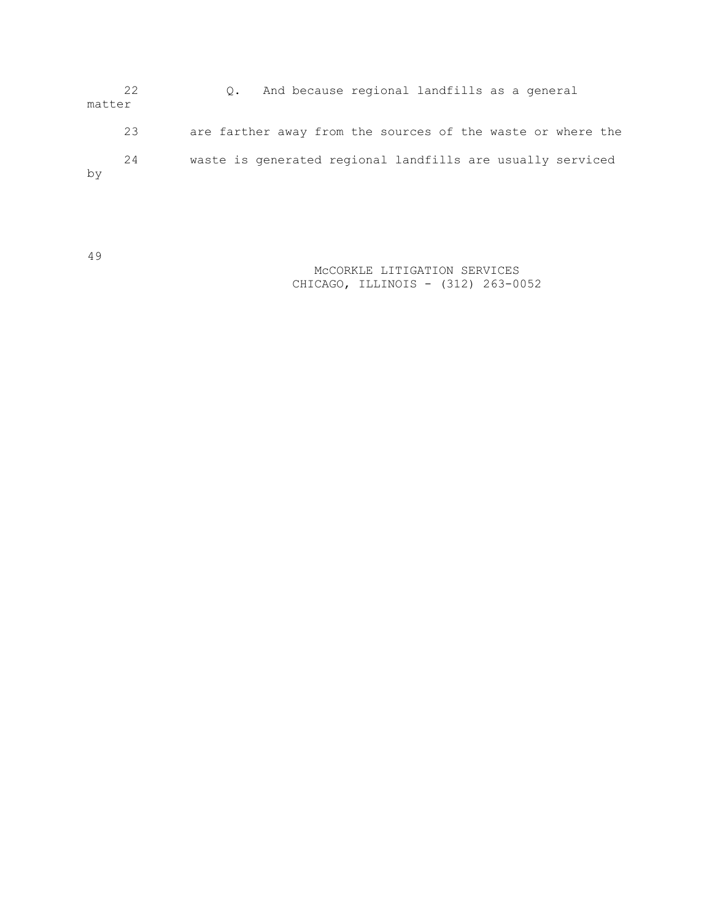22 Q. And because regional landfills as a general matter 23 are farther away from the sources of the waste or where the 24 waste is generated regional landfills are usually serviced by

49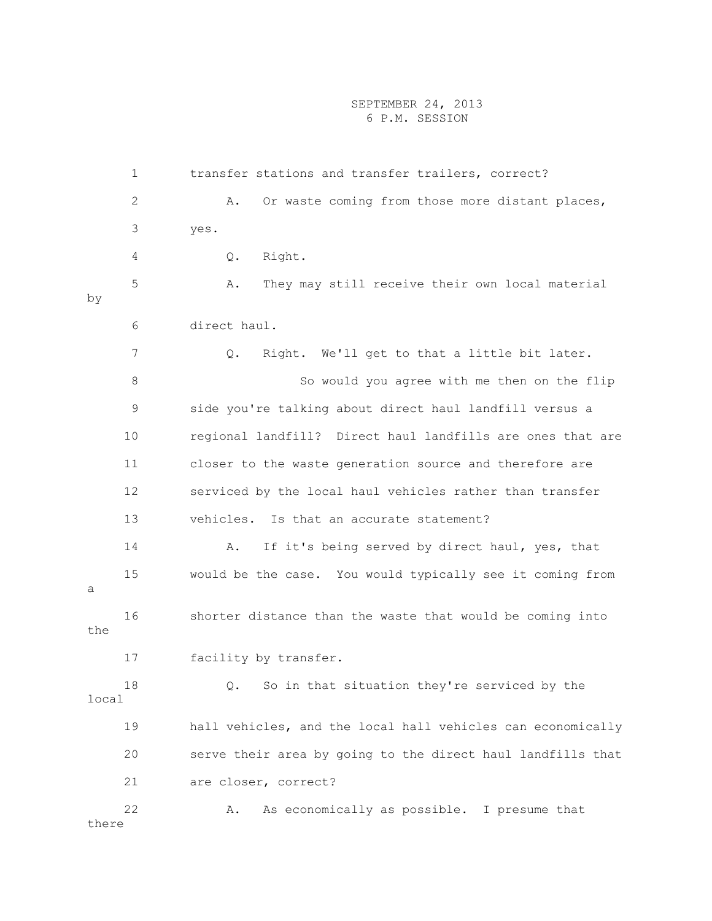1 transfer stations and transfer trailers, correct? 2 A. Or waste coming from those more distant places, 3 yes. 4 Q. Right. 5 A. They may still receive their own local material by 6 direct haul. 7 Q. Right. We'll get to that a little bit later. 8 So would you agree with me then on the flip 9 side you're talking about direct haul landfill versus a 10 regional landfill? Direct haul landfills are ones that are 11 closer to the waste generation source and therefore are 12 serviced by the local haul vehicles rather than transfer 13 vehicles. Is that an accurate statement? 14 A. If it's being served by direct haul, yes, that 15 would be the case. You would typically see it coming from a 16 shorter distance than the waste that would be coming into the 17 facility by transfer. 18 Q. So in that situation they're serviced by the local 19 hall vehicles, and the local hall vehicles can economically 20 serve their area by going to the direct haul landfills that 21 are closer, correct? 22 A. As economically as possible. I presume that there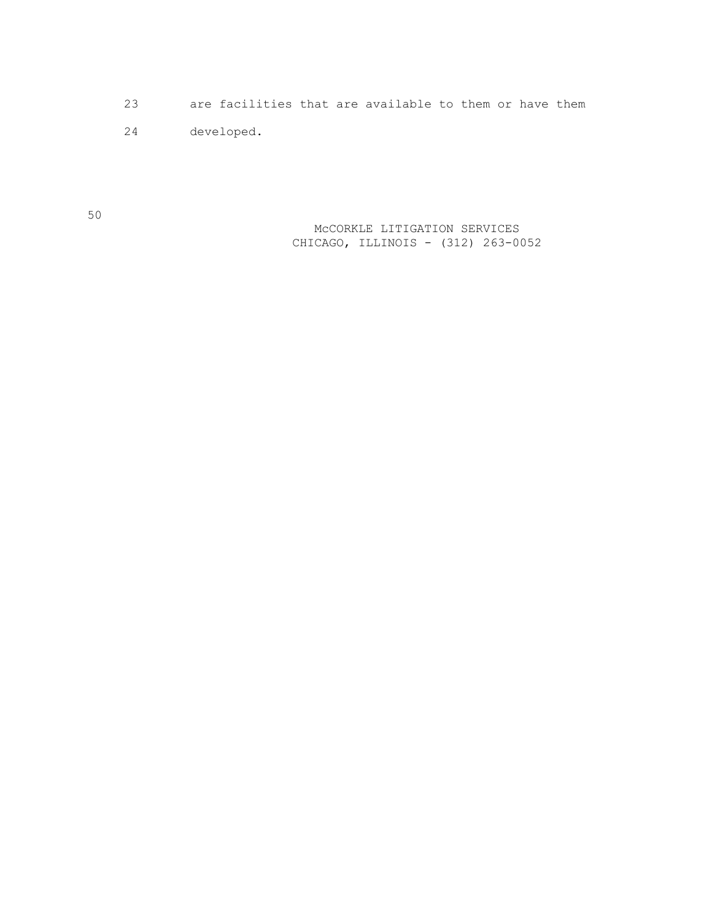- 23 are facilities that are available to them or have them
- 24 developed.

50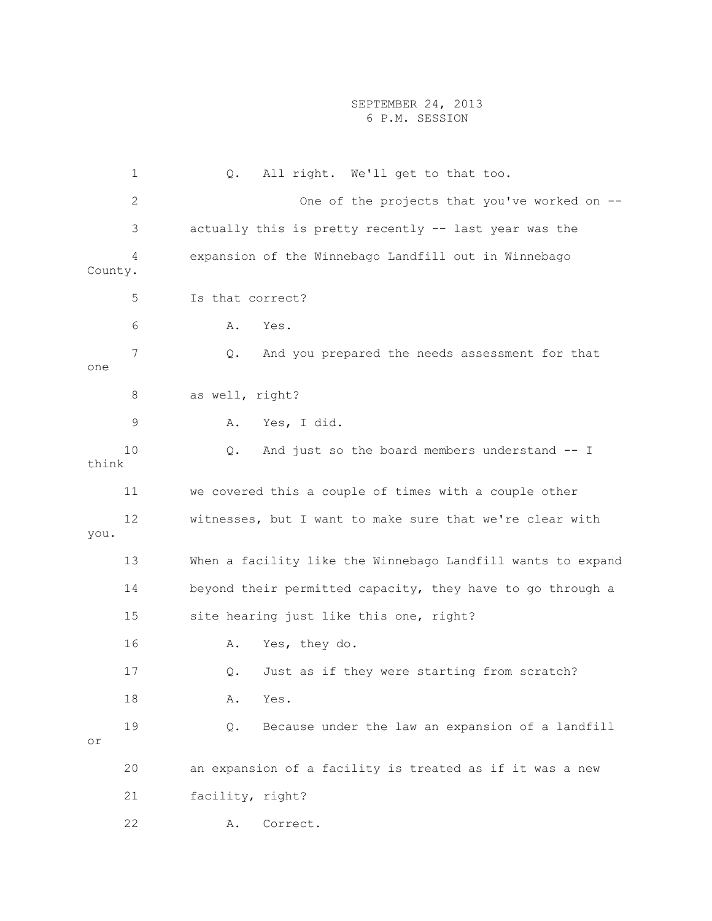1 Q. All right. We'll get to that too. 2 One of the projects that you've worked on -- 3 actually this is pretty recently -- last year was the 4 expansion of the Winnebago Landfill out in Winnebago County. 5 Is that correct? 6 A. Yes. 7 Q. And you prepared the needs assessment for that one 8 as well, right? 9 A. Yes, I did. 10 Q. And just so the board members understand -- I think 11 we covered this a couple of times with a couple other 12 witnesses, but I want to make sure that we're clear with you. 13 When a facility like the Winnebago Landfill wants to expand 14 beyond their permitted capacity, they have to go through a 15 site hearing just like this one, right? 16 A. Yes, they do. 17 Q. Just as if they were starting from scratch? 18 A. Yes. 19 Q. Because under the law an expansion of a landfill or 20 an expansion of a facility is treated as if it was a new 21 facility, right? 22 A. Correct.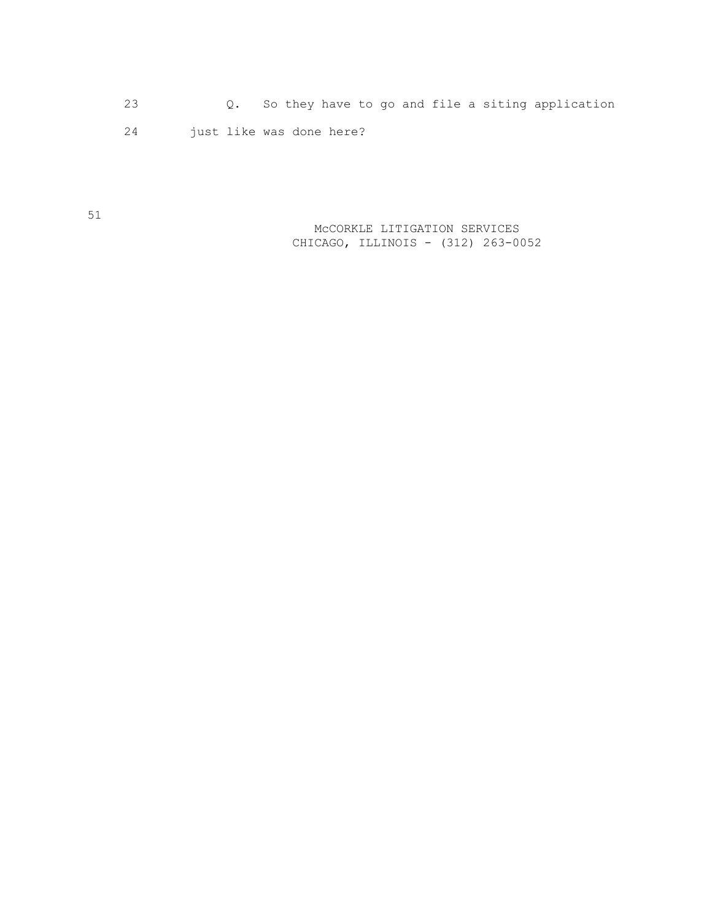23 Q. So they have to go and file a siting application

24 just like was done here?

 McCORKLE LITIGATION SERVICES CHICAGO, ILLINOIS - (312) 263-0052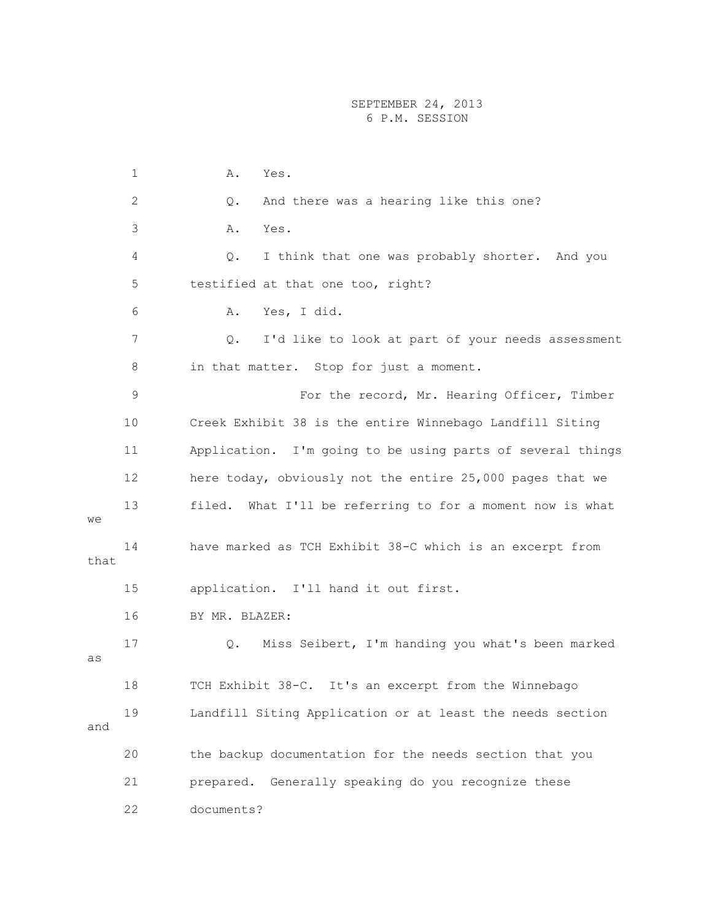1 A. Yes. 2 Q. And there was a hearing like this one? 3 A. Yes. 4 Q. I think that one was probably shorter. And you 5 testified at that one too, right? 6 A. Yes, I did. 7 Q. I'd like to look at part of your needs assessment 8 in that matter. Stop for just a moment. 9 For the record, Mr. Hearing Officer, Timber 10 Creek Exhibit 38 is the entire Winnebago Landfill Siting 11 Application. I'm going to be using parts of several things 12 here today, obviously not the entire 25,000 pages that we 13 filed. What I'll be referring to for a moment now is what 14 have marked as TCH Exhibit 38-C which is an excerpt from that 15 application. I'll hand it out first. 16 BY MR. BLAZER: 17 Q. Miss Seibert, I'm handing you what's been marked 18 TCH Exhibit 38-C. It's an excerpt from the Winnebago 19 Landfill Siting Application or at least the needs section and 20 the backup documentation for the needs section that you 21 prepared. Generally speaking do you recognize these 22 documents?

we

as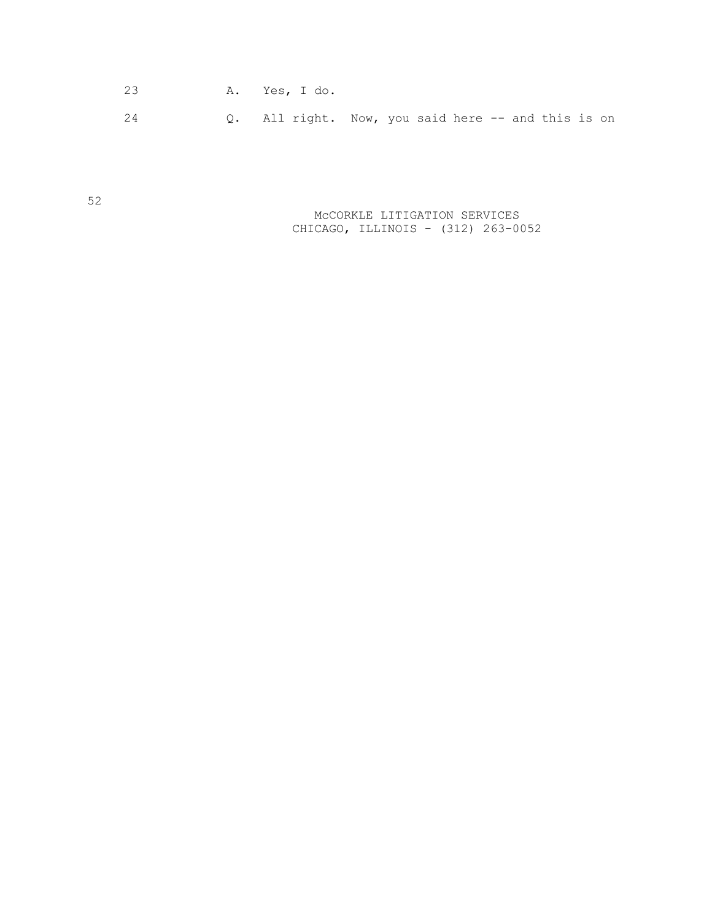| 23 |  | A. Yes, I do. |  |  |  |
|----|--|---------------|--|--|--|
|----|--|---------------|--|--|--|

24 Q. All right. Now, you said here -- and this is on

52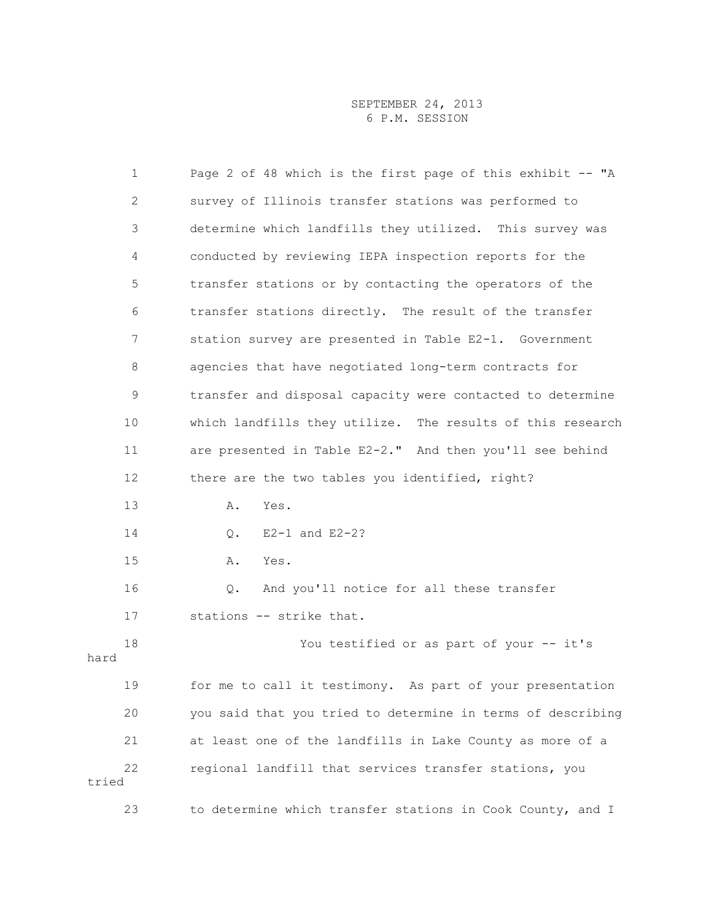| $\mathbf 1$  | Page 2 of 48 which is the first page of this exhibit -- "A  |
|--------------|-------------------------------------------------------------|
| $\mathbf{2}$ | survey of Illinois transfer stations was performed to       |
| 3            | determine which landfills they utilized. This survey was    |
| 4            | conducted by reviewing IEPA inspection reports for the      |
| 5            | transfer stations or by contacting the operators of the     |
| 6            | transfer stations directly. The result of the transfer      |
| 7            | station survey are presented in Table E2-1. Government      |
| 8            | agencies that have negotiated long-term contracts for       |
| $\mathsf 9$  | transfer and disposal capacity were contacted to determine  |
| 10           | which landfills they utilize. The results of this research  |
| 11           | are presented in Table E2-2." And then you'll see behind    |
| 12           | there are the two tables you identified, right?             |
| 13           | Α.<br>Yes.                                                  |
| 14           | $E2-1$ and $E2-2$ ?<br>Q.                                   |
| 15           | Α.<br>Yes.                                                  |
| 16           | And you'll notice for all these transfer<br>Q.              |
| 17           | stations -- strike that.                                    |
| 18<br>hard   | You testified or as part of your -- it's                    |
| 19           | for me to call it testimony. As part of your presentation   |
| 20           | you said that you tried to determine in terms of describing |
| 21           | at least one of the landfills in Lake County as more of a   |
| 22<br>tried  | regional landfill that services transfer stations, you      |
| 23           | to determine which transfer stations in Cook County, and I  |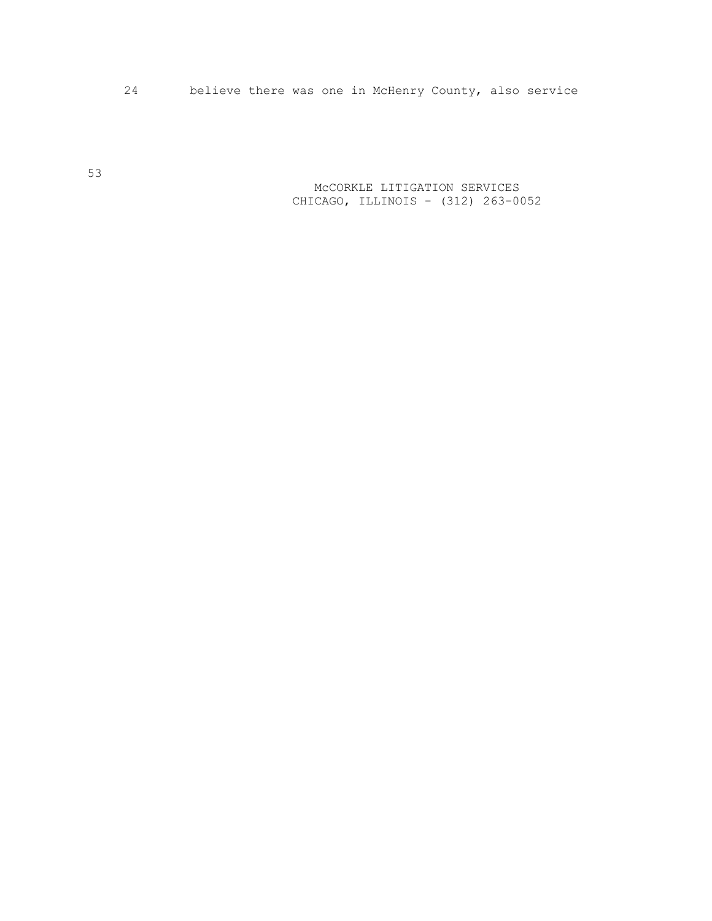24 believe there was one in McHenry County, also service

 McCORKLE LITIGATION SERVICES CHICAGO, ILLINOIS - (312) 263-0052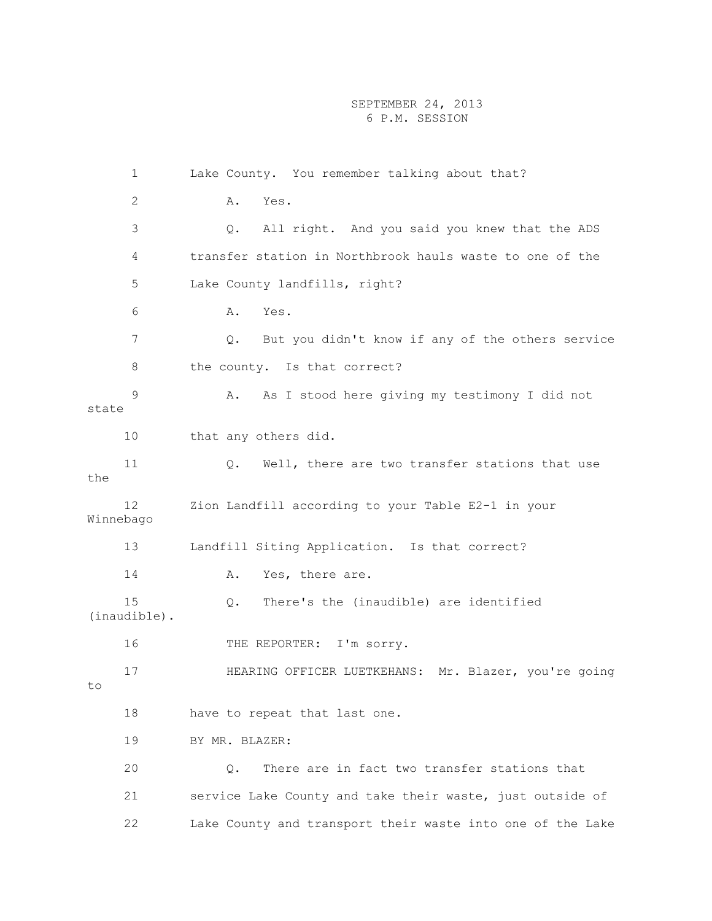1 Lake County. You remember talking about that? 2 A. Yes. 3 Q. All right. And you said you knew that the ADS 4 transfer station in Northbrook hauls waste to one of the 5 Lake County landfills, right? 6 A. Yes. 7 Q. But you didn't know if any of the others service 8 the county. Is that correct? 9 A. As I stood here giving my testimony I did not state 10 that any others did. 11 Q. Well, there are two transfer stations that use the 12 Zion Landfill according to your Table E2-1 in your Winnebago 13 Landfill Siting Application. Is that correct? 14 A. Yes, there are. 15 Q. There's the (inaudible) are identified (inaudible). 16 THE REPORTER: I'm sorry. 17 HEARING OFFICER LUETKEHANS: Mr. Blazer, you're going to 18 have to repeat that last one. 19 BY MR. BLAZER: 20 Q. There are in fact two transfer stations that 21 service Lake County and take their waste, just outside of 22 Lake County and transport their waste into one of the Lake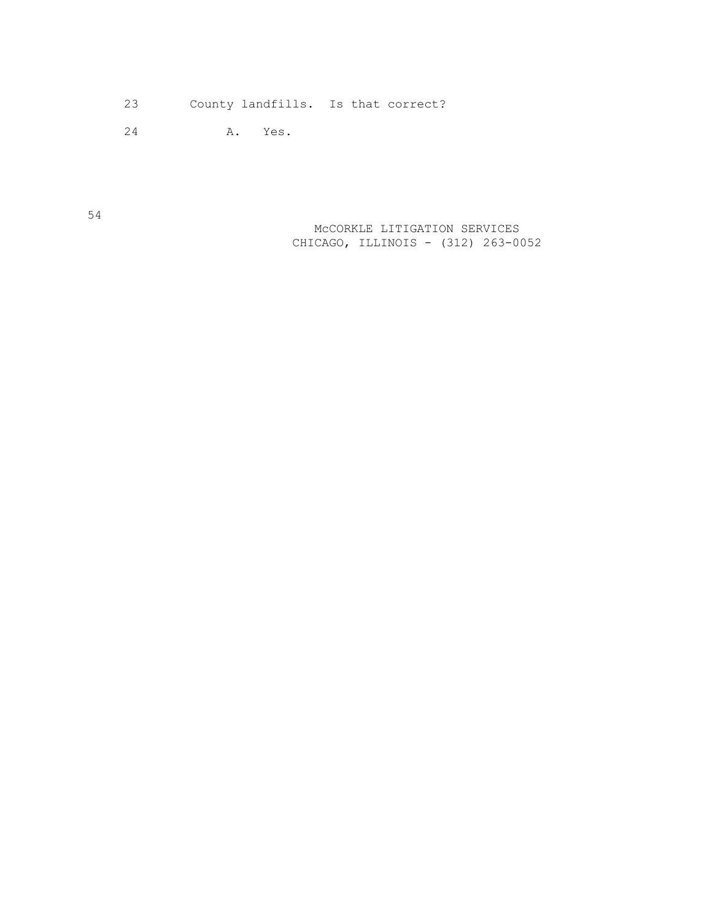23 County landfills. Is that correct?

24 A. Yes.

 McCORKLE LITIGATION SERVICES CHICAGO, ILLINOIS - (312) 263-0052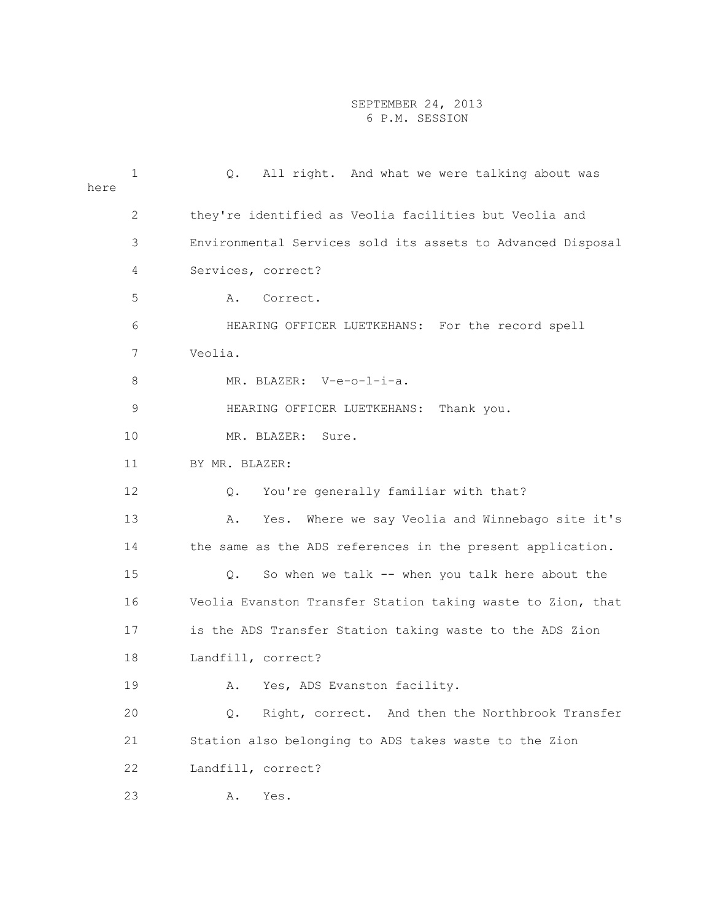| 1<br>here | All right. And what we were talking about was<br>Q.         |
|-----------|-------------------------------------------------------------|
| 2         | they're identified as Veolia facilities but Veolia and      |
| 3         | Environmental Services sold its assets to Advanced Disposal |
| 4         | Services, correct?                                          |
| 5         | Α.<br>Correct.                                              |
| 6         | HEARING OFFICER LUETKEHANS: For the record spell            |
| 7         | Veolia.                                                     |
| 8         | MR. BLAZER: V-e-o-l-i-a.                                    |
| 9         | HEARING OFFICER LUETKEHANS:<br>Thank you.                   |
| 10        | MR. BLAZER:<br>Sure.                                        |
| 11        | BY MR. BLAZER:                                              |
| 12        | You're generally familiar with that?<br>Q.                  |
| 13        | Where we say Veolia and Winnebago site it's<br>Α.<br>Yes.   |
| 14        | the same as the ADS references in the present application.  |
| 15        | So when we talk -- when you talk here about the<br>Q.       |
| 16        | Veolia Evanston Transfer Station taking waste to Zion, that |
| 17        | is the ADS Transfer Station taking waste to the ADS Zion    |
| 18        | Landfill, correct?                                          |
| 19        | A. Yes, ADS Evanston facility.                              |
| 20        | Right, correct. And then the Northbrook Transfer<br>Q.      |
| 21        | Station also belonging to ADS takes waste to the Zion       |
| 22        | Landfill, correct?                                          |
| 23        | Yes.<br>Α.                                                  |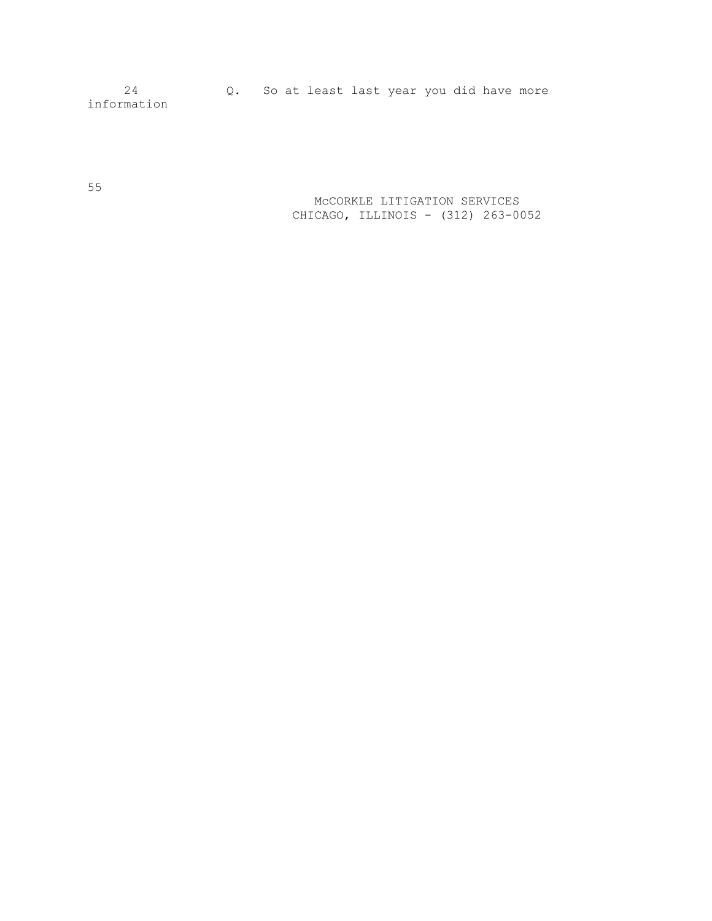24 Q. So at least last year you did have more information

55

 McCORKLE LITIGATION SERVICES CHICAGO, ILLINOIS - (312) 263-0052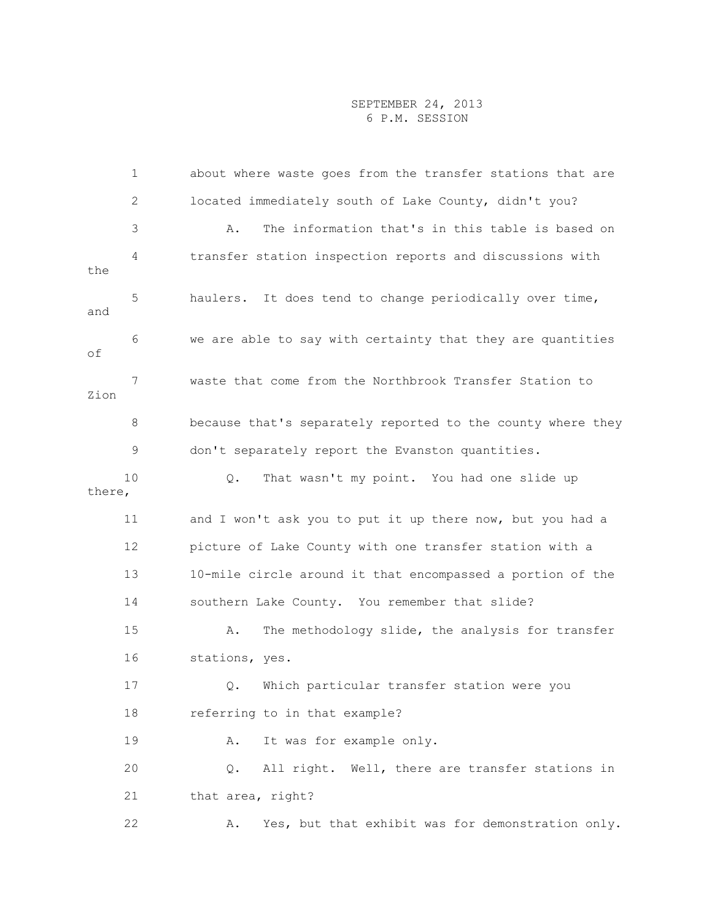|        | 1  | about where waste goes from the transfer stations that are  |
|--------|----|-------------------------------------------------------------|
|        | 2  | located immediately south of Lake County, didn't you?       |
|        | 3  | The information that's in this table is based on<br>Α.      |
| the    | 4  | transfer station inspection reports and discussions with    |
| and    | 5  | haulers. It does tend to change periodically over time,     |
| оf     | 6  | we are able to say with certainty that they are quantities  |
| Zion   | 7  | waste that come from the Northbrook Transfer Station to     |
|        | 8  | because that's separately reported to the county where they |
|        | 9  | don't separately report the Evanston quantities.            |
| there, | 10 | That wasn't my point. You had one slide up<br>Q.            |
|        | 11 | and I won't ask you to put it up there now, but you had a   |
|        | 12 | picture of Lake County with one transfer station with a     |
|        | 13 | 10-mile circle around it that encompassed a portion of the  |
|        | 14 | southern Lake County. You remember that slide?              |
|        | 15 | The methodology slide, the analysis for transfer<br>Α.      |
|        | 16 | stations, yes.                                              |
|        | 17 | Which particular transfer station were you<br>$\circ$ .     |
|        | 18 | referring to in that example?                               |
|        | 19 | It was for example only.<br>Α.                              |
|        | 20 | All right. Well, there are transfer stations in<br>Q.       |
|        | 21 | that area, right?                                           |
|        | 22 | Yes, but that exhibit was for demonstration only.<br>Α.     |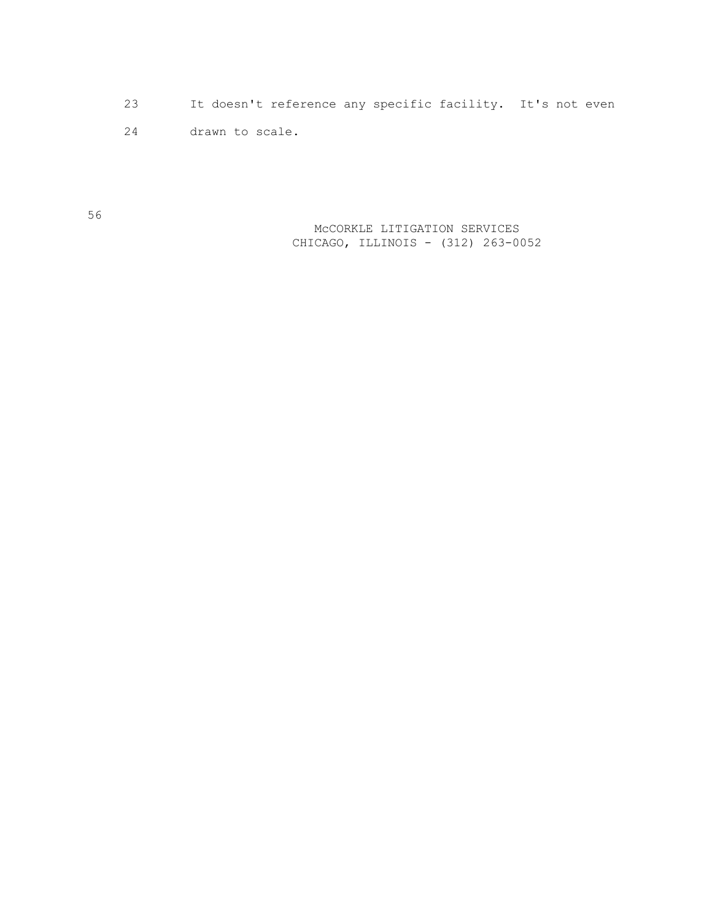- 23 It doesn't reference any specific facility. It's not even
- 24 drawn to scale.

 McCORKLE LITIGATION SERVICES CHICAGO, ILLINOIS - (312) 263-0052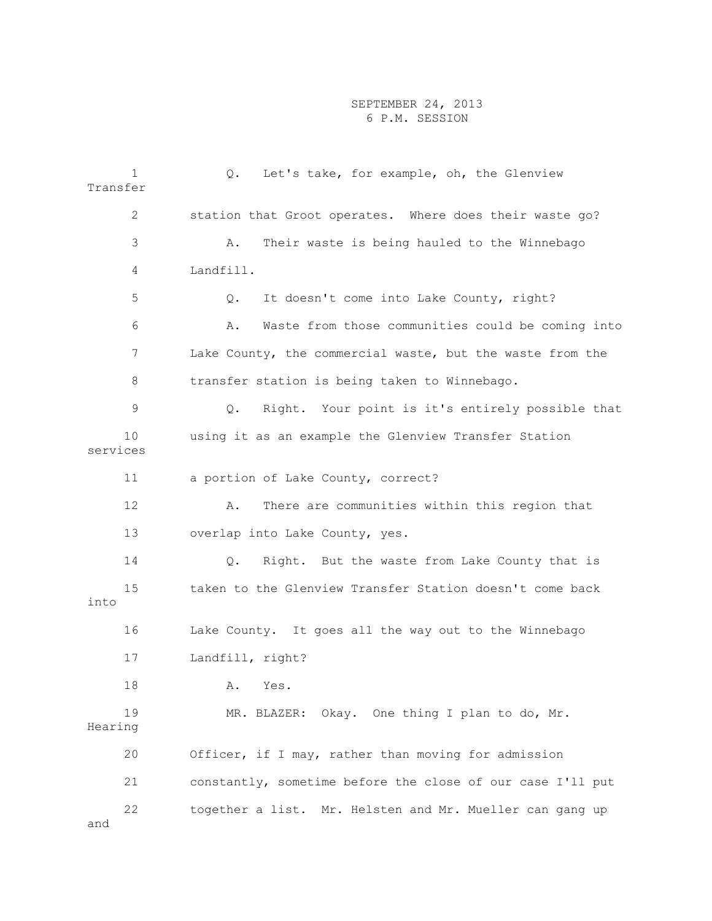| $\mathbf 1$<br>Transfer | Let's take, for example, oh, the Glenview<br>Q.            |
|-------------------------|------------------------------------------------------------|
| $\overline{2}$          | station that Groot operates. Where does their waste go?    |
| 3                       | Their waste is being hauled to the Winnebago<br>Α.         |
| 4                       | Landfill.                                                  |
| 5                       | It doesn't come into Lake County, right?<br>$Q_{\bullet}$  |
| 6                       | Waste from those communities could be coming into<br>Α.    |
| 7                       | Lake County, the commercial waste, but the waste from the  |
| 8                       | transfer station is being taken to Winnebago.              |
| 9                       | Right. Your point is it's entirely possible that<br>Q.     |
| 10<br>services          | using it as an example the Glenview Transfer Station       |
| 11                      | a portion of Lake County, correct?                         |
| 12                      | There are communities within this region that<br>Α.        |
| 13                      | overlap into Lake County, yes.                             |
| 14                      | Right. But the waste from Lake County that is<br>Q.        |
| 15<br>into              | taken to the Glenview Transfer Station doesn't come back   |
| 16                      | Lake County. It goes all the way out to the Winnebago      |
| 17                      | Landfill, right?                                           |
| $1\,8$                  | A.<br>Yes.                                                 |
| 19<br>Hearing           | MR. BLAZER: Okay. One thing I plan to do, Mr.              |
| 20                      | Officer, if I may, rather than moving for admission        |
| 21                      | constantly, sometime before the close of our case I'll put |
| 22<br>and               | together a list. Mr. Helsten and Mr. Mueller can gang up   |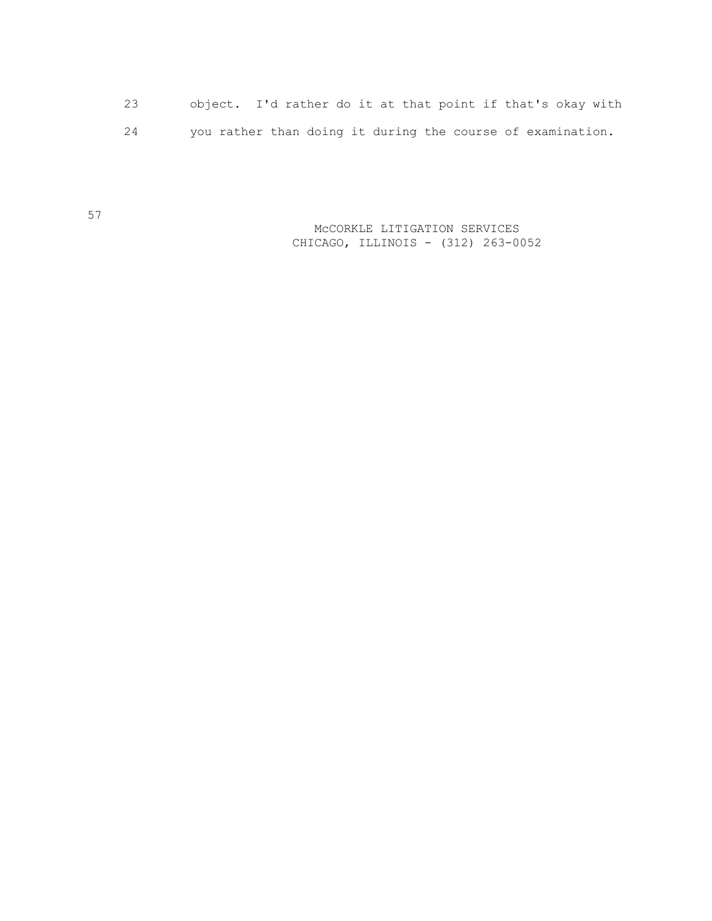|  |  |  | object. I'd rather do it at that point if that's okay with |  |
|--|--|--|------------------------------------------------------------|--|
|  |  |  | you rather than doing it during the course of examination. |  |

 McCORKLE LITIGATION SERVICES CHICAGO, ILLINOIS - (312) 263-0052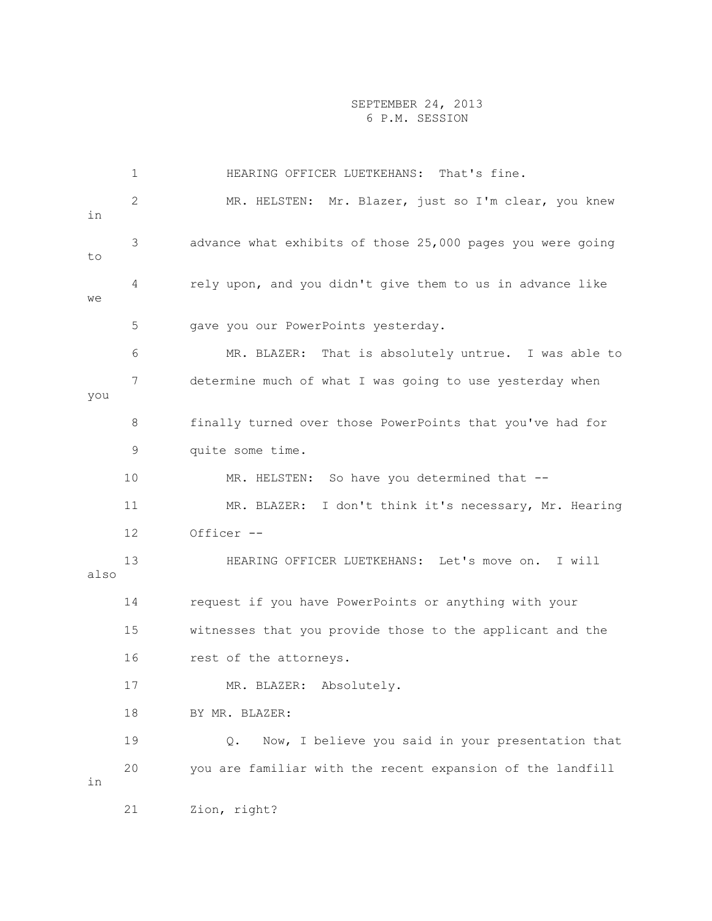|      | $\mathbf 1$ | HEARING OFFICER LUETKEHANS: That's fine.                   |
|------|-------------|------------------------------------------------------------|
| in   | 2           | MR. HELSTEN: Mr. Blazer, just so I'm clear, you knew       |
| to   | 3           | advance what exhibits of those 25,000 pages you were going |
| we   | 4           | rely upon, and you didn't give them to us in advance like  |
|      | 5           | gave you our PowerPoints yesterday.                        |
|      | 6           | MR. BLAZER: That is absolutely untrue. I was able to       |
| you  | 7           | determine much of what I was going to use yesterday when   |
|      | 8           | finally turned over those PowerPoints that you've had for  |
|      | 9           | quite some time.                                           |
|      | 10          | MR. HELSTEN: So have you determined that --                |
|      | 11          | MR. BLAZER: I don't think it's necessary, Mr. Hearing      |
|      | 12          | Officer --                                                 |
| also | 13          | HEARING OFFICER LUETKEHANS: Let's move on. I will          |
|      | 14          | request if you have PowerPoints or anything with your      |
|      | 15          | witnesses that you provide those to the applicant and the  |
|      | 16          | rest of the attorneys.                                     |
|      | 17          | MR. BLAZER: Absolutely.                                    |
|      | 18          | BY MR. BLAZER:                                             |
|      | 19          | Now, I believe you said in your presentation that<br>Q.    |
| in   | 20          | you are familiar with the recent expansion of the landfill |
|      | 21          | Zion, right?                                               |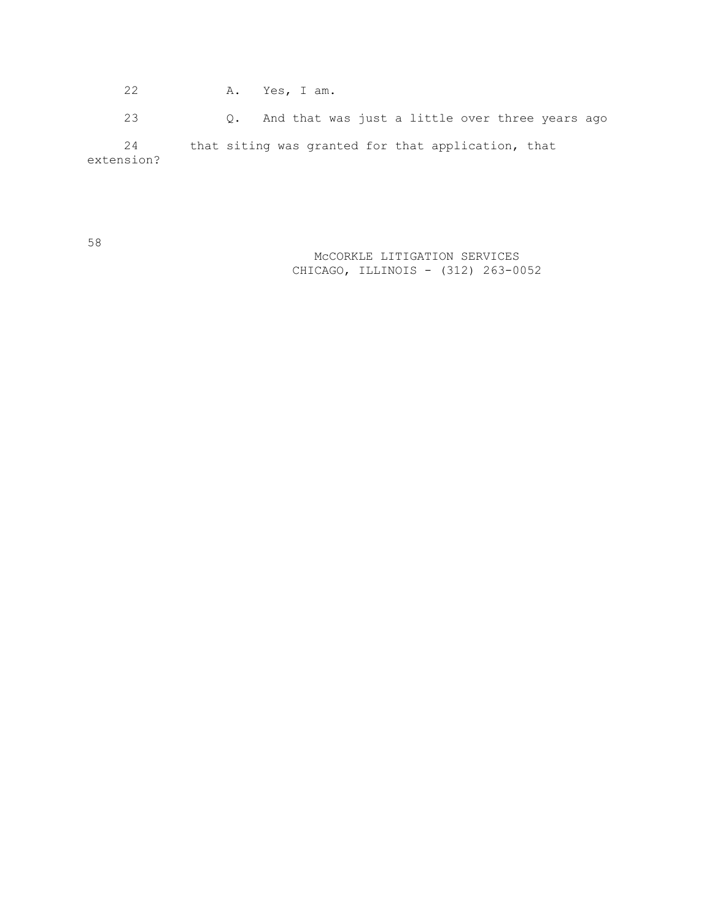22 A. Yes, I am.

 23 Q. And that was just a little over three years ago 24 that siting was granted for that application, that extension?

58

 McCORKLE LITIGATION SERVICES CHICAGO, ILLINOIS - (312) 263-0052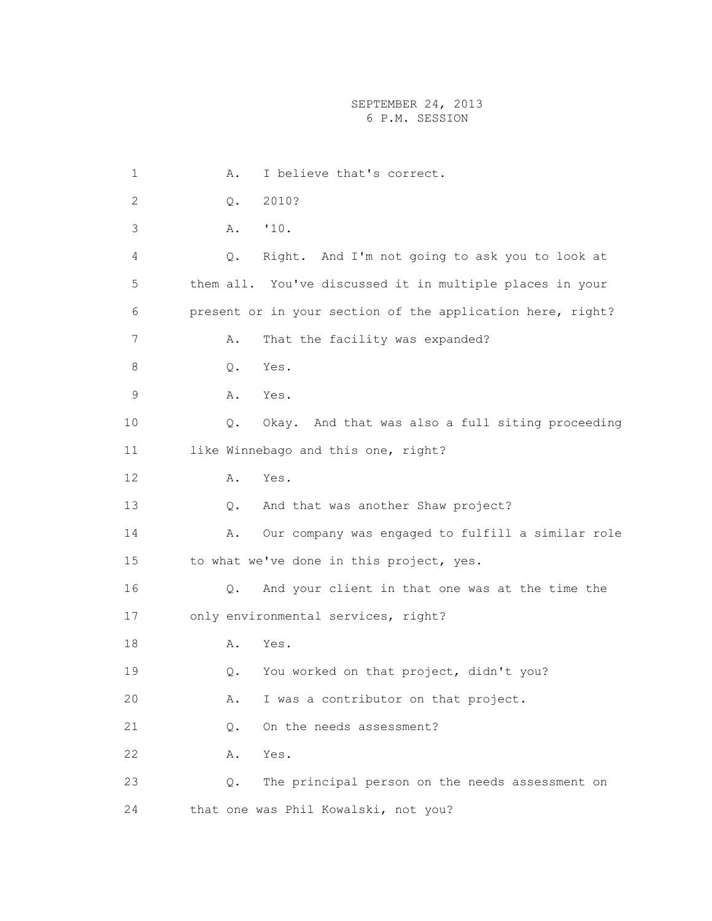1 A. I believe that's correct. 2 Q. 2010? 3 A. '10. 4 Q. Right. And I'm not going to ask you to look at 5 them all. You've discussed it in multiple places in your 6 present or in your section of the application here, right? 7 A. That the facility was expanded? 8 Q. Yes. 9 A. Yes. 10 Q. Okay. And that was also a full siting proceeding 11 like Winnebago and this one, right? 12 A. Yes. 13 Q. And that was another Shaw project? 14 A. Our company was engaged to fulfill a similar role 15 to what we've done in this project, yes. 16 Q. And your client in that one was at the time the 17 only environmental services, right? 18 A. Yes 19 Q. You worked on that project, didn't you? 20 A. I was a contributor on that project. 21 Q. On the needs assessment? 22 A. Yes. 23 Q. The principal person on the needs assessment on 24 that one was Phil Kowalski, not you?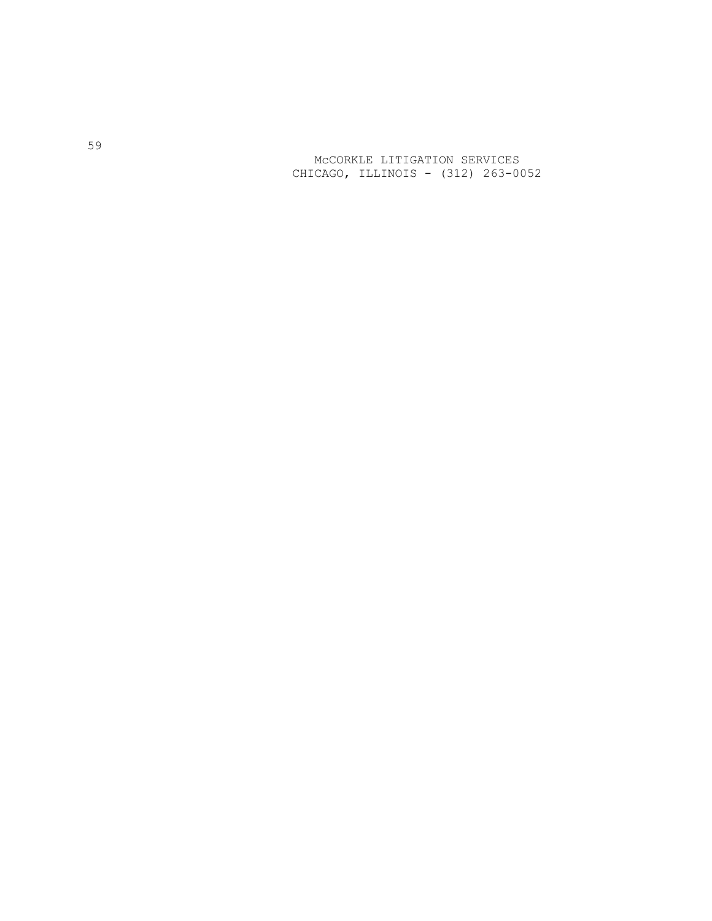McCORKLE LITIGATION SERVICES CHICAGO, ILLINOIS - (312) 263 -0052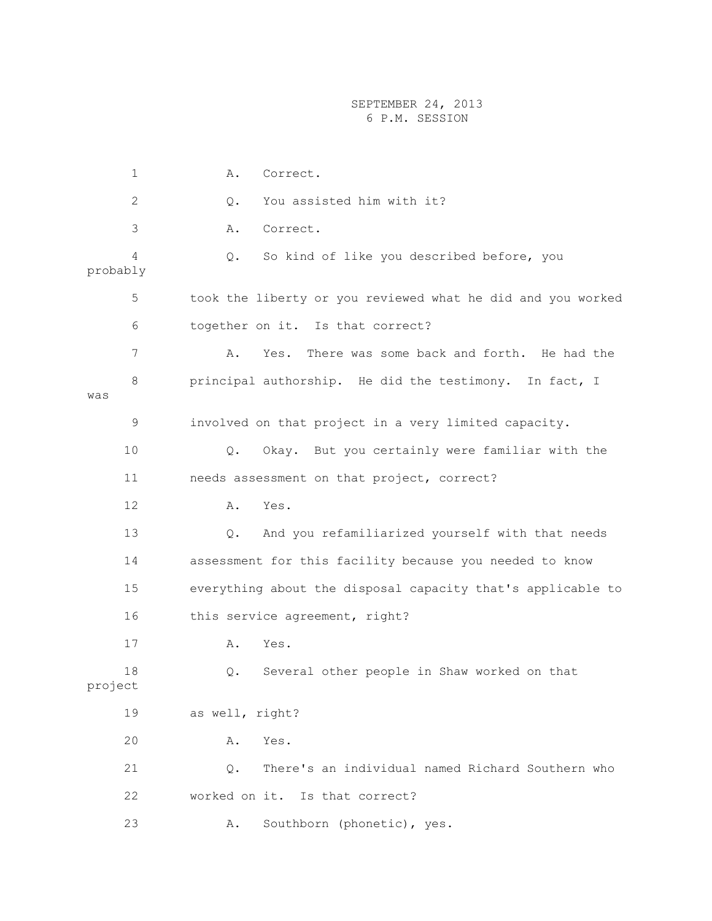1 A. Correct. 2 Q. You assisted him with it? 3 A. Correct. 4 Q. So kind of like you described before, you probably 5 took the liberty or you reviewed what he did and you worked 6 together on it. Is that correct? 7 A. Yes. There was some back and forth. He had the 8 principal authorship. He did the testimony. In fact, I was 9 involved on that project in a very limited capacity. 10 Q. Okay. But you certainly were familiar with the 11 needs assessment on that project, correct? 12 A. Yes. 13 Q. And you refamiliarized yourself with that needs 14 assessment for this facility because you needed to know 15 everything about the disposal capacity that's applicable to 16 this service agreement, right? 17 A. Yes. 18 Q. Several other people in Shaw worked on that project 19 as well, right? 20 A. Yes. 21 Q. There's an individual named Richard Southern who 22 worked on it. Is that correct? 23 A. Southborn (phonetic), yes.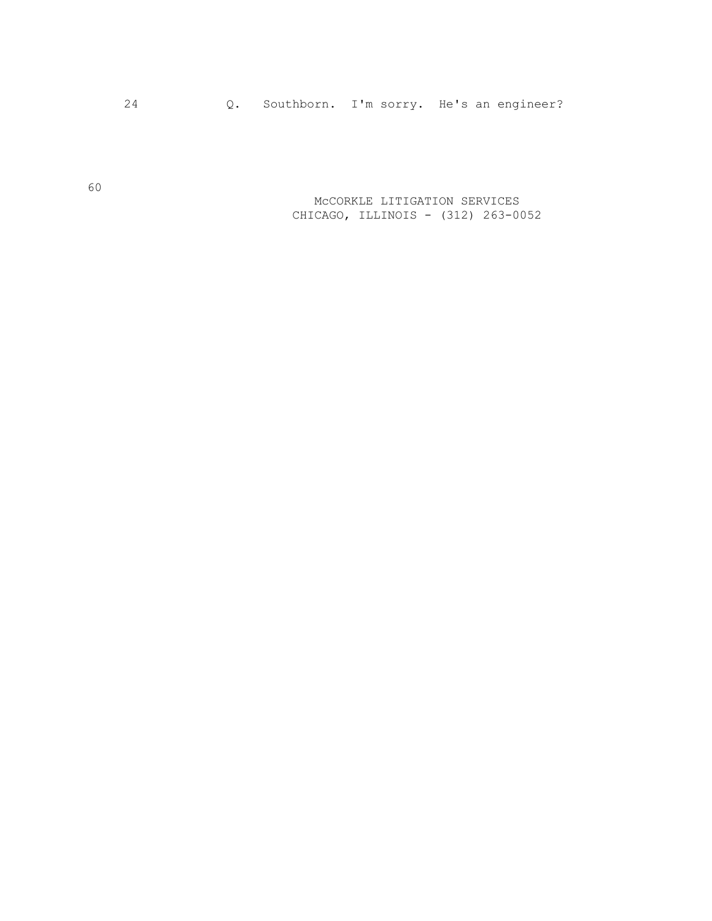24 Q. Southborn. I'm sorry. He's an engineer?

 McCORKLE LITIGATION SERVICES CHICAGO, ILLINOIS - (312) 263-0052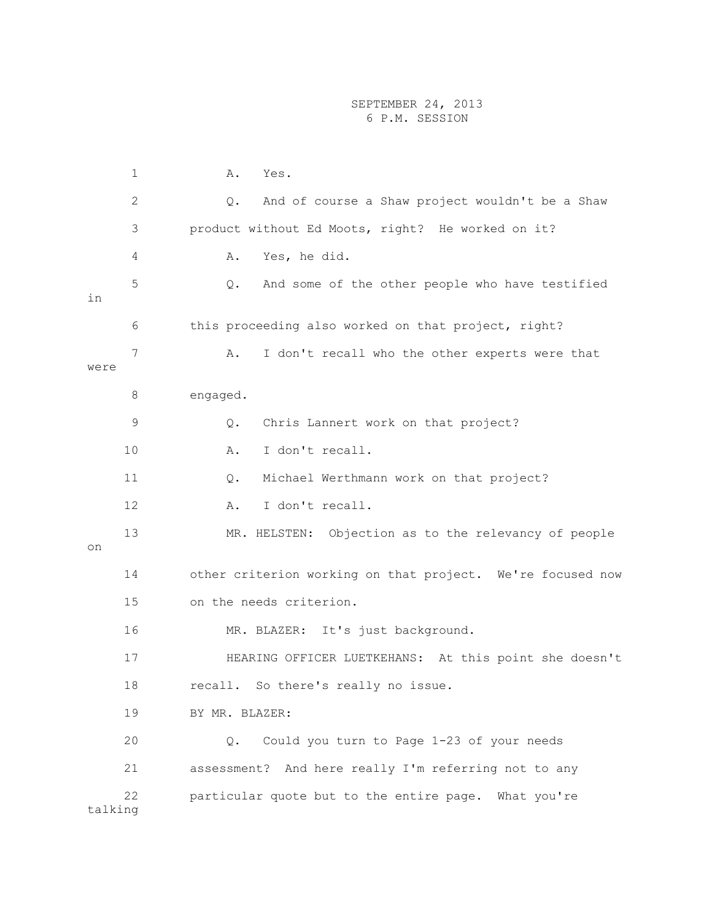|         | $\mathbf 1$  | Yes.<br>Α.                                                 |
|---------|--------------|------------------------------------------------------------|
|         | $\mathbf{2}$ | And of course a Shaw project wouldn't be a Shaw<br>Q.      |
|         | 3            | product without Ed Moots, right? He worked on it?          |
|         | 4            | Yes, he did.<br>Α.                                         |
| in      | 5            | And some of the other people who have testified<br>Q.      |
|         | 6            | this proceeding also worked on that project, right?        |
| were    | 7            | Α.<br>I don't recall who the other experts were that       |
|         | 8            | engaged.                                                   |
|         | 9            | Chris Lannert work on that project?<br>Q.                  |
|         | 10           | I don't recall.<br>Α.                                      |
|         | 11           | Michael Werthmann work on that project?<br>Q.              |
|         | 12           | I don't recall.<br>Α.                                      |
| on      | 13           | MR. HELSTEN: Objection as to the relevancy of people       |
|         | 14           | other criterion working on that project. We're focused now |
|         | 15           | on the needs criterion.                                    |
|         | 16           | MR. BLAZER: It's just background.                          |
|         | 17           | HEARING OFFICER LUETKEHANS: At this point she doesn't      |
|         | 18           | recall. So there's really no issue.                        |
|         | 19           | BY MR. BLAZER:                                             |
|         | 20           | Could you turn to Page 1-23 of your needs<br>Q.            |
|         | 21           | And here really I'm referring not to any<br>assessment?    |
| talking | 22           | particular quote but to the entire page. What you're       |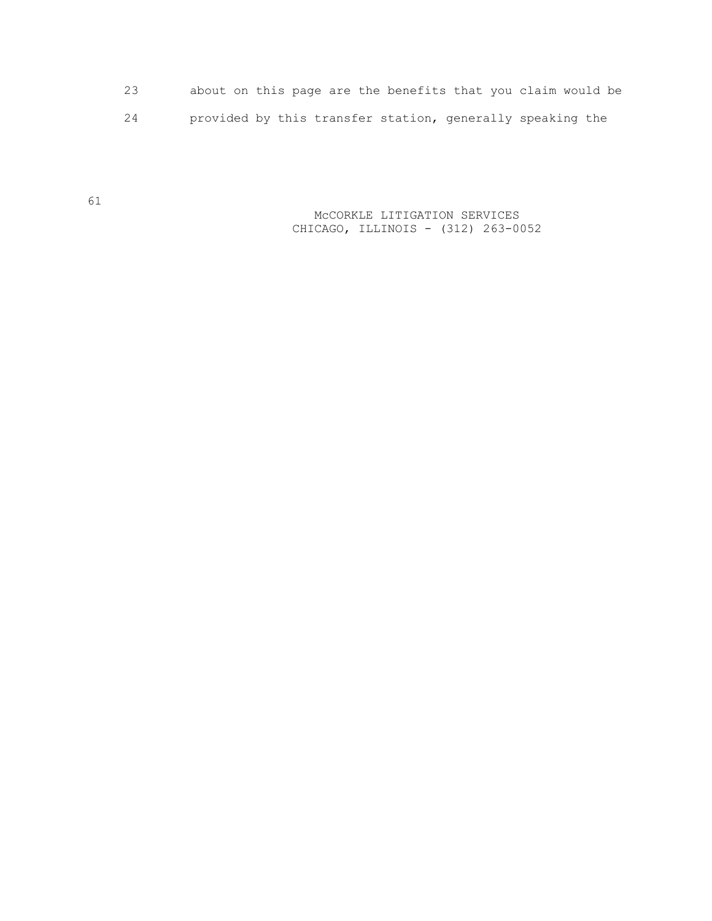23 about on this page are the benefits that you claim would be 24 provided by this transfer station, generally speaking the

> McCORKLE LITIGATION SERVICES CHICAGO, ILLINOIS - (312) 263-0052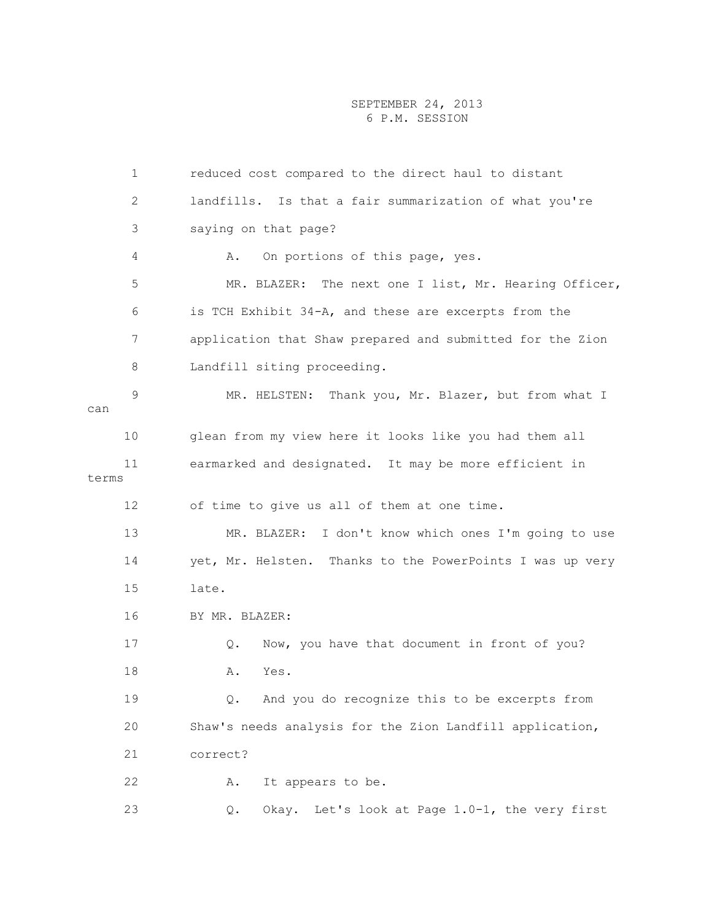1 reduced cost compared to the direct haul to distant 2 landfills. Is that a fair summarization of what you're 3 saying on that page? 4 A. On portions of this page, yes. 5 MR. BLAZER: The next one I list, Mr. Hearing Officer, 6 is TCH Exhibit 34-A, and these are excerpts from the 7 application that Shaw prepared and submitted for the Zion 8 Landfill siting proceeding. 9 MR. HELSTEN: Thank you, Mr. Blazer, but from what I can 10 glean from my view here it looks like you had them all 11 earmarked and designated. It may be more efficient in terms 12 of time to give us all of them at one time. 13 MR. BLAZER: I don't know which ones I'm going to use 14 yet, Mr. Helsten. Thanks to the PowerPoints I was up very 15 late. 16 BY MR. BLAZER: 17 Q. Now, you have that document in front of you? 18 **A.** Yes. 19 Q. And you do recognize this to be excerpts from 20 Shaw's needs analysis for the Zion Landfill application, 21 correct? 22 A. It appears to be. 23 Q. Okay. Let's look at Page 1.0-1, the very first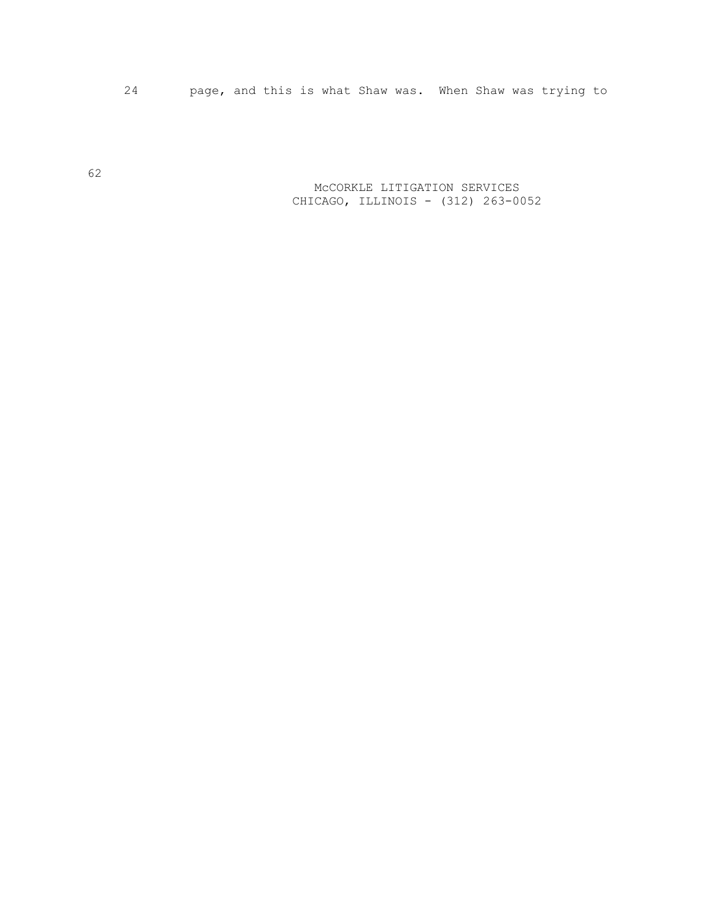24 page, and this is what Shaw was. When Shaw was trying to

 McCORKLE LITIGATION SERVICES CHICAGO, ILLINOIS - (312) 263-0052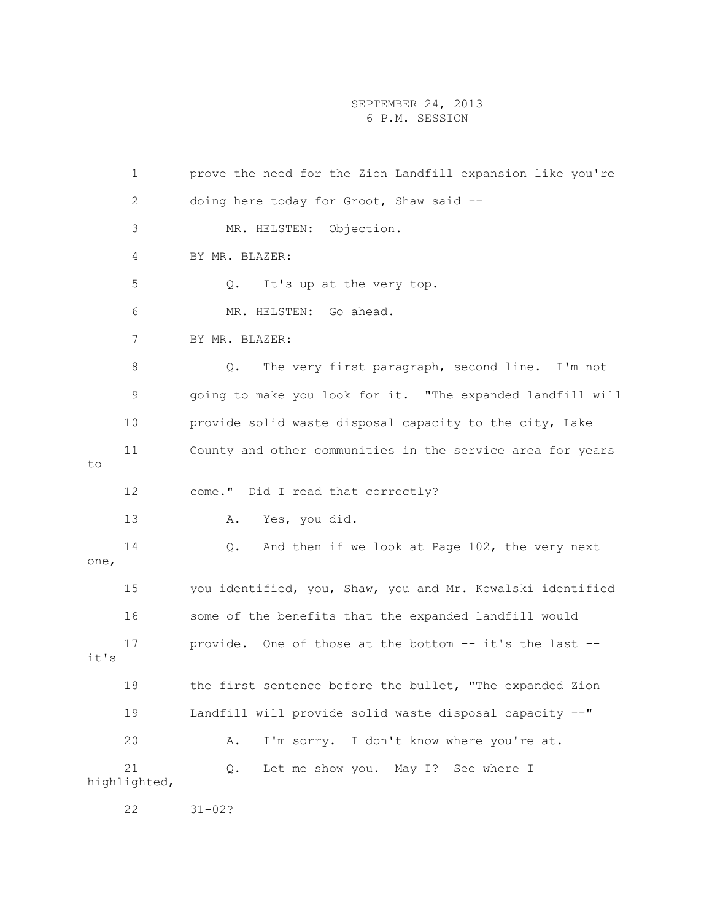1 prove the need for the Zion Landfill expansion like you're 2 doing here today for Groot, Shaw said -- 3 MR. HELSTEN: Objection. 4 BY MR. BLAZER: 5 Q. It's up at the very top. 6 MR. HELSTEN: Go ahead. 7 BY MR. BLAZER: 8 Q. The very first paragraph, second line. I'm not 9 going to make you look for it. "The expanded landfill will 10 provide solid waste disposal capacity to the city, Lake 11 County and other communities in the service area for years to 12 come." Did I read that correctly? 13 A. Yes, you did. 14 Q. And then if we look at Page 102, the very next one, 15 you identified, you, Shaw, you and Mr. Kowalski identified 16 some of the benefits that the expanded landfill would 17 provide. One of those at the bottom -- it's the last - it's 18 the first sentence before the bullet, "The expanded Zion 19 Landfill will provide solid waste disposal capacity --" 20 A. I'm sorry. I don't know where you're at. 21 Q. Let me show you. May I? See where I highlighted,

22 31-02?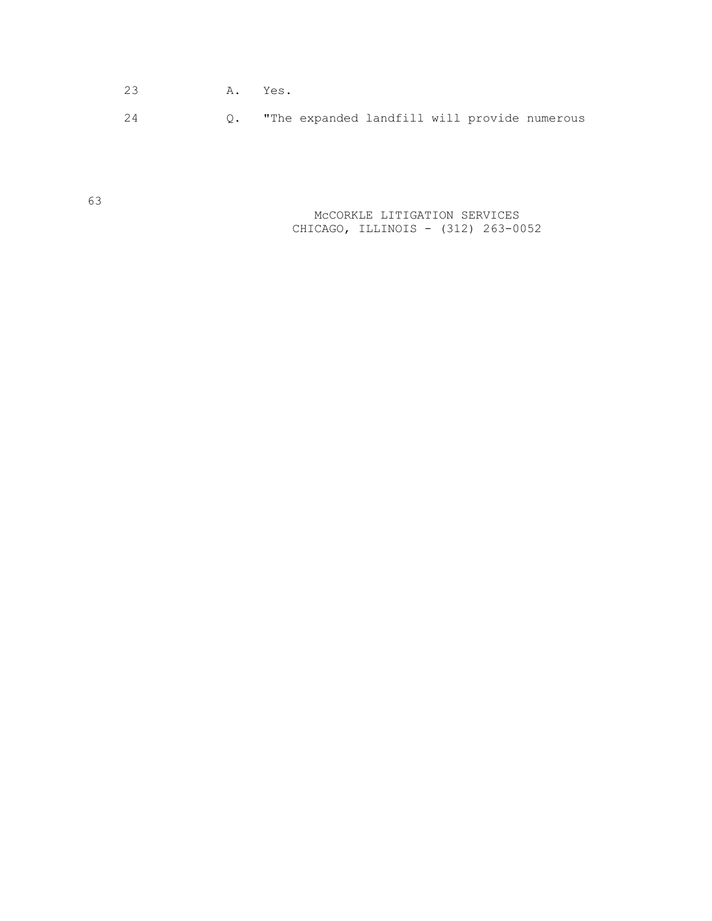- 23 A. Yes.
- 24 Q. "The expanded landfill will provide numerous

 McCORKLE LITIGATION SERVICES CHICAGO, ILLINOIS - (312) 263-0052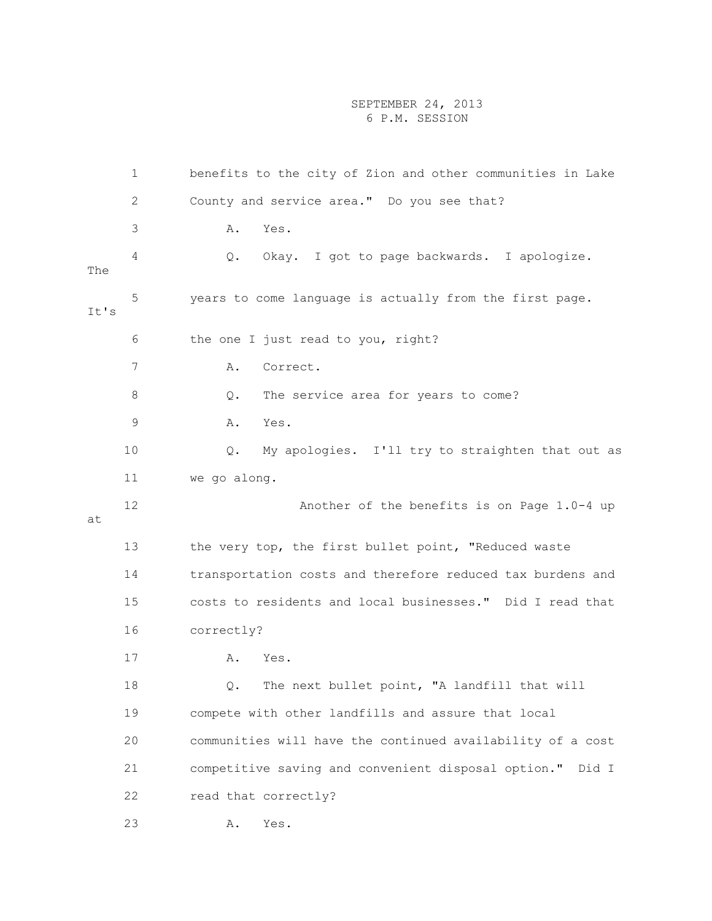|      | 1  | benefits to the city of Zion and other communities in Lake   |
|------|----|--------------------------------------------------------------|
|      | 2  | County and service area." Do you see that?                   |
|      | 3  | Yes.<br>Α.                                                   |
| The  | 4  | Okay. I got to page backwards. I apologize.<br>Q.            |
| It's | 5  | years to come language is actually from the first page.      |
|      | 6  | the one I just read to you, right?                           |
|      | 7  | Α.<br>Correct.                                               |
|      | 8  | The service area for years to come?<br>Q.                    |
|      | 9  | Yes.<br>Α.                                                   |
|      | 10 | My apologies. I'll try to straighten that out as<br>Q.       |
|      | 11 | we go along.                                                 |
| at   | 12 | Another of the benefits is on Page 1.0-4 up                  |
|      | 13 | the very top, the first bullet point, "Reduced waste         |
|      | 14 | transportation costs and therefore reduced tax burdens and   |
|      | 15 | costs to residents and local businesses." Did I read that    |
|      | 16 | correctly?                                                   |
|      | 17 | Yes.<br>Α.                                                   |
|      | 18 | The next bullet point, "A landfill that will<br>Q.           |
|      | 19 | compete with other landfills and assure that local           |
|      | 20 | communities will have the continued availability of a cost   |
|      | 21 | competitive saving and convenient disposal option."<br>Did I |
|      | 22 | read that correctly?                                         |
|      | 23 | Α.<br>Yes.                                                   |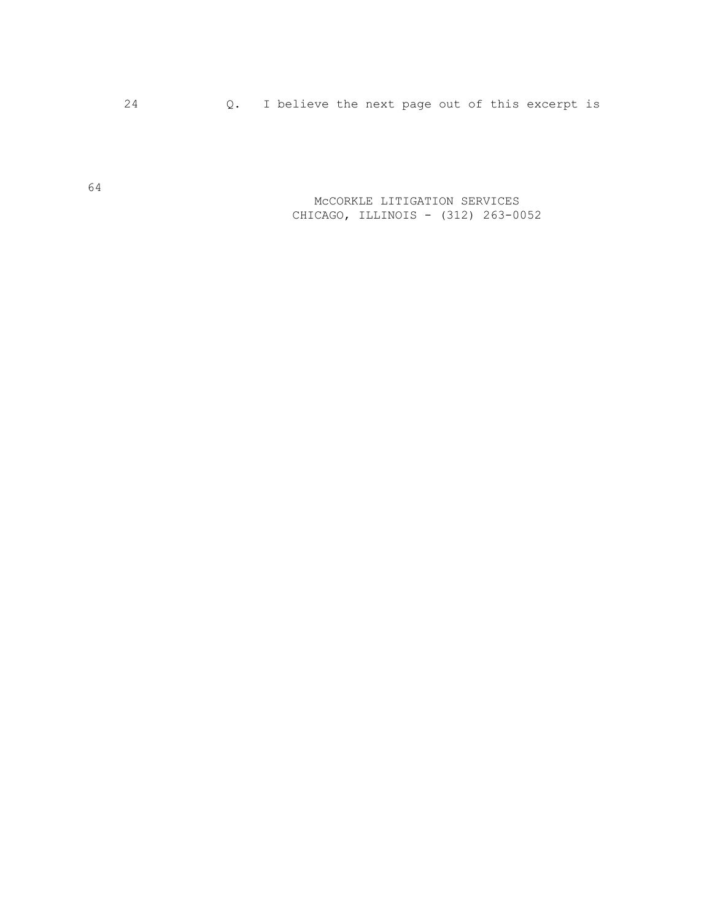24 Q. I believe the next page out of this excerpt is

 McCORKLE LITIGATION SERVICES CHICAGO, ILLINOIS - (312) 263-0052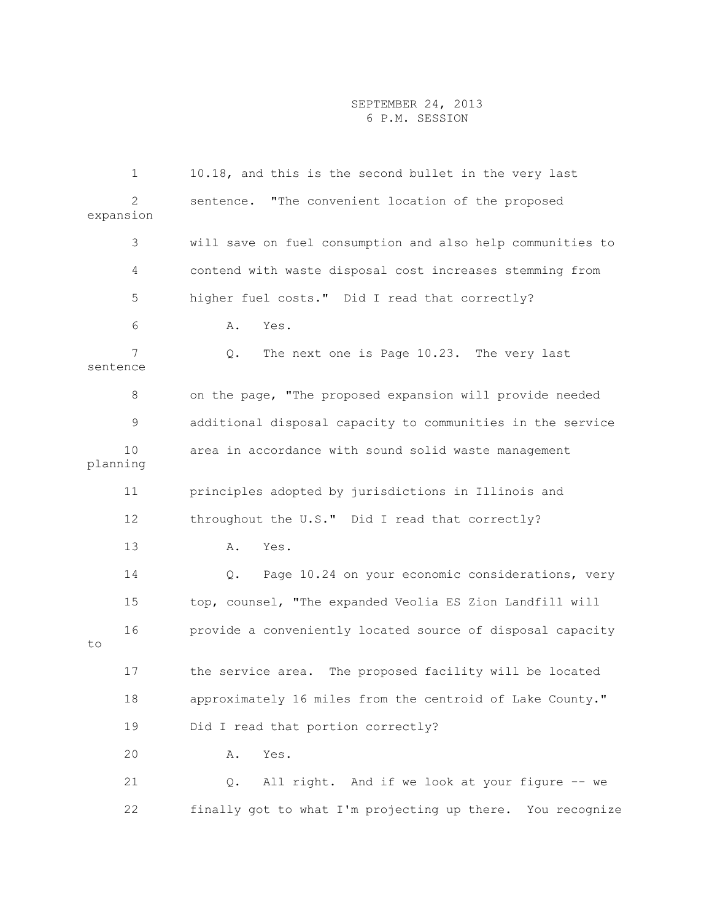| $\mathbf 1$                 | 10.18, and this is the second bullet in the very last      |
|-----------------------------|------------------------------------------------------------|
| $\overline{2}$<br>expansion | sentence. "The convenient location of the proposed         |
| 3                           | will save on fuel consumption and also help communities to |
| 4                           | contend with waste disposal cost increases stemming from   |
| 5                           | higher fuel costs." Did I read that correctly?             |
| 6                           | Α.<br>Yes.                                                 |
| 7<br>sentence               | The next one is Page 10.23. The very last<br>Q.            |
| 8                           | on the page, "The proposed expansion will provide needed   |
| 9                           | additional disposal capacity to communities in the service |
| 10<br>planning              | area in accordance with sound solid waste management       |
| 11                          | principles adopted by jurisdictions in Illinois and        |
| 12                          | throughout the U.S." Did I read that correctly?            |
| 13                          | Α.<br>Yes.                                                 |
| 14                          | Page 10.24 on your economic considerations, very<br>Q.     |
| 15                          | top, counsel, "The expanded Veolia ES Zion Landfill will   |
| 16<br>to                    | provide a conveniently located source of disposal capacity |
| 17                          | the service area. The proposed facility will be located    |
| 18                          | approximately 16 miles from the centroid of Lake County."  |
| 19                          | Did I read that portion correctly?                         |
| 20                          | Α.<br>Yes.                                                 |
| 21                          | All right. And if we look at your figure -- we<br>Q.       |
| 22                          | finally got to what I'm projecting up there. You recognize |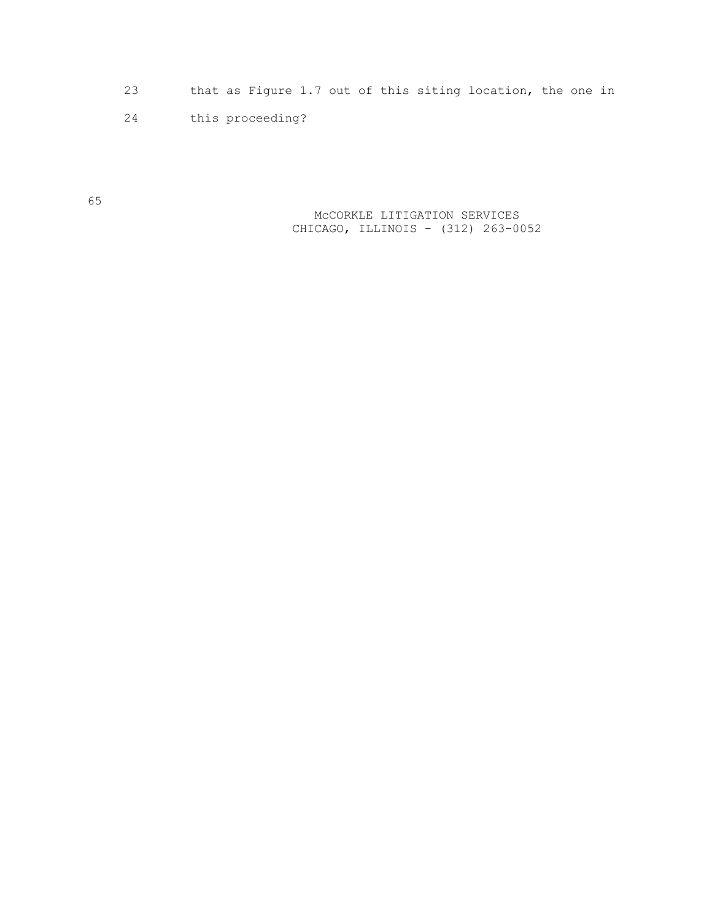- 23 that as Figure 1.7 out of this siting location, the one in
- 24 this proceeding?

 McCORKLE LITIGATION SERVICES CHICAGO, ILLINOIS - (312) 263-0052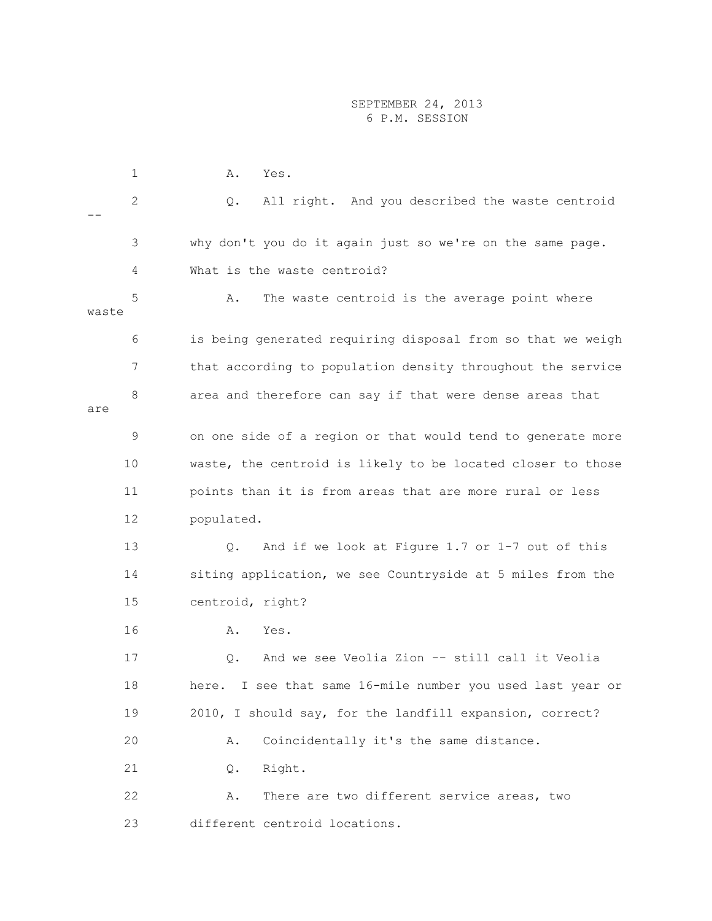|       | $\mathbf 1$ | Yes.<br>Α.                                                  |
|-------|-------------|-------------------------------------------------------------|
|       | 2           | All right. And you described the waste centroid<br>Q.       |
|       | $\mathsf 3$ | why don't you do it again just so we're on the same page.   |
|       | 4           | What is the waste centroid?                                 |
| waste | 5           | The waste centroid is the average point where<br>Α.         |
|       | 6           | is being generated requiring disposal from so that we weigh |
|       | 7           | that according to population density throughout the service |
| are   | 8           | area and therefore can say if that were dense areas that    |
|       | 9           | on one side of a region or that would tend to generate more |
|       | 10          | waste, the centroid is likely to be located closer to those |
|       | 11          | points than it is from areas that are more rural or less    |
|       | 12          | populated.                                                  |
|       | 13          | And if we look at Figure 1.7 or 1-7 out of this<br>$Q$ .    |
|       | 14          | siting application, we see Countryside at 5 miles from the  |
|       | 15          | centroid, right?                                            |
|       | 16          | Yes.<br>Α.                                                  |
|       | 17          | And we see Veolia Zion -- still call it Veolia<br>Q.        |
|       | 18          | here. I see that same 16-mile number you used last year or  |
|       | 19          | 2010, I should say, for the landfill expansion, correct?    |
|       | 20          | Coincidentally it's the same distance.<br>Α.                |
|       | 21          | Right.<br>Q.                                                |
|       | 22          | There are two different service areas, two<br>Α.            |
|       | 23          | different centroid locations.                               |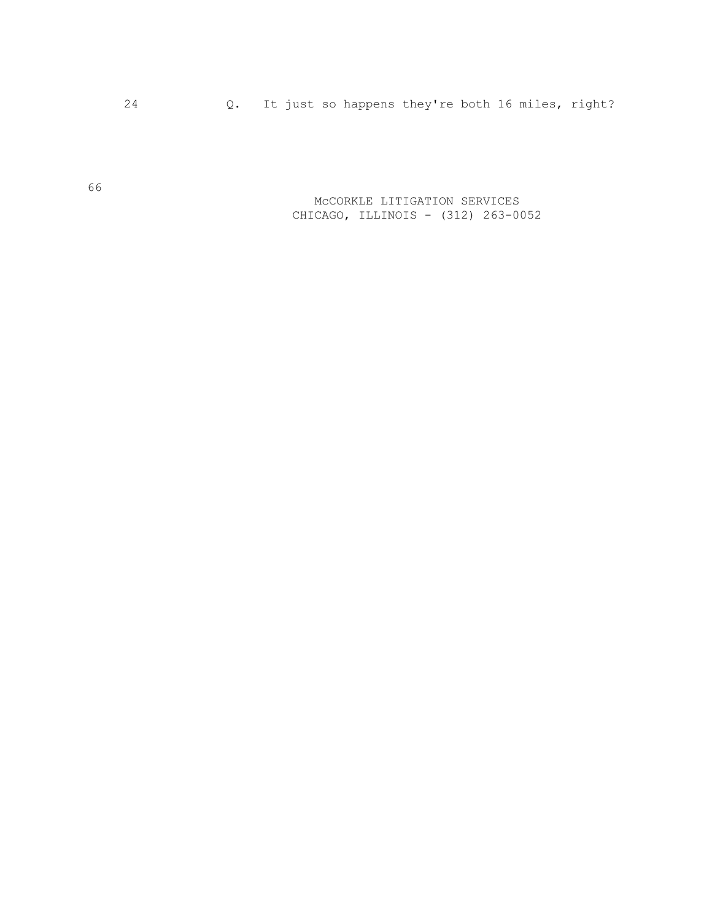24 Q. It just so happens they're both 16 miles, right?

 McCORKLE LITIGATION SERVICES CHICAGO, ILLINOIS - (312) 263-0052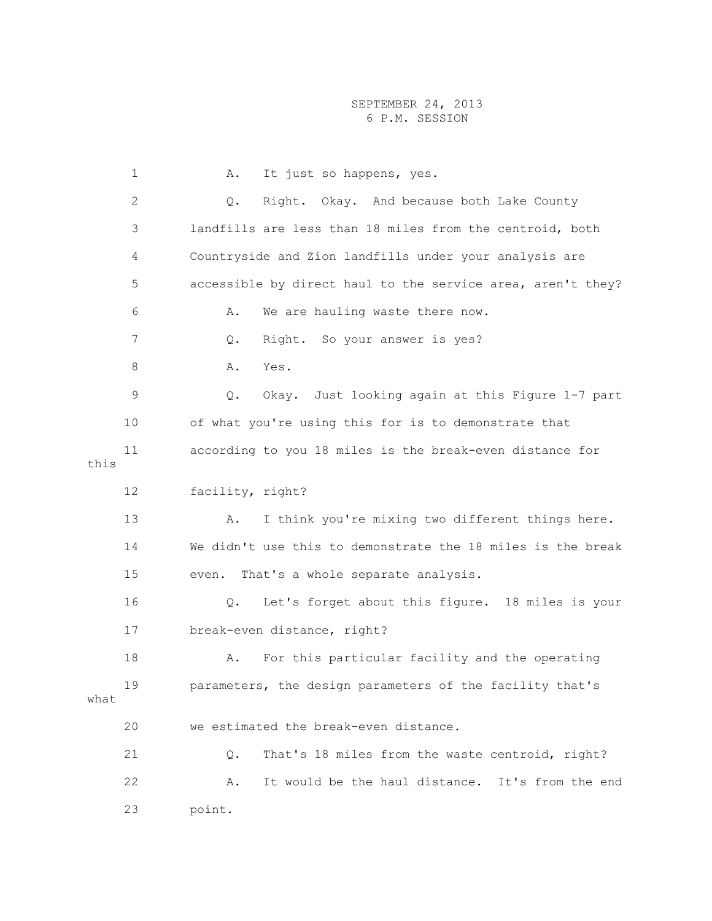1 A. It just so happens, yes. 2 Q. Right. Okay. And because both Lake County 3 landfills are less than 18 miles from the centroid, both 4 Countryside and Zion landfills under your analysis are 5 accessible by direct haul to the service area, aren't they? 6 A. We are hauling waste there now. 7 Q. Right. So your answer is yes? 8 A. Yes. 9 Q. Okay. Just looking again at this Figure 1-7 part 10 of what you're using this for is to demonstrate that 11 according to you 18 miles is the break-even distance for this 12 facility, right? 13 A. I think you're mixing two different things here. 14 We didn't use this to demonstrate the 18 miles is the break 15 even. That's a whole separate analysis. 16 Q. Let's forget about this figure. 18 miles is your 17 break-even distance, right? 18 A. For this particular facility and the operating 19 parameters, the design parameters of the facility that's what 20 we estimated the break-even distance. 21 Q. That's 18 miles from the waste centroid, right? 22 A. It would be the haul distance. It's from the end 23 point.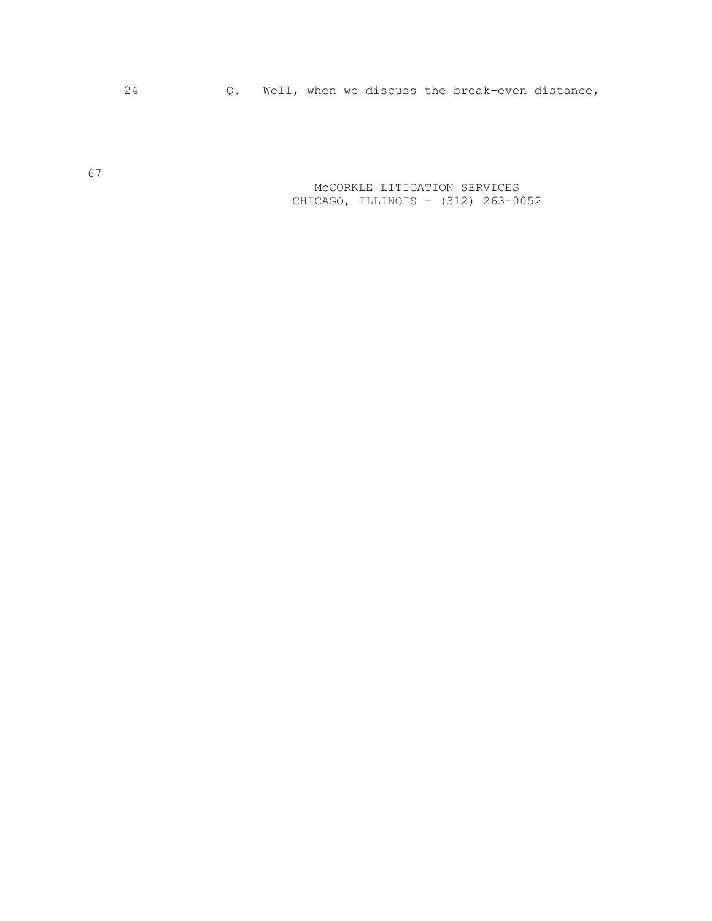24 Q. Well, when we discuss the break-even distance,

 McCORKLE LITIGATION SERVICES CHICAGO, ILLINOIS - (312) 263-0052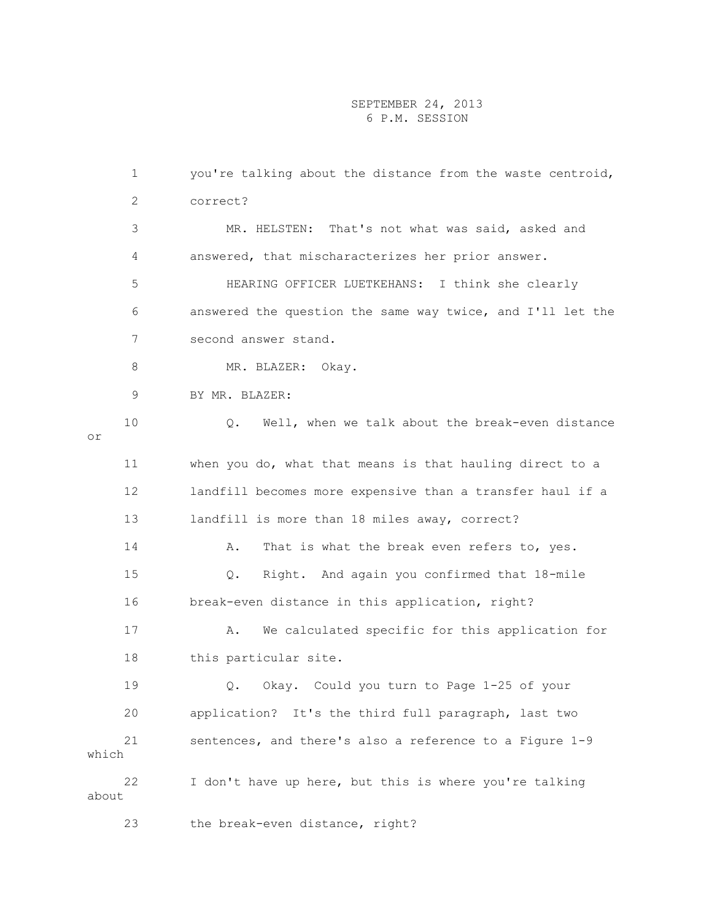|                | 1  | you're talking about the distance from the waste centroid, |
|----------------|----|------------------------------------------------------------|
|                | 2  | correct?                                                   |
|                | 3  | MR. HELSTEN: That's not what was said, asked and           |
|                | 4  | answered, that mischaracterizes her prior answer.          |
|                | 5  | HEARING OFFICER LUETKEHANS: I think she clearly            |
|                | 6  | answered the question the same way twice, and I'll let the |
|                | 7  | second answer stand.                                       |
|                | 8  | MR. BLAZER: Okay.                                          |
|                | 9  | BY MR. BLAZER:                                             |
| O <sub>T</sub> | 10 | Q.<br>Well, when we talk about the break-even distance     |
|                | 11 | when you do, what that means is that hauling direct to a   |
|                | 12 | landfill becomes more expensive than a transfer haul if a  |
|                | 13 | landfill is more than 18 miles away, correct?              |
|                | 14 | Α.<br>That is what the break even refers to, yes.          |
|                | 15 | Right. And again you confirmed that 18-mile<br>Q.          |
|                | 16 | break-even distance in this application, right?            |
|                | 17 | We calculated specific for this application for<br>Α.      |
|                | 18 | this particular site.                                      |
|                | 19 | Okay. Could you turn to Page 1-25 of your<br>Q.            |
|                | 20 | application? It's the third full paragraph, last two       |
| which          | 21 | sentences, and there's also a reference to a Figure 1-9    |
| about          | 22 | I don't have up here, but this is where you're talking     |
|                | 23 | the break-even distance, right?                            |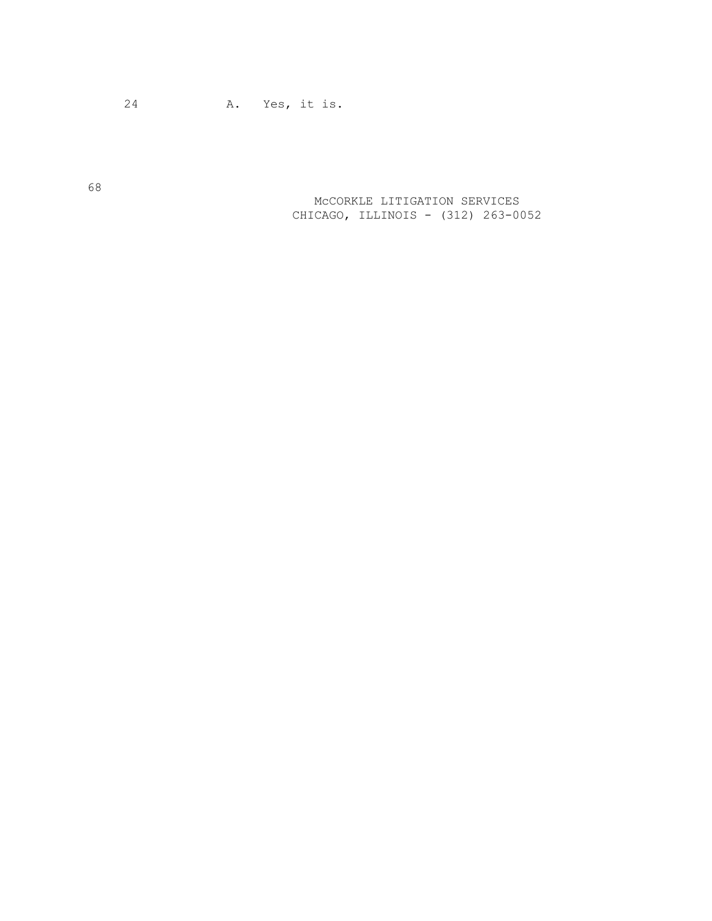24 A. Yes, it is.

 McCORKLE LITIGATION SERVICES CHICAGO, ILLINOIS - (312) 263-0052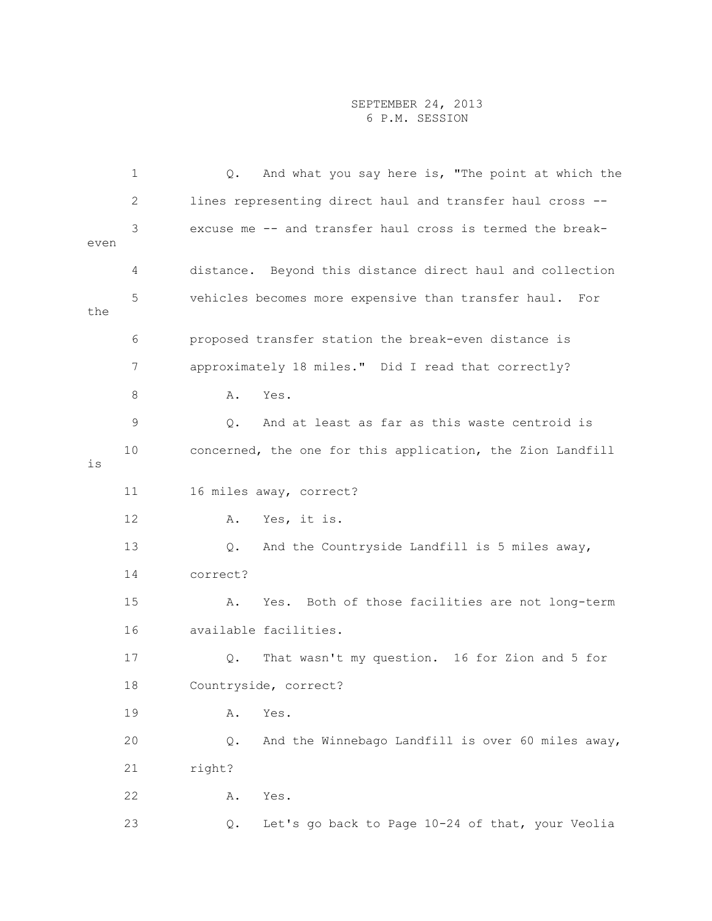| $\mathbf 1$ | $Q$ .         | And what you say here is, "The point at which the          |
|-------------|---------------|------------------------------------------------------------|
| 2           |               | lines representing direct haul and transfer haul cross --  |
| 3<br>even   |               | excuse me -- and transfer haul cross is termed the break-  |
| 4           |               | distance. Beyond this distance direct haul and collection  |
| 5<br>the    |               | vehicles becomes more expensive than transfer haul. For    |
| 6           |               | proposed transfer station the break-even distance is       |
| 7           |               | approximately 18 miles." Did I read that correctly?        |
| 8           | Α.            | Yes.                                                       |
| 9           | $Q_{\bullet}$ | And at least as far as this waste centroid is              |
| 10<br>is    |               | concerned, the one for this application, the Zion Landfill |
| 11          |               | 16 miles away, correct?                                    |
| 12          | Α.            | Yes, it is.                                                |
| 13          | Q.            | And the Countryside Landfill is 5 miles away,              |
| 14          | correct?      |                                                            |
| 15          | Α.            | Yes. Both of those facilities are not long-term            |
| 16          |               | available facilities.                                      |
| 17          | Q.            | That wasn't my question. 16 for Zion and 5 for             |
| 18          |               | Countryside, correct?                                      |
| 19          | Α.            | Yes.                                                       |
| 20          | Q.            | And the Winnebago Landfill is over 60 miles away,          |
| 21          | right?        |                                                            |
| 22          | Α.            | Yes.                                                       |
| 23          | Q.            | Let's go back to Page 10-24 of that, your Veolia           |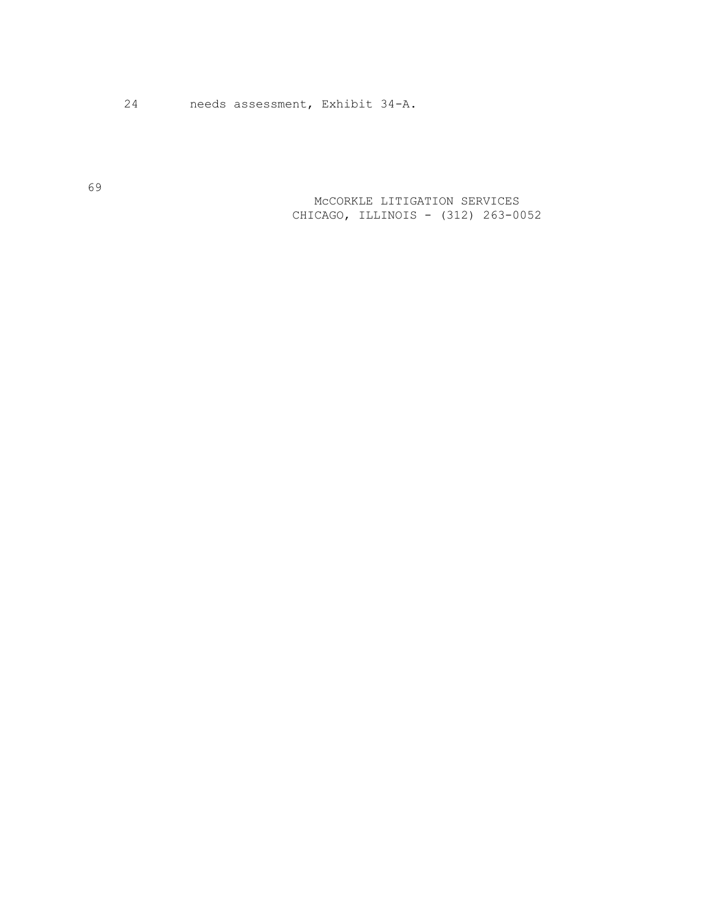24 needs assessment, Exhibit 34-A.

 McCORKLE LITIGATION SERVICES CHICAGO, ILLINOIS - (312) 263-0052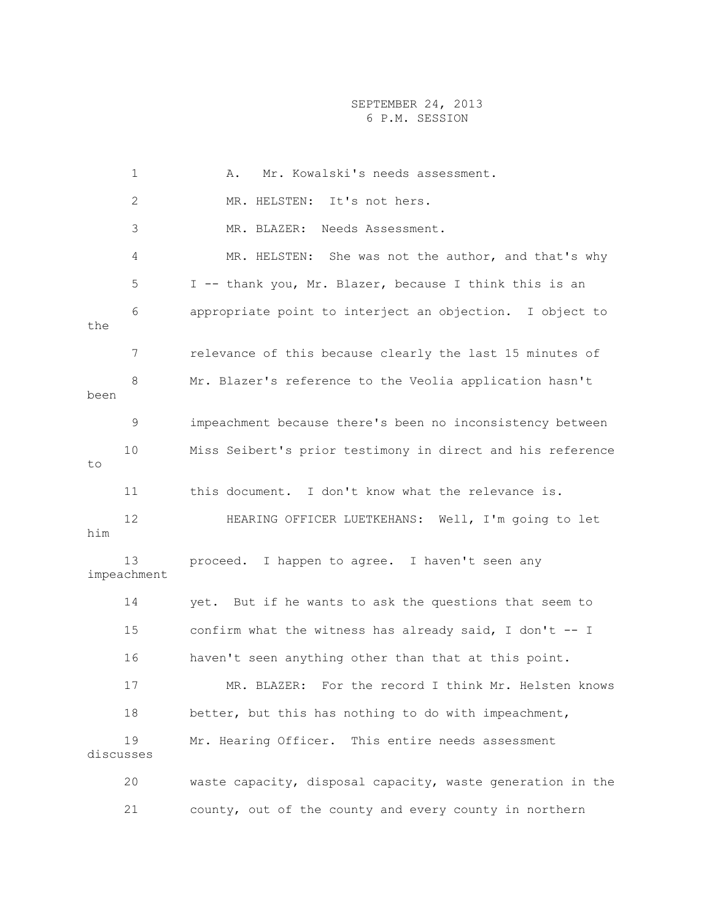1 A. Mr. Kowalski's needs assessment. 2 MR. HELSTEN: It's not hers. 3 MR. BLAZER: Needs Assessment. 4 MR. HELSTEN: She was not the author, and that's why 5 I -- thank you, Mr. Blazer, because I think this is an 6 appropriate point to interject an objection. I object to the 7 relevance of this because clearly the last 15 minutes of 8 Mr. Blazer's reference to the Veolia application hasn't been 9 impeachment because there's been no inconsistency between 10 Miss Seibert's prior testimony in direct and his reference to 11 this document. I don't know what the relevance is. 12 HEARING OFFICER LUETKEHANS: Well, I'm going to let him 13 proceed. I happen to agree. I haven't seen any impeachment 14 yet. But if he wants to ask the questions that seem to 15 confirm what the witness has already said, I don't -- I 16 haven't seen anything other than that at this point. 17 MR. BLAZER: For the record I think Mr. Helsten knows 18 better, but this has nothing to do with impeachment, 19 Mr. Hearing Officer. This entire needs assessment discusses 20 waste capacity, disposal capacity, waste generation in the 21 county, out of the county and every county in northern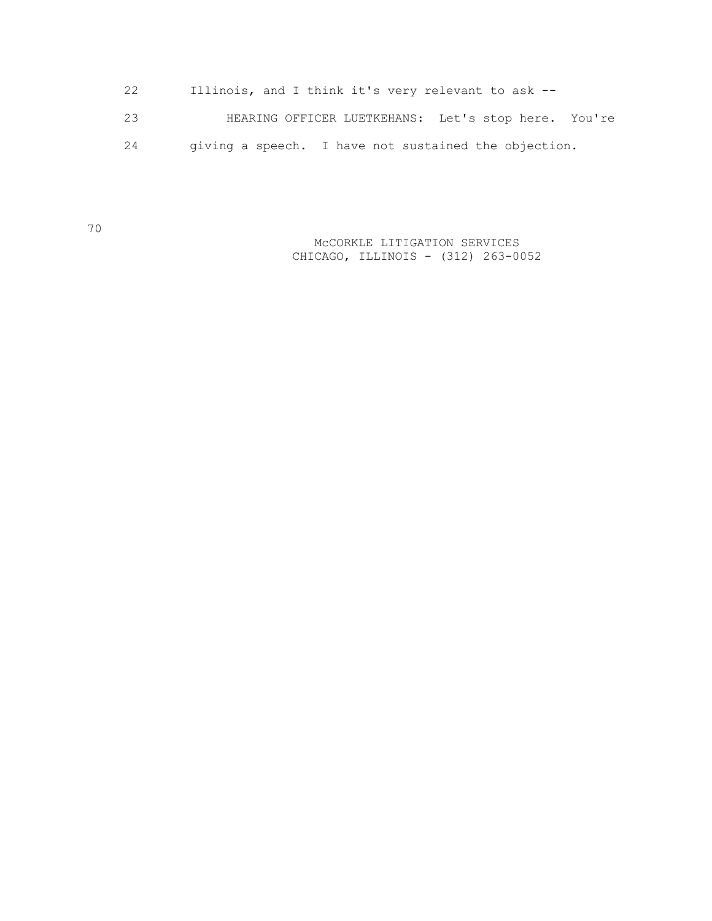| 22 | Illinois, and I think it's very relevant to ask --   |
|----|------------------------------------------------------|
| 23 | HEARING OFFICER LUETKEHANS: Let's stop here. You're  |
| 24 | qiving a speech. I have not sustained the objection. |

 McCORKLE LITIGATION SERVICES CHICAGO, ILLINOIS - (312) 263-0052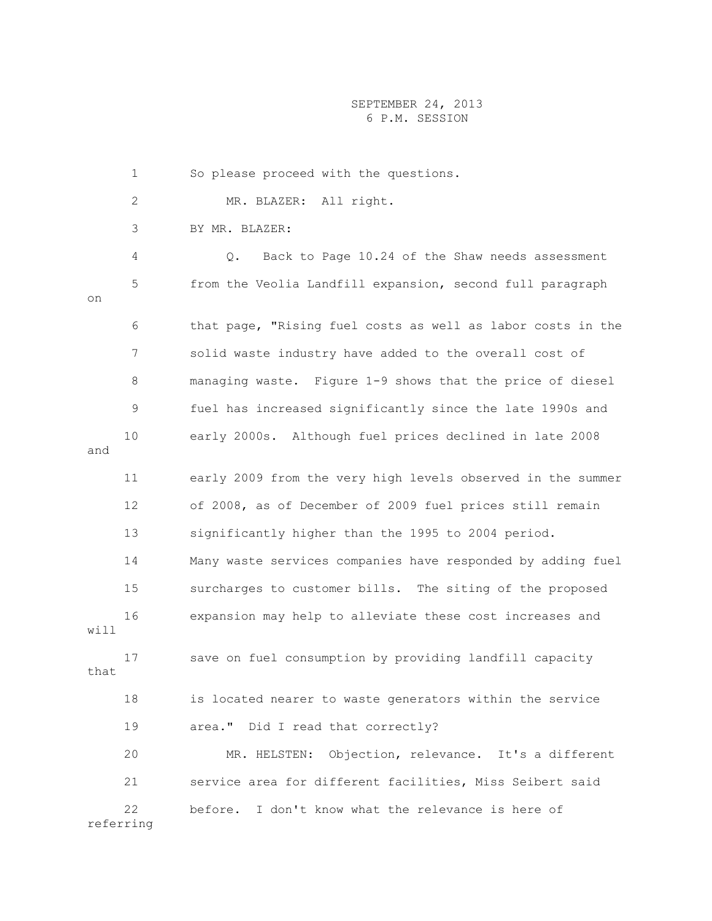1 So please proceed with the questions. 2 MR. BLAZER: All right. 3 BY MR. BLAZER: 4 Q. Back to Page 10.24 of the Shaw needs assessment 5 from the Veolia Landfill expansion, second full paragraph on 6 that page, "Rising fuel costs as well as labor costs in the 7 solid waste industry have added to the overall cost of 8 managing waste. Figure 1-9 shows that the price of diesel 9 fuel has increased significantly since the late 1990s and 10 early 2000s. Although fuel prices declined in late 2008 and 11 early 2009 from the very high levels observed in the summer 12 of 2008, as of December of 2009 fuel prices still remain 13 significantly higher than the 1995 to 2004 period. 14 Many waste services companies have responded by adding fuel 15 surcharges to customer bills. The siting of the proposed 16 expansion may help to alleviate these cost increases and will 17 save on fuel consumption by providing landfill capacity that 18 is located nearer to waste generators within the service 19 area." Did I read that correctly? 20 MR. HELSTEN: Objection, relevance. It's a different 21 service area for different facilities, Miss Seibert said 22 before. I don't know what the relevance is here of referring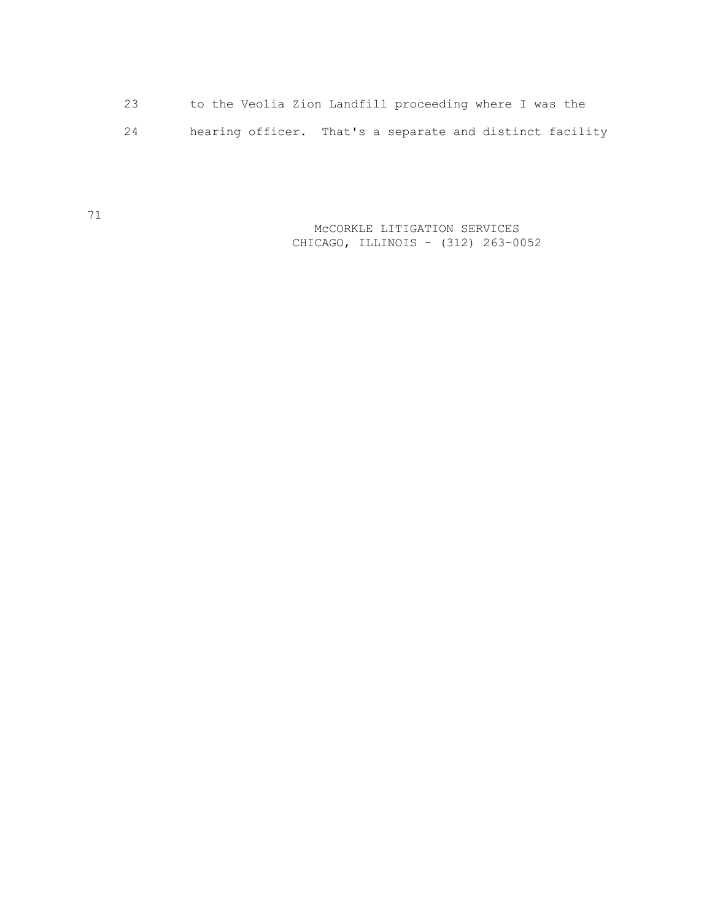23 to the Veolia Zion Landfill proceeding where I was the 24 hearing officer. That's a separate and distinct facility

> McCORKLE LITIGATION SERVICES CHICAGO, ILLINOIS - (312) 263-0052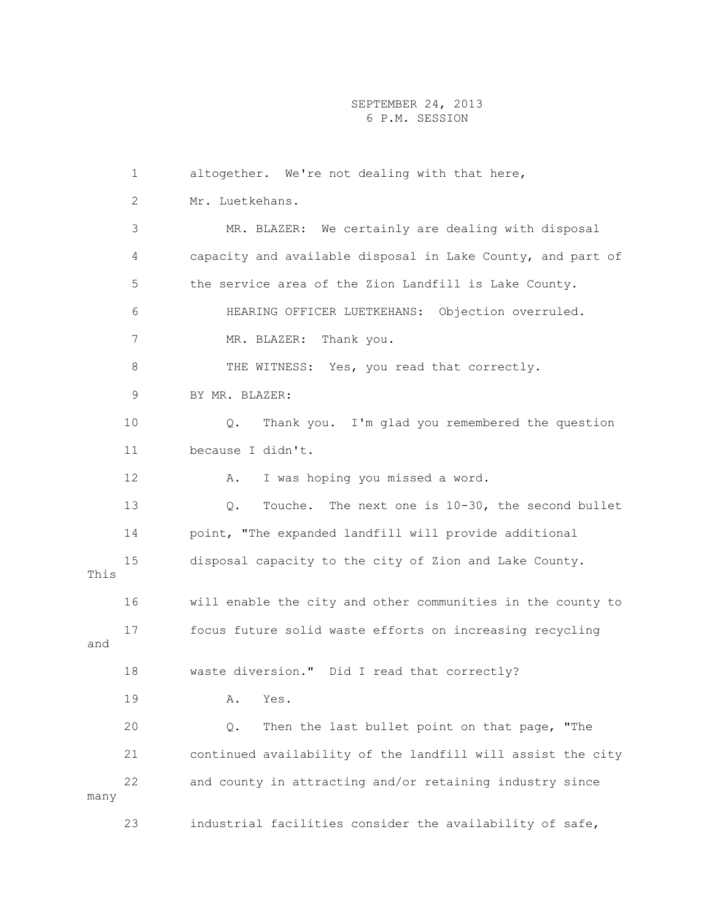|      | 1            | altogether. We're not dealing with that here,               |
|------|--------------|-------------------------------------------------------------|
|      | $\mathbf{2}$ | Mr. Luetkehans.                                             |
|      | 3            | MR. BLAZER: We certainly are dealing with disposal          |
|      | 4            | capacity and available disposal in Lake County, and part of |
|      | 5            | the service area of the Zion Landfill is Lake County.       |
|      | 6            | HEARING OFFICER LUETKEHANS: Objection overruled.            |
|      | 7            | Thank you.<br>MR. BLAZER:                                   |
|      | 8            | THE WITNESS: Yes, you read that correctly.                  |
|      | 9            | BY MR. BLAZER:                                              |
|      | 10           | Q.<br>Thank you. I'm glad you remembered the question       |
|      | 11           | because I didn't.                                           |
|      | 12           | I was hoping you missed a word.<br>Α.                       |
|      | 13           | Touche. The next one is 10-30, the second bullet<br>Q.      |
|      | 14           | point, "The expanded landfill will provide additional       |
| This | 15           | disposal capacity to the city of Zion and Lake County.      |
|      | 16           | will enable the city and other communities in the county to |
| and  | 17           | focus future solid waste efforts on increasing recycling    |
|      | 18           | waste diversion." Did I read that correctly?                |
|      | 19           | Yes.<br>Α.                                                  |
|      | 20           | Then the last bullet point on that page, "The<br>Q.         |
|      | 21           | continued availability of the landfill will assist the city |
| many | 22           | and county in attracting and/or retaining industry since    |
|      | 23           | industrial facilities consider the availability of safe,    |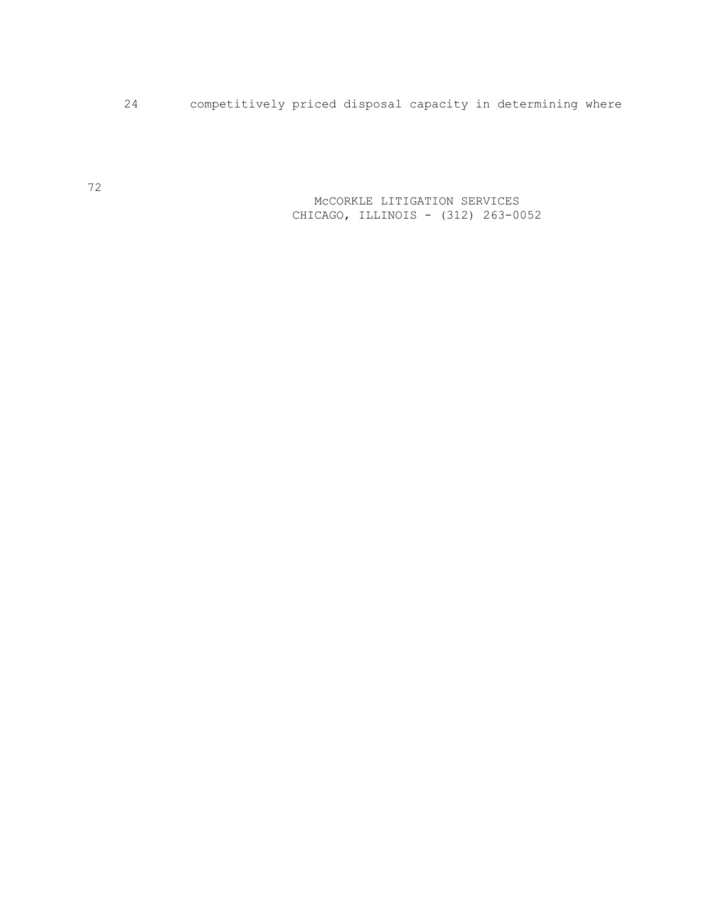24 competitively priced disposal capacity in determining where

 McCORKLE LITIGATION SERVICES CHICAGO, ILLINOIS - (312) 263-0052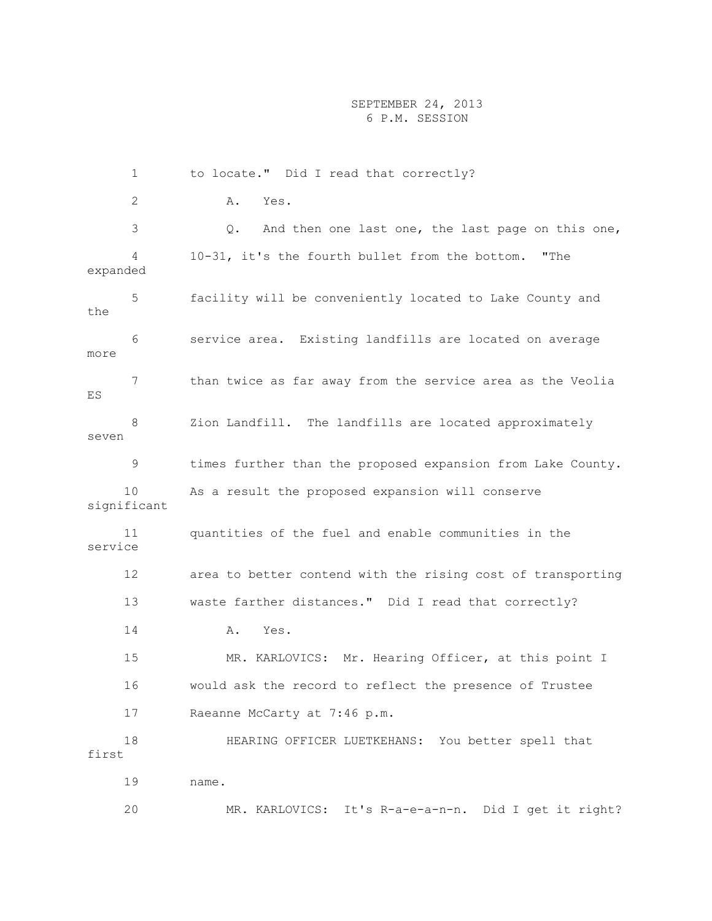1 to locate." Did I read that correctly? 2 A. Yes. 3 Q. And then one last one, the last page on this one, 4 10-31, it's the fourth bullet from the bottom. "The expanded 5 facility will be conveniently located to Lake County and the 6 service area. Existing landfills are located on average more 7 than twice as far away from the service area as the Veolia ES 8 Zion Landfill. The landfills are located approximately seven 9 times further than the proposed expansion from Lake County. 10 As a result the proposed expansion will conserve significant 11 quantities of the fuel and enable communities in the service 12 area to better contend with the rising cost of transporting 13 waste farther distances." Did I read that correctly? 14 A. Yes. 15 MR. KARLOVICS: Mr. Hearing Officer, at this point I 16 would ask the record to reflect the presence of Trustee 17 Raeanne McCarty at 7:46 p.m. 18 HEARING OFFICER LUETKEHANS: You better spell that first 19 name. 20 MR. KARLOVICS: It's R-a-e-a-n-n. Did I get it right?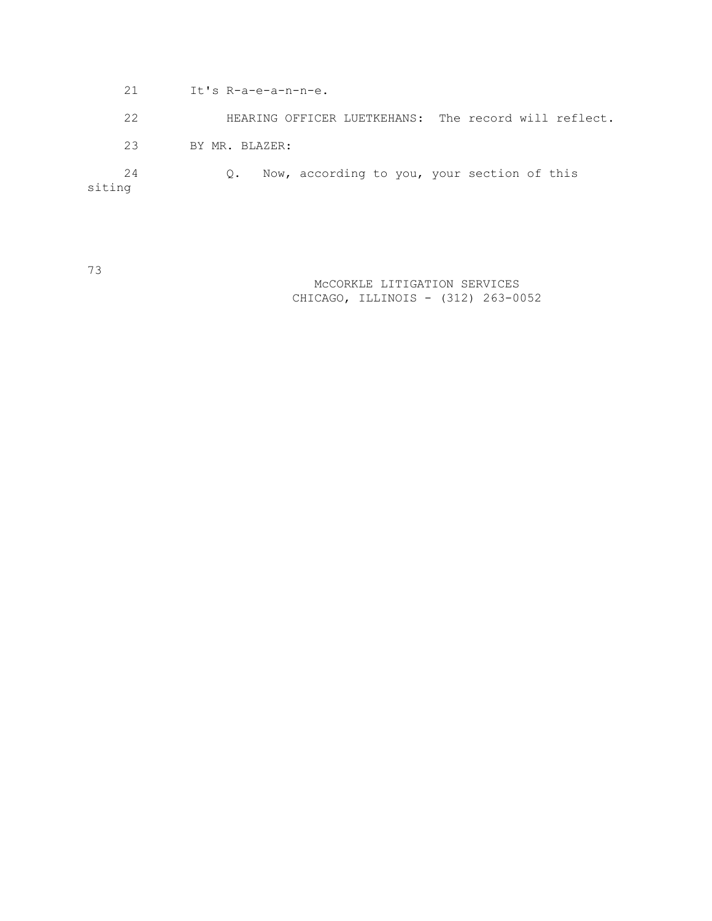21 It's R-a-e-a-n-n-e.

 22 HEARING OFFICER LUETKEHANS: The record will reflect. 23 BY MR. BLAZER: 24 Q. Now, according to you, your section of this siting

73

 McCORKLE LITIGATION SERVICES CHICAGO, ILLINOIS - (312) 263-0052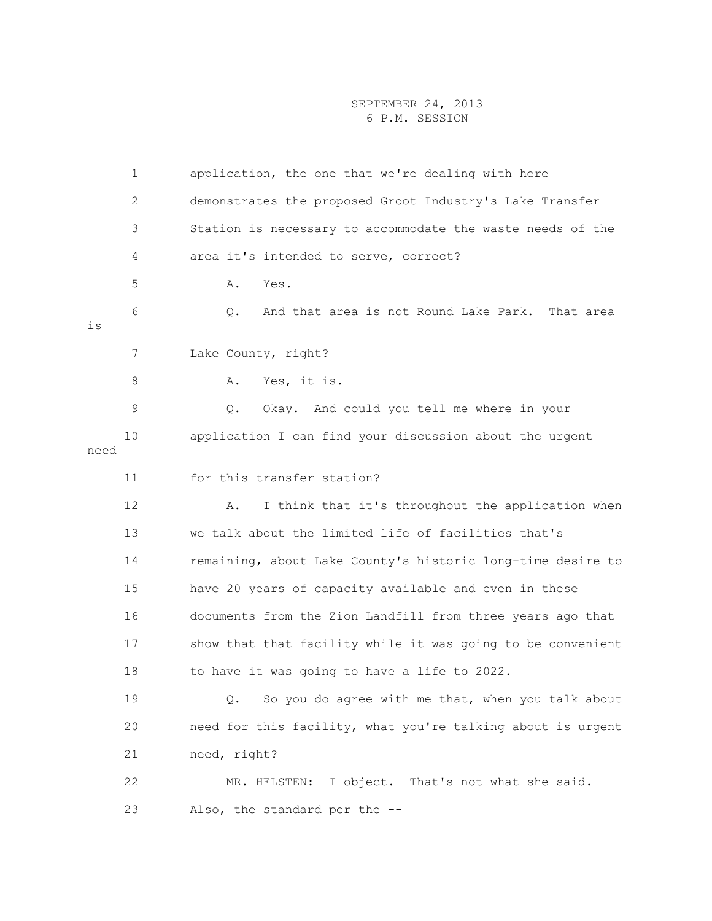|      | 1  | application, the one that we're dealing with here           |
|------|----|-------------------------------------------------------------|
|      | 2  | demonstrates the proposed Groot Industry's Lake Transfer    |
|      | 3  | Station is necessary to accommodate the waste needs of the  |
|      | 4  | area it's intended to serve, correct?                       |
|      | 5  | Α.<br>Yes.                                                  |
| is   | 6  | And that area is not Round Lake Park. That area<br>Q.       |
|      | 7  | Lake County, right?                                         |
|      | 8  | Yes, it is.<br>Α.                                           |
|      | 9  | Okay. And could you tell me where in your<br>Q.             |
| need | 10 | application I can find your discussion about the urgent     |
|      | 11 | for this transfer station?                                  |
|      | 12 | I think that it's throughout the application when<br>Α.     |
|      | 13 | we talk about the limited life of facilities that's         |
|      | 14 | remaining, about Lake County's historic long-time desire to |
|      | 15 | have 20 years of capacity available and even in these       |
|      | 16 | documents from the Zion Landfill from three years ago that  |
|      | 17 | show that that facility while it was going to be convenient |
|      | 18 | to have it was going to have a life to 2022.                |
|      | 19 | So you do agree with me that, when you talk about<br>Q.     |
|      | 20 | need for this facility, what you're talking about is urgent |
|      | 21 | need, right?                                                |
|      | 22 | I object. That's not what she said.<br>MR. HELSTEN:         |
|      | 23 | Also, the standard per the --                               |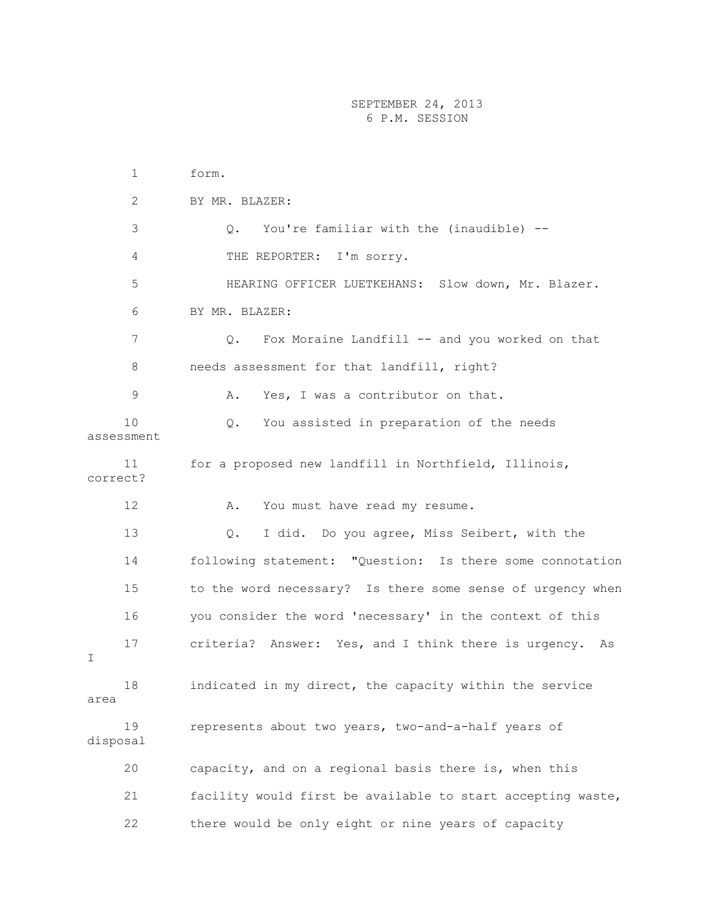1 form. 2 BY MR. BLAZER: 3 Q. You're familiar with the (inaudible) -- 4 THE REPORTER: I'm sorry. 5 HEARING OFFICER LUETKEHANS: Slow down, Mr. Blazer. 6 BY MR. BLAZER: 7 9. Fox Moraine Landfill -- and you worked on that 8 needs assessment for that landfill, right? 9 A. Yes, I was a contributor on that. 10 Q. You assisted in preparation of the needs assessment 11 for a proposed new landfill in Northfield, Illinois, correct? 12 A. You must have read my resume. 13 Q. I did. Do you agree, Miss Seibert, with the 14 following statement: "Question: Is there some connotation 15 to the word necessary? Is there some sense of urgency when 16 you consider the word 'necessary' in the context of this 17 criteria? Answer: Yes, and I think there is urgency. As I 18 indicated in my direct, the capacity within the service area 19 represents about two years, two-and-a-half years of disposal 20 capacity, and on a regional basis there is, when this 21 facility would first be available to start accepting waste, 22 there would be only eight or nine years of capacity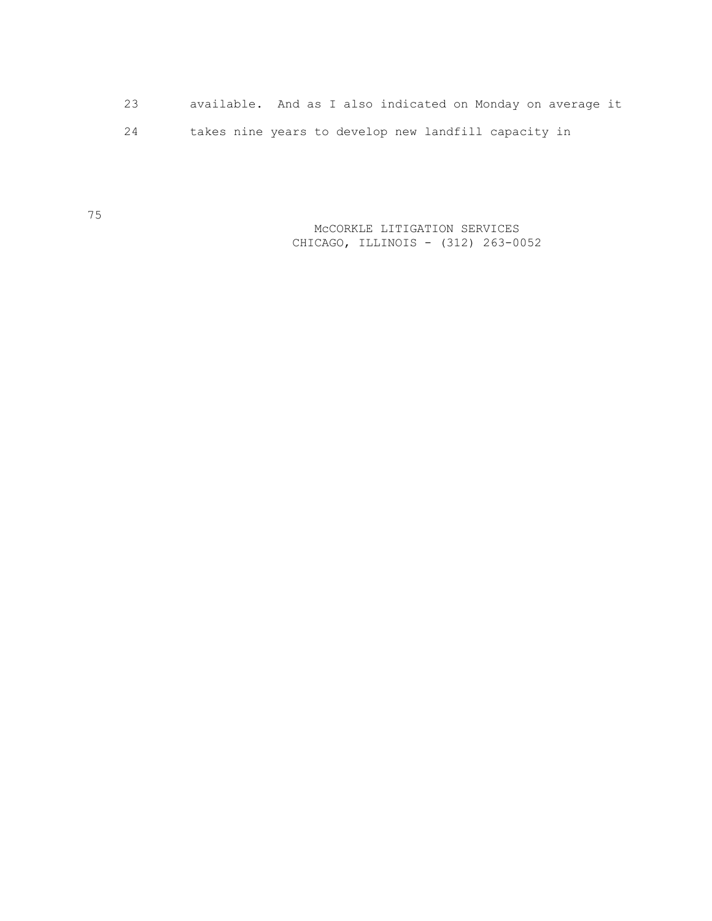- 23 available. And as I also indicated on Monday on average it
- 24 takes nine years to develop new landfill capacity in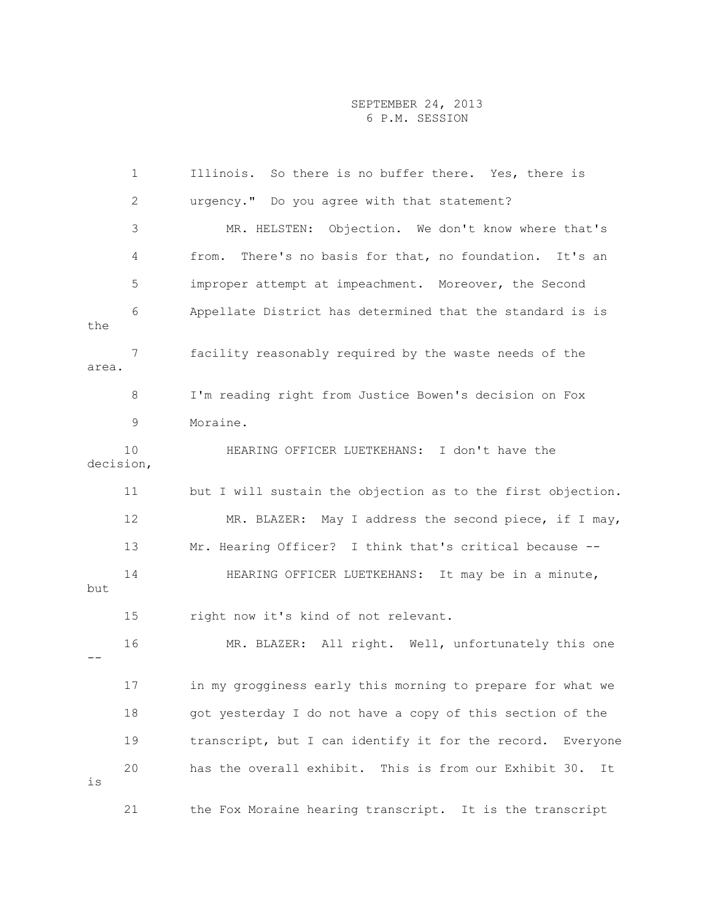|       | $\mathbf 1$     | Illinois. So there is no buffer there. Yes, there is        |
|-------|-----------------|-------------------------------------------------------------|
|       | 2               | urgency." Do you agree with that statement?                 |
|       | 3               | MR. HELSTEN: Objection. We don't know where that's          |
|       | 4               | There's no basis for that, no foundation. It's an<br>from.  |
|       | 5               | improper attempt at impeachment. Moreover, the Second       |
| the   | 6               | Appellate District has determined that the standard is is   |
| area. | 7               | facility reasonably required by the waste needs of the      |
|       | 8               | I'm reading right from Justice Bowen's decision on Fox      |
|       | 9               | Moraine.                                                    |
|       | 10<br>decision, | HEARING OFFICER LUETKEHANS: I don't have the                |
|       | 11              | but I will sustain the objection as to the first objection. |
|       | 12              | MR. BLAZER: May I address the second piece, if I may,       |
|       | 13              | Mr. Hearing Officer? I think that's critical because --     |
| but   | 14              | HEARING OFFICER LUETKEHANS: It may be in a minute,          |
|       | 15              | right now it's kind of not relevant.                        |
|       | 16              | MR. BLAZER: All right. Well, unfortunately this one         |
|       | 17              | in my grogginess early this morning to prepare for what we  |
|       | 18              | got yesterday I do not have a copy of this section of the   |
|       | 19              | transcript, but I can identify it for the record. Everyone  |
| is    | 20              | has the overall exhibit. This is from our Exhibit 30.<br>It |
|       | 21              | the Fox Moraine hearing transcript. It is the transcript    |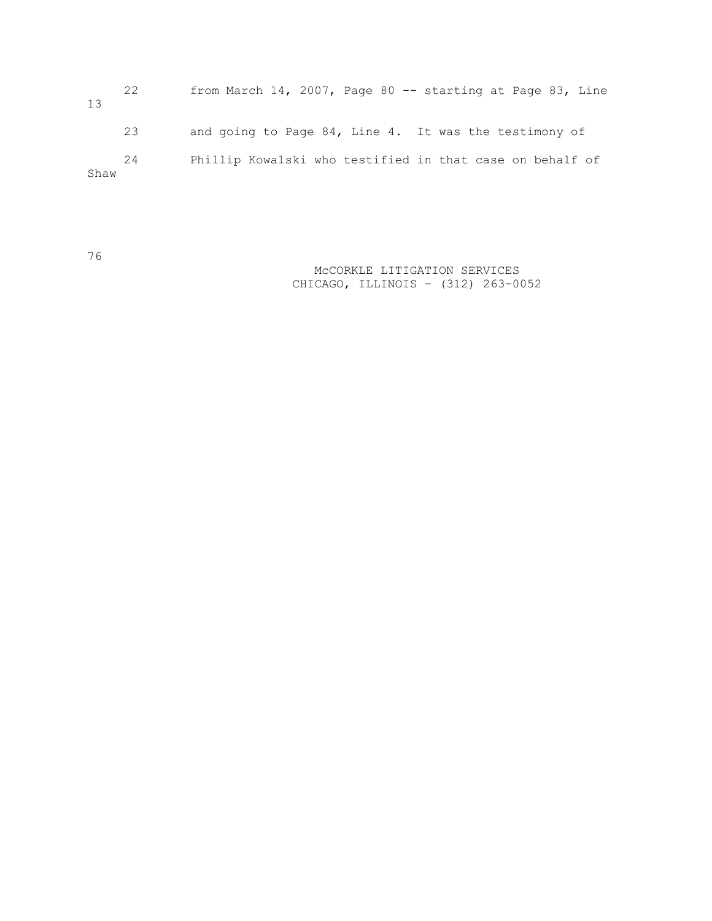22 from March 14, 2007, Page 80 -- starting at Page 83, Line 13 23 and going to Page 84, Line 4. It was the testimony of 24 Phillip Kowalski who testified in that case on behalf of Shaw

76

 McCORKLE LITIGATION SERVICES CHICAGO, ILLINOIS - (312) 263-0052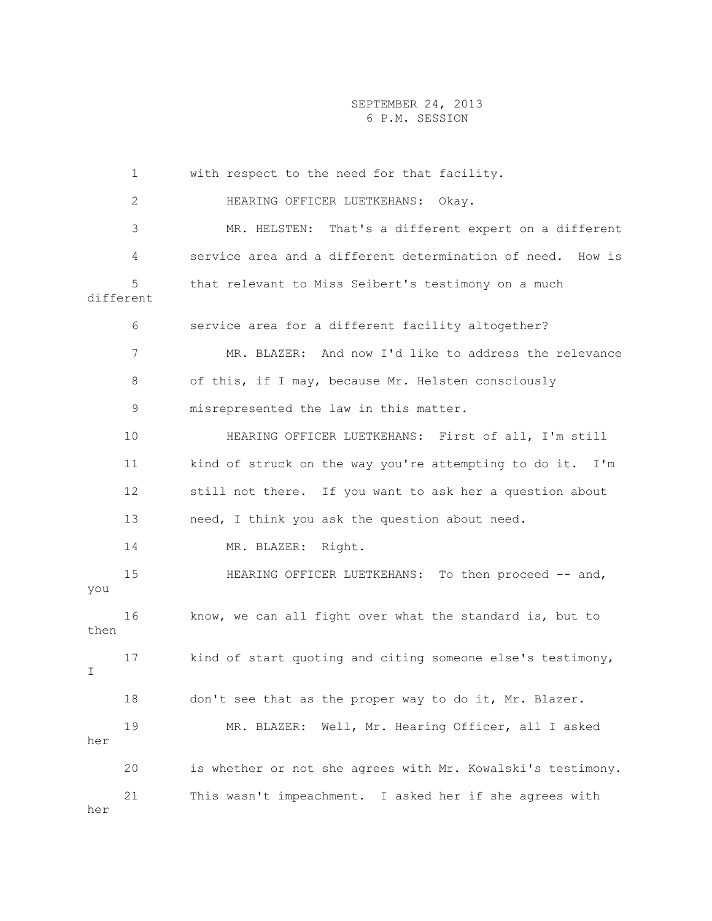1 with respect to the need for that facility. 2 HEARING OFFICER LUETKEHANS: Okay. 3 MR. HELSTEN: That's a different expert on a different 4 service area and a different determination of need. How is 5 that relevant to Miss Seibert's testimony on a much different 6 service area for a different facility altogether? 7 MR. BLAZER: And now I'd like to address the relevance 8 of this, if I may, because Mr. Helsten consciously 9 misrepresented the law in this matter. 10 HEARING OFFICER LUETKEHANS: First of all, I'm still 11 kind of struck on the way you're attempting to do it. I'm 12 still not there. If you want to ask her a question about 13 need, I think you ask the question about need. 14 MR. BLAZER: Right. 15 HEARING OFFICER LUETKEHANS: To then proceed -- and, you 16 know, we can all fight over what the standard is, but to then 17 kind of start quoting and citing someone else's testimony, I 18 don't see that as the proper way to do it, Mr. Blazer. 19 MR. BLAZER: Well, Mr. Hearing Officer, all I asked her 20 is whether or not she agrees with Mr. Kowalski's testimony. 21 This wasn't impeachment. I asked her if she agrees with her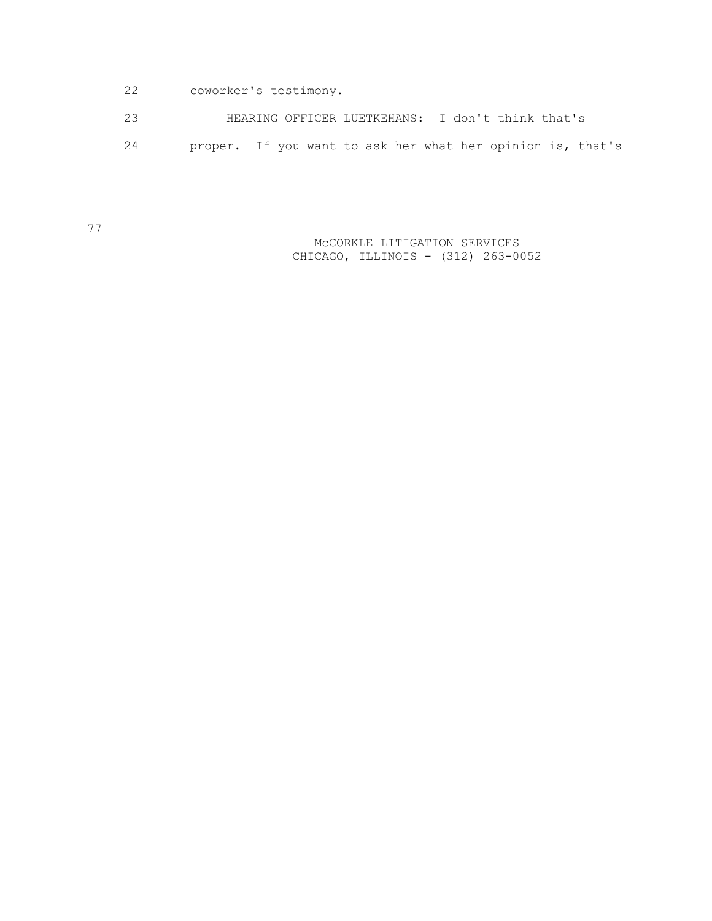22 coworker's testimony.

 23 HEARING OFFICER LUETKEHANS: I don't think that's 24 proper. If you want to ask her what her opinion is, that's

> McCORKLE LITIGATION SERVICES CHICAGO, ILLINOIS - (312) 263-0052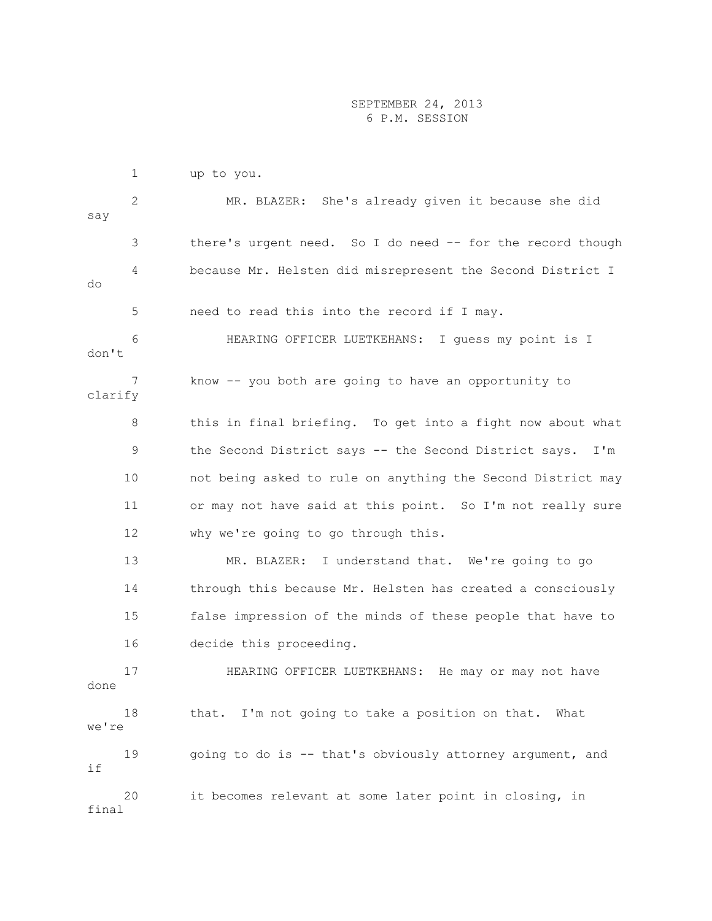1 up to you. 2 MR. BLAZER: She's already given it because she did say 3 there's urgent need. So I do need -- for the record though 4 because Mr. Helsten did misrepresent the Second District I do 5 need to read this into the record if I may. 6 HEARING OFFICER LUETKEHANS: I guess my point is I don't 7 know -- you both are going to have an opportunity to clarify 8 this in final briefing. To get into a fight now about what 9 the Second District says -- the Second District says. I'm 10 not being asked to rule on anything the Second District may 11 or may not have said at this point. So I'm not really sure 12 why we're going to go through this. 13 MR. BLAZER: I understand that. We're going to go 14 through this because Mr. Helsten has created a consciously 15 false impression of the minds of these people that have to 16 decide this proceeding. 17 HEARING OFFICER LUETKEHANS: He may or may not have done 18 that. I'm not going to take a position on that. What we're 19 going to do is -- that's obviously attorney argument, and if 20 it becomes relevant at some later point in closing, in final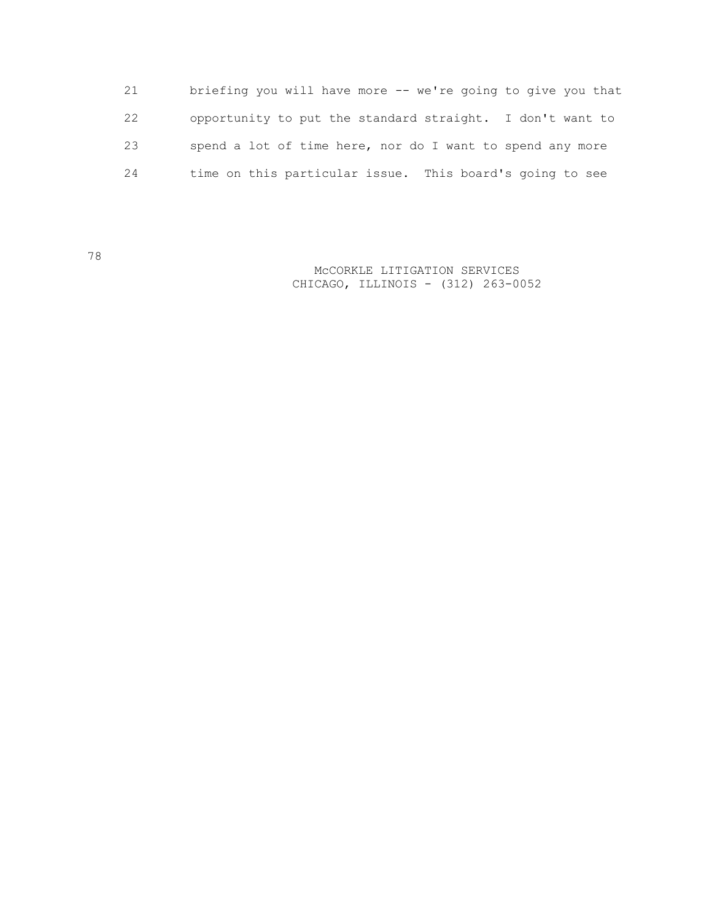| 21 | briefing you will have more -- we're going to give you that |
|----|-------------------------------------------------------------|
| 22 | opportunity to put the standard straight. I don't want to   |
| 23 | spend a lot of time here, nor do I want to spend any more   |
| 24 | time on this particular issue. This board's going to see    |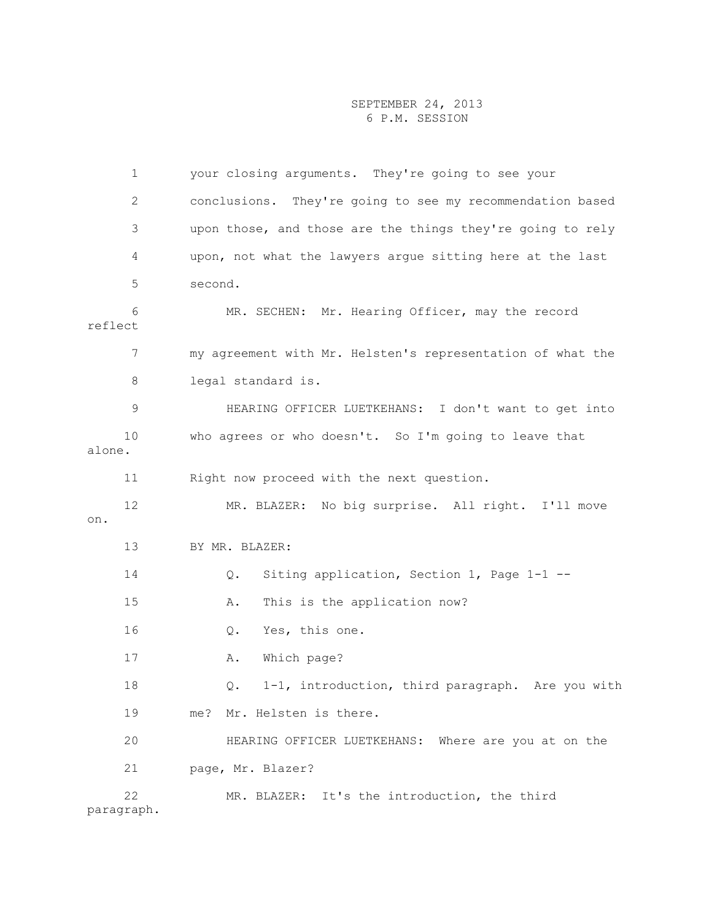1 your closing arguments. They're going to see your 2 conclusions. They're going to see my recommendation based 3 upon those, and those are the things they're going to rely 4 upon, not what the lawyers argue sitting here at the last 5 second. 6 MR. SECHEN: Mr. Hearing Officer, may the record reflect 7 my agreement with Mr. Helsten's representation of what the 8 legal standard is. 9 HEARING OFFICER LUETKEHANS: I don't want to get into 10 who agrees or who doesn't. So I'm going to leave that alone. 11 Right now proceed with the next question. 12 MR. BLAZER: No big surprise. All right. I'll move on. 13 BY MR. BLAZER: 14 Q. Siting application, Section 1, Page 1-1 -- 15 A. This is the application now? 16 Q. Yes, this one. 17 A. Which page? 18 Q. 1-1, introduction, third paragraph. Are you with 19 me? Mr. Helsten is there. 20 HEARING OFFICER LUETKEHANS: Where are you at on the 21 page, Mr. Blazer? 22 MR. BLAZER: It's the introduction, the third

paragraph.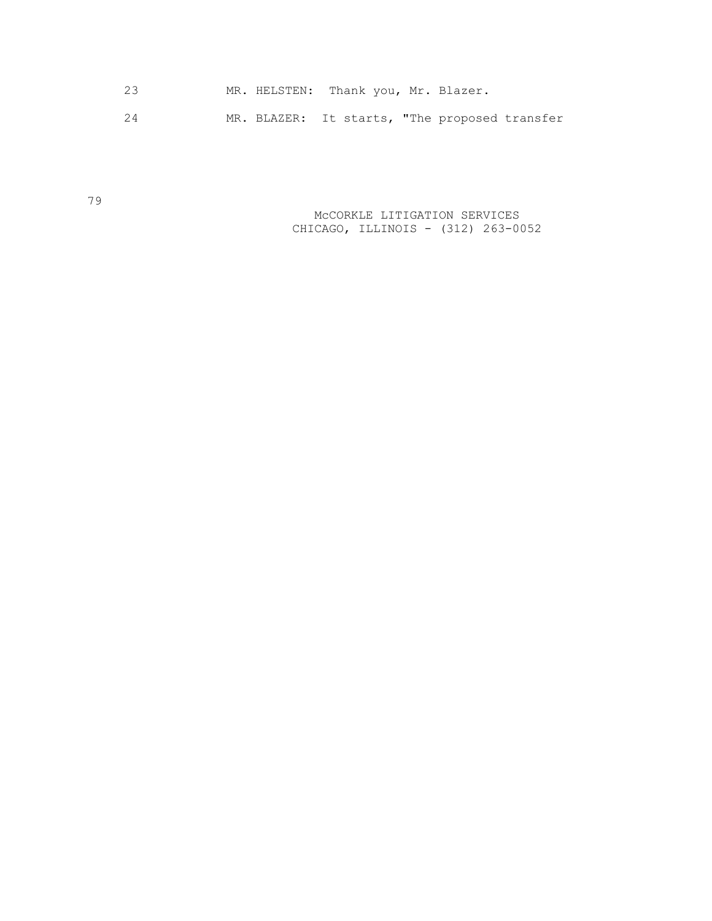| 23 |  | MR. HELSTEN: Thank you, Mr. Blazer. |                                               |
|----|--|-------------------------------------|-----------------------------------------------|
| 24 |  |                                     | MR. BLAZER: It starts, "The proposed transfer |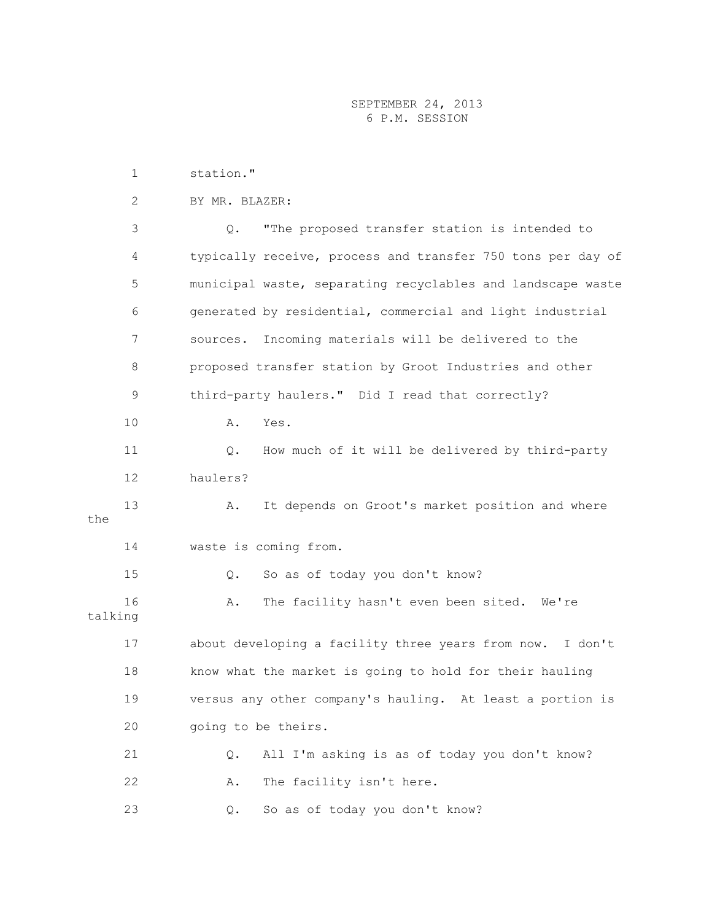1 station." 2 BY MR. BLAZER: 3 Q. "The proposed transfer station is intended to 4 typically receive, process and transfer 750 tons per day of 5 municipal waste, separating recyclables and landscape waste 6 generated by residential, commercial and light industrial 7 sources. Incoming materials will be delivered to the 8 proposed transfer station by Groot Industries and other 9 third-party haulers." Did I read that correctly? 10 A. Yes. 11 Q. How much of it will be delivered by third-party 12 haulers? 13 A. It depends on Groot's market position and where the 14 waste is coming from. 15 Q. So as of today you don't know? 16 A. The facility hasn't even been sited. We're talking 17 about developing a facility three years from now. I don't 18 know what the market is going to hold for their hauling 19 versus any other company's hauling. At least a portion is 20 going to be theirs. 21 Q. All I'm asking is as of today you don't know? 22 A. The facility isn't here. 23 Q. So as of today you don't know?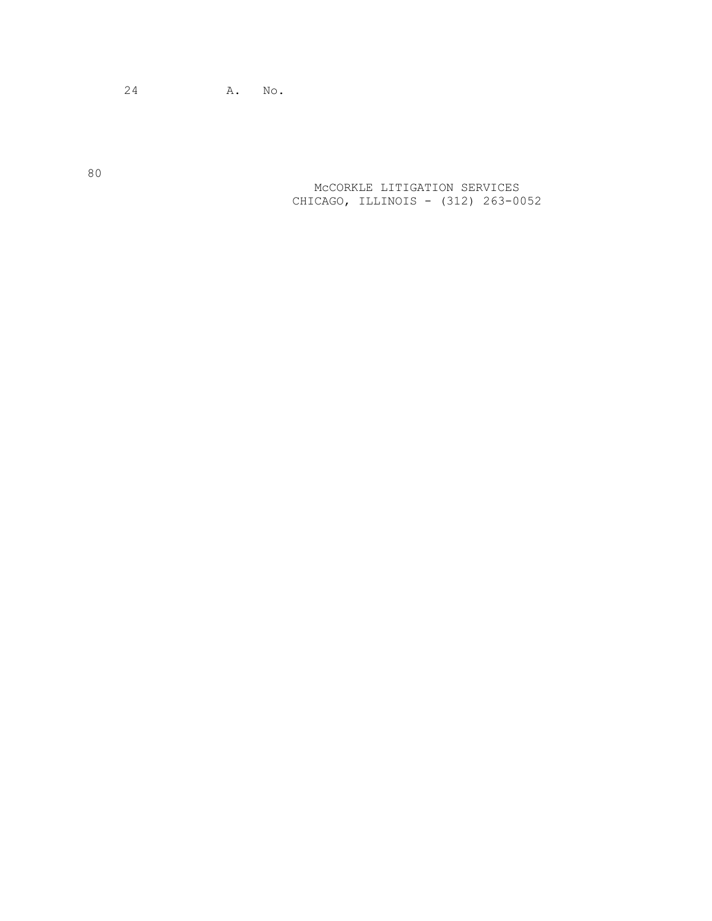24 A. No.

 McCORKLE LITIGATION SERVICES CHICAGO, ILLINOIS - (312) 263-0052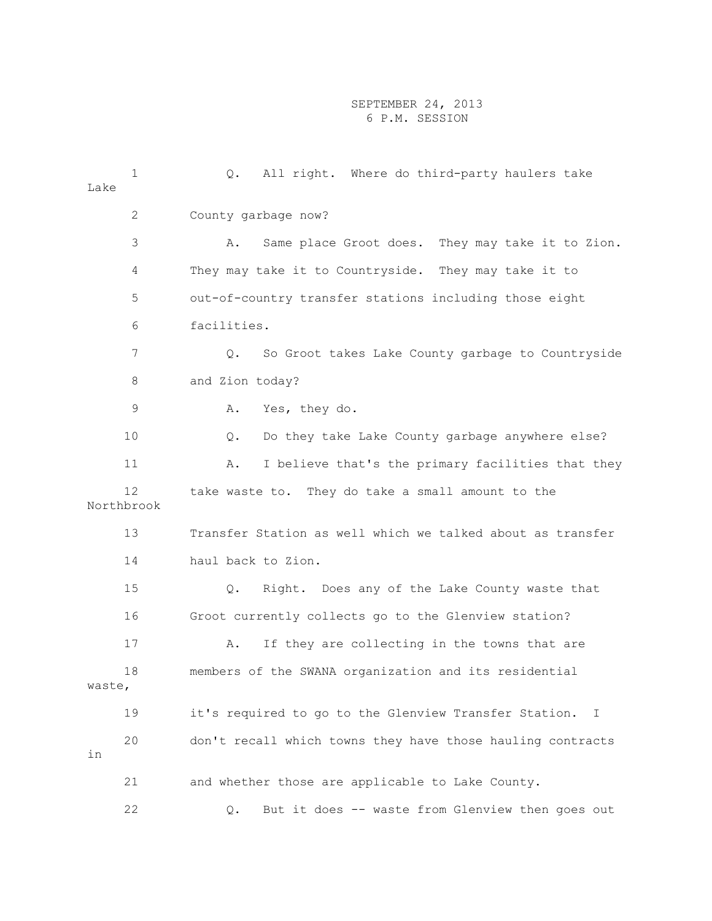| Lake   | $\mathbf{1}$     | All right. Where do third-party haulers take<br>Q.         |
|--------|------------------|------------------------------------------------------------|
|        | 2                | County garbage now?                                        |
|        | 3                | Same place Groot does. They may take it to Zion.<br>Α.     |
|        | 4                | They may take it to Countryside. They may take it to       |
|        | 5                | out-of-country transfer stations including those eight     |
|        | 6                | facilities.                                                |
|        | 7                | Q.<br>So Groot takes Lake County garbage to Countryside    |
|        | 8                | and Zion today?                                            |
|        | 9                | Α.<br>Yes, they do.                                        |
|        | 10               | Do they take Lake County garbage anywhere else?<br>Q.      |
|        | 11               | I believe that's the primary facilities that they<br>Α.    |
|        | 12<br>Northbrook | take waste to. They do take a small amount to the          |
|        | 13               | Transfer Station as well which we talked about as transfer |
|        | 14               | haul back to Zion.                                         |
|        | 15               | Right. Does any of the Lake County waste that<br>Q.        |
|        | 16               | Groot currently collects go to the Glenview station?       |
|        | 17               | Α.<br>If they are collecting in the towns that are         |
| waste, | 18               | members of the SWANA organization and its residential      |
|        | 19               | it's required to go to the Glenview Transfer Station.<br>I |
| in     | 20               | don't recall which towns they have those hauling contracts |
|        | 21               | and whether those are applicable to Lake County.           |
|        | 22               | But it does -- waste from Glenview then goes out<br>Q.     |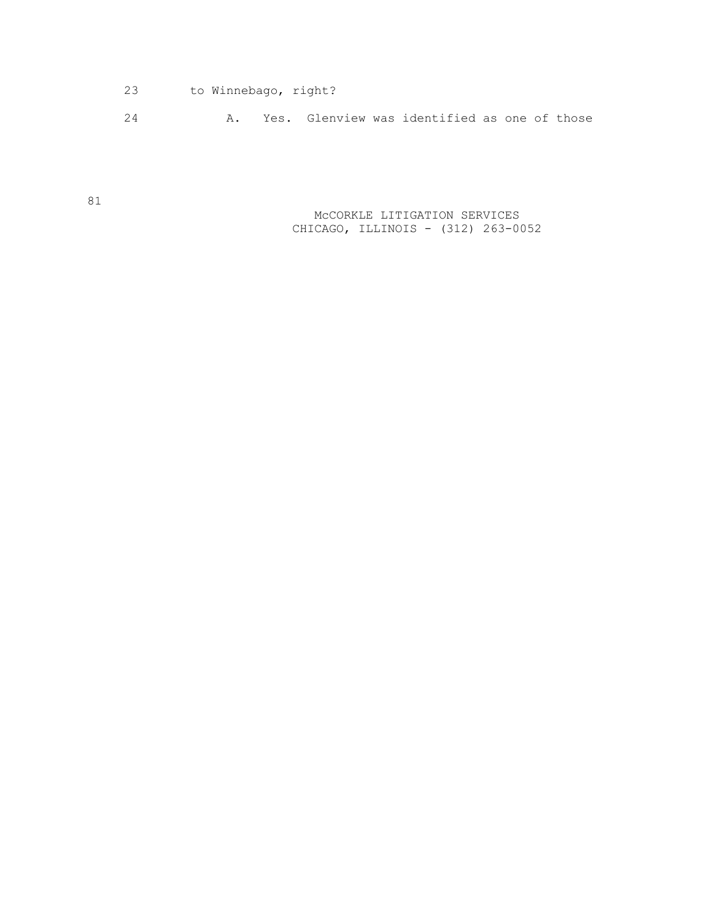- 23 to Winnebago, right?
- 24 A. Yes. Glenview was identified as one of those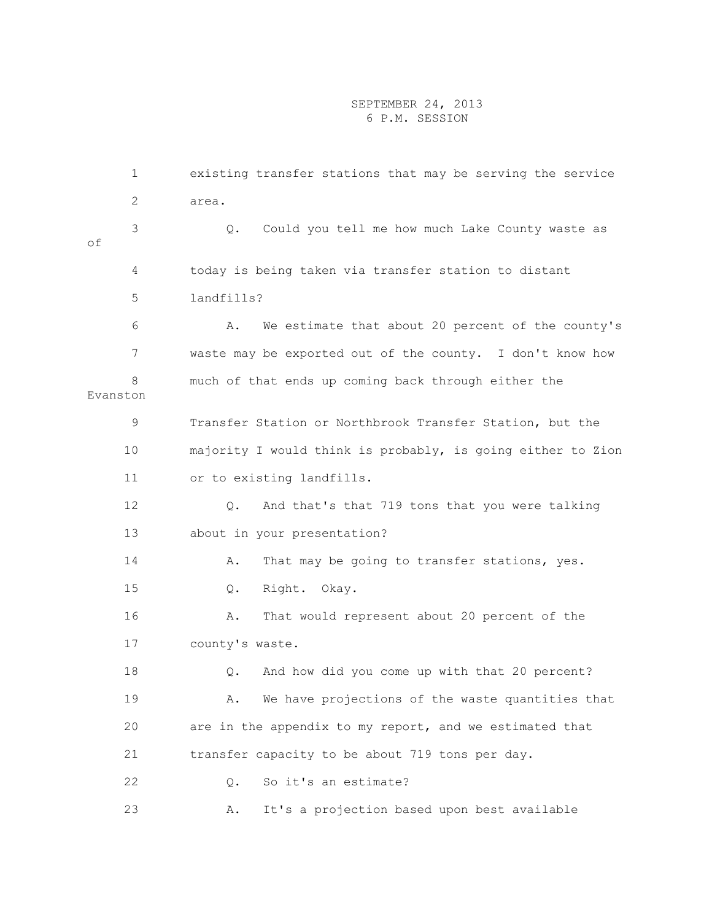|          | $\mathbf 1$    | existing transfer stations that may be serving the service       |
|----------|----------------|------------------------------------------------------------------|
|          | $\overline{2}$ | area.                                                            |
| оf       | 3              | Could you tell me how much Lake County waste as<br>$Q_{\bullet}$ |
|          | 4              | today is being taken via transfer station to distant             |
|          | 5              | landfills?                                                       |
|          | 6              | We estimate that about 20 percent of the county's<br>Α.          |
|          | $\overline{7}$ | waste may be exported out of the county. I don't know how        |
| Evanston | 8              | much of that ends up coming back through either the              |
|          | 9              | Transfer Station or Northbrook Transfer Station, but the         |
|          | 10             | majority I would think is probably, is going either to Zion      |
|          | 11             | or to existing landfills.                                        |
|          | 12             | And that's that 719 tons that you were talking<br>Q.             |
|          | 13             | about in your presentation?                                      |
|          | 14             | That may be going to transfer stations, yes.<br>Α.               |
|          | 15             | Right. Okay.<br>Q.                                               |
|          | 16             | That would represent about 20 percent of the<br>Α.               |
|          | 17             | county's waste.                                                  |
|          | 18             | And how did you come up with that 20 percent?<br>Q.              |
|          | 19             | We have projections of the waste quantities that<br>Α.           |
|          | 20             | are in the appendix to my report, and we estimated that          |
|          | 21             | transfer capacity to be about 719 tons per day.                  |
|          | 22             | So it's an estimate?<br>Q.                                       |
|          | 23             | It's a projection based upon best available<br>Α.                |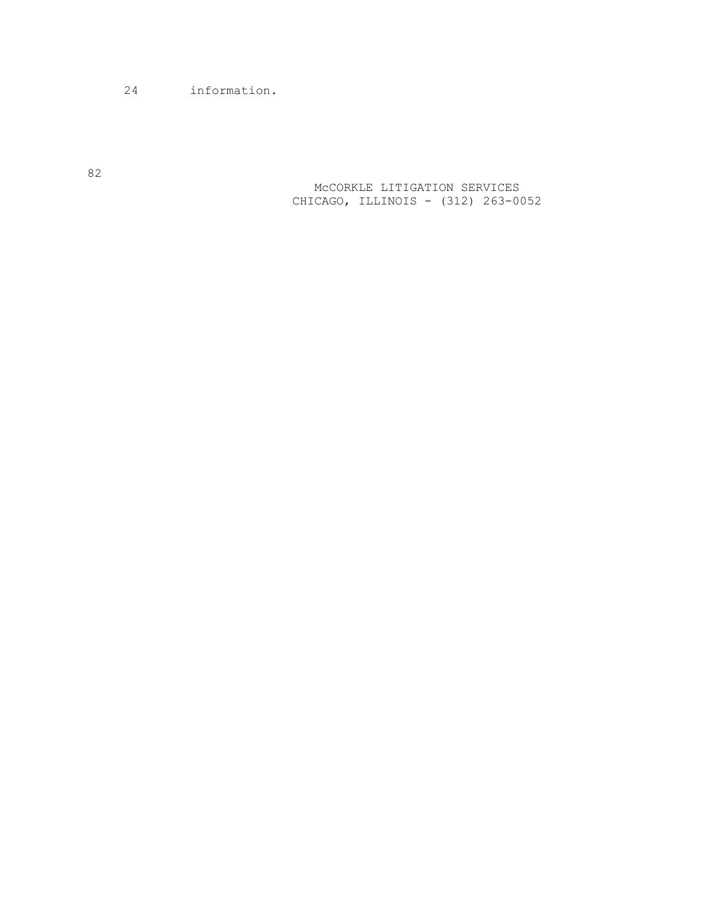24 information.

 McCORKLE LITIGATION SERVICES CHICAGO, ILLINOIS - (312) 263-0052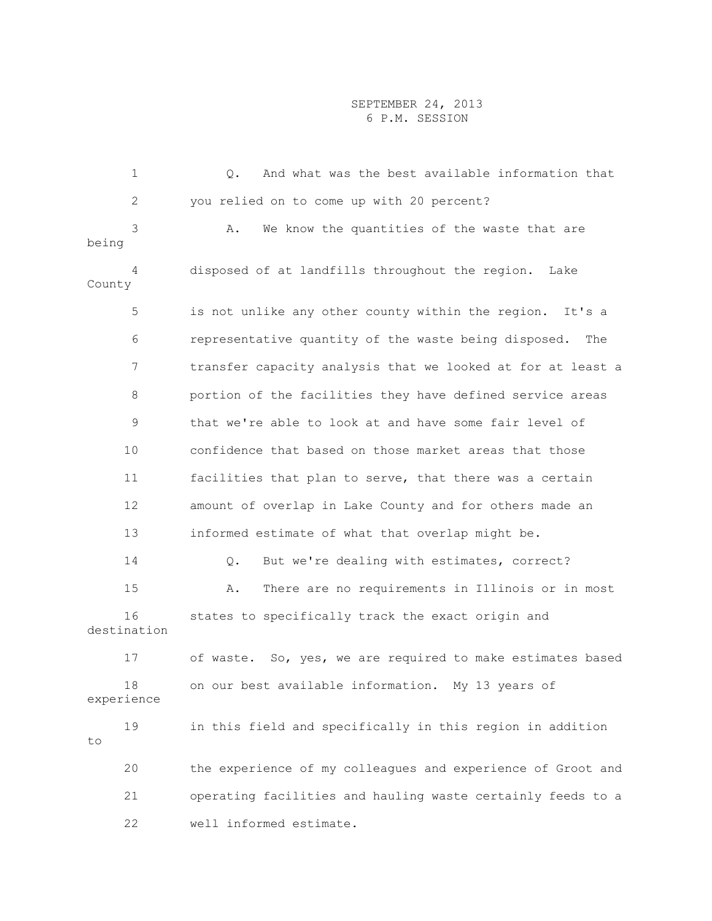1 Q. And what was the best available information that 2 you relied on to come up with 20 percent? 3 A. We know the quantities of the waste that are being 4 disposed of at landfills throughout the region. Lake County 5 is not unlike any other county within the region. It's a 6 representative quantity of the waste being disposed. The 7 transfer capacity analysis that we looked at for at least a 8 portion of the facilities they have defined service areas 9 that we're able to look at and have some fair level of 10 confidence that based on those market areas that those 11 facilities that plan to serve, that there was a certain 12 amount of overlap in Lake County and for others made an 13 informed estimate of what that overlap might be. 14 Q. But we're dealing with estimates, correct? 15 A. There are no requirements in Illinois or in most 16 states to specifically track the exact origin and destination 17 of waste. So, yes, we are required to make estimates based 18 on our best available information. My 13 years of experience 19 in this field and specifically in this region in addition to 20 the experience of my colleagues and experience of Groot and 21 operating facilities and hauling waste certainly feeds to a 22 well informed estimate.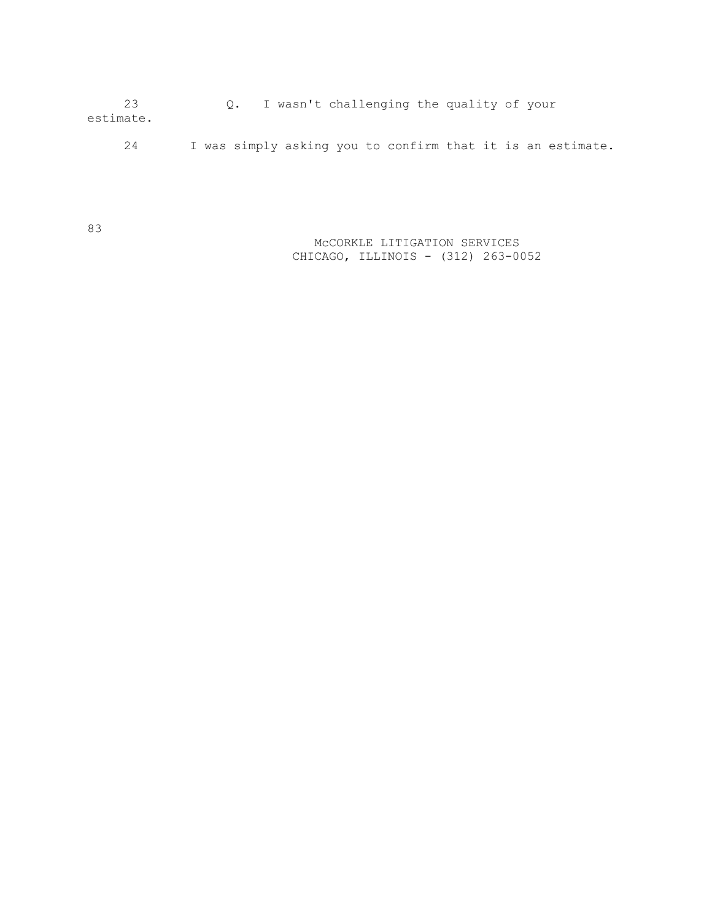23 Q. I wasn't challenging the quality of your estimate.

24 I was simply asking you to confirm that it is an estimate.

 McCORKLE LITIGATION SERVICES CHICAGO, ILLINOIS - (312) 263-0052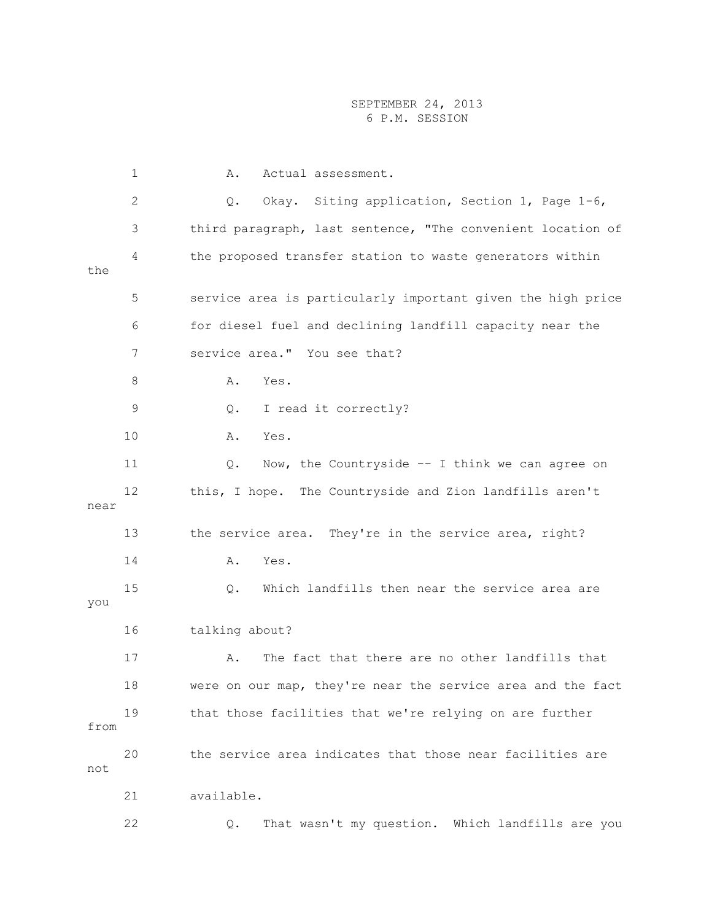1 A. Actual assessment. 2 Q. Okay. Siting application, Section 1, Page 1-6, 3 third paragraph, last sentence, "The convenient location of 4 the proposed transfer station to waste generators within the 5 service area is particularly important given the high price 6 for diesel fuel and declining landfill capacity near the 7 service area." You see that? 8 A. Yes. 9 Q. I read it correctly? 10 A. Yes. 11 Q. Now, the Countryside -- I think we can agree on 12 this, I hope. The Countryside and Zion landfills aren't near 13 the service area. They're in the service area, right? 14 A. Yes. 15 Q. Which landfills then near the service area are you 16 talking about? 17 A. The fact that there are no other landfills that 18 were on our map, they're near the service area and the fact 19 that those facilities that we're relying on are further from 20 the service area indicates that those near facilities are not 21 available. 22 Q. That wasn't my question. Which landfills are you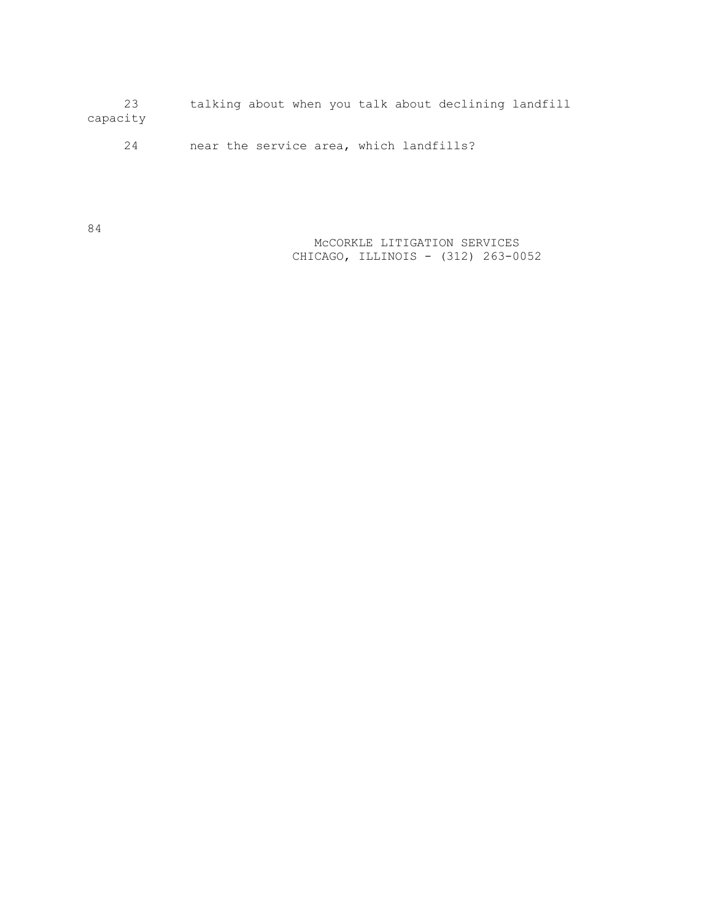23 talking about when you talk about declining landfill capacity

24 near the service area, which landfills?

 McCORKLE LITIGATION SERVICES CHICAGO, ILLINOIS - (312) 263-0052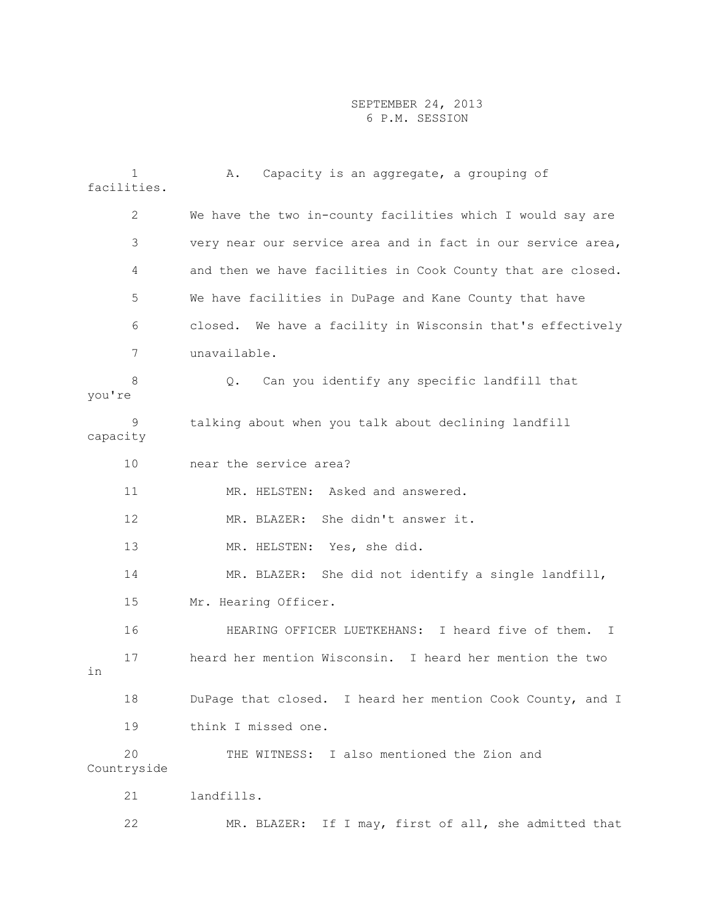| $\mathbf{1}$<br>facilities. | Capacity is an aggregate, a grouping of<br>Α.                     |
|-----------------------------|-------------------------------------------------------------------|
| $\mathbf{2}$                | We have the two in-county facilities which I would say are        |
| 3                           | very near our service area and in fact in our service area,       |
| 4                           | and then we have facilities in Cook County that are closed.       |
| 5                           | We have facilities in DuPage and Kane County that have            |
| 6                           | closed. We have a facility in Wisconsin that's effectively        |
| 7                           | unavailable.                                                      |
| 8<br>you're                 | Can you identify any specific landfill that<br>Q.                 |
| 9<br>capacity               | talking about when you talk about declining landfill              |
| 10                          | near the service area?                                            |
| 11                          | MR. HELSTEN: Asked and answered.                                  |
| 12                          | MR. BLAZER: She didn't answer it.                                 |
| 13                          | MR. HELSTEN: Yes, she did.                                        |
| 14                          | MR. BLAZER:<br>She did not identify a single landfill,            |
| 15                          | Mr. Hearing Officer.                                              |
| 16                          | HEARING OFFICER LUETKEHANS: I heard five of them.<br>$\mathbb{I}$ |
| 17<br>in                    | heard her mention Wisconsin. I heard her mention the two          |
| 18                          | DuPage that closed. I heard her mention Cook County, and I        |
| 19                          | think I missed one.                                               |
| 20<br>Countryside           | I also mentioned the Zion and<br>THE WITNESS:                     |
| 21                          | landfills.                                                        |
| 22                          | MR. BLAZER: If I may, first of all, she admitted that             |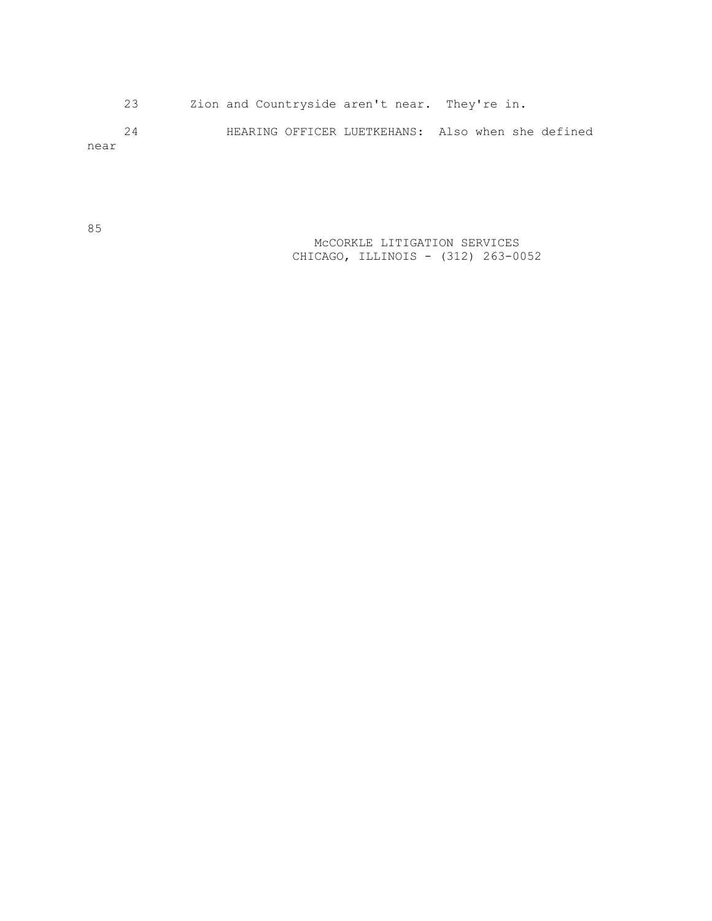23 Zion and Countryside aren't near. They're in. 24 HEARING OFFICER LUETKEHANS: Also when she defined

near

 McCORKLE LITIGATION SERVICES CHICAGO, ILLINOIS - (312) 263-0052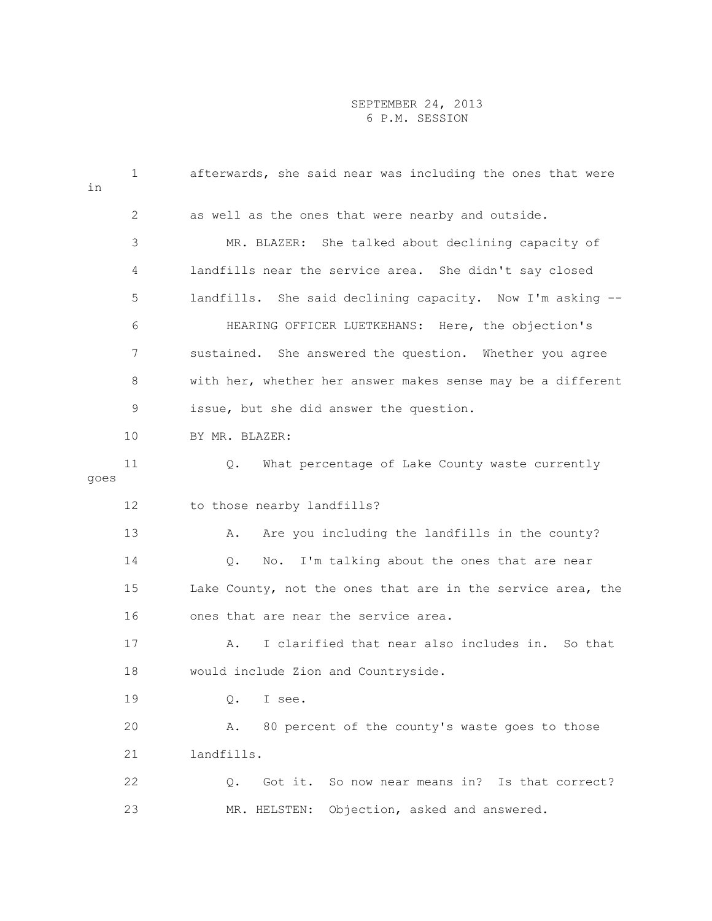| in   | 1  | afterwards, she said near was including the ones that were      |
|------|----|-----------------------------------------------------------------|
|      | 2  | as well as the ones that were nearby and outside.               |
|      | 3  | MR. BLAZER: She talked about declining capacity of              |
|      | 4  | landfills near the service area. She didn't say closed          |
|      | 5  | landfills. She said declining capacity. Now I'm asking --       |
|      | 6  | HEARING OFFICER LUETKEHANS: Here, the objection's               |
|      | 7  | sustained. She answered the question. Whether you agree         |
|      | 8  | with her, whether her answer makes sense may be a different     |
|      | 9  | issue, but she did answer the question.                         |
|      | 10 | BY MR. BLAZER:                                                  |
| goes | 11 | What percentage of Lake County waste currently<br>$Q_{\bullet}$ |
|      | 12 | to those nearby landfills?                                      |
|      | 13 | Are you including the landfills in the county?<br>Α.            |
|      | 14 | No. I'm talking about the ones that are near<br>Q.              |
|      | 15 | Lake County, not the ones that are in the service area, the     |
|      | 16 | ones that are near the service area.                            |
|      | 17 | I clarified that near also includes in. So that<br>Α.           |
|      | 18 | would include Zion and Countryside.                             |
|      | 19 | I see.<br>$Q$ .                                                 |
|      | 20 | 80 percent of the county's waste goes to those<br>Α.            |
|      | 21 | landfills.                                                      |
|      | 22 | Got it. So now near means in? Is that correct?<br>$Q$ .         |
|      | 23 | MR. HELSTEN: Objection, asked and answered.                     |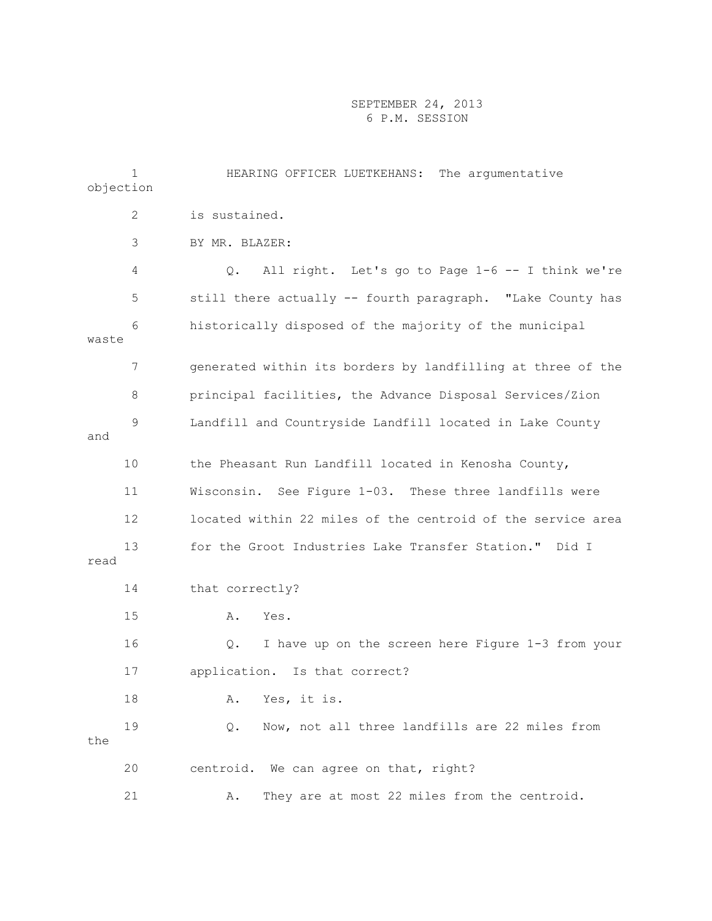| objection | $\mathbf{1}$ | HEARING OFFICER LUETKEHANS: The argumentative                     |
|-----------|--------------|-------------------------------------------------------------------|
|           | 2            | is sustained.                                                     |
|           | 3            | BY MR. BLAZER:                                                    |
|           | 4            | All right. Let's go to Page 1-6 -- I think we're<br>$Q_{\bullet}$ |
|           | 5            | still there actually -- fourth paragraph. "Lake County has        |
| waste     | 6            | historically disposed of the majority of the municipal            |
|           | 7            | generated within its borders by landfilling at three of the       |
|           | 8            | principal facilities, the Advance Disposal Services/Zion          |
| and       | 9            | Landfill and Countryside Landfill located in Lake County          |
|           | 10           | the Pheasant Run Landfill located in Kenosha County,              |
|           | 11           | Wisconsin. See Figure 1-03. These three landfills were            |
|           | 12           | located within 22 miles of the centroid of the service area       |
| read      | 13           | for the Groot Industries Lake Transfer Station." Did I            |
|           | 14           | that correctly?                                                   |
|           | 15           | Yes.<br>Α.                                                        |
|           | 16           | I have up on the screen here Figure 1-3 from your<br>Q.           |
|           | 17           | application. Is that correct?                                     |
|           | 18           | Yes, it is.<br>Α.                                                 |
| the       | 19           | Now, not all three landfills are 22 miles from<br>$Q_{\bullet}$   |
|           | 20           | centroid. We can agree on that, right?                            |
|           | 21           | They are at most 22 miles from the centroid.<br>Α.                |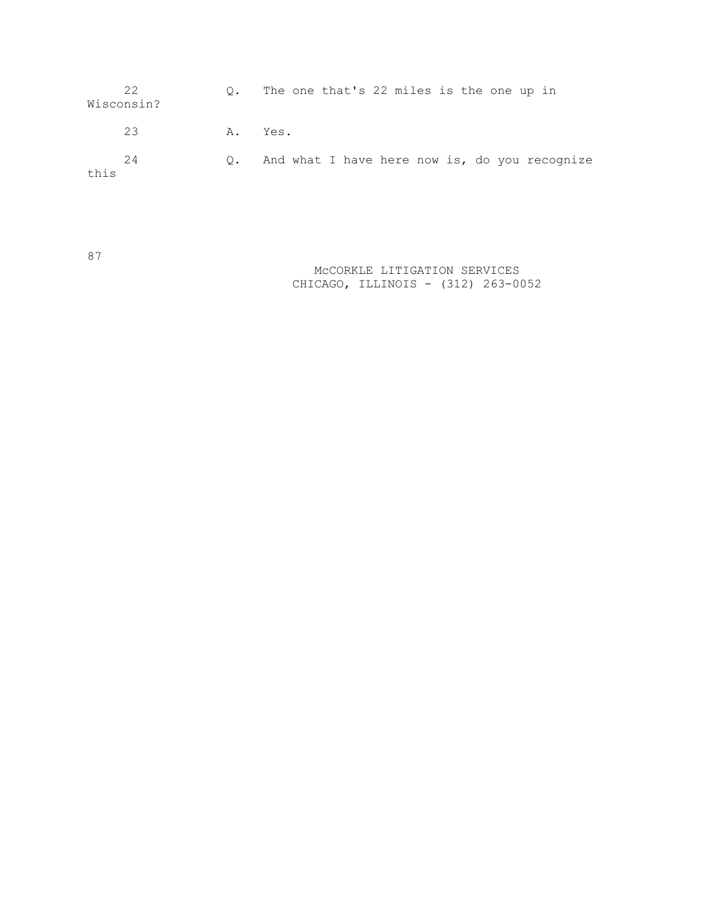| Wisconsin? | 22 | $\circ$ . | The one that's 22 miles is the one up in      |
|------------|----|-----------|-----------------------------------------------|
|            | 23 | A. Yes.   |                                               |
| this       | 24 | $\circ$ . | And what I have here now is, do you recognize |

87

 McCORKLE LITIGATION SERVICES CHICAGO, ILLINOIS - (312) 263-0052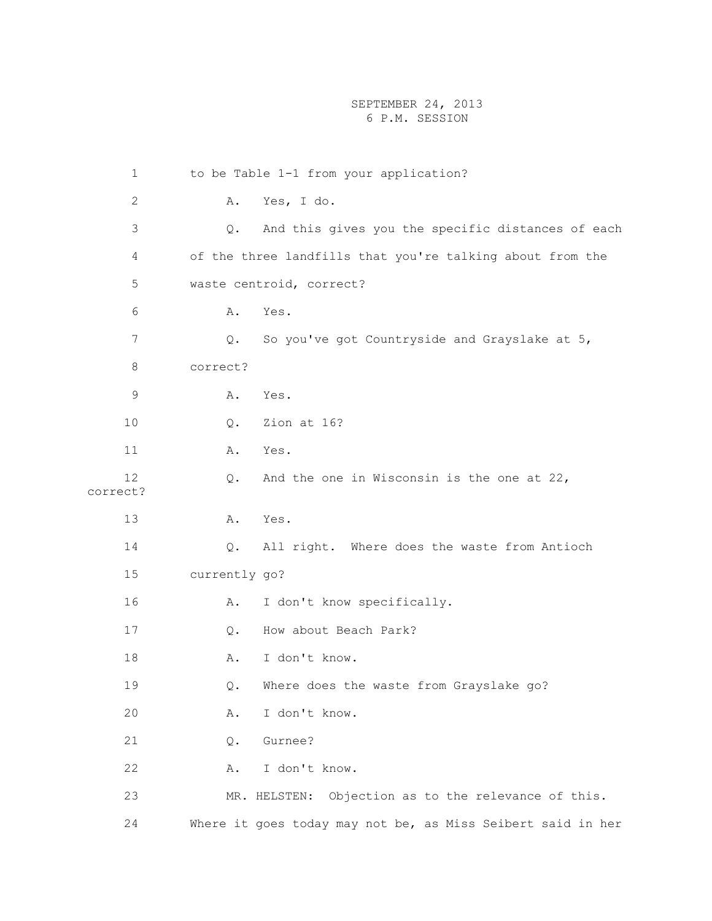1 to be Table 1-1 from your application? 2 A. Yes, I do. 3 Q. And this gives you the specific distances of each 4 of the three landfills that you're talking about from the 5 waste centroid, correct? 6 A. Yes. 7 9. So you've got Countryside and Grayslake at 5, 8 correct? 9 A. Yes. 10 Q. Zion at 16? 11 A. Yes. 12 Q. And the one in Wisconsin is the one at 22, correct? 13 A. Yes. 14 Q. All right. Where does the waste from Antioch 15 currently go? 16 A. I don't know specifically. 17 Q. How about Beach Park? 18 A. I don't know. 19 Q. Where does the waste from Grayslake go? 20 A. I don't know. 21 Q. Gurnee? 22 A. I don't know. 23 MR. HELSTEN: Objection as to the relevance of this. 24 Where it goes today may not be, as Miss Seibert said in her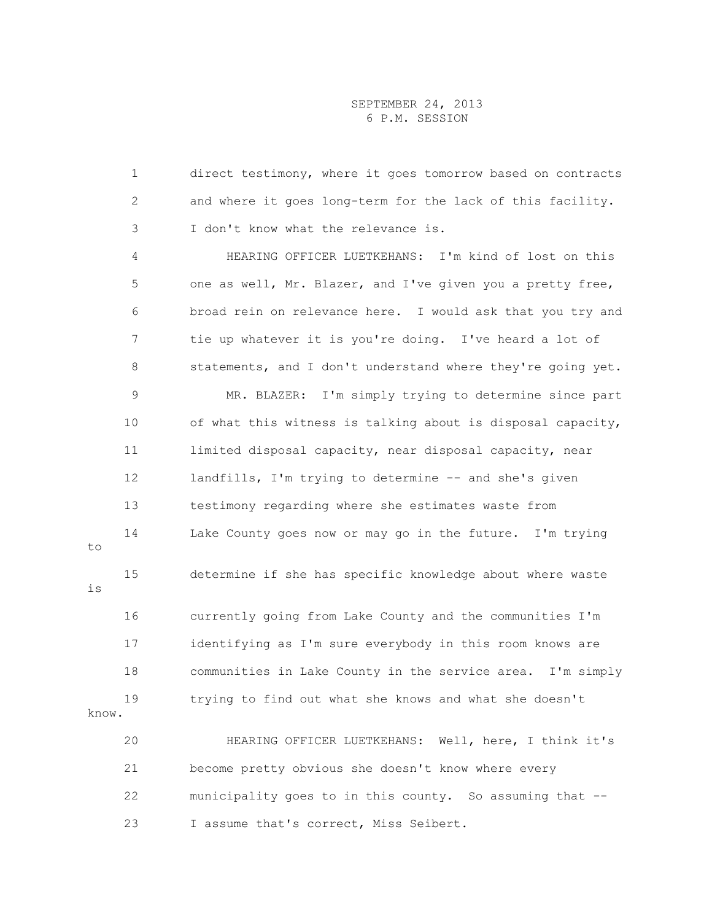1 direct testimony, where it goes tomorrow based on contracts 2 and where it goes long-term for the lack of this facility. 3 I don't know what the relevance is. 4 HEARING OFFICER LUETKEHANS: I'm kind of lost on this 5 one as well, Mr. Blazer, and I've given you a pretty free, 6 broad rein on relevance here. I would ask that you try and 7 tie up whatever it is you're doing. I've heard a lot of 8 statements, and I don't understand where they're going yet. 9 MR. BLAZER: I'm simply trying to determine since part 10 of what this witness is talking about is disposal capacity, 11 limited disposal capacity, near disposal capacity, near 12 landfills, I'm trying to determine -- and she's given 13 testimony regarding where she estimates waste from 14 Lake County goes now or may go in the future. I'm trying 15 determine if she has specific knowledge about where waste 16 currently going from Lake County and the communities I'm 17 identifying as I'm sure everybody in this room knows are 18 communities in Lake County in the service area. I'm simply 19 trying to find out what she knows and what she doesn't know. 20 HEARING OFFICER LUETKEHANS: Well, here, I think it's 21 become pretty obvious she doesn't know where every 22 municipality goes to in this county. So assuming that -- 23 I assume that's correct, Miss Seibert.

to

is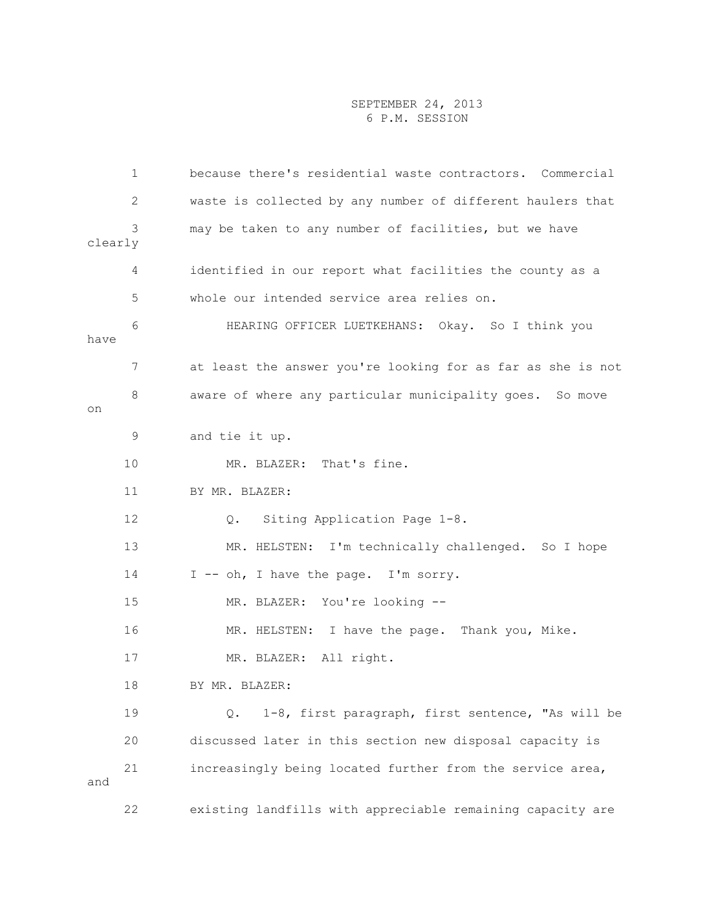|         | 1  | because there's residential waste contractors. Commercial   |
|---------|----|-------------------------------------------------------------|
|         | 2  | waste is collected by any number of different haulers that  |
| clearly | 3  | may be taken to any number of facilities, but we have       |
|         | 4  | identified in our report what facilities the county as a    |
|         | 5  | whole our intended service area relies on.                  |
| have    | 6  | HEARING OFFICER LUETKEHANS: Okay. So I think you            |
|         | 7  | at least the answer you're looking for as far as she is not |
| on      | 8  | aware of where any particular municipality goes. So move    |
|         | 9  | and tie it up.                                              |
|         | 10 | MR. BLAZER: That's fine.                                    |
|         | 11 | BY MR. BLAZER:                                              |
|         | 12 | Siting Application Page 1-8.<br>$Q_{\bullet}$               |
|         | 13 | MR. HELSTEN: I'm technically challenged. So I hope          |
|         | 14 | I -- oh, I have the page. I'm sorry.                        |
|         | 15 | MR. BLAZER: You're looking --                               |
|         | 16 | MR. HELSTEN: I have the page. Thank you, Mike.              |
|         | 17 | MR. BLAZER: All right.                                      |
|         | 18 | BY MR. BLAZER:                                              |
|         | 19 | 1-8, first paragraph, first sentence, "As will be<br>Q.     |
|         | 20 | discussed later in this section new disposal capacity is    |
| and     | 21 | increasingly being located further from the service area,   |
|         | 22 | existing landfills with appreciable remaining capacity are  |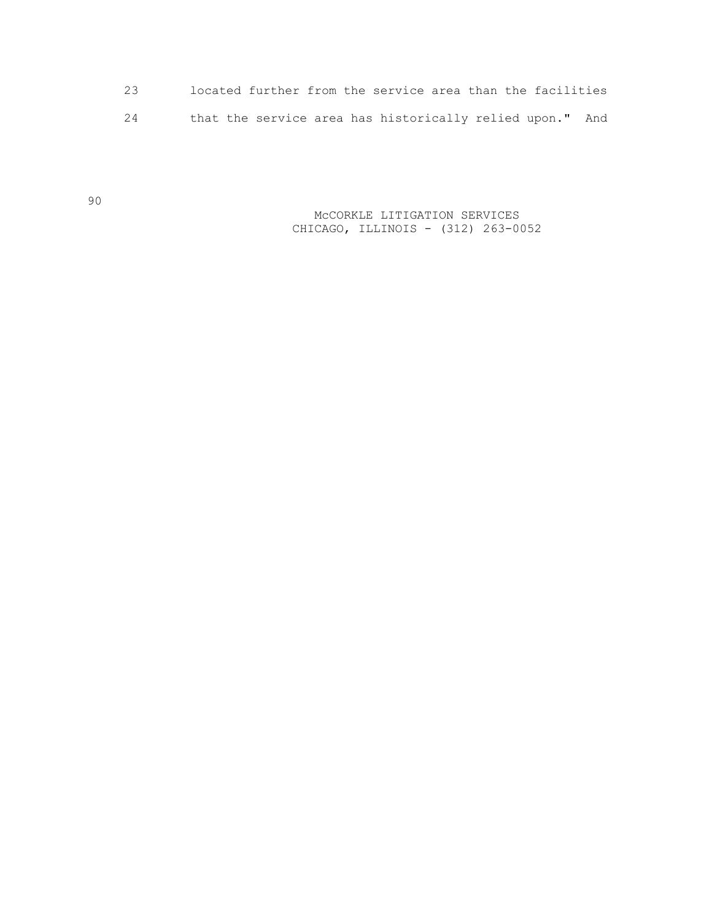23 located further from the service area than the facilities 24 that the service area has historically relied upon." And

> McCORKLE LITIGATION SERVICES CHICAGO, ILLINOIS - (312) 263-0052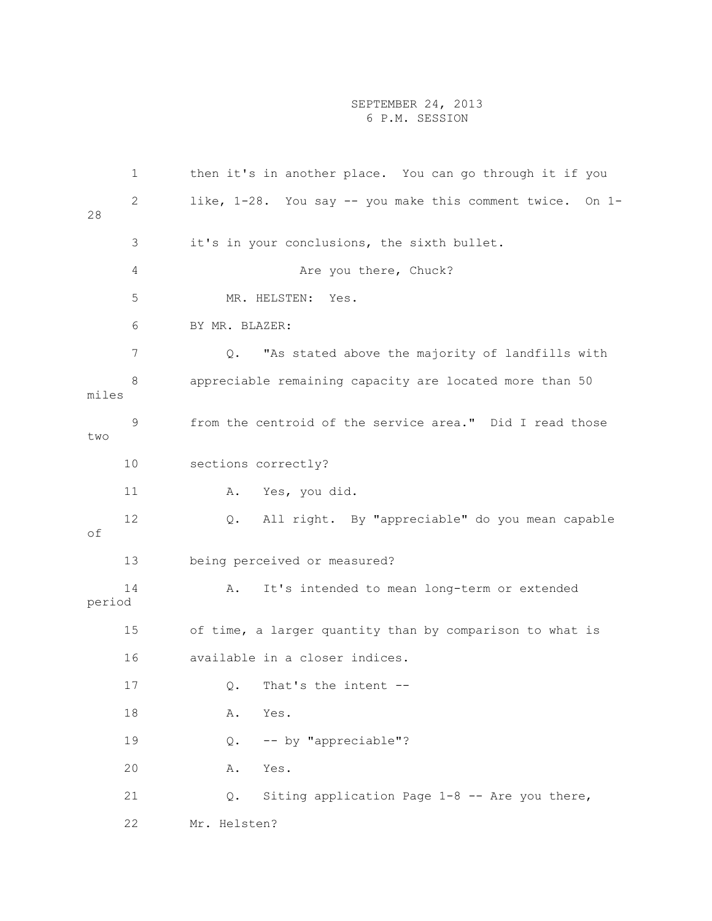|        | $\mathbf 1$ | then it's in another place. You can go through it if you  |
|--------|-------------|-----------------------------------------------------------|
| 28     | 2           | like, 1-28. You say -- you make this comment twice. On 1- |
|        | 3           | it's in your conclusions, the sixth bullet.               |
|        | 4           | Are you there, Chuck?                                     |
|        | 5           | MR. HELSTEN:<br>Yes.                                      |
|        | 6           | BY MR. BLAZER:                                            |
|        | 7           | "As stated above the majority of landfills with<br>Q.     |
| miles  | 8           | appreciable remaining capacity are located more than 50   |
| two    | 9           | from the centroid of the service area." Did I read those  |
|        | 10          | sections correctly?                                       |
|        | 11          | Yes, you did.<br>Α.                                       |
| оf     | 12          | All right. By "appreciable" do you mean capable<br>Q.     |
|        | 13          | being perceived or measured?                              |
| period | 14          | It's intended to mean long-term or extended<br>Α.         |
|        | 15          | of time, a larger quantity than by comparison to what is  |
|        | 16          | available in a closer indices.                            |
|        | 17          | That's the intent --<br>Q.                                |
|        | $18\,$      | Α.<br>Yes.                                                |
|        | 19          | -- by "appreciable"?<br>Q.                                |
|        | 20          | Yes.<br>Α.                                                |
|        | 21          | Siting application Page 1-8 -- Are you there,<br>Q.       |
|        | 22          | Mr. Helsten?                                              |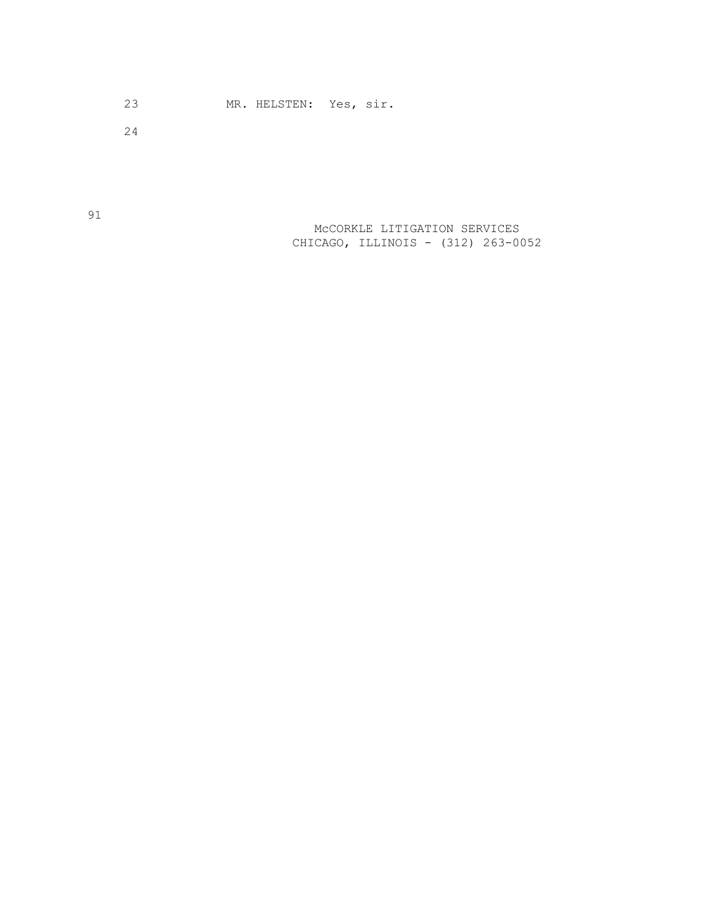23 MR. HELSTEN: Yes, sir.

24

 McCORKLE LITIGATION SERVICES CHICAGO, ILLINOIS - (312) 263-0052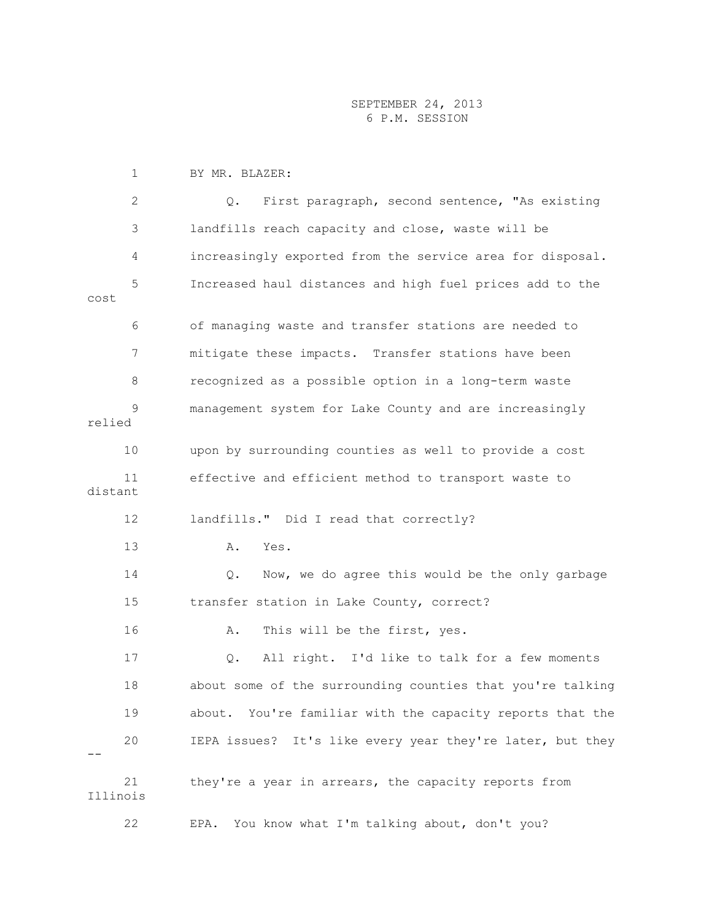1 BY MR. BLAZER:

 2 Q. First paragraph, second sentence, "As existing 3 landfills reach capacity and close, waste will be 4 increasingly exported from the service area for disposal. 5 Increased haul distances and high fuel prices add to the cost 6 of managing waste and transfer stations are needed to 7 mitigate these impacts. Transfer stations have been 8 recognized as a possible option in a long-term waste 9 management system for Lake County and are increasingly relied 10 upon by surrounding counties as well to provide a cost 11 effective and efficient method to transport waste to distant 12 landfills." Did I read that correctly? 13 A. Yes. 14 Q. Now, we do agree this would be the only garbage 15 transfer station in Lake County, correct? 16 A. This will be the first, yes. 17 Q. All right. I'd like to talk for a few moments 18 about some of the surrounding counties that you're talking 19 about. You're familiar with the capacity reports that the 20 IEPA issues? It's like every year they're later, but they -- 21 they're a year in arrears, the capacity reports from Illinois 22 EPA. You know what I'm talking about, don't you?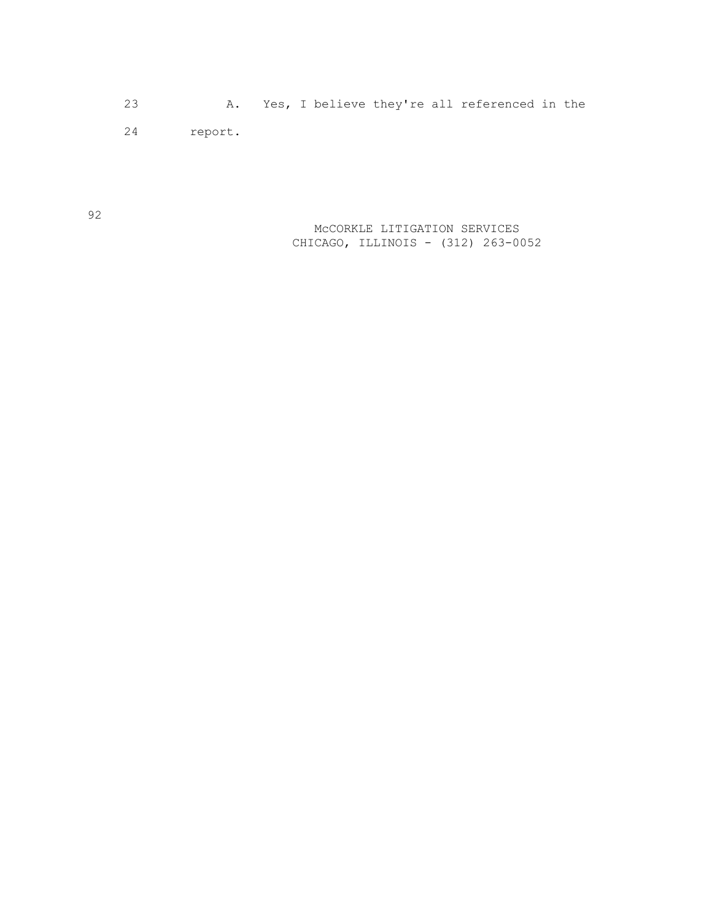23 A. Yes, I believe they're all referenced in the

24 report.

 McCORKLE LITIGATION SERVICES CHICAGO, ILLINOIS - (312) 263-0052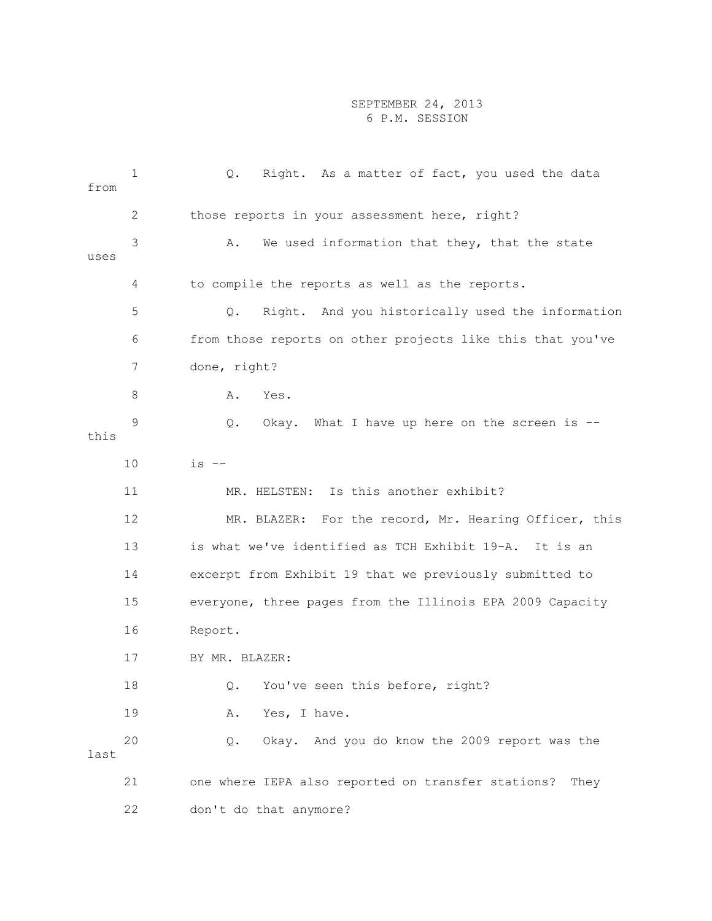| from | $\mathbf 1$ | Right. As a matter of fact, you used the data<br>Q.               |
|------|-------------|-------------------------------------------------------------------|
|      | 2           | those reports in your assessment here, right?                     |
| uses | 3           | We used information that they, that the state<br>Α.               |
|      | 4           | to compile the reports as well as the reports.                    |
|      | 5           | Right. And you historically used the information<br>$Q_{\bullet}$ |
|      | 6           | from those reports on other projects like this that you've        |
|      | 7           | done, right?                                                      |
|      | 8           | Yes.<br>Α.                                                        |
| this | 9           | Okay. What I have up here on the screen is --<br>Q.               |
|      | 10          | $is$ $--$                                                         |
|      | 11          | MR. HELSTEN: Is this another exhibit?                             |
|      | 12          | MR. BLAZER: For the record, Mr. Hearing Officer, this             |
|      | 13          | is what we've identified as TCH Exhibit 19-A. It is an            |
|      | 14          | excerpt from Exhibit 19 that we previously submitted to           |
|      | 15          | everyone, three pages from the Illinois EPA 2009 Capacity         |
|      | 16          | Report.                                                           |
|      | 17          | BY MR. BLAZER:                                                    |
|      | 18          | Q. You've seen this before, right?                                |
|      | 19          | Yes, I have.<br>Α.                                                |
| last | 20          | Okay. And you do know the 2009 report was the<br>Q.               |
|      | 21          | one where IEPA also reported on transfer stations?<br>They        |
|      | 22          | don't do that anymore?                                            |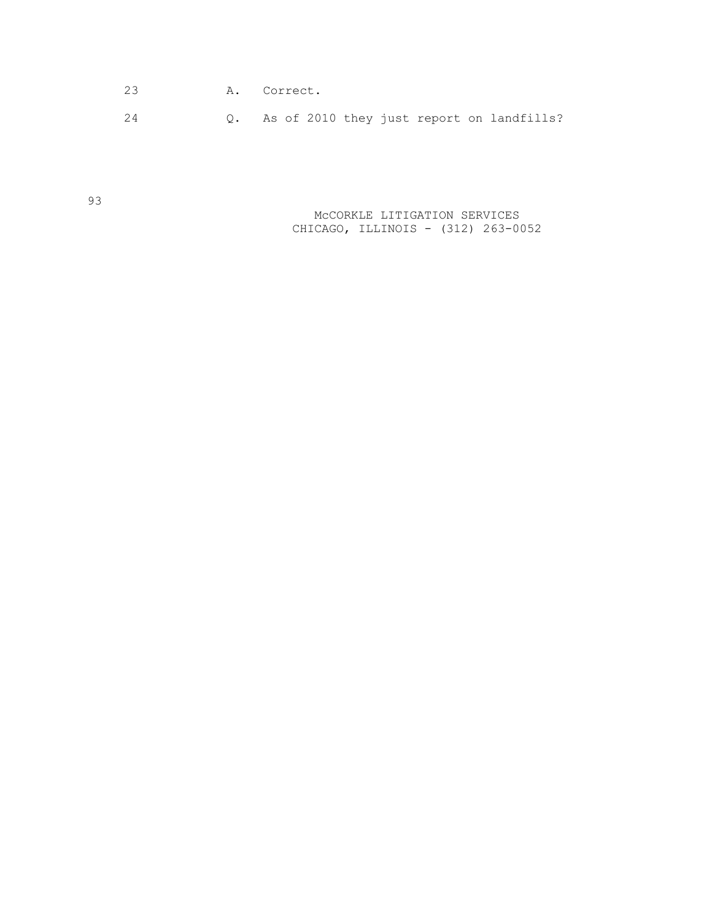| 23 | A. Correct.                                  |
|----|----------------------------------------------|
| 24 | Q. As of 2010 they just report on landfills? |

 McCORKLE LITIGATION SERVICES CHICAGO, ILLINOIS - (312) 263-0052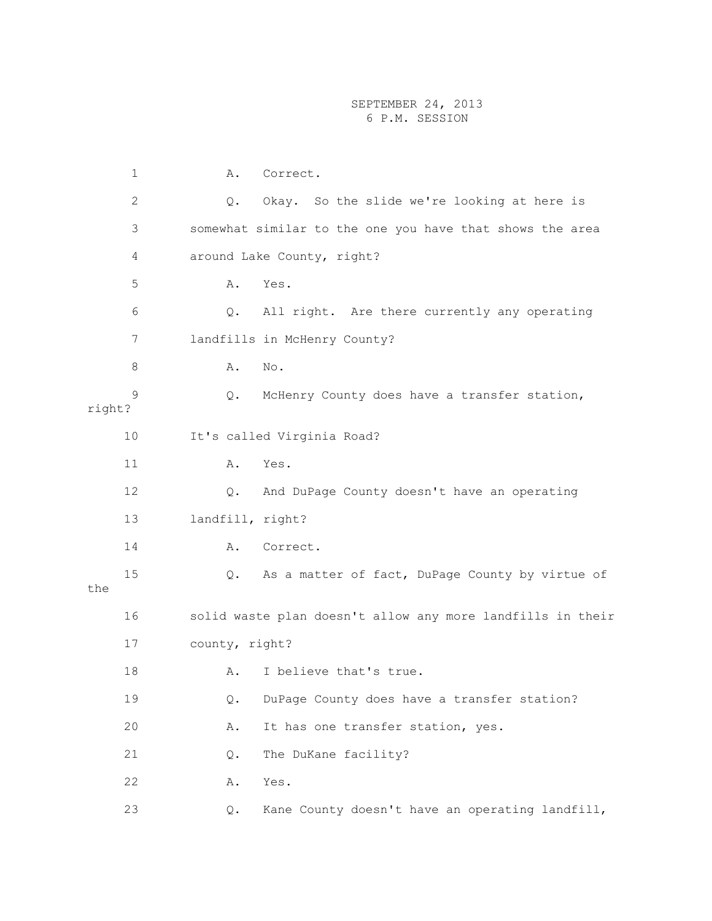|        | $\mathbf 1$  | Α.                         | Correct.                                                   |  |  |  |  |
|--------|--------------|----------------------------|------------------------------------------------------------|--|--|--|--|
|        | $\mathbf{2}$ | $Q$ .                      | Okay. So the slide we're looking at here is                |  |  |  |  |
|        | 3            |                            | somewhat similar to the one you have that shows the area   |  |  |  |  |
|        | 4            |                            | around Lake County, right?                                 |  |  |  |  |
|        | 5            | Α.                         | Yes.                                                       |  |  |  |  |
|        | 6            | Q.                         | All right. Are there currently any operating               |  |  |  |  |
|        | 7            |                            | landfills in McHenry County?                               |  |  |  |  |
|        | 8            | Α.                         | No.                                                        |  |  |  |  |
| right? | 9            | Q.                         | McHenry County does have a transfer station,               |  |  |  |  |
|        | 10           | It's called Virginia Road? |                                                            |  |  |  |  |
|        | 11           | Α.                         | Yes.                                                       |  |  |  |  |
|        | 12           | Q.                         | And DuPage County doesn't have an operating                |  |  |  |  |
|        | 13           | landfill, right?           |                                                            |  |  |  |  |
|        | 14           | Α.                         | Correct.                                                   |  |  |  |  |
| the    | 15           | Q.                         | As a matter of fact, DuPage County by virtue of            |  |  |  |  |
|        | 16           |                            | solid waste plan doesn't allow any more landfills in their |  |  |  |  |
|        | 17           | county, right?             |                                                            |  |  |  |  |
|        | 18           | Α.                         | I believe that's true.                                     |  |  |  |  |
|        | 19           | Q.                         | DuPage County does have a transfer station?                |  |  |  |  |
|        | 20           | Α.                         | It has one transfer station, yes.                          |  |  |  |  |
|        | 21           | Q.                         | The DuKane facility?                                       |  |  |  |  |
|        | 22           | Α.                         | Yes.                                                       |  |  |  |  |
|        | 23           | Q.                         | Kane County doesn't have an operating landfill,            |  |  |  |  |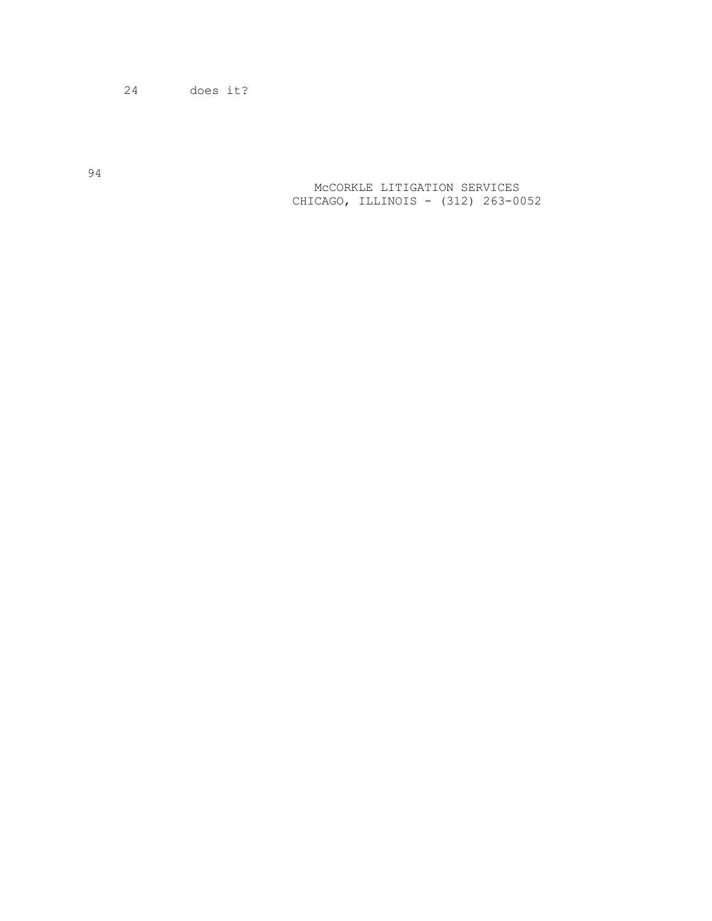24 does it?

 McCORKLE LITIGATION SERVICES CHICAGO, ILLINOIS - (312) 263-0052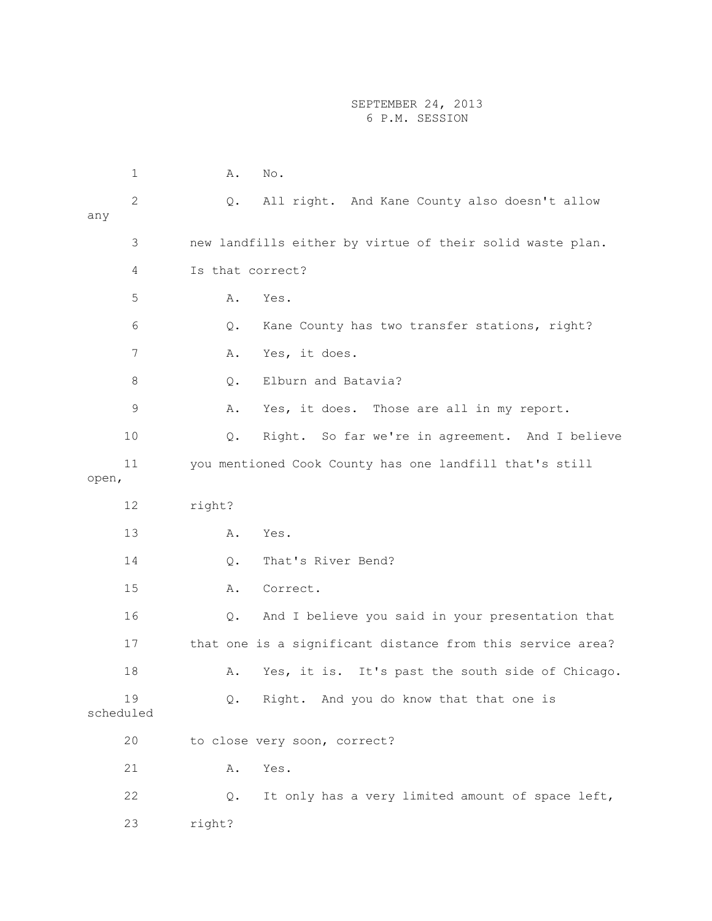|       | $\mathbf 1$     | Α.               | No.                                                        |
|-------|-----------------|------------------|------------------------------------------------------------|
| any   | $\mathbf{2}$    | Q.               | All right. And Kane County also doesn't allow              |
|       | 3               |                  | new landfills either by virtue of their solid waste plan.  |
|       | 4               | Is that correct? |                                                            |
|       | 5               | Α.               | Yes.                                                       |
|       | 6               | Q.               | Kane County has two transfer stations, right?              |
|       | 7               | Α.               | Yes, it does.                                              |
|       | 8               | Q.               | Elburn and Batavia?                                        |
|       | 9               | Α.               | Yes, it does. Those are all in my report.                  |
|       | 10              | Q.               | Right. So far we're in agreement. And I believe            |
| open, | 11              |                  | you mentioned Cook County has one landfill that's still    |
|       | 12              | right?           |                                                            |
|       | 13              | Α.               | Yes.                                                       |
|       | 14              | $Q$ .            | That's River Bend?                                         |
|       | 15              | Α.               | Correct.                                                   |
|       | 16              | Q.               | And I believe you said in your presentation that           |
|       | 17              |                  | that one is a significant distance from this service area? |
|       | 18              | Α.               | Yes, it is. It's past the south side of Chicago.           |
|       | 19<br>scheduled | Q.               | Right. And you do know that that one is                    |
|       | 20              |                  | to close very soon, correct?                               |
|       | 21              | Α.               | Yes.                                                       |
|       | 22              | Q.               | It only has a very limited amount of space left,           |
|       | 23              | right?           |                                                            |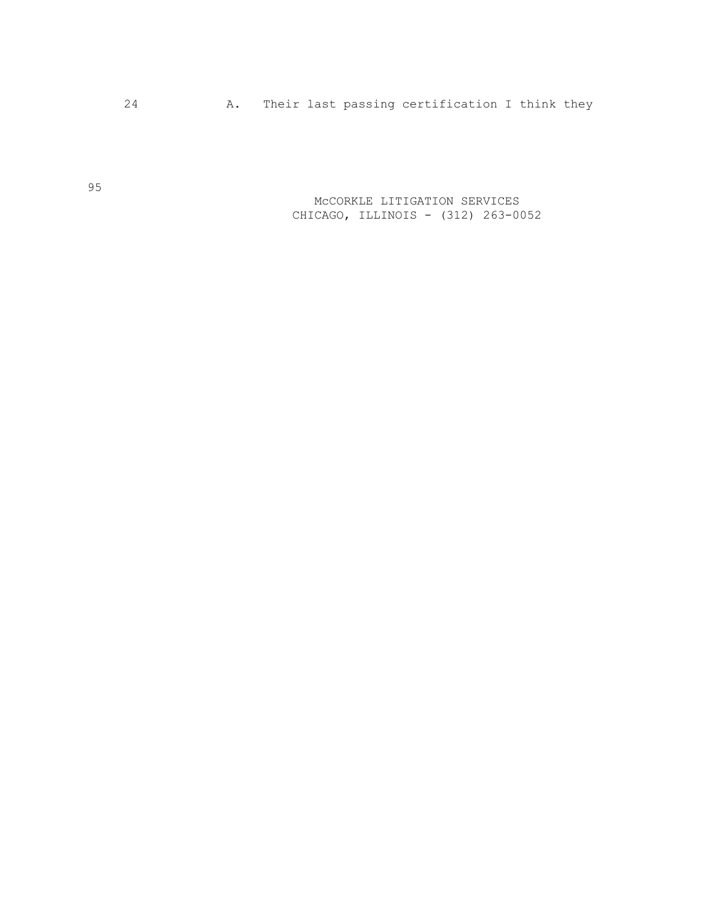24 A. Their last passing certification I think they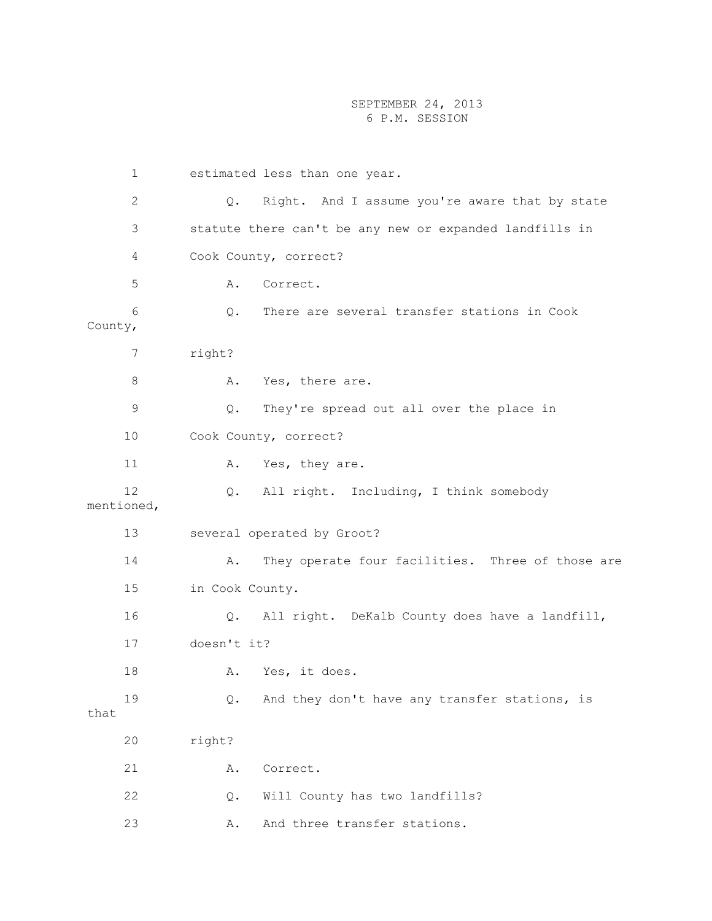1 estimated less than one year. 2 Q. Right. And I assume you're aware that by state 3 statute there can't be any new or expanded landfills in 4 Cook County, correct? 5 A. Correct. 6 Q. There are several transfer stations in Cook County, 7 right? 8 A. Yes, there are. 9 Q. They're spread out all over the place in 10 Cook County, correct? 11 A. Yes, they are. 12 Q. All right. Including, I think somebody mentioned, 13 several operated by Groot? 14 A. They operate four facilities. Three of those are 15 in Cook County. 16 Q. All right. DeKalb County does have a landfill, 17 doesn't it? 18 A. Yes, it does. 19 Q. And they don't have any transfer stations, is that 20 right? 21 A. Correct. 22 Q. Will County has two landfills? 23 A. And three transfer stations.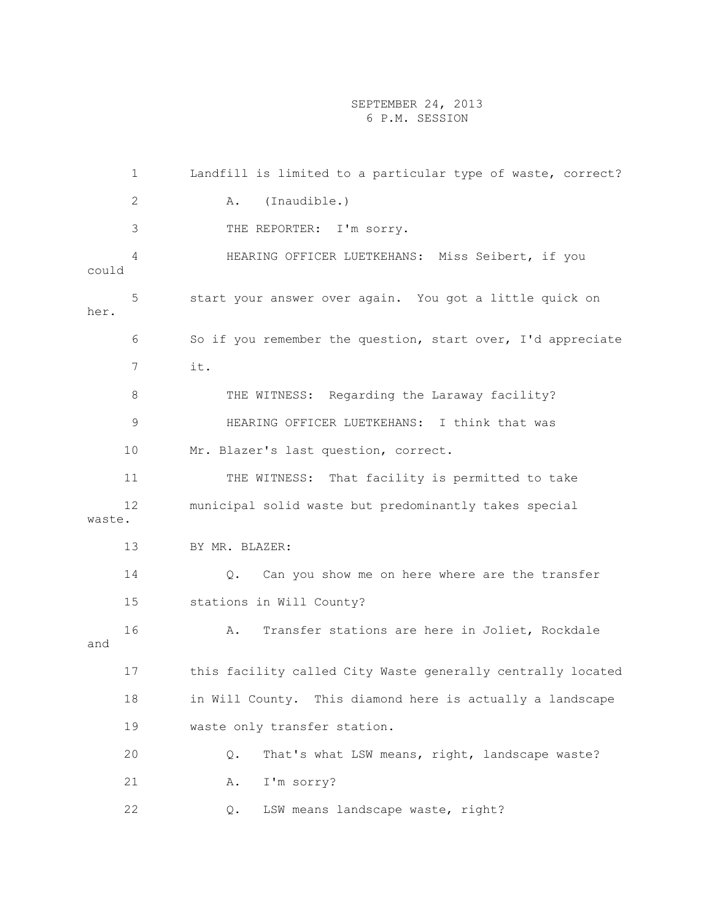1 Landfill is limited to a particular type of waste, correct? 2 A. (Inaudible.) 3 THE REPORTER: I'm sorry. 4 HEARING OFFICER LUETKEHANS: Miss Seibert, if you could 5 start your answer over again. You got a little quick on her. 6 So if you remember the question, start over, I'd appreciate 7 it. 8 THE WITNESS: Regarding the Laraway facility? 9 HEARING OFFICER LUETKEHANS: I think that was 10 Mr. Blazer's last question, correct. 11 THE WITNESS: That facility is permitted to take 12 municipal solid waste but predominantly takes special waste. 13 BY MR. BLAZER: 14 Q. Can you show me on here where are the transfer 15 stations in Will County? 16 A. Transfer stations are here in Joliet, Rockdale and 17 this facility called City Waste generally centrally located 18 in Will County. This diamond here is actually a landscape 19 waste only transfer station. 20 Q. That's what LSW means, right, landscape waste? 21 A. I'm sorry? 22 Q. LSW means landscape waste, right?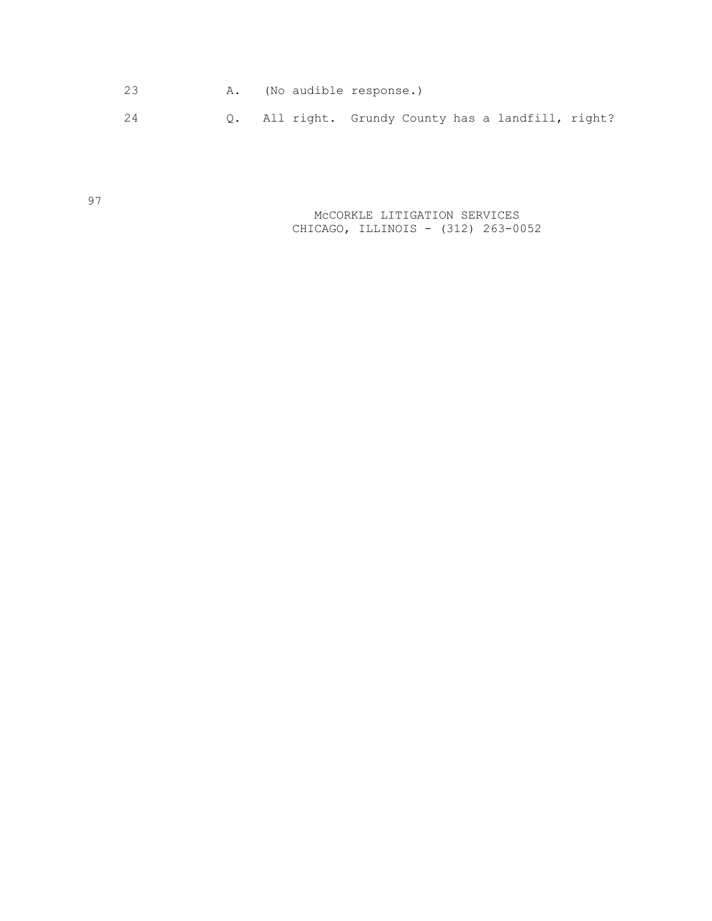- 23 A. (No audible response.)
- 24 Q. All right. Grundy County has a landfill, right?

97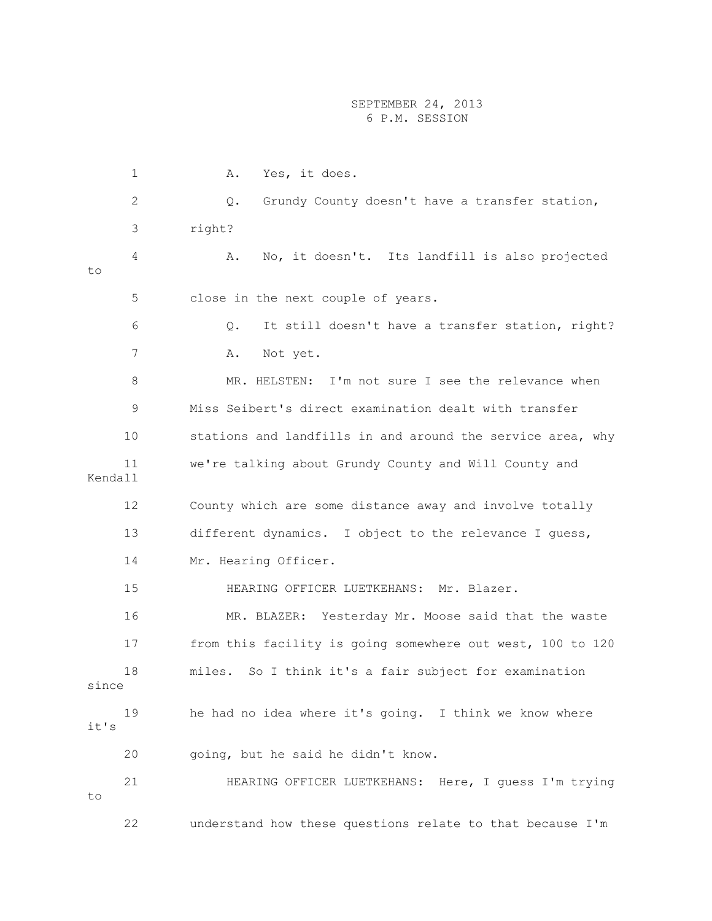1 A. Yes, it does. 2 Q. Grundy County doesn't have a transfer station, 3 right? 4 A. No, it doesn't. Its landfill is also projected to 5 close in the next couple of years. 6 Q. It still doesn't have a transfer station, right? 7 A. Not yet. 8 MR. HELSTEN: I'm not sure I see the relevance when 9 Miss Seibert's direct examination dealt with transfer 10 stations and landfills in and around the service area, why 11 we're talking about Grundy County and Will County and Kendall 12 County which are some distance away and involve totally 13 different dynamics. I object to the relevance I guess, 14 Mr. Hearing Officer. 15 HEARING OFFICER LUETKEHANS: Mr. Blazer. 16 MR. BLAZER: Yesterday Mr. Moose said that the waste 17 from this facility is going somewhere out west, 100 to 120 18 miles. So I think it's a fair subject for examination since 19 he had no idea where it's going. I think we know where it's 20 going, but he said he didn't know. 21 HEARING OFFICER LUETKEHANS: Here, I guess I'm trying to 22 understand how these questions relate to that because I'm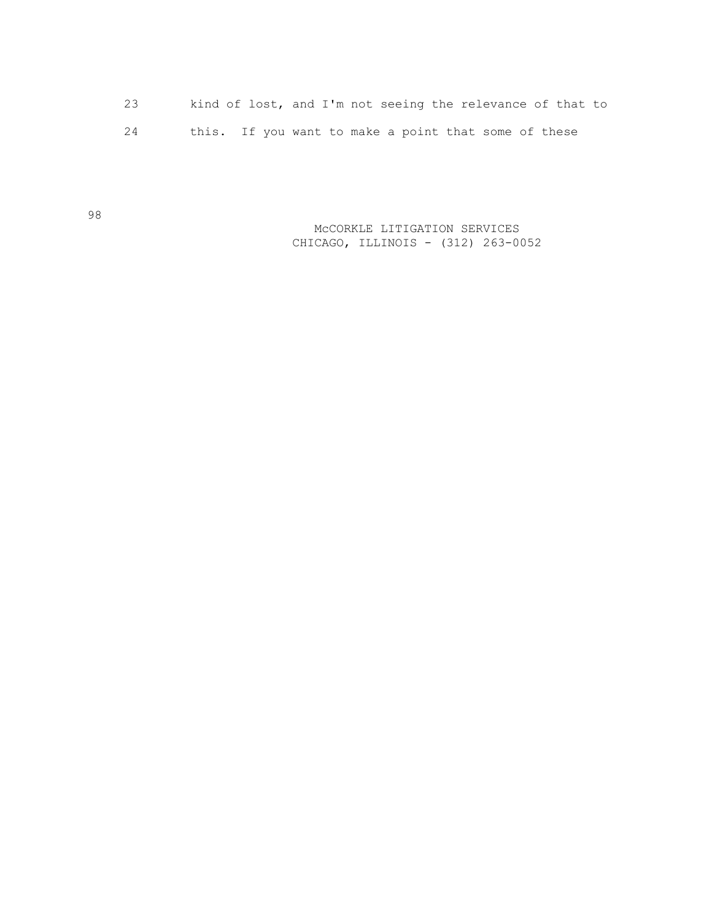|  |  |  |                                                      | kind of lost, and I'm not seeing the relevance of that to |  |
|--|--|--|------------------------------------------------------|-----------------------------------------------------------|--|
|  |  |  | this. If you want to make a point that some of these |                                                           |  |

 McCORKLE LITIGATION SERVICES CHICAGO, ILLINOIS - (312) 263-0052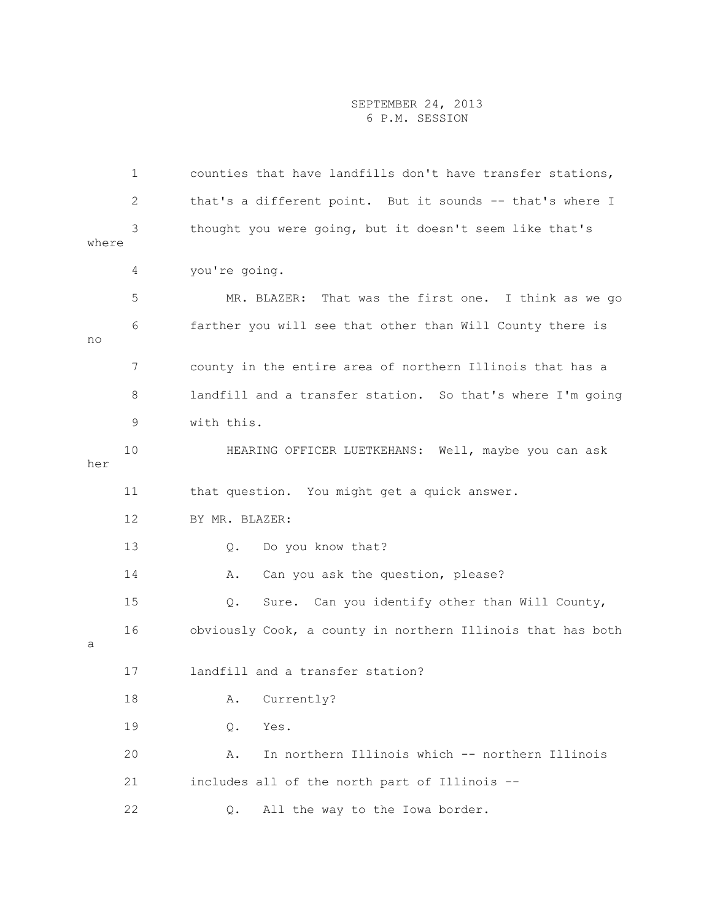1 counties that have landfills don't have transfer stations, 2 that's a different point. But it sounds -- that's where I 3 thought you were going, but it doesn't seem like that's where 4 you're going. 5 MR. BLAZER: That was the first one. I think as we go 6 farther you will see that other than Will County there is no 7 county in the entire area of northern Illinois that has a 8 landfill and a transfer station. So that's where I'm going 9 with this. 10 HEARING OFFICER LUETKEHANS: Well, maybe you can ask her 11 that question. You might get a quick answer. 12 BY MR. BLAZER: 13 Q. Do you know that? 14 A. Can you ask the question, please? 15 Q. Sure. Can you identify other than Will County, 16 obviously Cook, a county in northern Illinois that has both a 17 landfill and a transfer station? 18 A. Currently? 19 Q. Yes. 20 A. In northern Illinois which -- northern Illinois 21 includes all of the north part of Illinois -- 22 Q. All the way to the Iowa border.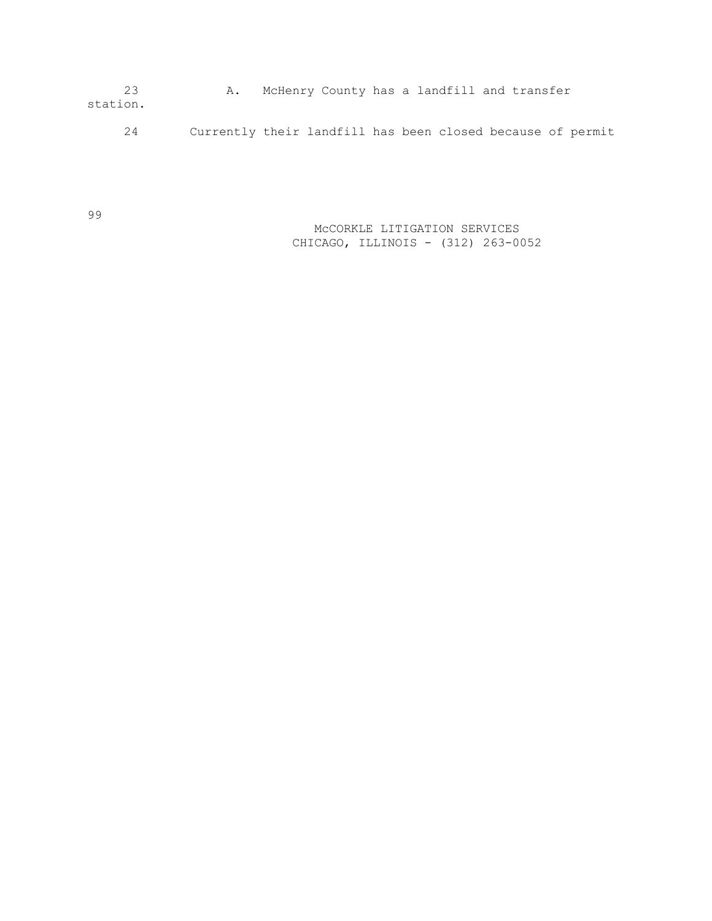23 A. McHenry County has a landfill and transfer station.

24 Currently their landfill has been closed because of permit

99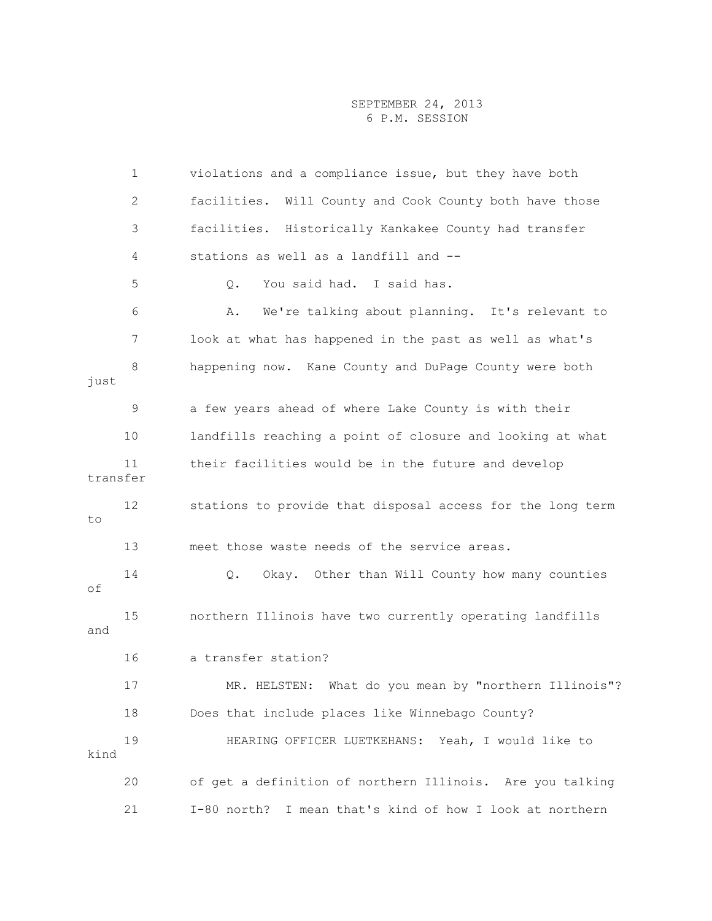1 violations and a compliance issue, but they have both 2 facilities. Will County and Cook County both have those 3 facilities. Historically Kankakee County had transfer 4 stations as well as a landfill and -- 5 Q. You said had. I said has. 6 A. We're talking about planning. It's relevant to 7 look at what has happened in the past as well as what's 8 happening now. Kane County and DuPage County were both just 9 a few years ahead of where Lake County is with their 10 landfills reaching a point of closure and looking at what 11 their facilities would be in the future and develop transfer 12 stations to provide that disposal access for the long term to 13 meet those waste needs of the service areas. 14 Q. Okay. Other than Will County how many counties of 15 northern Illinois have two currently operating landfills and 16 a transfer station? 17 MR. HELSTEN: What do you mean by "northern Illinois"? 18 Does that include places like Winnebago County? 19 HEARING OFFICER LUETKEHANS: Yeah, I would like to kind 20 of get a definition of northern Illinois. Are you talking 21 I-80 north? I mean that's kind of how I look at northern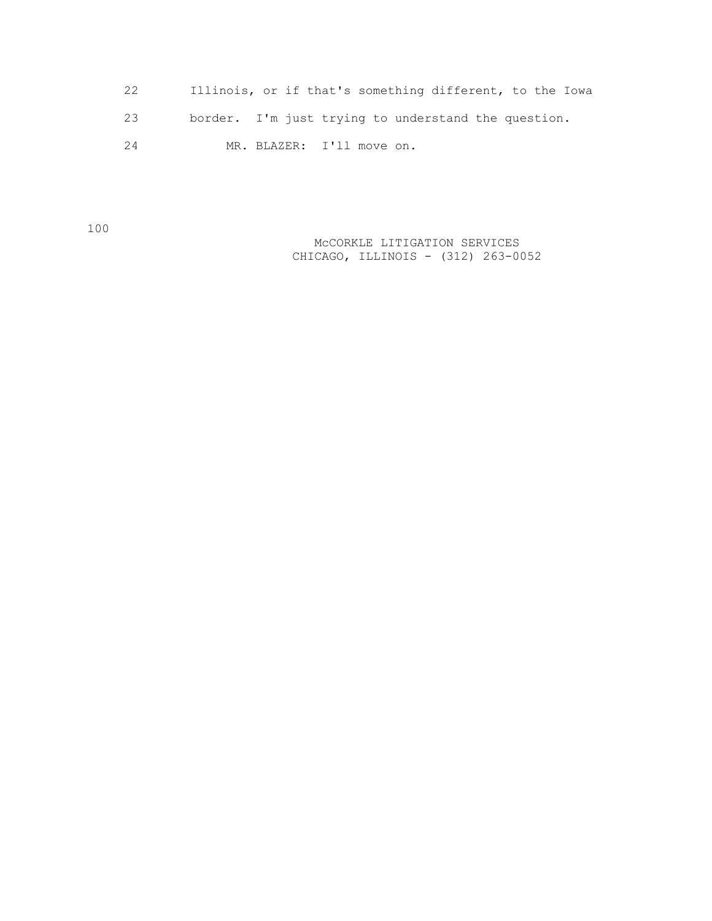| 22 |  |                           |  | Illinois, or if that's something different, to the Iowa |
|----|--|---------------------------|--|---------------------------------------------------------|
| 23 |  |                           |  | border. I'm just trying to understand the question.     |
| 24 |  | MR. BLAZER: I'll move on. |  |                                                         |

100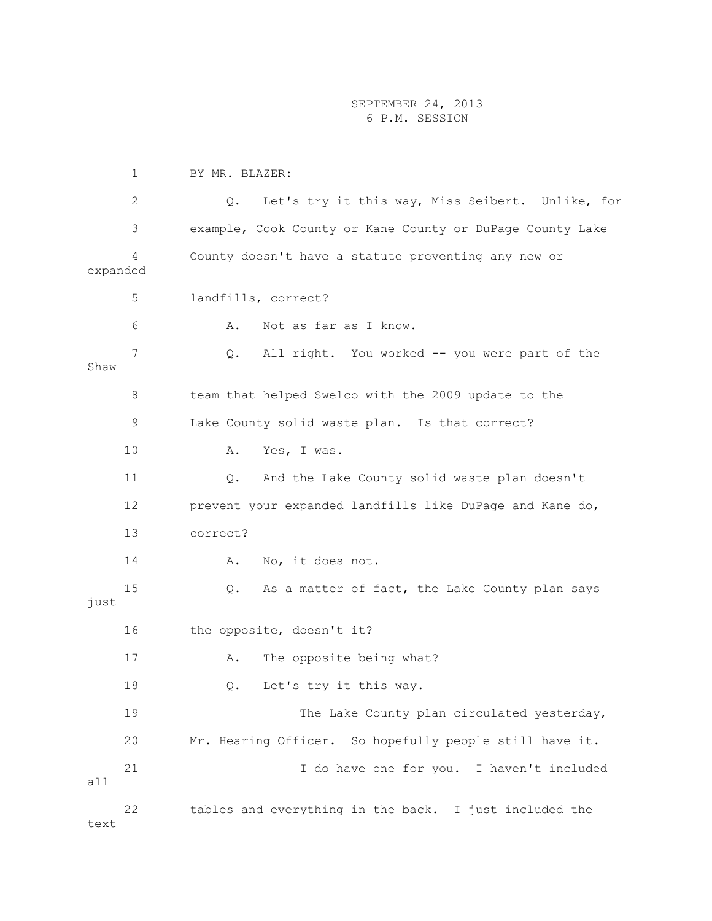1 BY MR. BLAZER: 2 Q. Let's try it this way, Miss Seibert. Unlike, for 3 example, Cook County or Kane County or DuPage County Lake 4 County doesn't have a statute preventing any new or expanded 5 landfills, correct? 6 A. Not as far as I know. 7 Q. All right. You worked -- you were part of the Shaw 8 team that helped Swelco with the 2009 update to the 9 Lake County solid waste plan. Is that correct? 10 A. Yes, I was. 11 Q. And the Lake County solid waste plan doesn't 12 prevent your expanded landfills like DuPage and Kane do, 13 correct? 14 A. No, it does not. 15 Q. As a matter of fact, the Lake County plan says just 16 the opposite, doesn't it? 17 A. The opposite being what? 18 Q. Let's try it this way. 19 The Lake County plan circulated yesterday, 20 Mr. Hearing Officer. So hopefully people still have it. 21 I do have one for you. I haven't included all 22 tables and everything in the back. I just included the text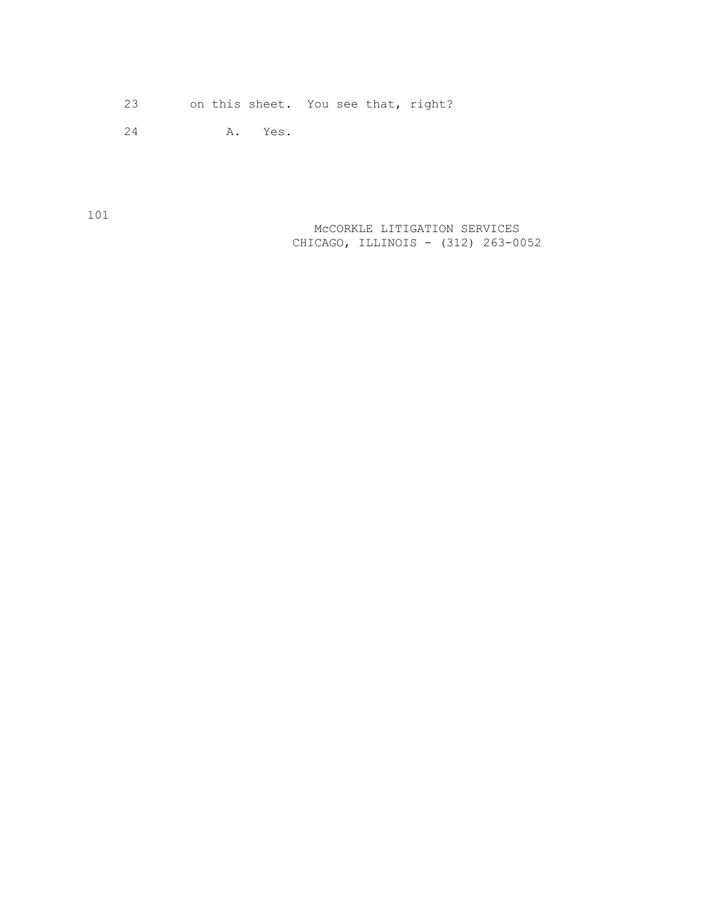23 on this sheet. You see that, right?

24 A. Yes.

 McCORKLE LITIGATION SERVICES CHICAGO, ILLINOIS - (312) 263-0052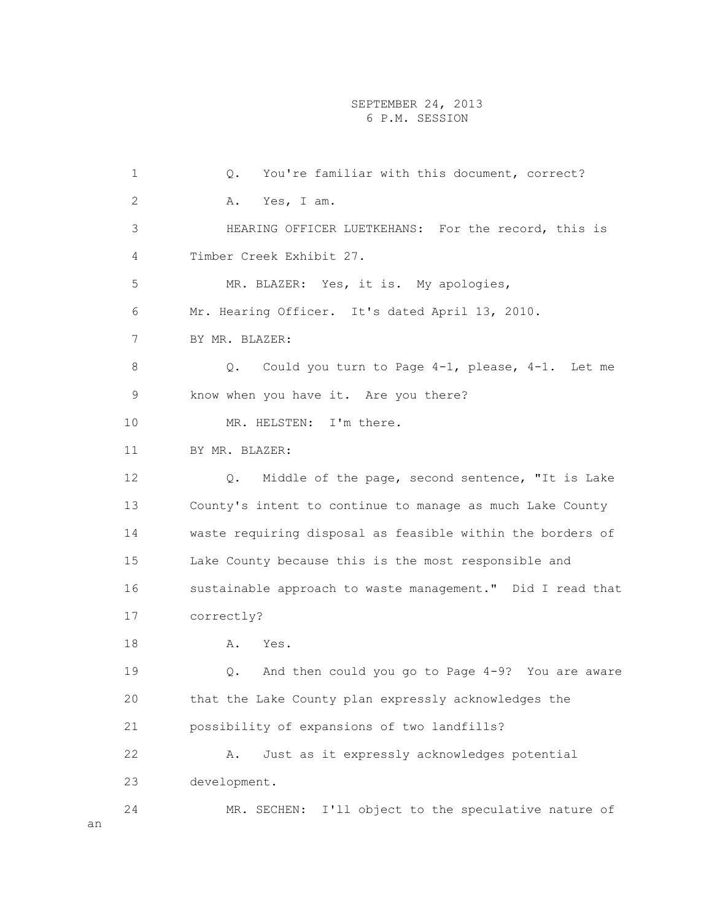1 Q. You're familiar with this document, correct? 2 A. Yes, I am. 3 HEARING OFFICER LUETKEHANS: For the record, this is 4 Timber Creek Exhibit 27. 5 MR. BLAZER: Yes, it is. My apologies, 6 Mr. Hearing Officer. It's dated April 13, 2010. 7 BY MR. BLAZER: 8 Q. Could you turn to Page 4-1, please, 4-1. Let me 9 know when you have it. Are you there? 10 MR. HELSTEN: I'm there. 11 BY MR. BLAZER: 12 Q. Middle of the page, second sentence, "It is Lake 13 County's intent to continue to manage as much Lake County 14 waste requiring disposal as feasible within the borders of 15 Lake County because this is the most responsible and 16 sustainable approach to waste management." Did I read that 17 correctly? 18 A. Yes 19 Q. And then could you go to Page 4-9? You are aware 20 that the Lake County plan expressly acknowledges the 21 possibility of expansions of two landfills? 22 A. Just as it expressly acknowledges potential 23 development. 24 MR. SECHEN: I'll object to the speculative nature of

an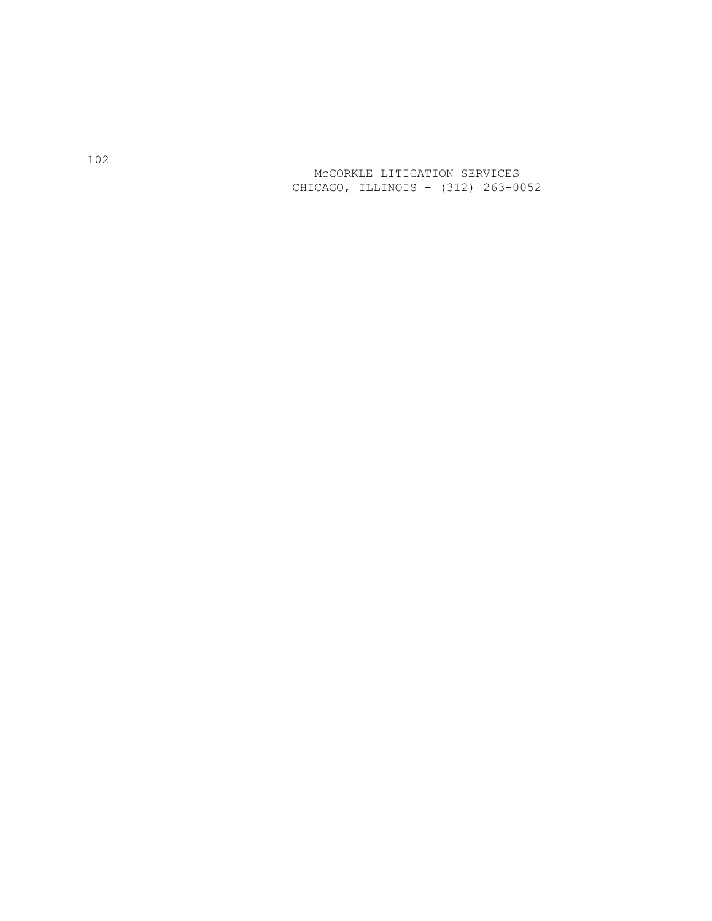McCORKLE LITIGATION SERVICES CHICAGO, ILLINOIS - (312) 263 -0052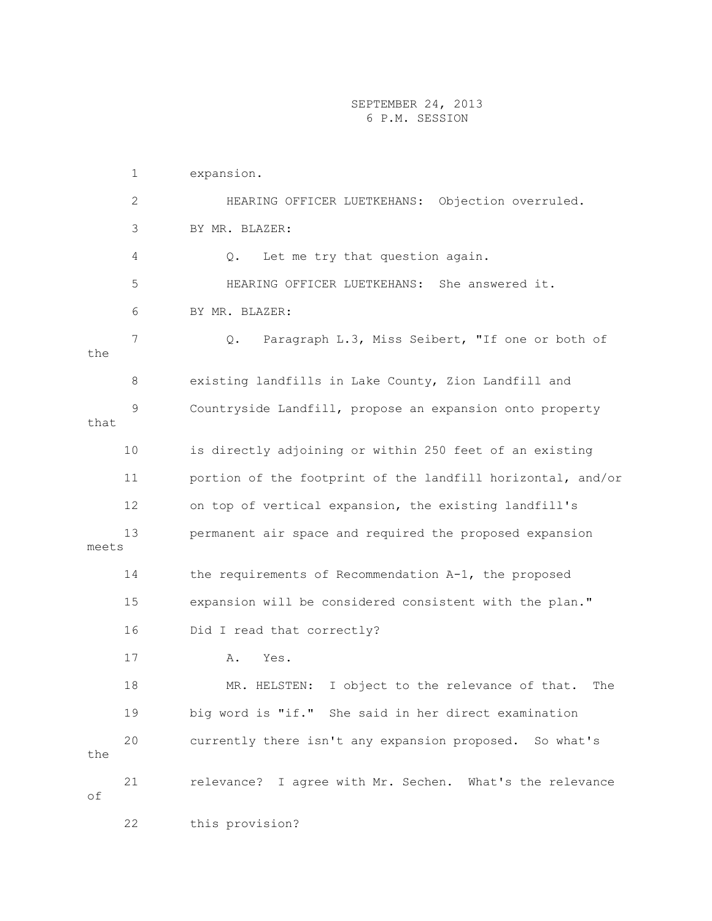1 expansion. 2 HEARING OFFICER LUETKEHANS: Objection overruled. 3 BY MR. BLAZER: 4 Q. Let me try that question again. 5 HEARING OFFICER LUETKEHANS: She answered it. 6 BY MR. BLAZER: 7 Q. Paragraph L.3, Miss Seibert, "If one or both of the 8 existing landfills in Lake County, Zion Landfill and 9 Countryside Landfill, propose an expansion onto property that 10 is directly adjoining or within 250 feet of an existing 11 portion of the footprint of the landfill horizontal, and/or 12 on top of vertical expansion, the existing landfill's 13 permanent air space and required the proposed expansion meets 14 the requirements of Recommendation A-1, the proposed 15 expansion will be considered consistent with the plan." 16 Did I read that correctly? 17 A. Yes. 18 MR. HELSTEN: I object to the relevance of that. The 19 big word is "if." She said in her direct examination 20 currently there isn't any expansion proposed. So what's the 21 relevance? I agree with Mr. Sechen. What's the relevance of 22 this provision?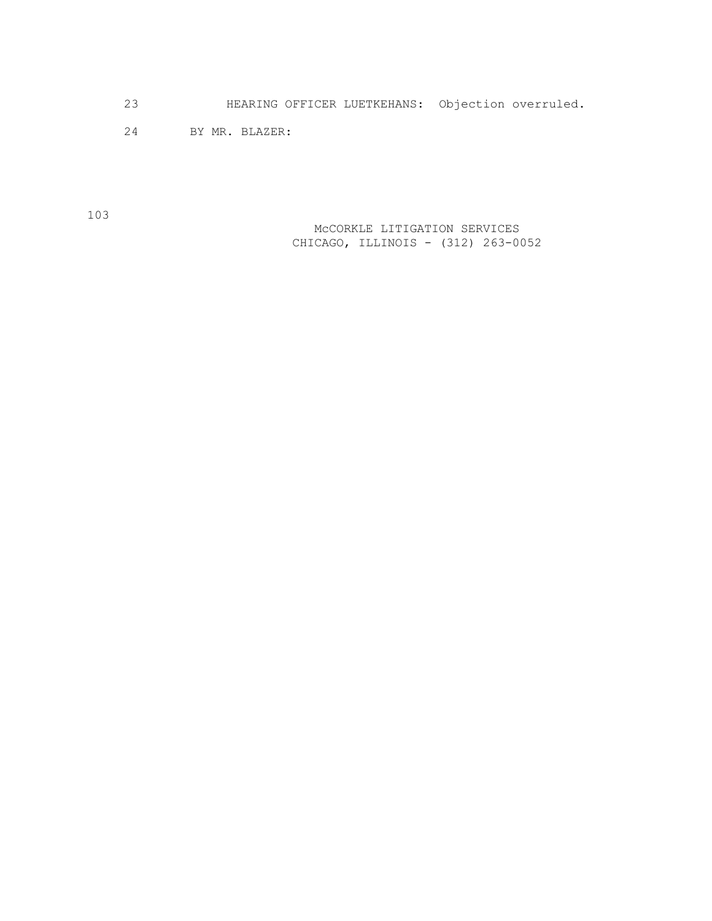23 HEARING OFFICER LUETKEHANS: Objection overruled.

24 BY MR. BLAZER:

103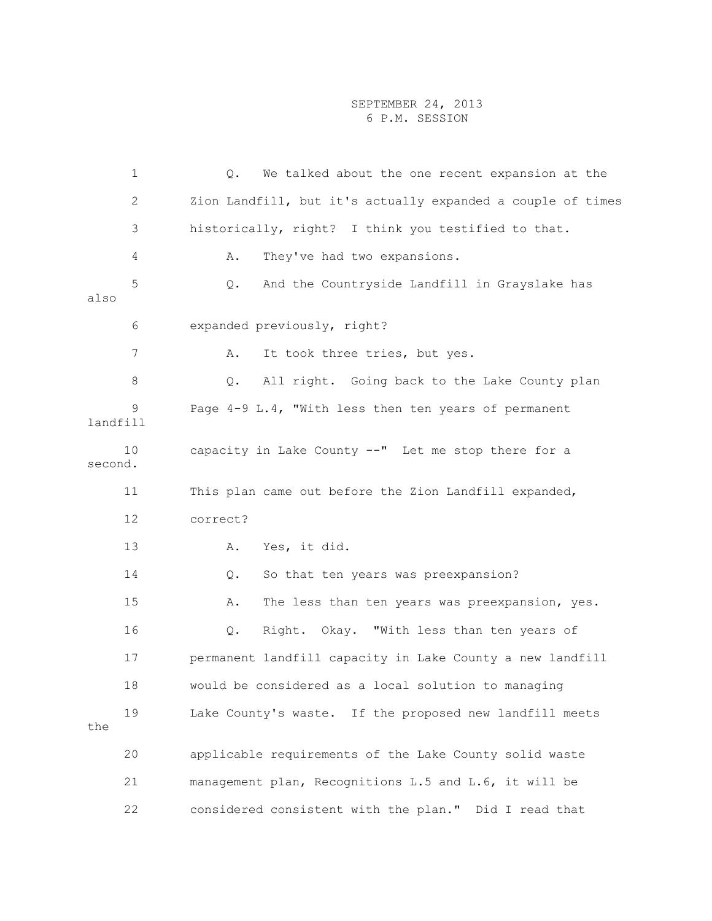|          | $\mathbf 1$  | We talked about the one recent expansion at the<br>Q.       |
|----------|--------------|-------------------------------------------------------------|
|          | $\mathbf{2}$ | Zion Landfill, but it's actually expanded a couple of times |
|          | 3            | historically, right? I think you testified to that.         |
|          | 4            | They've had two expansions.<br>Α.                           |
| also     | 5            | And the Countryside Landfill in Grayslake has<br>Q.         |
|          | 6            | expanded previously, right?                                 |
|          | 7            | It took three tries, but yes.<br>Α.                         |
|          | 8            | Q. All right. Going back to the Lake County plan            |
| landfill | 9            | Page 4-9 L.4, "With less then ten years of permanent        |
| second.  | 10           | capacity in Lake County --" Let me stop there for a         |
|          | 11           | This plan came out before the Zion Landfill expanded,       |
|          | 12           | correct?                                                    |
|          | 13           | Yes, it did.<br>Α.                                          |
|          | 14           | So that ten years was preexpansion?<br>Q.                   |
|          | 15           | The less than ten years was preexpansion, yes.<br>Α.        |
|          | 16           | Right. Okay. "With less than ten years of<br>Q.             |
|          | 17           | permanent landfill capacity in Lake County a new landfill   |
|          | 18           | would be considered as a local solution to managing         |
| the      | 19           | Lake County's waste. If the proposed new landfill meets     |
|          | 20           | applicable requirements of the Lake County solid waste      |
|          | 21           | management plan, Recognitions L.5 and L.6, it will be       |
|          | 22           | considered consistent with the plan." Did I read that       |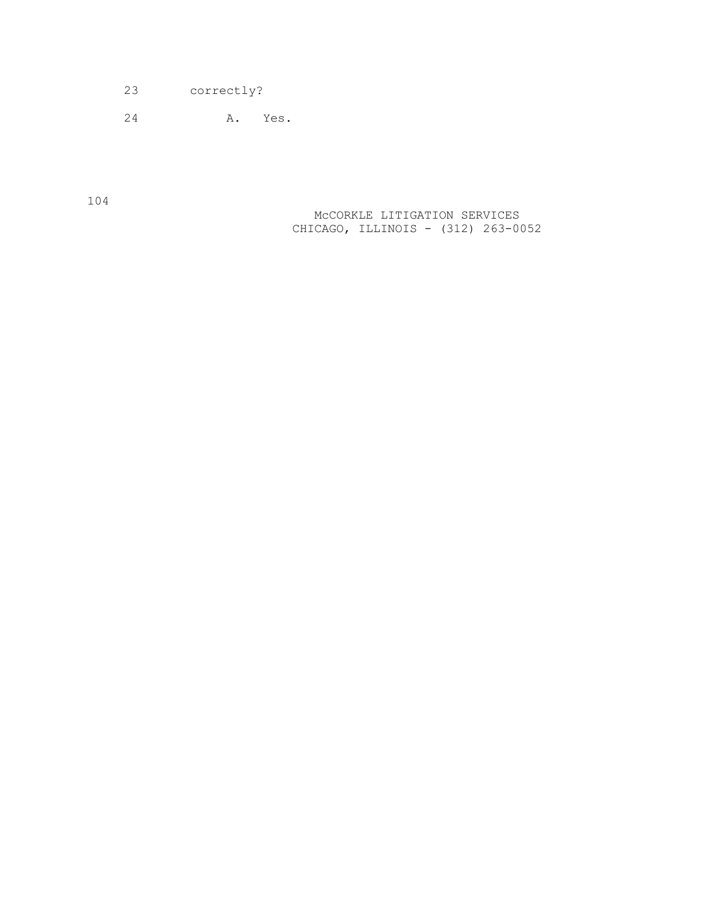23 correctly?

24 A. Yes.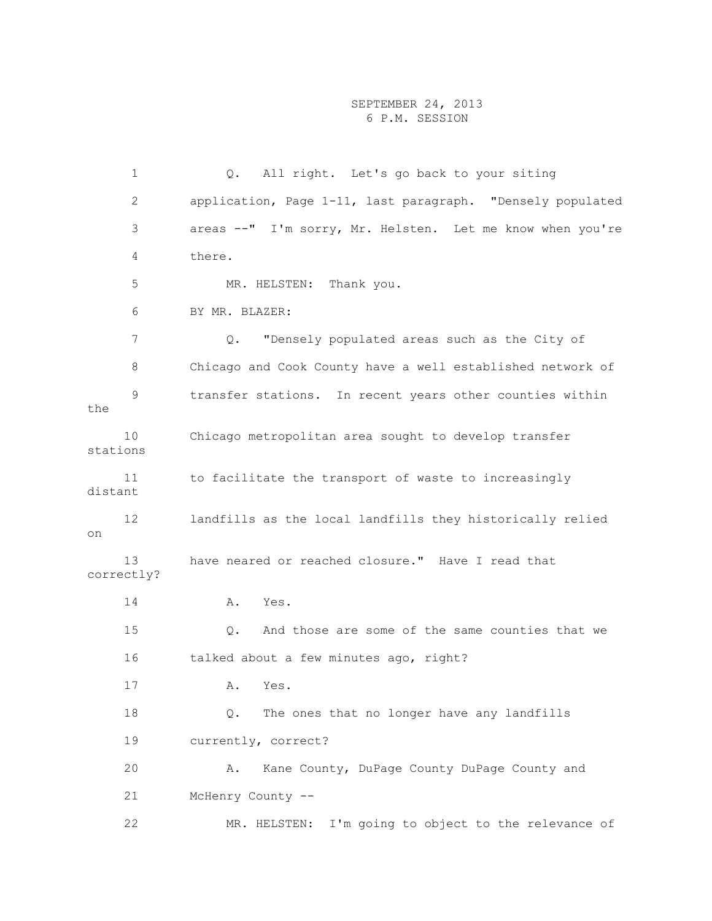1 Q. All right. Let's go back to your siting 2 application, Page 1-11, last paragraph. "Densely populated 3 areas --" I'm sorry, Mr. Helsten. Let me know when you're 4 there. 5 MR. HELSTEN: Thank you. 6 BY MR. BLAZER: 7 Q. "Densely populated areas such as the City of 8 Chicago and Cook County have a well established network of 9 transfer stations. In recent years other counties within the 10 Chicago metropolitan area sought to develop transfer stations 11 to facilitate the transport of waste to increasingly distant 12 landfills as the local landfills they historically relied on 13 have neared or reached closure." Have I read that correctly? 14 A. Yes. 15 Q. And those are some of the same counties that we 16 talked about a few minutes ago, right? 17 A. Yes. 18 Q. The ones that no longer have any landfills 19 currently, correct? 20 A. Kane County, DuPage County DuPage County and 21 McHenry County -- 22 MR. HELSTEN: I'm going to object to the relevance of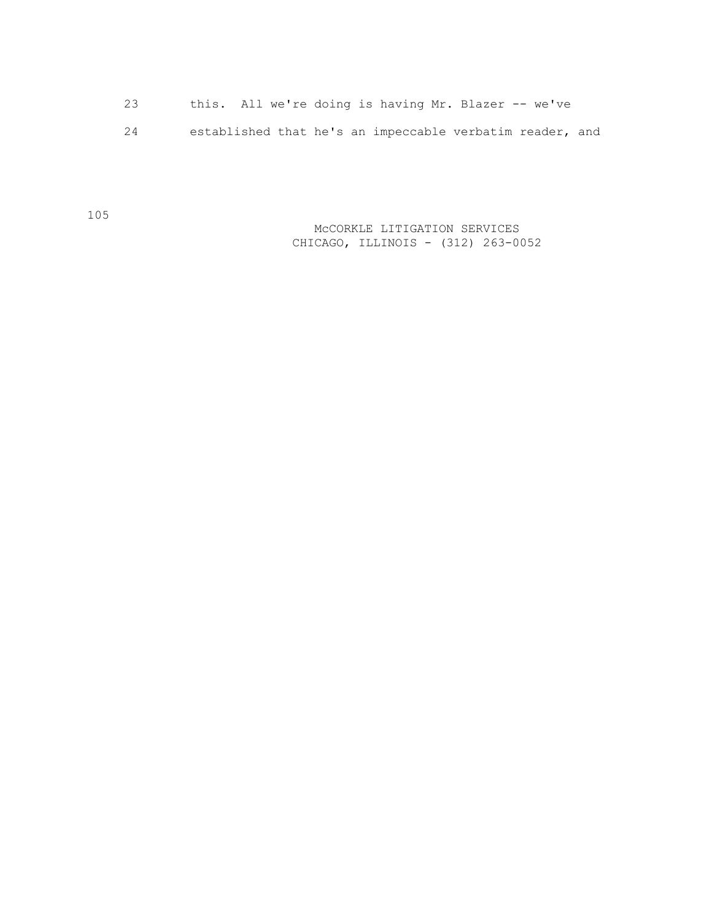23 this. All we're doing is having Mr. Blazer -- we've 24 established that he's an impeccable verbatim reader, and

> McCORKLE LITIGATION SERVICES CHICAGO, ILLINOIS - (312) 263-0052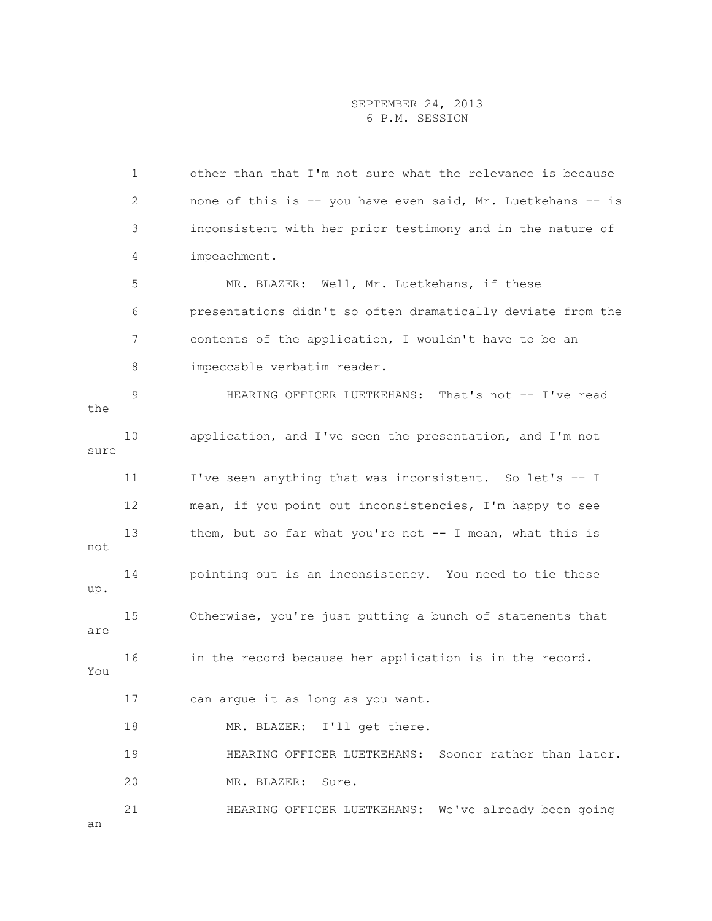1 other than that I'm not sure what the relevance is because 2 none of this is -- you have even said, Mr. Luetkehans -- is 3 inconsistent with her prior testimony and in the nature of 4 impeachment. 5 MR. BLAZER: Well, Mr. Luetkehans, if these 6 presentations didn't so often dramatically deviate from the 7 contents of the application, I wouldn't have to be an 8 impeccable verbatim reader. 9 HEARING OFFICER LUETKEHANS: That's not -- I've read the 10 application, and I've seen the presentation, and I'm not sure 11 I've seen anything that was inconsistent. So let's -- I 12 mean, if you point out inconsistencies, I'm happy to see 13 them, but so far what you're not -- I mean, what this is not 14 pointing out is an inconsistency. You need to tie these up. 15 Otherwise, you're just putting a bunch of statements that are 16 in the record because her application is in the record. You 17 can argue it as long as you want. 18 MR. BLAZER: I'll get there. 19 HEARING OFFICER LUETKEHANS: Sooner rather than later. 20 MR. BLAZER: Sure. 21 HEARING OFFICER LUETKEHANS: We've already been going an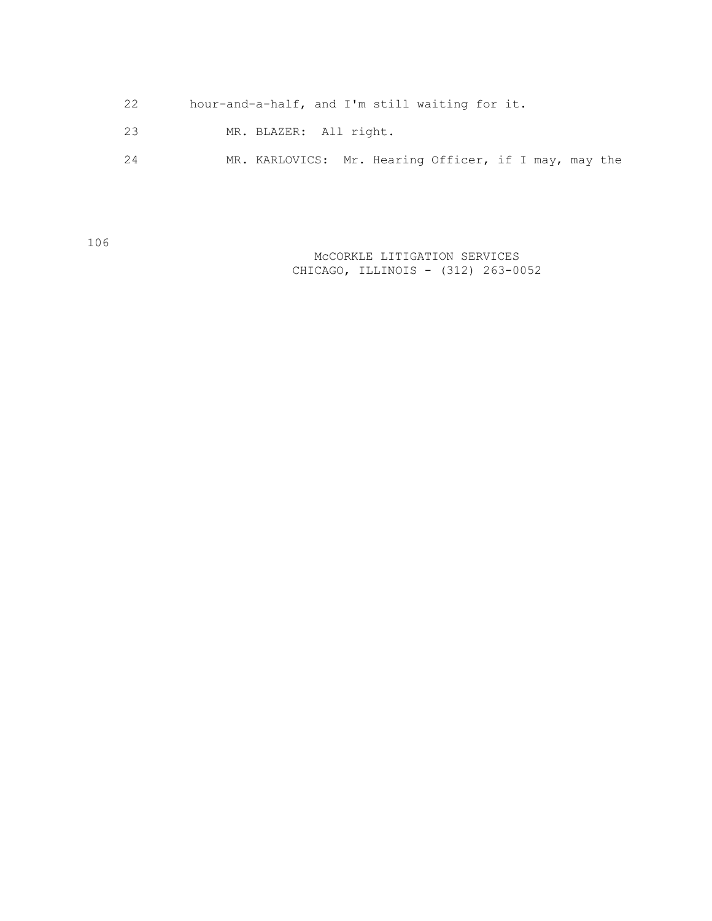| 22 | hour-and-a-half, and I'm still waiting for it.        |
|----|-------------------------------------------------------|
| 23 | MR. BLAZER: All right.                                |
| 24 | MR. KARLOVICS: Mr. Hearing Officer, if I may, may the |

106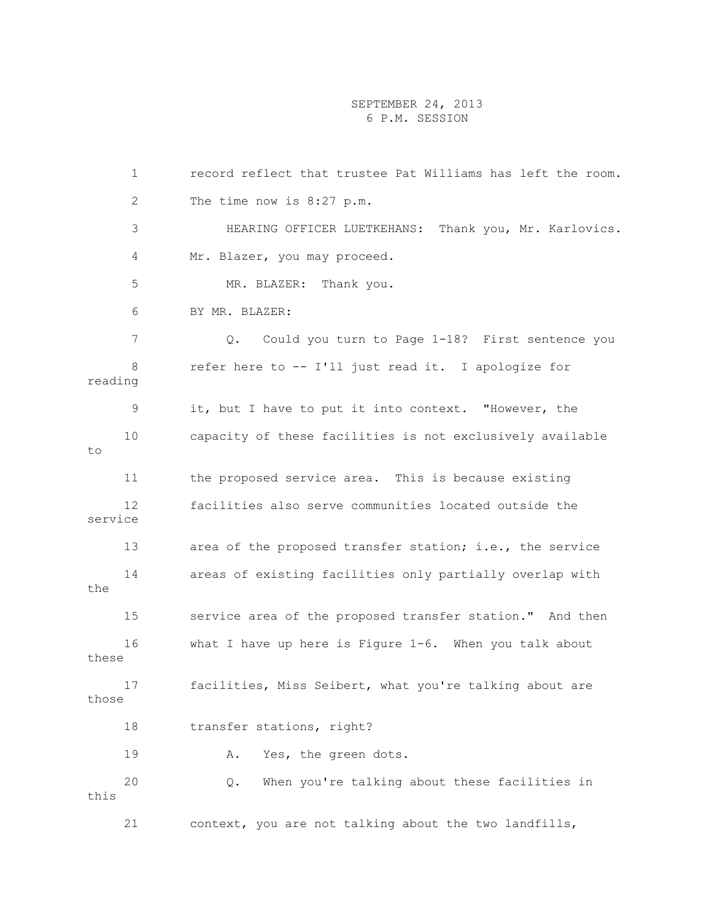1 record reflect that trustee Pat Williams has left the room. 2 The time now is 8:27 p.m. 3 HEARING OFFICER LUETKEHANS: Thank you, Mr. Karlovics. 4 Mr. Blazer, you may proceed. 5 MR. BLAZER: Thank you. 6 BY MR. BLAZER: 7 Q. Could you turn to Page 1-18? First sentence you 8 refer here to -- I'll just read it. I apologize for reading 9 it, but I have to put it into context. "However, the 10 capacity of these facilities is not exclusively available  $t \circ$  11 the proposed service area. This is because existing 12 facilities also serve communities located outside the service 13 area of the proposed transfer station; i.e., the service 14 areas of existing facilities only partially overlap with the 15 service area of the proposed transfer station." And then 16 what I have up here is Figure 1-6. When you talk about these 17 facilities, Miss Seibert, what you're talking about are those 18 transfer stations, right? 19 A. Yes, the green dots. 20 Q. When you're talking about these facilities in this 21 context, you are not talking about the two landfills,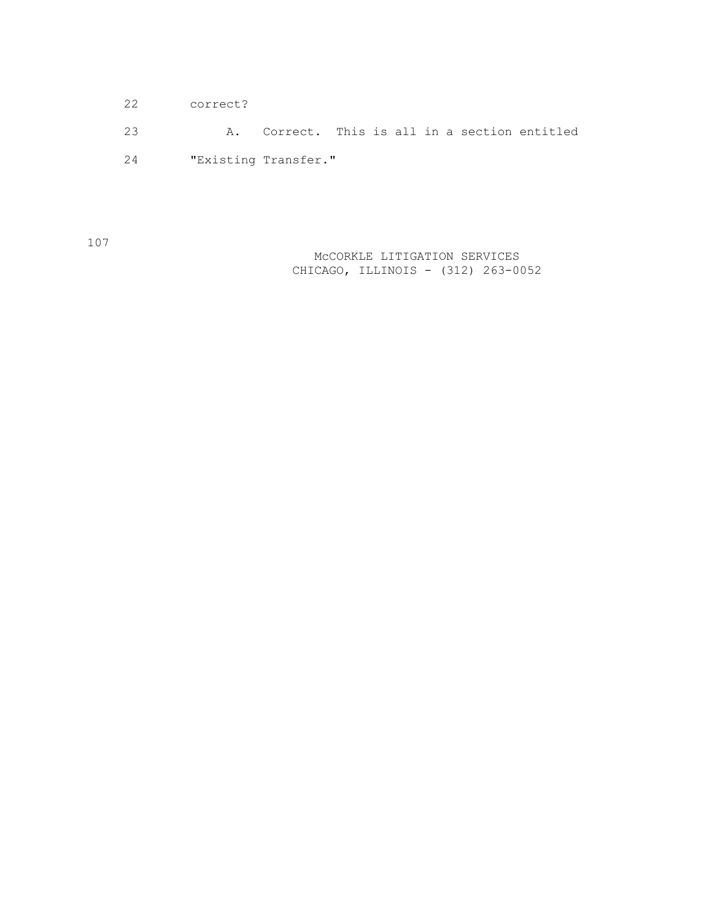22 correct? 23 A. Correct. This is all in a section entitled 24 "Existing Transfer."

107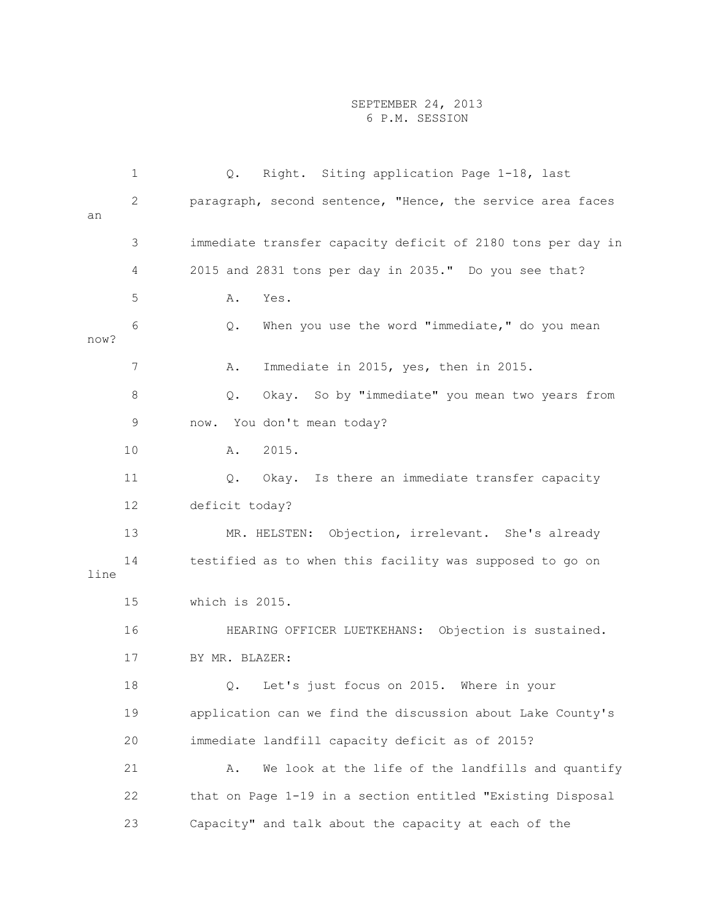1 Q. Right. Siting application Page 1-18, last 2 paragraph, second sentence, "Hence, the service area faces an 3 immediate transfer capacity deficit of 2180 tons per day in 4 2015 and 2831 tons per day in 2035." Do you see that? 5 A. Yes. 6 Q. When you use the word "immediate," do you mean now? 7 A. Immediate in 2015, yes, then in 2015. 8 Q. Okay. So by "immediate" you mean two years from 9 now. You don't mean today? 10 A. 2015. 11 Q. Okay. Is there an immediate transfer capacity 12 deficit today? 13 MR. HELSTEN: Objection, irrelevant. She's already 14 testified as to when this facility was supposed to go on line 15 which is 2015. 16 HEARING OFFICER LUETKEHANS: Objection is sustained. 17 BY MR. BLAZER: 18 Q. Let's just focus on 2015. Where in your 19 application can we find the discussion about Lake County's 20 immediate landfill capacity deficit as of 2015? 21 A. We look at the life of the landfills and quantify 22 that on Page 1-19 in a section entitled "Existing Disposal 23 Capacity" and talk about the capacity at each of the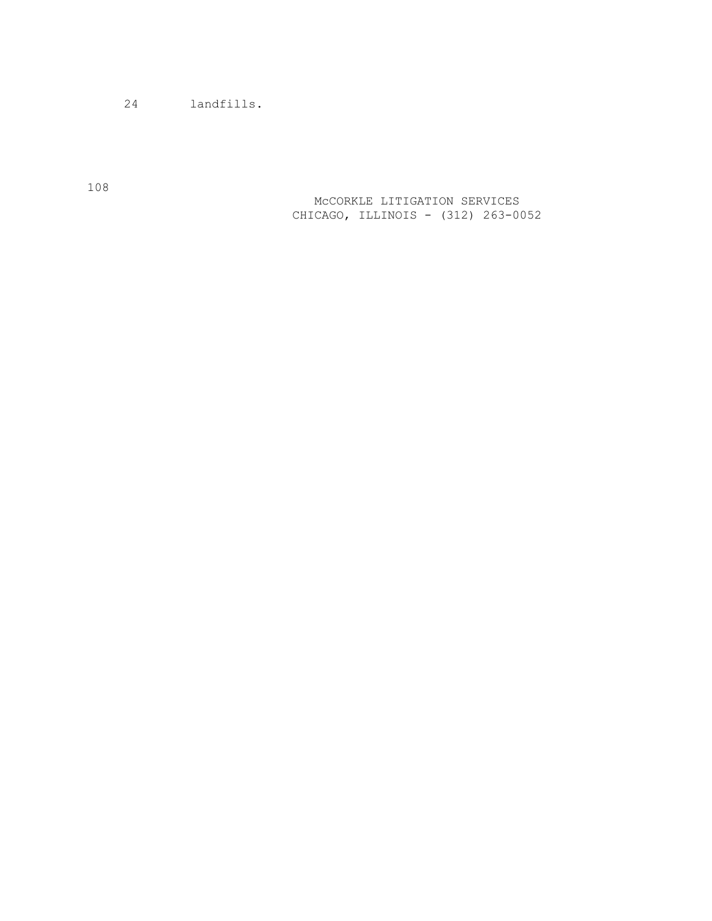24 landfills.

 McCORKLE LITIGATION SERVICES CHICAGO, ILLINOIS - (312) 263-0052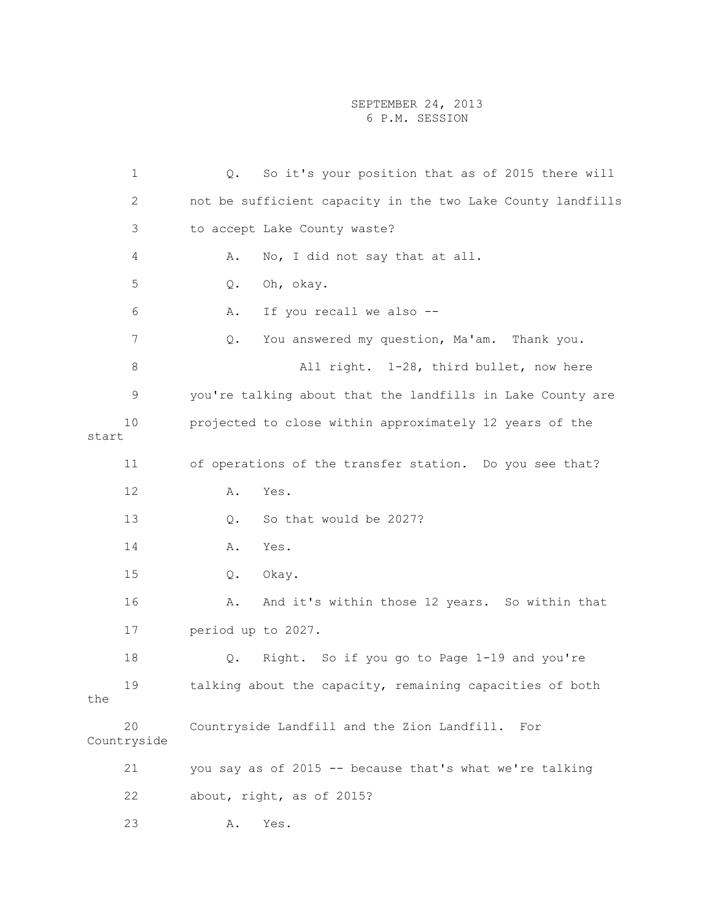1 Q. So it's your position that as of 2015 there will 2 not be sufficient capacity in the two Lake County landfills 3 to accept Lake County waste? 4 A. No, I did not say that at all. 5 Q. Oh, okay. 6 A. If you recall we also -- 7 Q. You answered my question, Ma'am. Thank you. 8 All right. 1-28, third bullet, now here 9 you're talking about that the landfills in Lake County are 10 projected to close within approximately 12 years of the start 11 of operations of the transfer station. Do you see that? 12 A. Yes. 13 Q. So that would be 2027? 14 A. Yes. 15 Q. Okay. 16 A. And it's within those 12 years. So within that 17 period up to 2027. 18 Q. Right. So if you go to Page 1-19 and you're 19 talking about the capacity, remaining capacities of both the 20 Countryside Landfill and the Zion Landfill. For Countryside 21 you say as of 2015 -- because that's what we're talking 22 about, right, as of 2015? 23 A. Yes.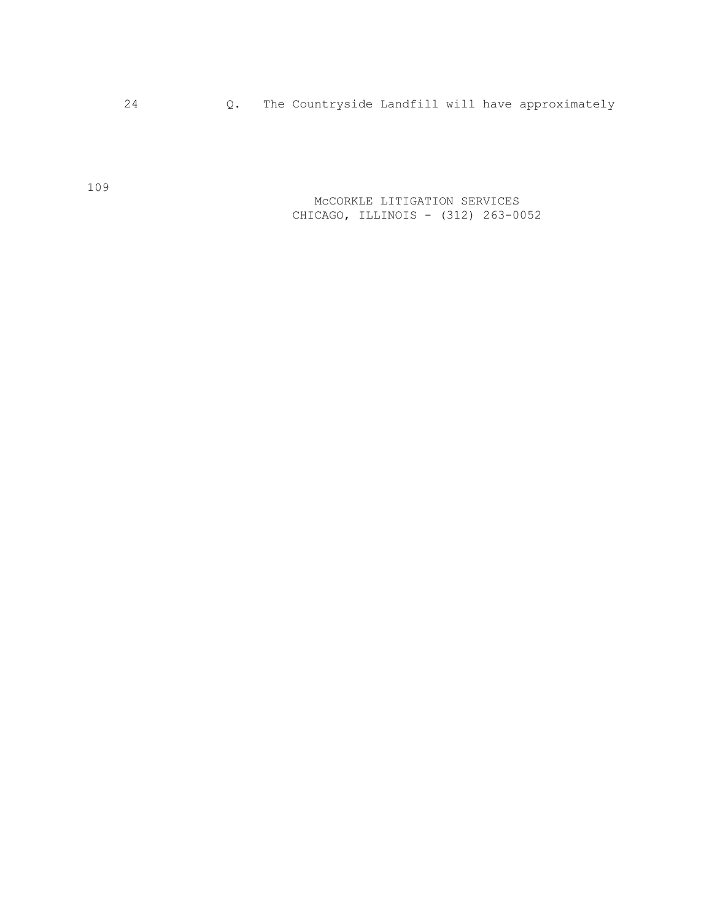24 Q. The Countryside Landfill will have approximately

 McCORKLE LITIGATION SERVICES CHICAGO, ILLINOIS - (312) 263-0052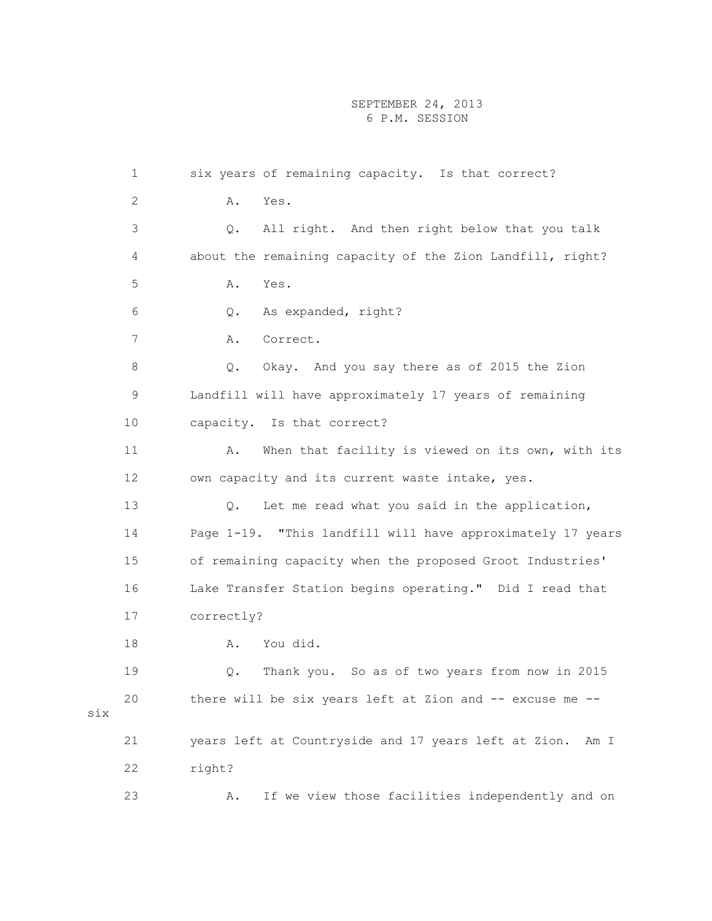|     | $\mathbf 1$     | six years of remaining capacity. Is that correct?            |
|-----|-----------------|--------------------------------------------------------------|
|     | 2               | Α.<br>Yes.                                                   |
|     | 3               | Q.<br>All right. And then right below that you talk          |
|     | 4               | about the remaining capacity of the Zion Landfill, right?    |
|     | 5               | Α.<br>Yes.                                                   |
|     | 6               | As expanded, right?<br>Q.                                    |
|     | 7               | Correct.<br>Α.                                               |
|     | 8               | Okay. And you say there as of 2015 the Zion<br>Q.            |
|     | 9               | Landfill will have approximately 17 years of remaining       |
|     | 10              | capacity. Is that correct?                                   |
|     | 11              | When that facility is viewed on its own, with its<br>Α.      |
|     | 12 <sup>°</sup> | own capacity and its current waste intake, yes.              |
|     | 13              | Let me read what you said in the application,<br>Q.          |
|     | 14              | Page 1-19. "This landfill will have approximately 17 years   |
|     | 15              | of remaining capacity when the proposed Groot Industries'    |
|     | 16              | Lake Transfer Station begins operating." Did I read that     |
|     | 17              | correctly?                                                   |
|     | 18              | You did.<br>Α.                                               |
|     | 19              | Thank you. So as of two years from now in 2015<br>Q.         |
| six | 20              | there will be six years left at Zion and -- excuse me --     |
|     | 21              | years left at Countryside and 17 years left at Zion.<br>Am I |
|     | 22              | right?                                                       |
|     | 23              | If we view those facilities independently and on<br>Α.       |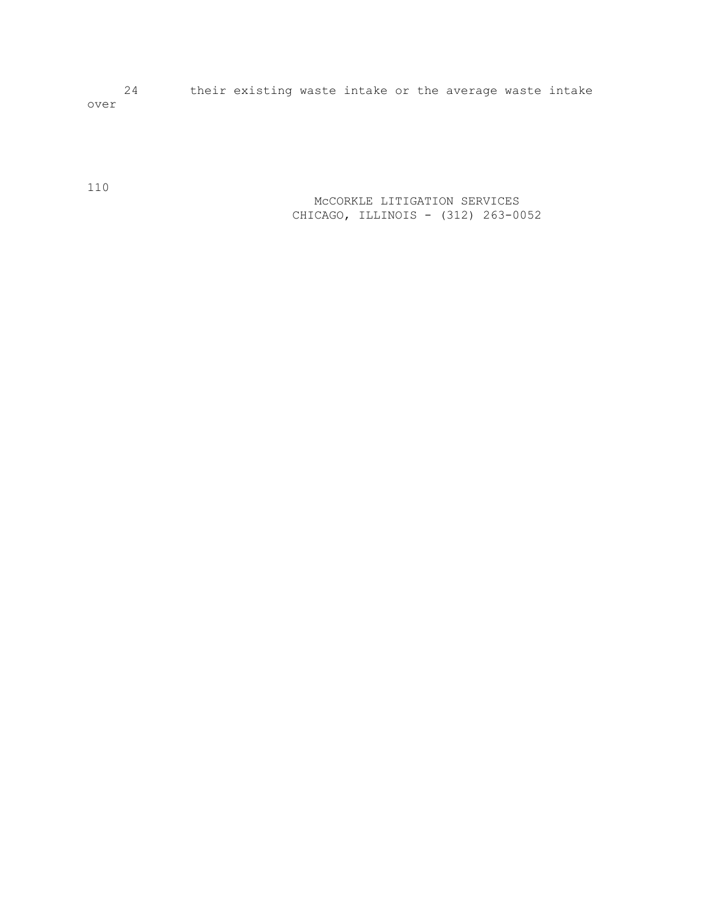24 their existing waste intake or the average waste intake over

110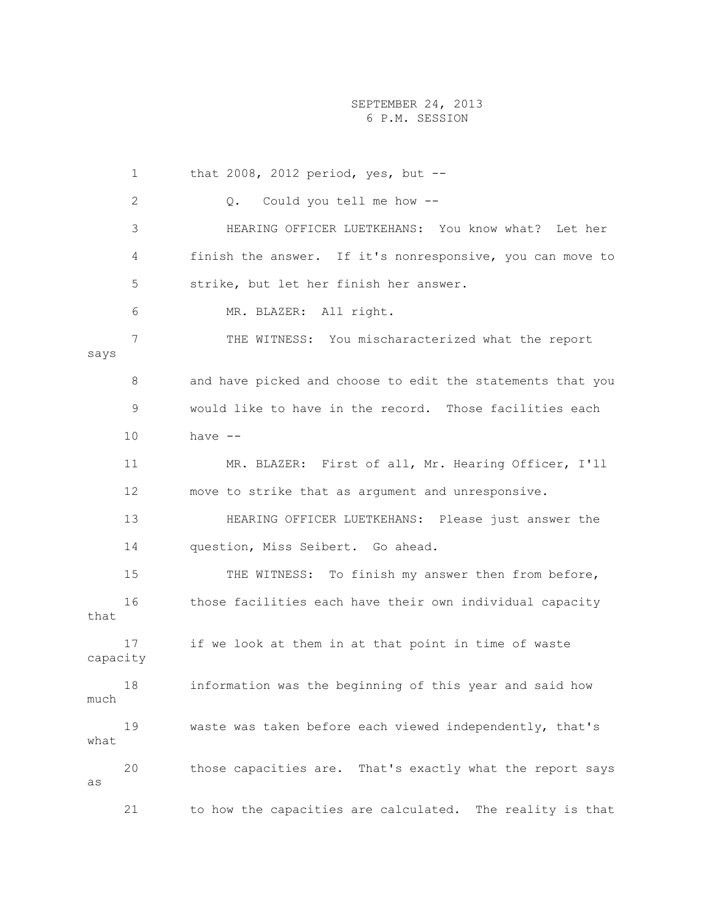1 that 2008, 2012 period, yes, but -- 2 Q. Could you tell me how -- 3 HEARING OFFICER LUETKEHANS: You know what? Let her 4 finish the answer. If it's nonresponsive, you can move to 5 strike, but let her finish her answer. 6 MR. BLAZER: All right. 7 THE WITNESS: You mischaracterized what the report says 8 and have picked and choose to edit the statements that you 9 would like to have in the record. Those facilities each 10 have -- 11 MR. BLAZER: First of all, Mr. Hearing Officer, I'll 12 move to strike that as argument and unresponsive. 13 HEARING OFFICER LUETKEHANS: Please just answer the 14 question, Miss Seibert. Go ahead. 15 THE WITNESS: To finish my answer then from before, 16 those facilities each have their own individual capacity that 17 if we look at them in at that point in time of waste capacity 18 information was the beginning of this year and said how much 19 waste was taken before each viewed independently, that's what 20 those capacities are. That's exactly what the report says as 21 to how the capacities are calculated. The reality is that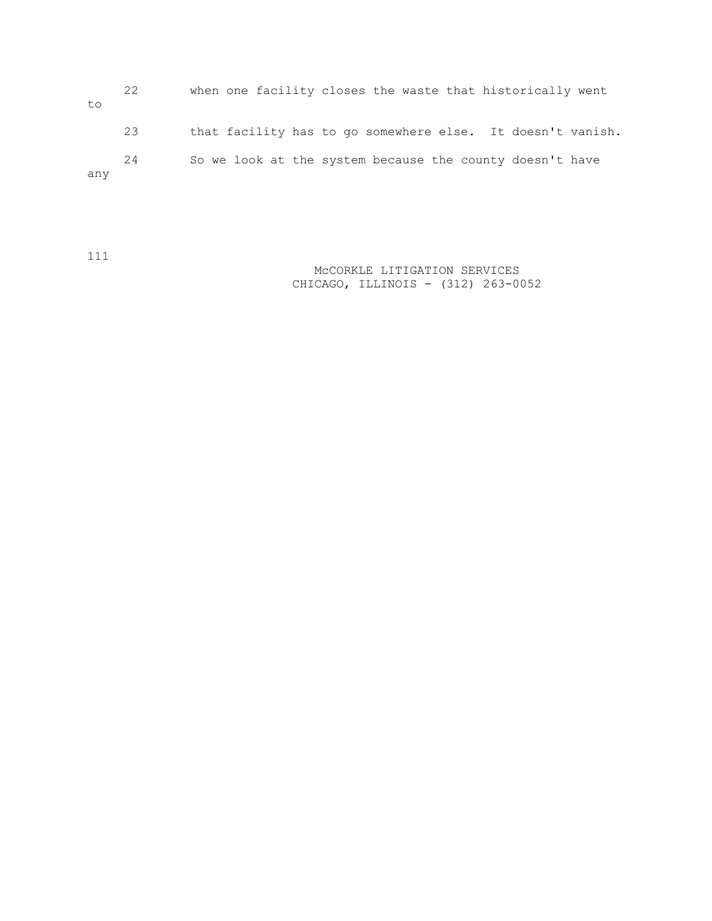|     | 22 | when one facility closes the waste that historically went  |
|-----|----|------------------------------------------------------------|
| to  |    |                                                            |
|     | 23 | that facility has to go somewhere else. It doesn't vanish. |
| any | 24 | So we look at the system because the county doesn't have   |

111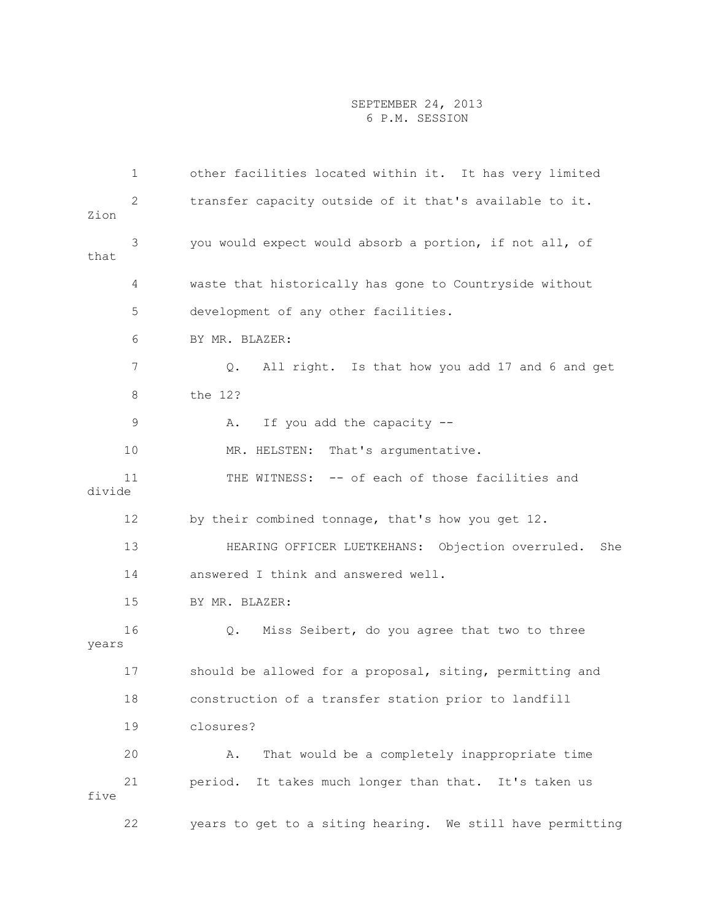|        | 1  | other facilities located within it. It has very limited          |
|--------|----|------------------------------------------------------------------|
| Zion   | 2  | transfer capacity outside of it that's available to it.          |
| that   | 3  | you would expect would absorb a portion, if not all, of          |
|        | 4  | waste that historically has gone to Countryside without          |
|        | 5  | development of any other facilities.                             |
|        | 6  | BY MR. BLAZER:                                                   |
|        | 7  | All right. Is that how you add 17 and 6 and get<br>$Q_{\bullet}$ |
|        | 8  | the 12?                                                          |
|        | 9  | If you add the capacity --<br>Α.                                 |
|        | 10 | That's argumentative.<br>MR. HELSTEN:                            |
| divide | 11 | THE WITNESS: -- of each of those facilities and                  |
|        | 12 | by their combined tonnage, that's how you get 12.                |
|        | 13 | HEARING OFFICER LUETKEHANS: Objection overruled.<br>She          |
|        | 14 | answered I think and answered well.                              |
|        | 15 | BY MR. BLAZER:                                                   |
| years  | 16 | Miss Seibert, do you agree that two to three<br>Q.               |
|        | 17 | should be allowed for a proposal, siting, permitting and         |
|        | 18 | construction of a transfer station prior to landfill             |
|        | 19 | closures?                                                        |
|        | 20 | That would be a completely inappropriate time<br>Α.              |
| five   | 21 | period.<br>It takes much longer than that. It's taken us         |
|        | 22 | years to get to a siting hearing. We still have permitting       |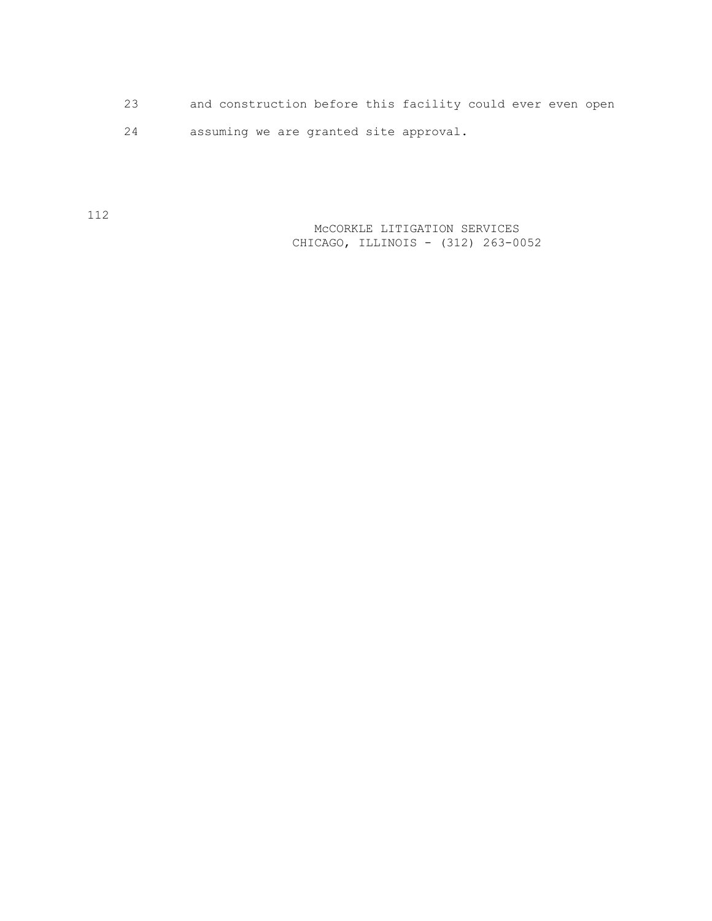- 23 and construction before this facility could ever even open
- 24 assuming we are granted site approval.

 McCORKLE LITIGATION SERVICES CHICAGO, ILLINOIS - (312) 263-0052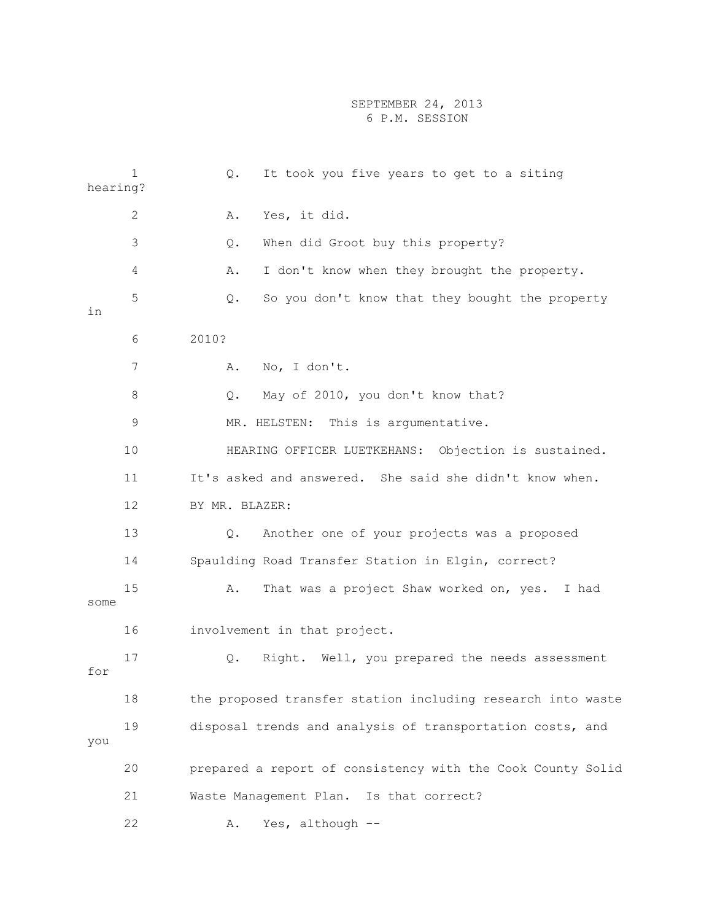| hearing? | $\mathbf 1$  | It took you five years to get to a siting<br>$Q$ .          |
|----------|--------------|-------------------------------------------------------------|
|          | $\mathbf{2}$ | Yes, it did.<br>Α.                                          |
|          | 3            | When did Groot buy this property?<br>Q.                     |
|          | 4            | I don't know when they brought the property.<br>Α.          |
| in       | 5            | So you don't know that they bought the property<br>Q.       |
|          | 6            | 2010?                                                       |
|          | 7            | No, I don't.<br>Α.                                          |
|          | 8            | May of 2010, you don't know that?<br>$Q$ .                  |
|          | 9            | MR. HELSTEN: This is argumentative.                         |
|          | 10           | HEARING OFFICER LUETKEHANS: Objection is sustained.         |
|          | 11           | It's asked and answered. She said she didn't know when.     |
|          | 12           | BY MR. BLAZER:                                              |
|          | 13           | Another one of your projects was a proposed<br>Q.           |
|          | 14           | Spaulding Road Transfer Station in Elgin, correct?          |
| some     | 15           | That was a project Shaw worked on, yes. I had<br>Α.         |
|          | 16           | involvement in that project.                                |
| for      | 17           | Right. Well, you prepared the needs assessment<br>Q.        |
|          | 18           | the proposed transfer station including research into waste |
| you      | 19           | disposal trends and analysis of transportation costs, and   |
|          | 20           | prepared a report of consistency with the Cook County Solid |
|          | 21           | Waste Management Plan.<br>Is that correct?                  |
|          | 22           | Yes, although --<br>Α.                                      |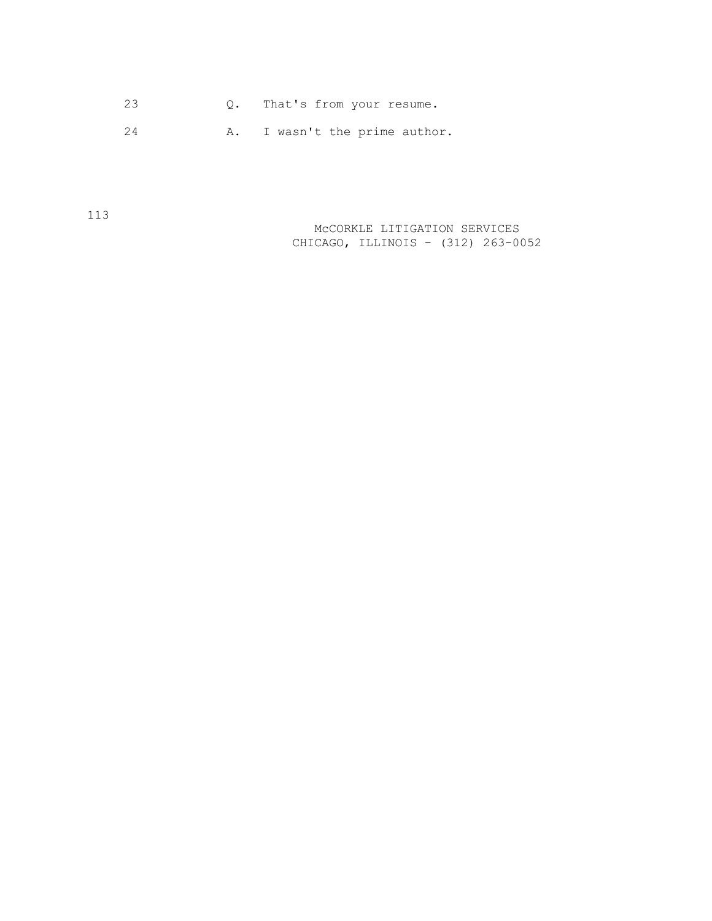| 23 | Q. That's from your resume. |
|----|-----------------------------|
|    |                             |

24 A. I wasn't the prime author.

 McCORKLE LITIGATION SERVICES CHICAGO, ILLINOIS - (312) 263-0052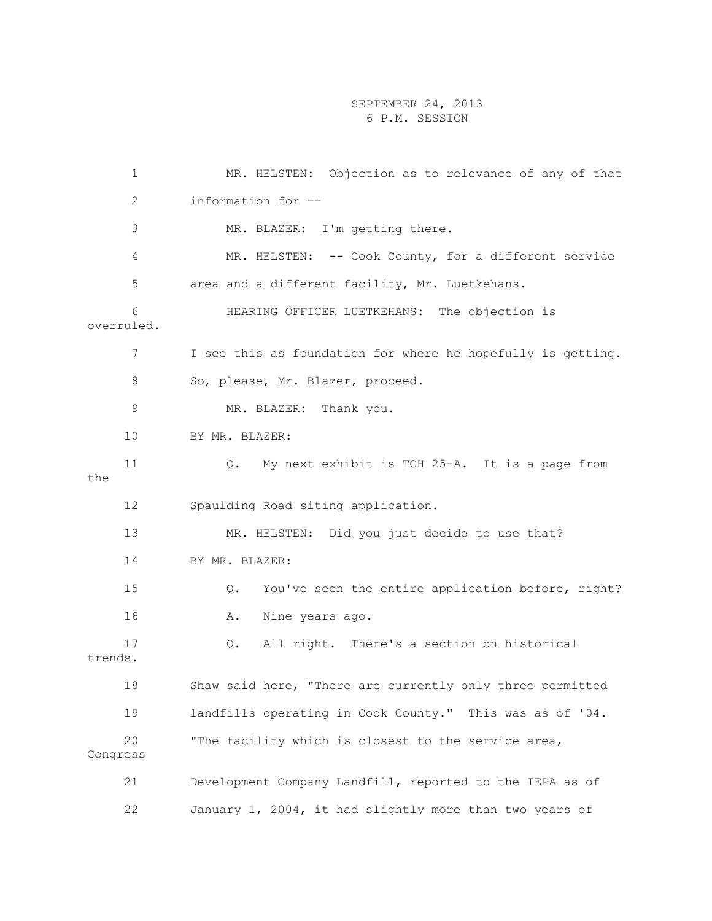1 MR. HELSTEN: Objection as to relevance of any of that 2 information for -- 3 MR. BLAZER: I'm getting there. 4 MR. HELSTEN: -- Cook County, for a different service 5 area and a different facility, Mr. Luetkehans. 6 HEARING OFFICER LUETKEHANS: The objection is overruled. 7 I see this as foundation for where he hopefully is getting. 8 So, please, Mr. Blazer, proceed. 9 MR. BLAZER: Thank you. 10 BY MR. BLAZER: 11 Q. My next exhibit is TCH 25-A. It is a page from the 12 Spaulding Road siting application. 13 MR. HELSTEN: Did you just decide to use that? 14 BY MR. BLAZER: 15 Q. You've seen the entire application before, right? 16 A. Nine years ago. 17 Q. All right. There's a section on historical trends. 18 Shaw said here, "There are currently only three permitted 19 landfills operating in Cook County." This was as of '04. 20 "The facility which is closest to the service area, Congress 21 Development Company Landfill, reported to the IEPA as of 22 January 1, 2004, it had slightly more than two years of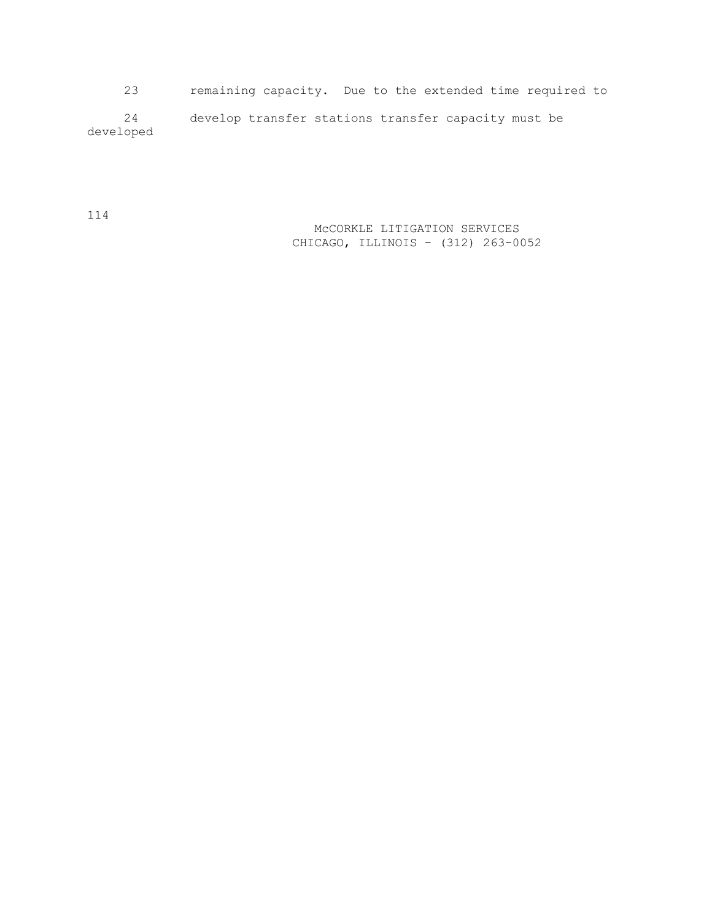23 remaining capacity. Due to the extended time required to 24 develop transfer stations transfer capacity must be developed

114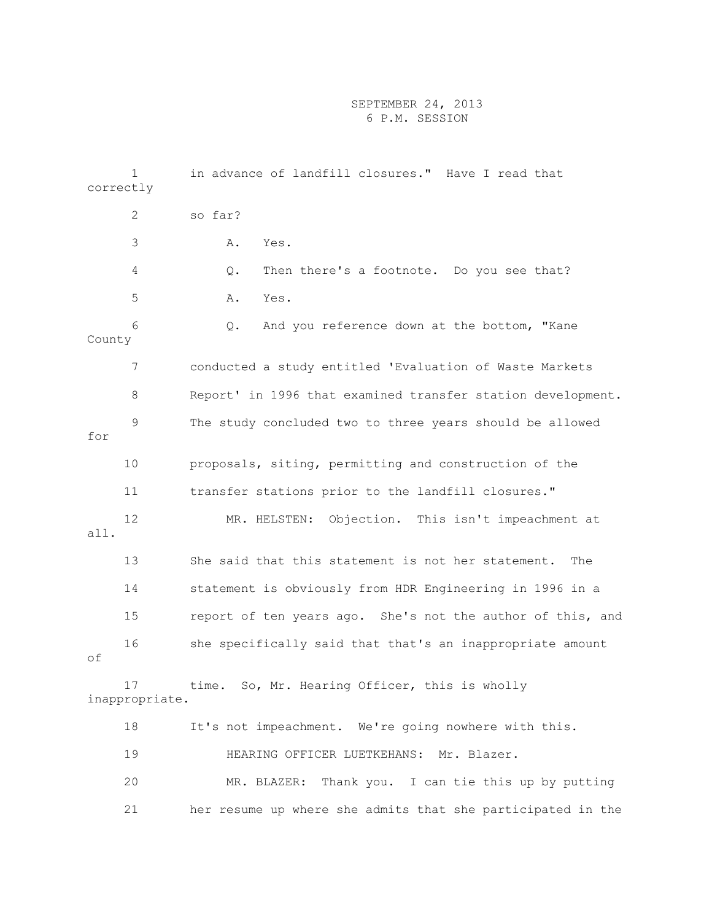| correctly | 1                    | in advance of landfill closures." Have I read that          |
|-----------|----------------------|-------------------------------------------------------------|
|           | 2                    | so far?                                                     |
|           | 3                    | Yes.<br>Α.                                                  |
|           | 4                    | Then there's a footnote. Do you see that?<br>Q.             |
|           | 5                    | Yes.<br>Α.                                                  |
| County    | 6                    | And you reference down at the bottom, "Kane<br>Q.           |
|           | 7                    | conducted a study entitled 'Evaluation of Waste Markets     |
|           | 8                    | Report' in 1996 that examined transfer station development. |
| for       | 9                    | The study concluded two to three years should be allowed    |
|           | 10                   | proposals, siting, permitting and construction of the       |
|           | 11                   | transfer stations prior to the landfill closures."          |
| all.      | 12                   | MR. HELSTEN: Objection. This isn't impeachment at           |
|           | 13                   | She said that this statement is not her statement.<br>The   |
|           | 14                   | statement is obviously from HDR Engineering in 1996 in a    |
|           | 15                   | report of ten years ago. She's not the author of this, and  |
| оf        | 16                   | she specifically said that that's an inappropriate amount   |
|           | 17<br>inappropriate. | time. So, Mr. Hearing Officer, this is wholly               |
|           | 18                   | It's not impeachment. We're going nowhere with this.        |
|           | 19                   | HEARING OFFICER LUETKEHANS: Mr. Blazer.                     |
|           | 20                   | MR. BLAZER: Thank you. I can tie this up by putting         |
|           | 21                   | her resume up where she admits that she participated in the |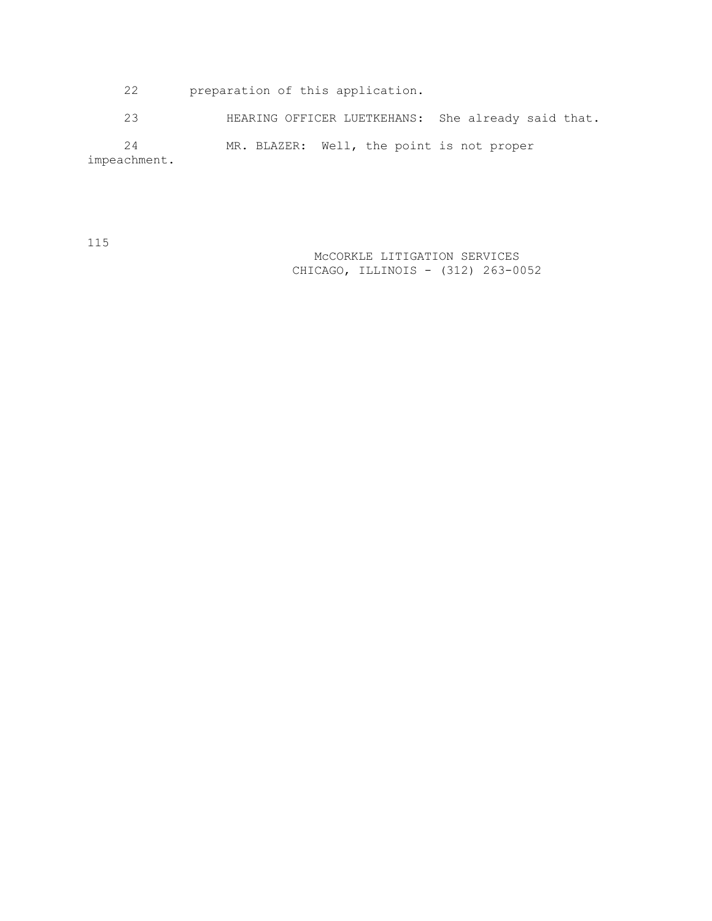22 preparation of this application.

23 HEARING OFFICER LUETKEHANS: She already said that.

 24 MR. BLAZER: Well, the point is not proper impeachment.

115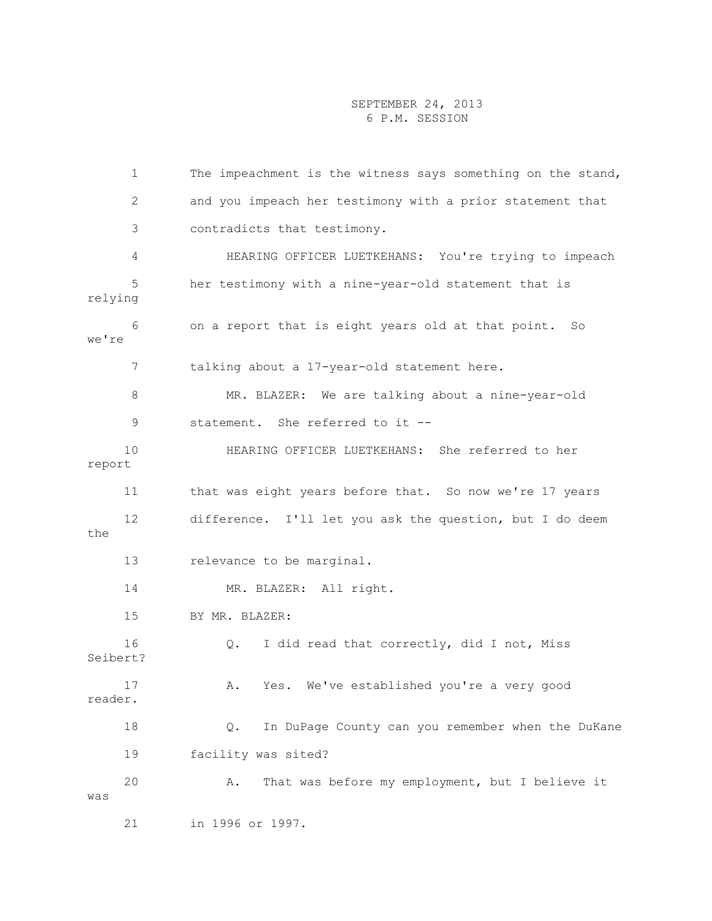1 The impeachment is the witness says something on the stand, 2 and you impeach her testimony with a prior statement that 3 contradicts that testimony. 4 HEARING OFFICER LUETKEHANS: You're trying to impeach 5 her testimony with a nine-year-old statement that is relying 6 on a report that is eight years old at that point. So we're 7 talking about a 17-year-old statement here. 8 MR. BLAZER: We are talking about a nine-year-old 9 statement. She referred to it -- 10 HEARING OFFICER LUETKEHANS: She referred to her report 11 that was eight years before that. So now we're 17 years 12 difference. I'll let you ask the question, but I do deem the 13 relevance to be marginal. 14 MR. BLAZER: All right. 15 BY MR. BLAZER: 16 Q. I did read that correctly, did I not, Miss Seibert? 17 A. Yes. We've established you're a very good reader. 18 Q. In DuPage County can you remember when the DuKane 19 facility was sited? 20 A. That was before my employment, but I believe it was 21 in 1996 or 1997.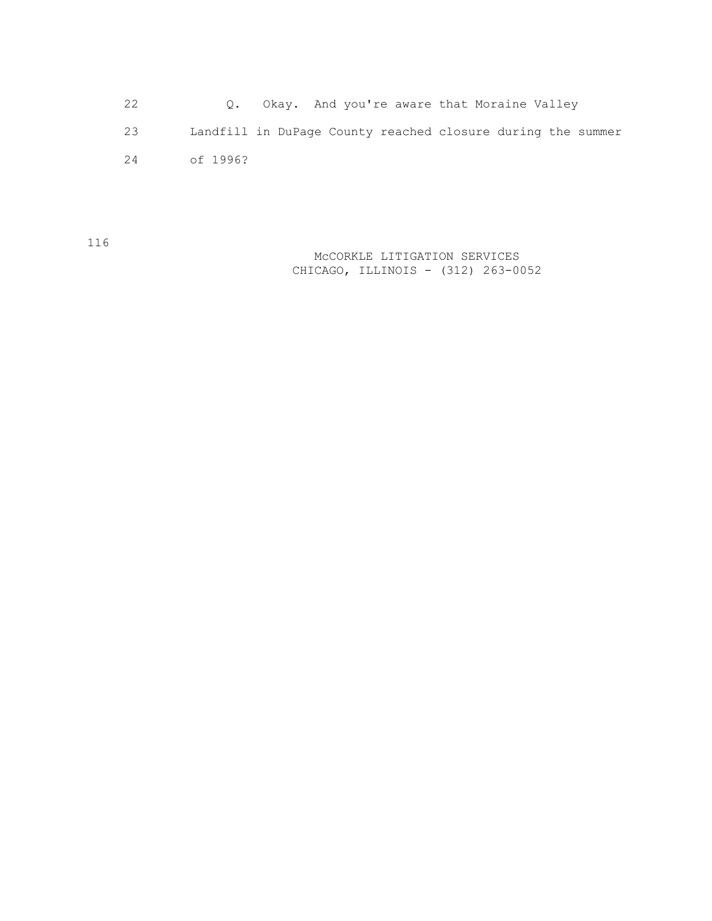| 22 |          | 0. Okay. And you're aware that Moraine Valley               |  |  |  |
|----|----------|-------------------------------------------------------------|--|--|--|
| 23 |          | Landfill in DuPage County reached closure during the summer |  |  |  |
| 24 | of 1996? |                                                             |  |  |  |

116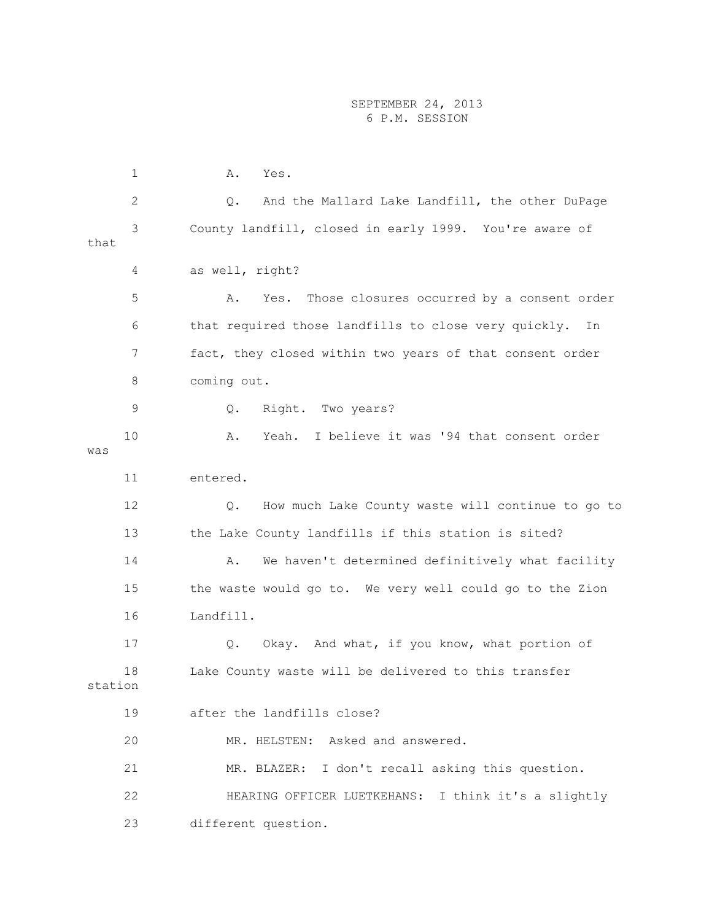1 A. Yes. 2 Q. And the Mallard Lake Landfill, the other DuPage 3 County landfill, closed in early 1999. You're aware of that 4 as well, right? 5 A. Yes. Those closures occurred by a consent order 6 that required those landfills to close very quickly. In 7 fact, they closed within two years of that consent order 8 coming out. 9 Q. Right. Two years? 10 A. Yeah. I believe it was '94 that consent order was 11 entered. 12 Q. How much Lake County waste will continue to go to 13 the Lake County landfills if this station is sited? 14 A. We haven't determined definitively what facility 15 the waste would go to. We very well could go to the Zion 16 Landfill. 17 Q. Okay. And what, if you know, what portion of 18 Lake County waste will be delivered to this transfer station 19 after the landfills close? 20 MR. HELSTEN: Asked and answered. 21 MR. BLAZER: I don't recall asking this question. 22 HEARING OFFICER LUETKEHANS: I think it's a slightly 23 different question.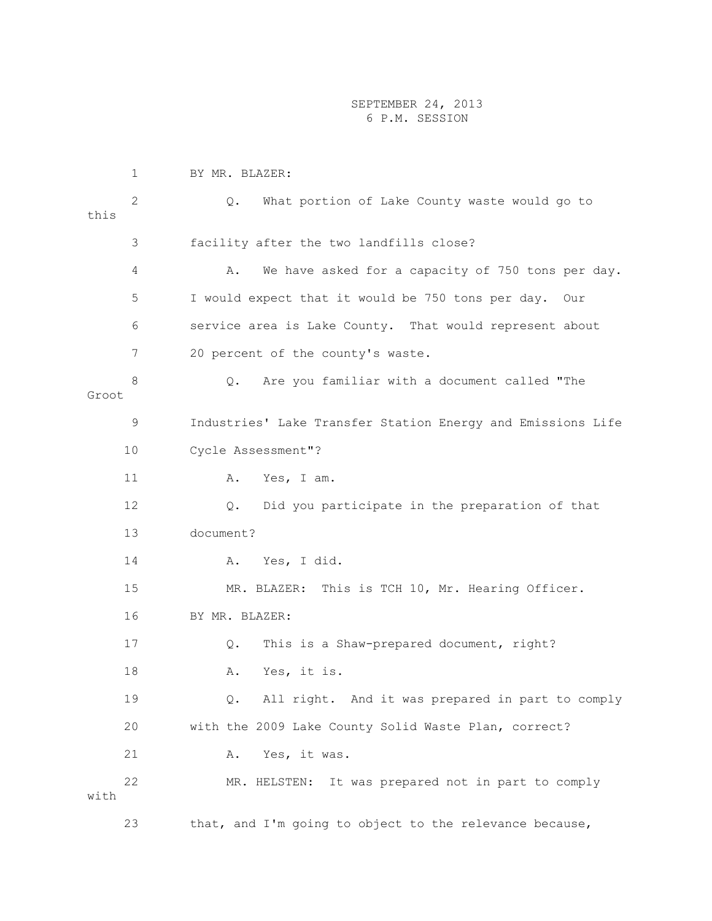|       | $\mathbf 1$  | BY MR. BLAZER:                                                  |
|-------|--------------|-----------------------------------------------------------------|
| this  | $\mathbf{2}$ | What portion of Lake County waste would go to<br>Q.             |
|       | 3            | facility after the two landfills close?                         |
|       | 4            | We have asked for a capacity of 750 tons per day.<br>Α.         |
|       | 5            | I would expect that it would be 750 tons per day. Our           |
|       | 6            | service area is Lake County. That would represent about         |
|       | 7            | 20 percent of the county's waste.                               |
| Groot | 8            | Are you familiar with a document called "The<br>$Q_{\bullet}$   |
|       | 9            | Industries' Lake Transfer Station Energy and Emissions Life     |
|       | 10           | Cycle Assessment"?                                              |
|       | 11           | Yes, I am.<br>Α.                                                |
|       | 12           | Did you participate in the preparation of that<br>$Q_{\bullet}$ |
|       | 13           | document?                                                       |
|       | 14           | Yes, I did.<br>Α.                                               |
|       | 15           | MR. BLAZER: This is TCH 10, Mr. Hearing Officer.                |
|       | 16           | BY MR. BLAZER:                                                  |
|       | 17           | This is a Shaw-prepared document, right?<br>Q.                  |
|       | 18           | Yes, it is.<br>Α.                                               |
|       | 19           | All right. And it was prepared in part to comply<br>$Q$ .       |
|       | 20           | with the 2009 Lake County Solid Waste Plan, correct?            |
|       | 21           | Yes, it was.<br>Α.                                              |
| with  | 22           | It was prepared not in part to comply<br>MR. HELSTEN:           |
|       | 23           | that, and I'm going to object to the relevance because,         |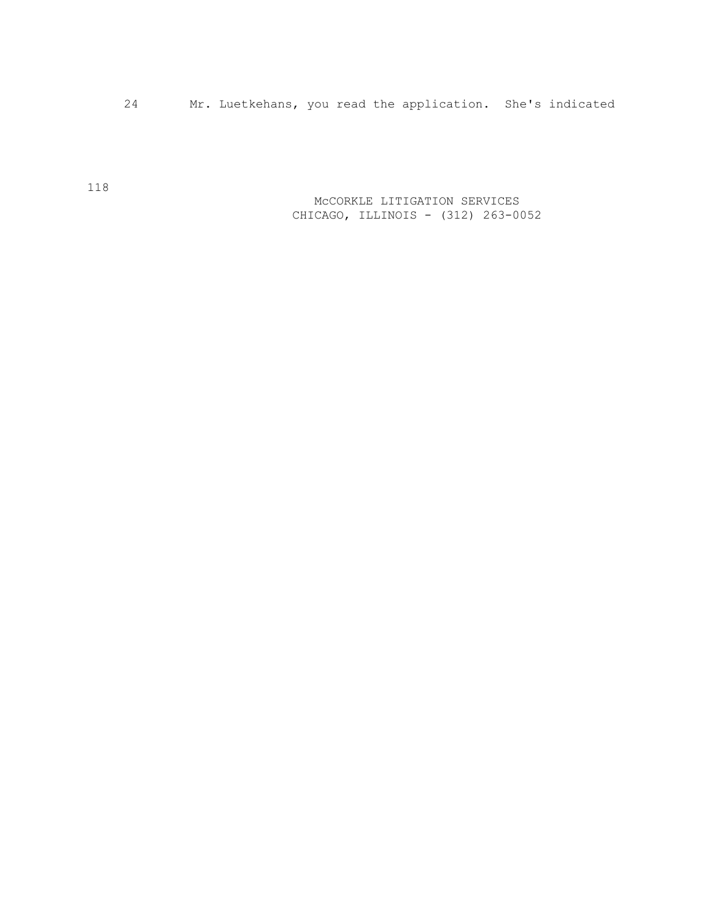24 Mr. Luetkehans, you read the application. She's indicated

 McCORKLE LITIGATION SERVICES CHICAGO, ILLINOIS - (312) 263-0052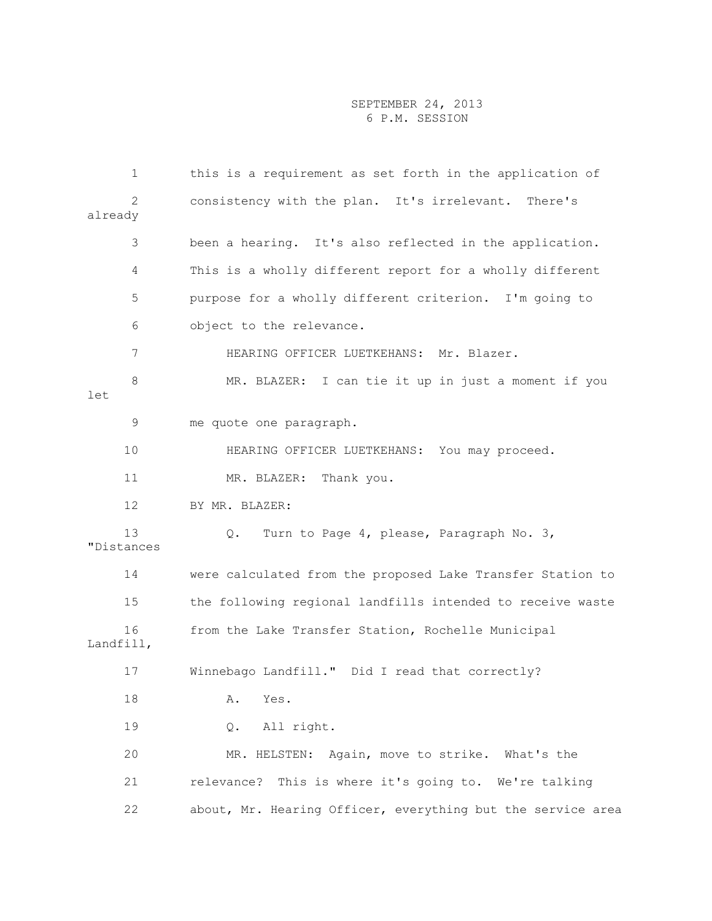| 1                         | this is a requirement as set forth in the application of    |
|---------------------------|-------------------------------------------------------------|
| $\overline{2}$<br>already | consistency with the plan. It's irrelevant. There's         |
| 3                         | been a hearing. It's also reflected in the application.     |
| 4                         | This is a wholly different report for a wholly different    |
| 5                         | purpose for a wholly different criterion. I'm going to      |
| 6                         | object to the relevance.                                    |
| 7                         | HEARING OFFICER LUETKEHANS: Mr. Blazer.                     |
| 8<br>let                  | MR. BLAZER: I can tie it up in just a moment if you         |
| 9                         | me quote one paragraph.                                     |
| 10                        | HEARING OFFICER LUETKEHANS: You may proceed.                |
| 11                        | MR. BLAZER: Thank you.                                      |
| 12                        | BY MR. BLAZER:                                              |
| 13<br>"Distances          | Turn to Page 4, please, Paragraph No. 3,<br>Q.              |
| 14                        | were calculated from the proposed Lake Transfer Station to  |
| 15                        | the following regional landfills intended to receive waste  |
| 16<br>Landfill,           | from the Lake Transfer Station, Rochelle Municipal          |
| 17                        | Winnebago Landfill." Did I read that correctly?             |
| 18                        | Yes.<br>Α.                                                  |
| 19                        | All right.<br>Q.                                            |
| 20                        | Again, move to strike. What's the<br>MR. HELSTEN:           |
| 21                        | relevance? This is where it's going to. We're talking       |
| 22                        | about, Mr. Hearing Officer, everything but the service area |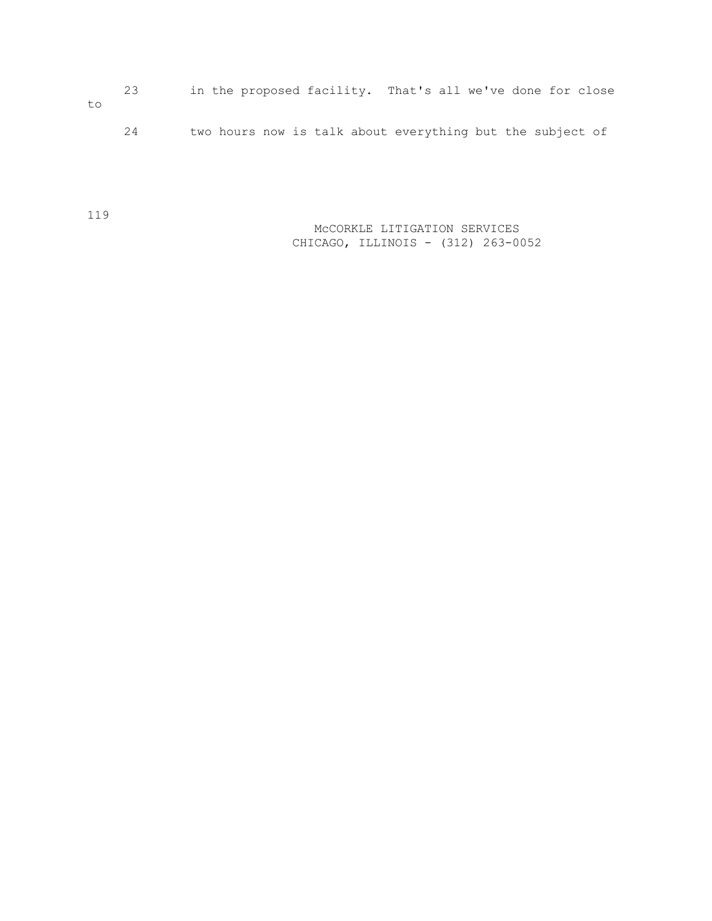23 in the proposed facility. That's all we've done for close to

# 24 two hours now is talk about everything but the subject of

119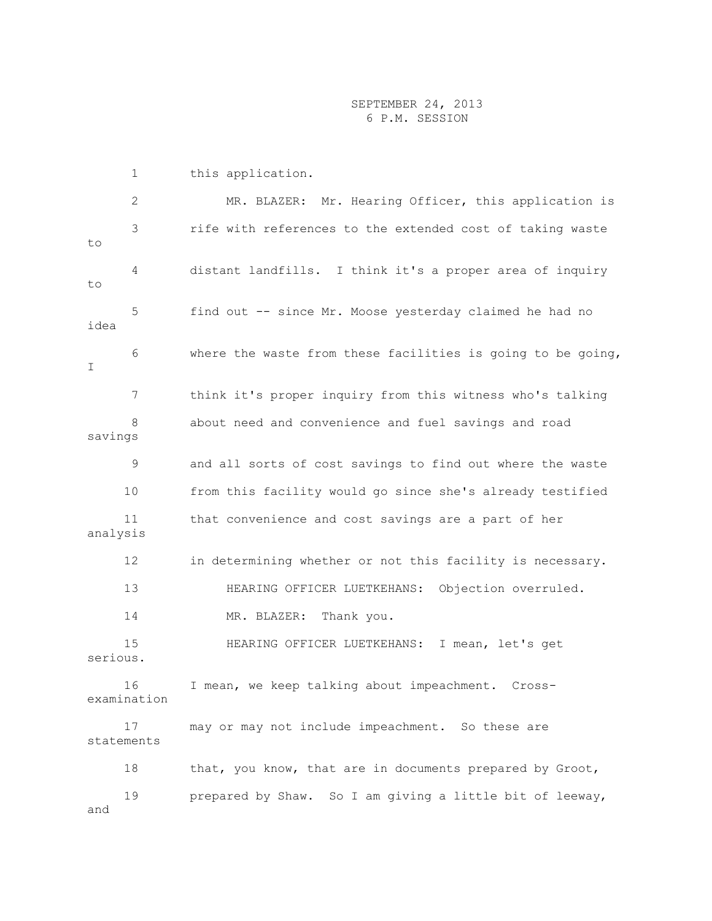1 this application.

 2 MR. BLAZER: Mr. Hearing Officer, this application is 3 rife with references to the extended cost of taking waste to 4 distant landfills. I think it's a proper area of inquiry to 5 find out -- since Mr. Moose yesterday claimed he had no idea 6 where the waste from these facilities is going to be going, T<sub>1</sub> 7 think it's proper inquiry from this witness who's talking 8 about need and convenience and fuel savings and road savings 9 and all sorts of cost savings to find out where the waste 10 from this facility would go since she's already testified 11 that convenience and cost savings are a part of her analysis 12 in determining whether or not this facility is necessary. 13 HEARING OFFICER LUETKEHANS: Objection overruled. 14 MR. BLAZER: Thank you. 15 HEARING OFFICER LUETKEHANS: I mean, let's get serious. 16 I mean, we keep talking about impeachment. Crossexamination 17 may or may not include impeachment. So these are statements 18 that, you know, that are in documents prepared by Groot, 19 prepared by Shaw. So I am giving a little bit of leeway, and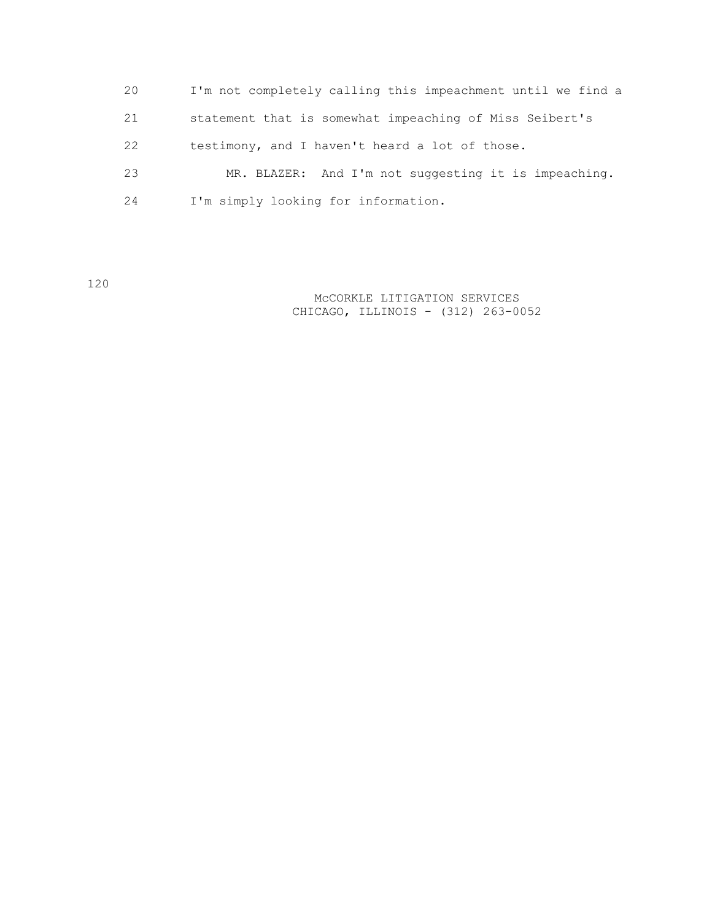20 I'm not completely calling this impeachment until we find a 21 statement that is somewhat impeaching of Miss Seibert's 22 testimony, and I haven't heard a lot of those. 23 MR. BLAZER: And I'm not suggesting it is impeaching. 24 I'm simply looking for information.

120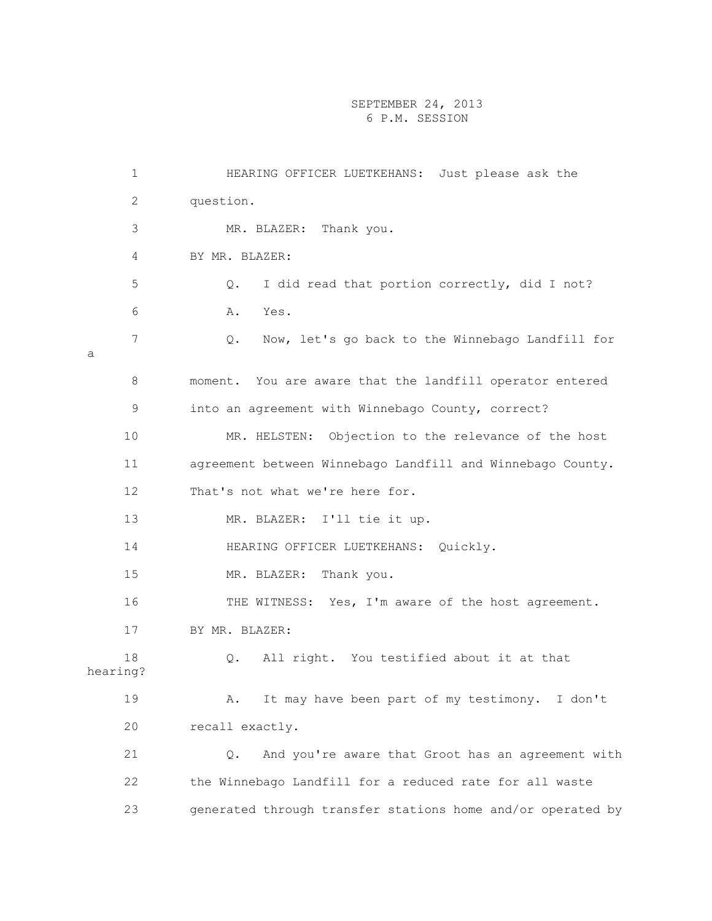| 1              | HEARING OFFICER LUETKEHANS: Just please ask the             |
|----------------|-------------------------------------------------------------|
| $\mathbf{2}$   | question.                                                   |
| 3              | MR. BLAZER: Thank you.                                      |
| $\overline{4}$ | BY MR. BLAZER:                                              |
| 5              | I did read that portion correctly, did I not?<br>Q.         |
| 6              | Α.<br>Yes.                                                  |
| 7<br>а         | Now, let's go back to the Winnebago Landfill for<br>Q.      |
| 8              | moment. You are aware that the landfill operator entered    |
| 9              | into an agreement with Winnebago County, correct?           |
| 10             | MR. HELSTEN: Objection to the relevance of the host         |
| 11             | agreement between Winnebago Landfill and Winnebago County.  |
| 12             | That's not what we're here for.                             |
| 13             | MR. BLAZER: I'll tie it up.                                 |
| 14             | HEARING OFFICER LUETKEHANS: Quickly.                        |
| 15             | MR. BLAZER: Thank you.                                      |
| 16             | THE WITNESS: Yes, I'm aware of the host agreement.          |
| 17             | BY MR. BLAZER:                                              |
| 18<br>hearing? | All right. You testified about it at that<br>Q.             |
| 19             | It may have been part of my testimony. I don't<br>Α.        |
| 20             | recall exactly.                                             |
| 21             | And you're aware that Groot has an agreement with<br>Q.     |
| 22             | the Winnebago Landfill for a reduced rate for all waste     |
| 23             | generated through transfer stations home and/or operated by |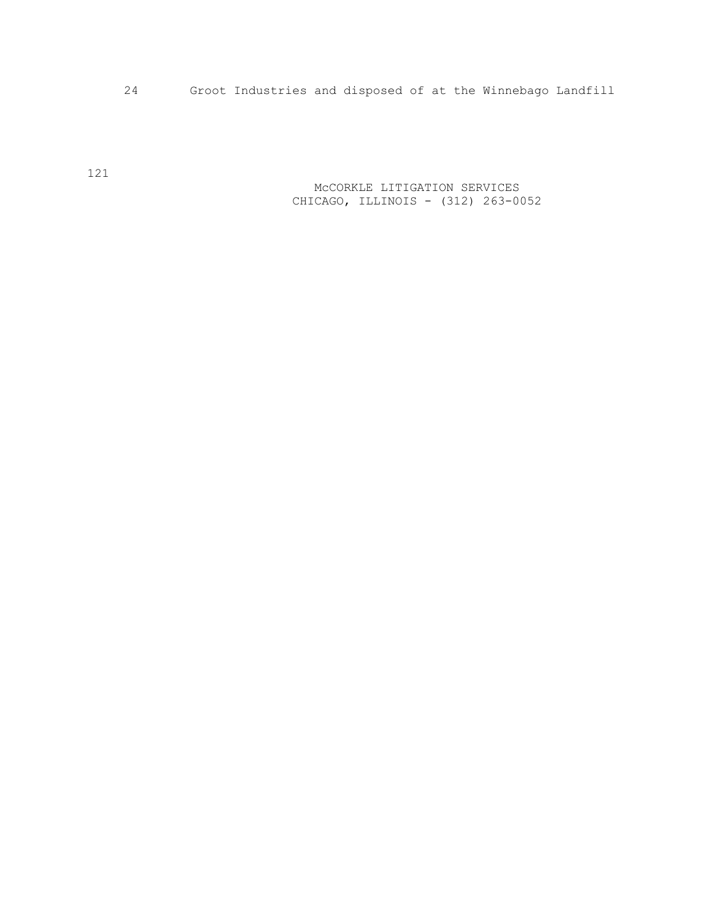24 Groot Industries and disposed of at the Winnebago Landfill

 McCORKLE LITIGATION SERVICES CHICAGO, ILLINOIS - (312) 263-0052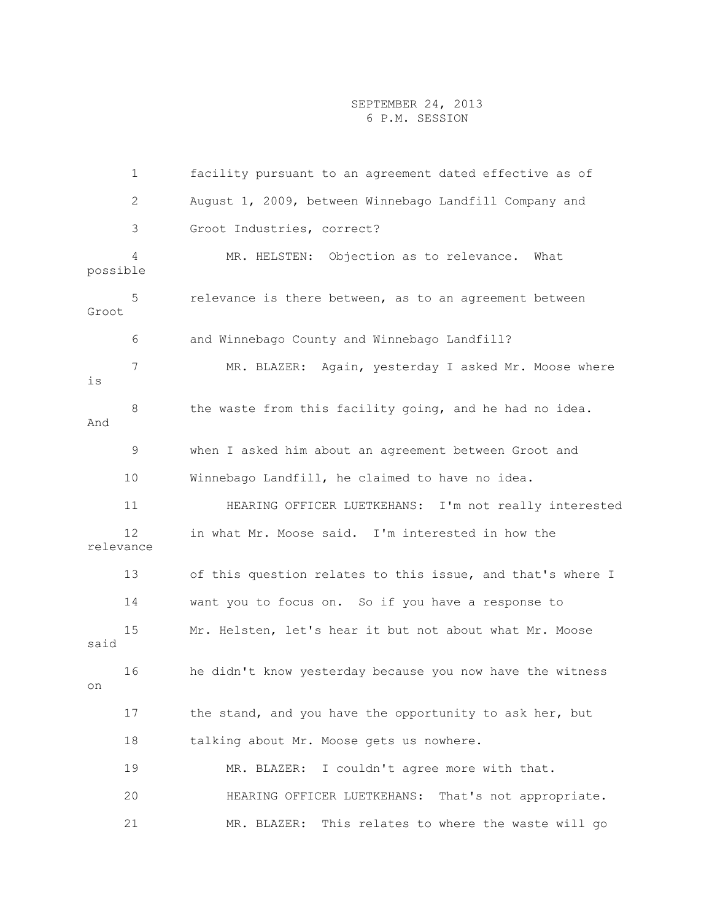1 facility pursuant to an agreement dated effective as of 2 August 1, 2009, between Winnebago Landfill Company and 3 Groot Industries, correct? 4 MR. HELSTEN: Objection as to relevance. What possible 5 relevance is there between, as to an agreement between Groot 6 and Winnebago County and Winnebago Landfill? 7 MR. BLAZER: Again, yesterday I asked Mr. Moose where is 8 the waste from this facility going, and he had no idea. And 9 when I asked him about an agreement between Groot and 10 Winnebago Landfill, he claimed to have no idea. 11 HEARING OFFICER LUETKEHANS: I'm not really interested 12 in what Mr. Moose said. I'm interested in how the relevance 13 of this question relates to this issue, and that's where I 14 want you to focus on. So if you have a response to 15 Mr. Helsten, let's hear it but not about what Mr. Moose said 16 he didn't know yesterday because you now have the witness on 17 the stand, and you have the opportunity to ask her, but 18 talking about Mr. Moose gets us nowhere. 19 MR. BLAZER: I couldn't agree more with that. 20 HEARING OFFICER LUETKEHANS: That's not appropriate. 21 MR. BLAZER: This relates to where the waste will go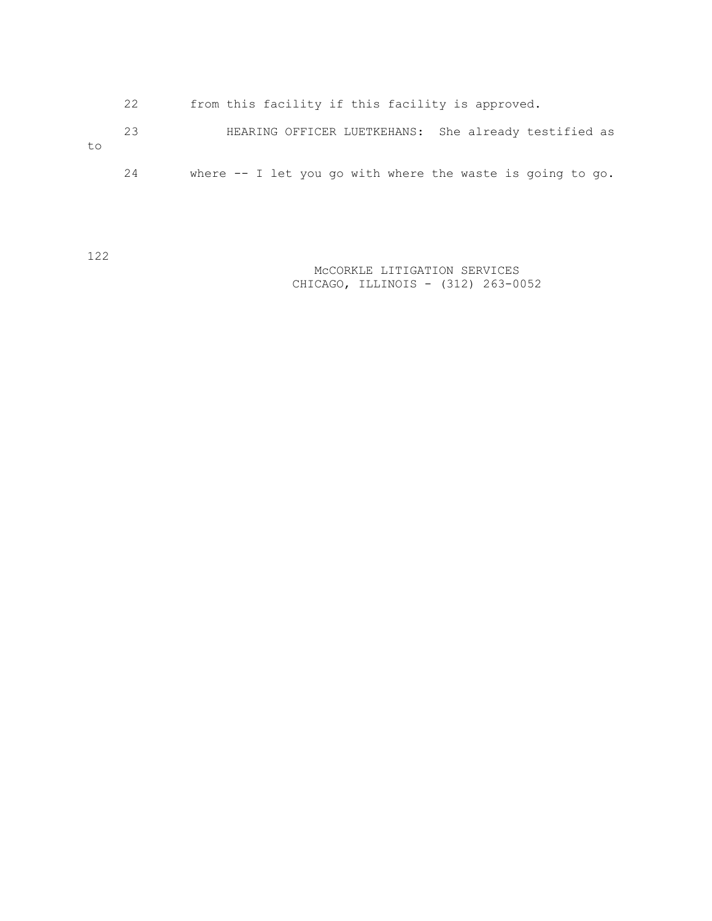|    | 22 | from this facility if this facility is approved.            |
|----|----|-------------------------------------------------------------|
| to | 23 | HEARING OFFICER LUETKEHANS: She already testified as        |
|    | 24 | where $-$ I let you go with where the waste is going to go. |

 McCORKLE LITIGATION SERVICES CHICAGO, ILLINOIS - (312) 263-0052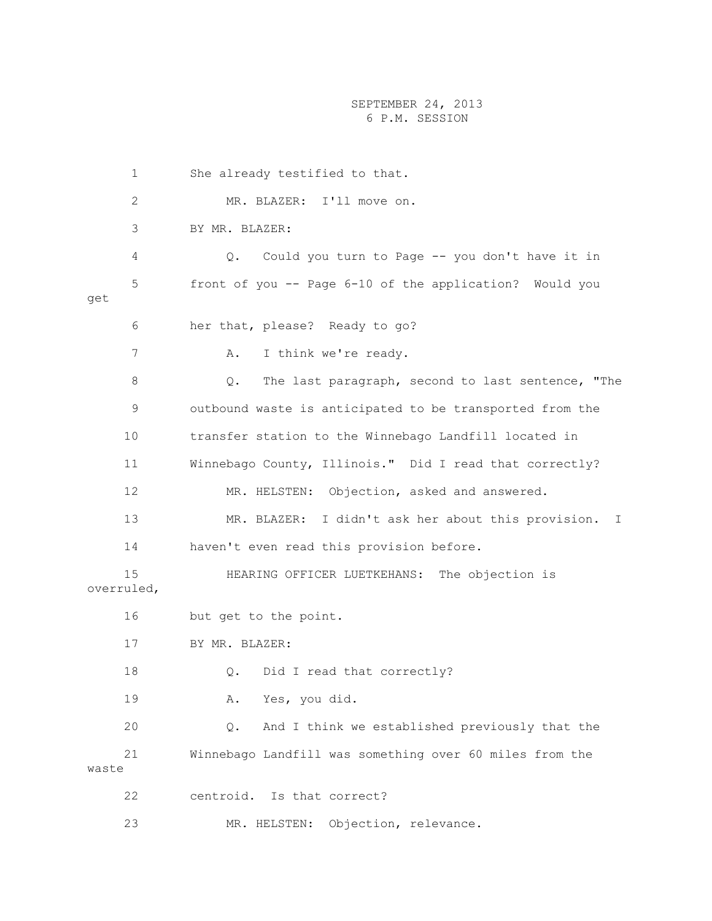1 She already testified to that. 2 MR. BLAZER: I'll move on. 3 BY MR. BLAZER: 4 Q. Could you turn to Page -- you don't have it in 5 front of you -- Page 6-10 of the application? Would you get 6 her that, please? Ready to go? 7 A. I think we're ready. 8 Q. The last paragraph, second to last sentence, "The 9 outbound waste is anticipated to be transported from the 10 transfer station to the Winnebago Landfill located in 11 Winnebago County, Illinois." Did I read that correctly? 12 MR. HELSTEN: Objection, asked and answered. 13 MR. BLAZER: I didn't ask her about this provision. I 14 haven't even read this provision before. 15 HEARING OFFICER LUETKEHANS: The objection is overruled, 16 but get to the point. 17 BY MR. BLAZER: 18 Q. Did I read that correctly? 19 A. Yes, you did. 20 Q. And I think we established previously that the 21 Winnebago Landfill was something over 60 miles from the waste 22 centroid. Is that correct? 23 MR. HELSTEN: Objection, relevance.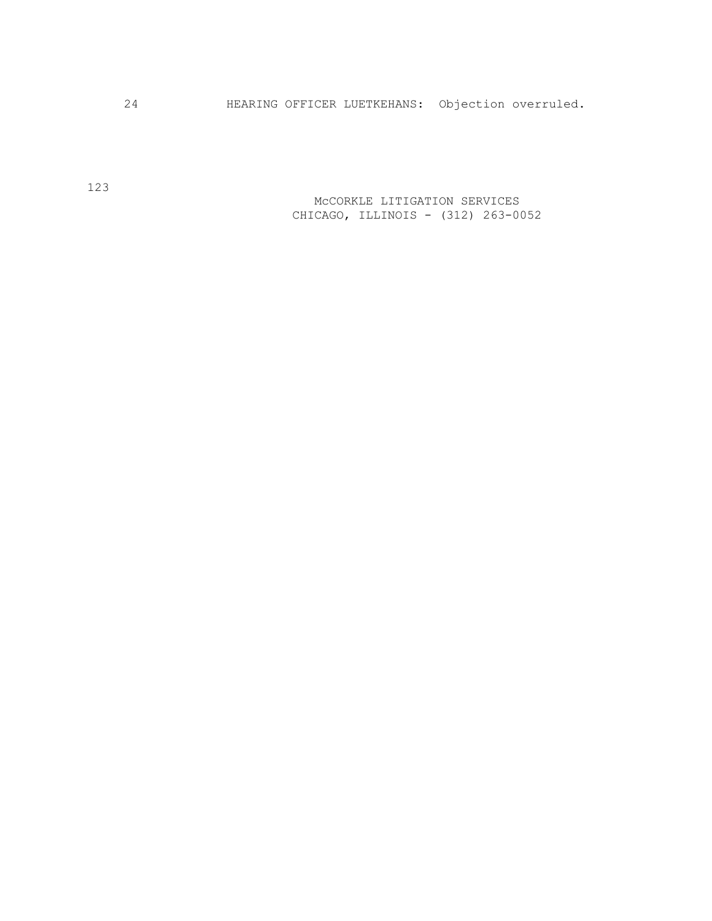24 HEARING OFFICER LUETKEHANS: Objection overruled.

 McCORKLE LITIGATION SERVICES CHICAGO, ILLINOIS - (312) 263-0052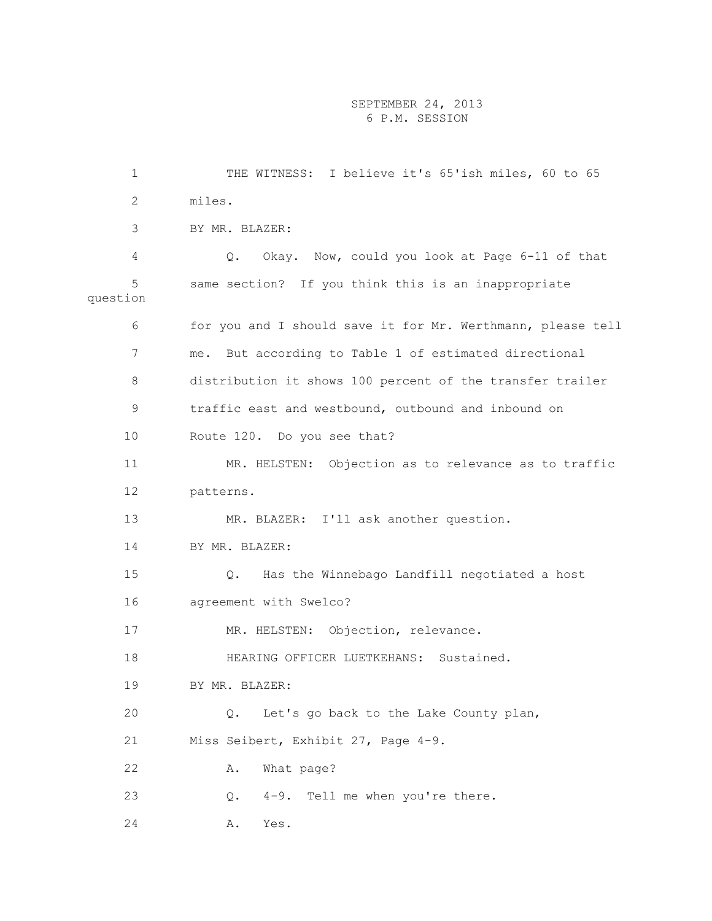| 1               | THE WITNESS: I believe it's 65'ish miles, 60 to 65              |
|-----------------|-----------------------------------------------------------------|
| $\mathbf{2}$    | miles.                                                          |
| 3               | BY MR. BLAZER:                                                  |
| 4               | Okay. Now, could you look at Page 6-11 of that<br>$Q_{\bullet}$ |
| 5<br>question   | same section? If you think this is an inappropriate             |
| 6               | for you and I should save it for Mr. Werthmann, please tell     |
| 7               | But according to Table 1 of estimated directional<br>me.        |
| 8               | distribution it shows 100 percent of the transfer trailer       |
| 9               | traffic east and westbound, outbound and inbound on             |
| 10 <sub>o</sub> | Route 120. Do you see that?                                     |
| 11              | MR. HELSTEN: Objection as to relevance as to traffic            |
| 12 <sup>°</sup> | patterns.                                                       |
| 13              | MR. BLAZER: I'll ask another question.                          |
| 14              | BY MR. BLAZER:                                                  |
| 15              | Has the Winnebago Landfill negotiated a host<br>Q.              |
| 16              | agreement with Swelco?                                          |
| 17              | MR. HELSTEN: Objection, relevance.                              |
| 18              | HEARING OFFICER LUETKEHANS: Sustained.                          |
| 19              | BY MR. BLAZER:                                                  |
| 20              | Let's go back to the Lake County plan,<br>Q.                    |
| 21              | Miss Seibert, Exhibit 27, Page 4-9.                             |
| 22              | What page?<br>Α.                                                |
| 23              | Tell me when you're there.<br>$4 - 9$ .<br>Q.                   |
| 24              | Yes.<br>Α.                                                      |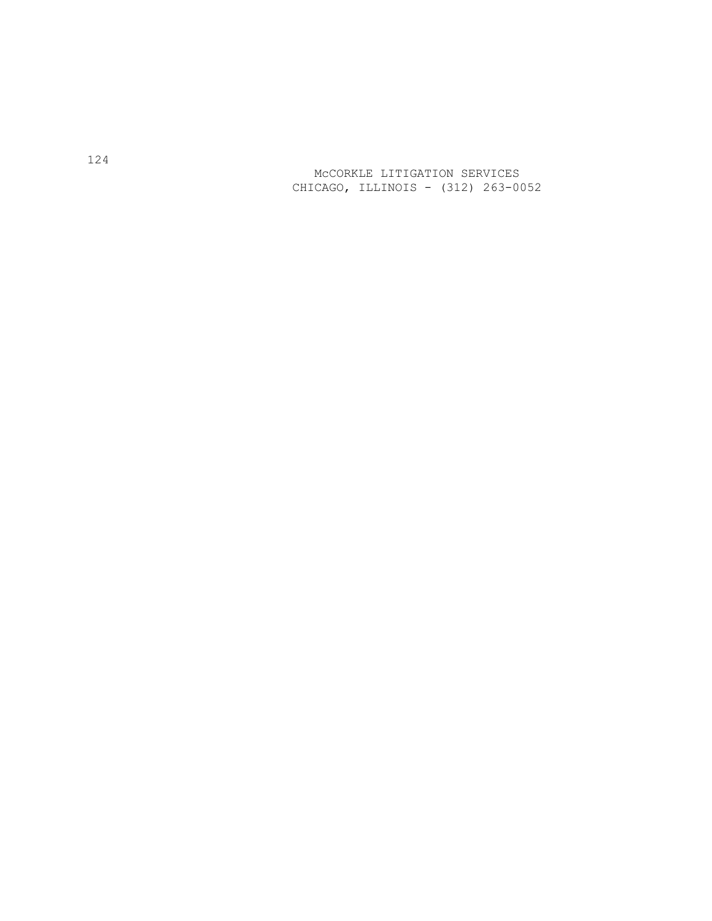McCORKLE LITIGATION SERVICES CHICAGO, ILLINOIS - (312) 263 -0052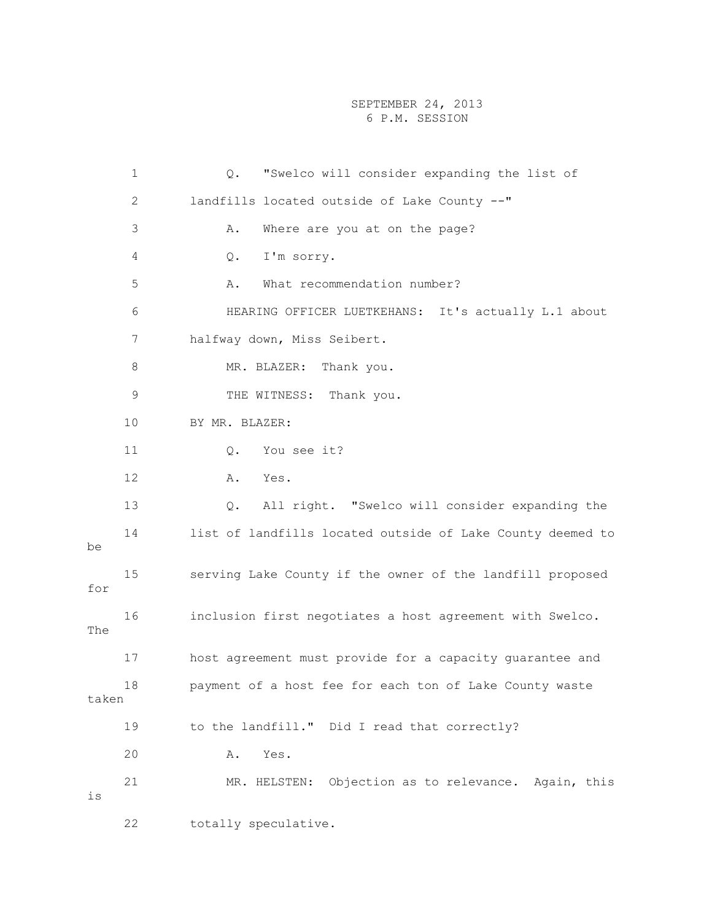1 Q. "Swelco will consider expanding the list of 2 landfills located outside of Lake County --" 3 A. Where are you at on the page? 4 Q. I'm sorry. 5 A. What recommendation number? 6 HEARING OFFICER LUETKEHANS: It's actually L.1 about 7 halfway down, Miss Seibert. 8 MR. BLAZER: Thank you. 9 THE WITNESS: Thank you. 10 BY MR. BLAZER: 11 0. You see it? 12 A. Yes. 13 Q. All right. "Swelco will consider expanding the 14 list of landfills located outside of Lake County deemed to be 15 serving Lake County if the owner of the landfill proposed for 16 inclusion first negotiates a host agreement with Swelco. The 17 host agreement must provide for a capacity guarantee and 18 payment of a host fee for each ton of Lake County waste taken 19 to the landfill." Did I read that correctly? 20 A. Yes. 21 MR. HELSTEN: Objection as to relevance. Again, this is 22 totally speculative.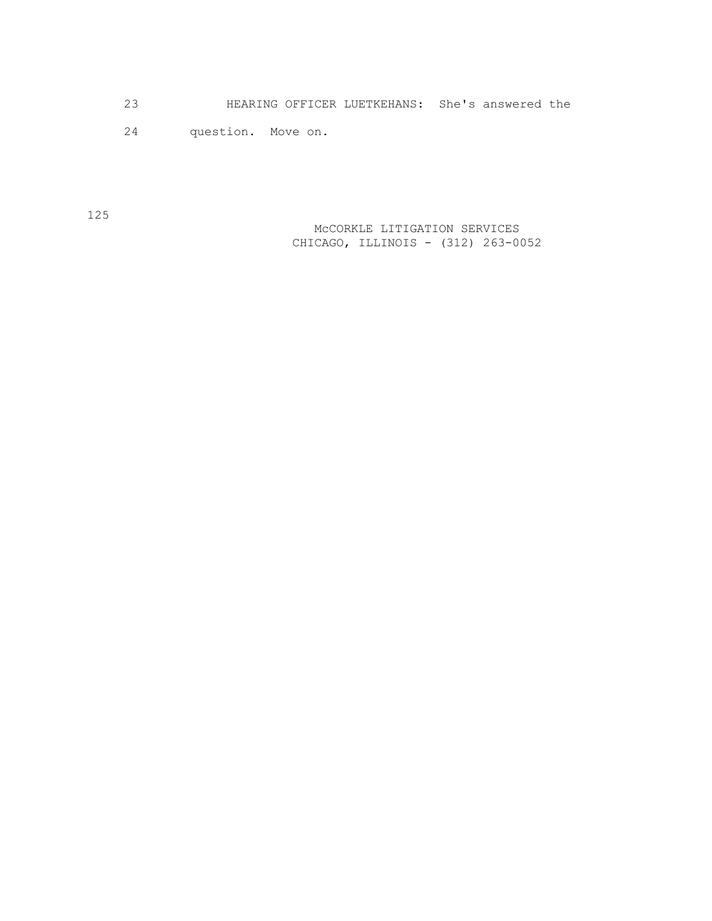23 HEARING OFFICER LUETKEHANS: She's answered the

24 question. Move on.

125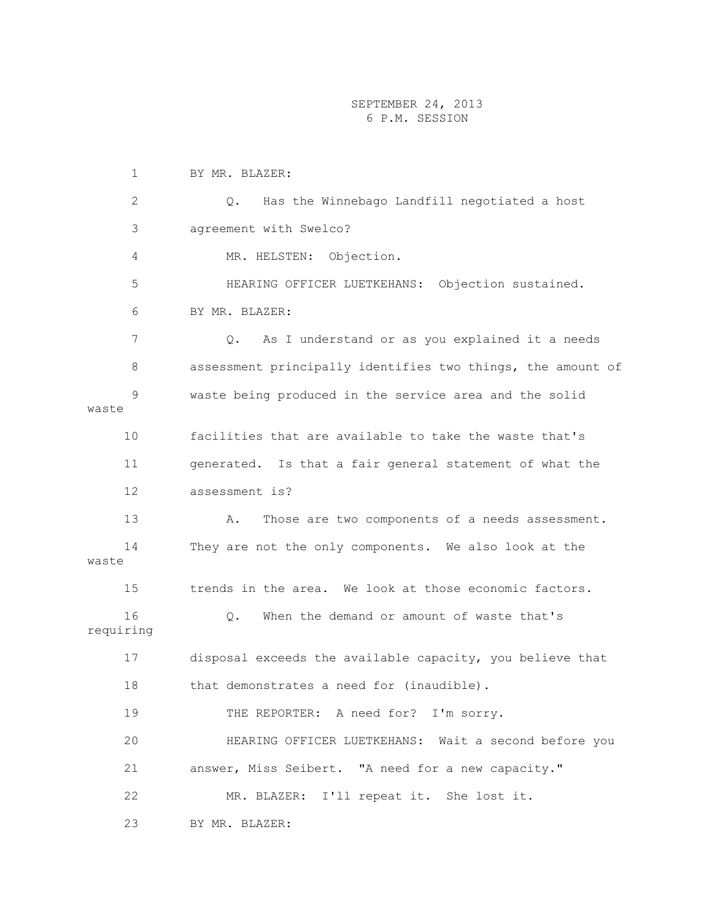1 BY MR. BLAZER: 2 Q. Has the Winnebago Landfill negotiated a host 3 agreement with Swelco? 4 MR. HELSTEN: Objection. 5 HEARING OFFICER LUETKEHANS: Objection sustained. 6 BY MR. BLAZER: 7 Q. As I understand or as you explained it a needs 8 assessment principally identifies two things, the amount of 9 waste being produced in the service area and the solid waste 10 facilities that are available to take the waste that's 11 generated. Is that a fair general statement of what the 12 assessment is? 13 A. Those are two components of a needs assessment. 14 They are not the only components. We also look at the waste 15 trends in the area. We look at those economic factors. 16 Q. When the demand or amount of waste that's requiring 17 disposal exceeds the available capacity, you believe that 18 that demonstrates a need for (inaudible). 19 THE REPORTER: A need for? I'm sorry. 20 HEARING OFFICER LUETKEHANS: Wait a second before you 21 answer, Miss Seibert. "A need for a new capacity." 22 MR. BLAZER: I'll repeat it. She lost it. 23 BY MR. BLAZER: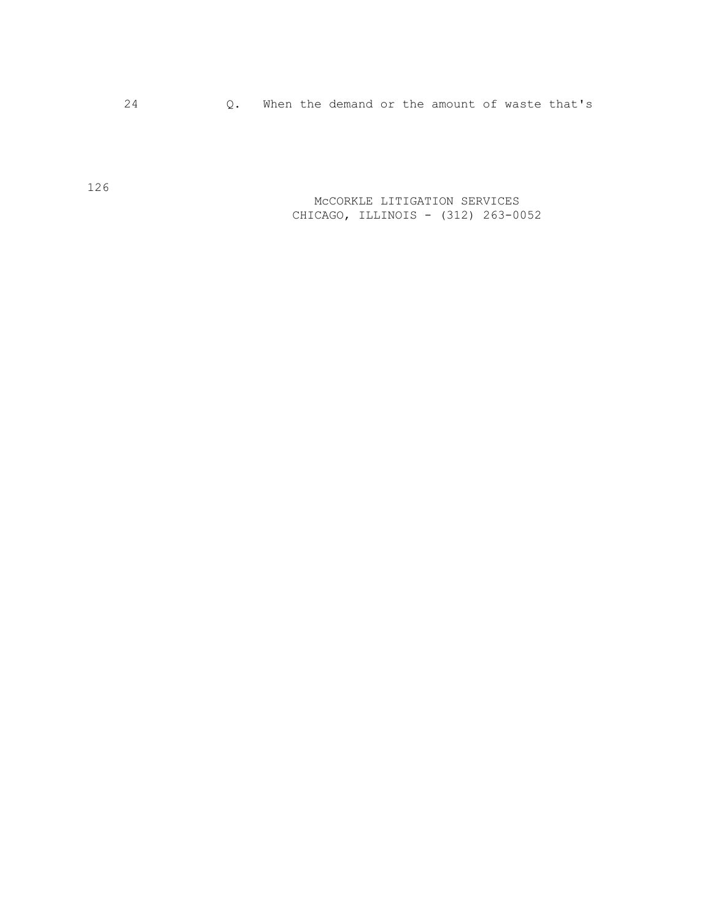24 Q. When the demand or the amount of waste that's

 McCORKLE LITIGATION SERVICES CHICAGO, ILLINOIS - (312) 263-0052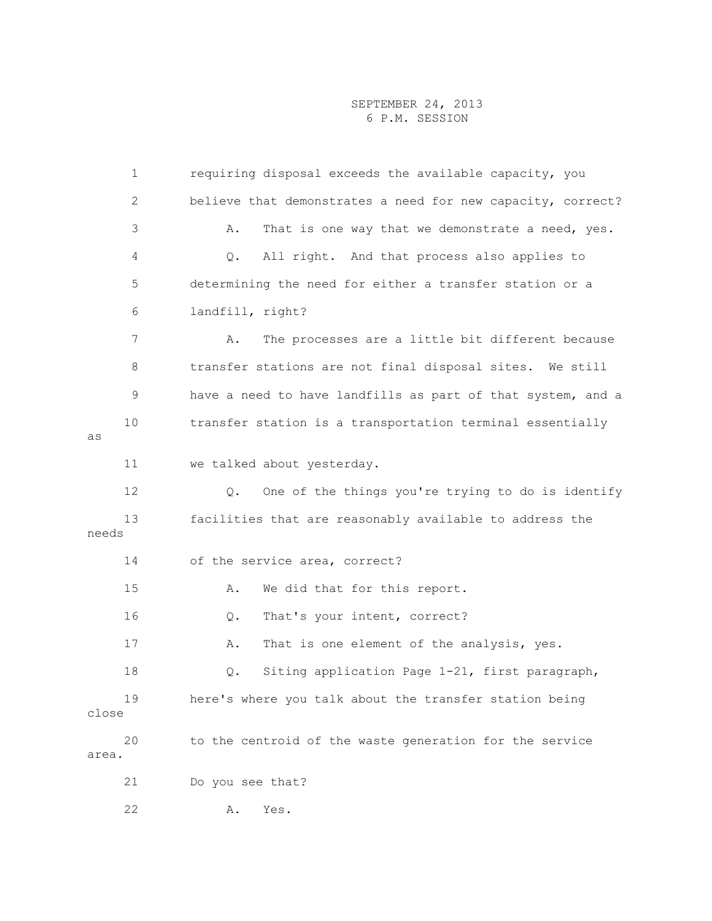1 requiring disposal exceeds the available capacity, you 2 believe that demonstrates a need for new capacity, correct? 3 A. That is one way that we demonstrate a need, yes. 4 Q. All right. And that process also applies to 5 determining the need for either a transfer station or a 6 landfill, right? 7 A. The processes are a little bit different because 8 transfer stations are not final disposal sites. We still 9 have a need to have landfills as part of that system, and a 10 transfer station is a transportation terminal essentially as 11 we talked about yesterday. 12 Q. One of the things you're trying to do is identify 13 facilities that are reasonably available to address the needs 14 of the service area, correct? 15 A. We did that for this report. 16 Q. That's your intent, correct? 17 A. That is one element of the analysis, yes. 18 Q. Siting application Page 1-21, first paragraph, 19 here's where you talk about the transfer station being close 20 to the centroid of the waste generation for the service area. 21 Do you see that? 22 A. Yes.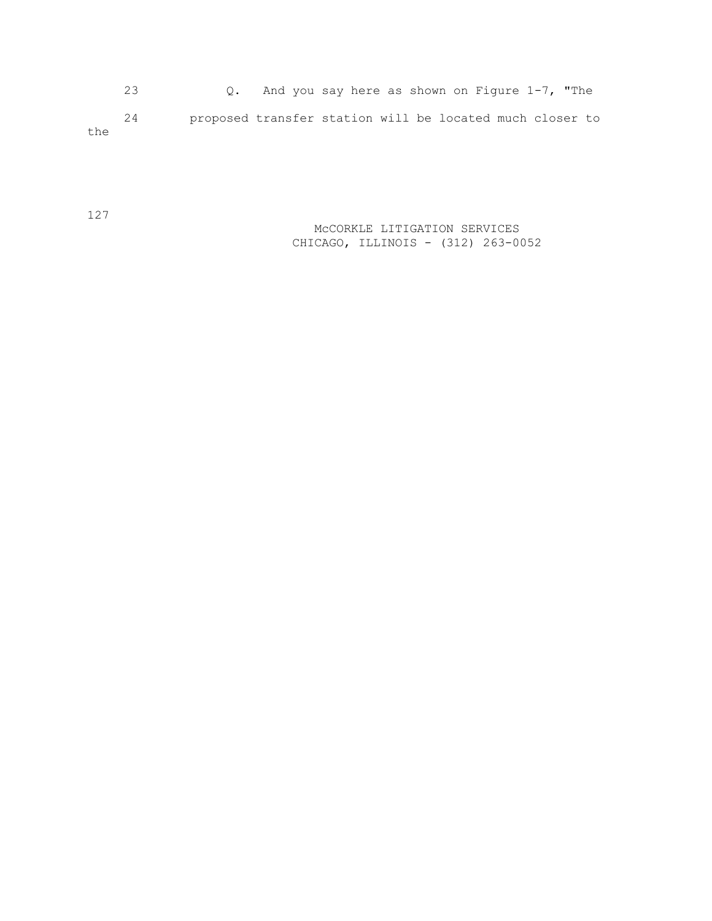23 Q. And you say here as shown on Figure 1-7, "The 24 proposed transfer station will be located much closer to the

> McCORKLE LITIGATION SERVICES CHICAGO, ILLINOIS - (312) 263-0052

127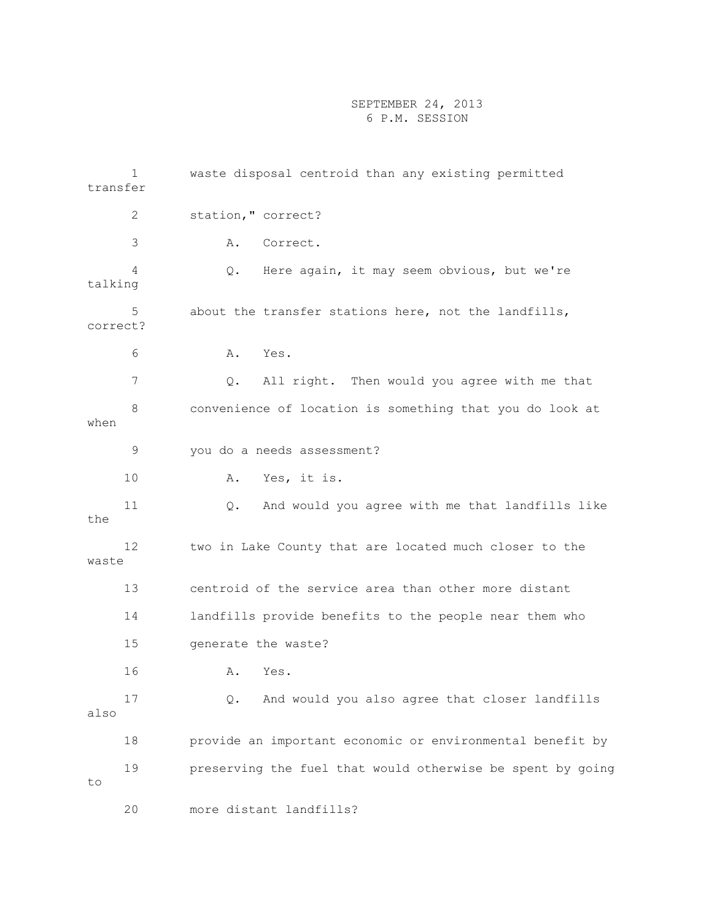| transfer | $\mathbf{1}$ | waste disposal centroid than any existing permitted        |
|----------|--------------|------------------------------------------------------------|
|          | 2            | station," correct?                                         |
|          | 3            | Correct.<br>Α.                                             |
| talking  | 4            | Here again, it may seem obvious, but we're<br>Q.           |
| correct? | 5            | about the transfer stations here, not the landfills,       |
|          | 6            | Α.<br>Yes.                                                 |
|          | 7            | All right. Then would you agree with me that<br>Q.         |
| when     | 8            | convenience of location is something that you do look at   |
|          | 9            | you do a needs assessment?                                 |
|          | 10           | Yes, it is.<br>Α.                                          |
| the      | 11           | And would you agree with me that landfills like<br>Q.      |
| waste    | 12           | two in Lake County that are located much closer to the     |
|          | 13           | centroid of the service area than other more distant       |
|          | 14           | landfills provide benefits to the people near them who     |
|          | 15           | generate the waste?                                        |
|          | 16           | Α.<br>Yes.                                                 |
| also     | 17           | And would you also agree that closer landfills<br>$Q$ .    |
|          | 18           | provide an important economic or environmental benefit by  |
| to       | 19           | preserving the fuel that would otherwise be spent by going |
|          | 20           | more distant landfills?                                    |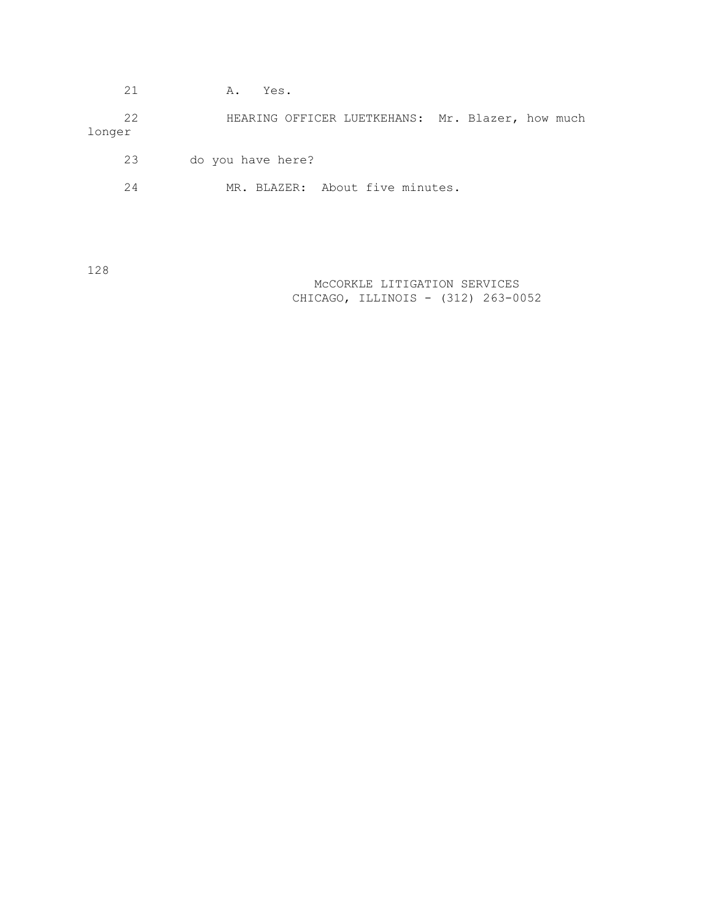21 A. Yes.

22 HEARING OFFICER LUETKEHANS: Mr. Blazer, how much longer 23 do you have here? 24 MR. BLAZER: About five minutes.

128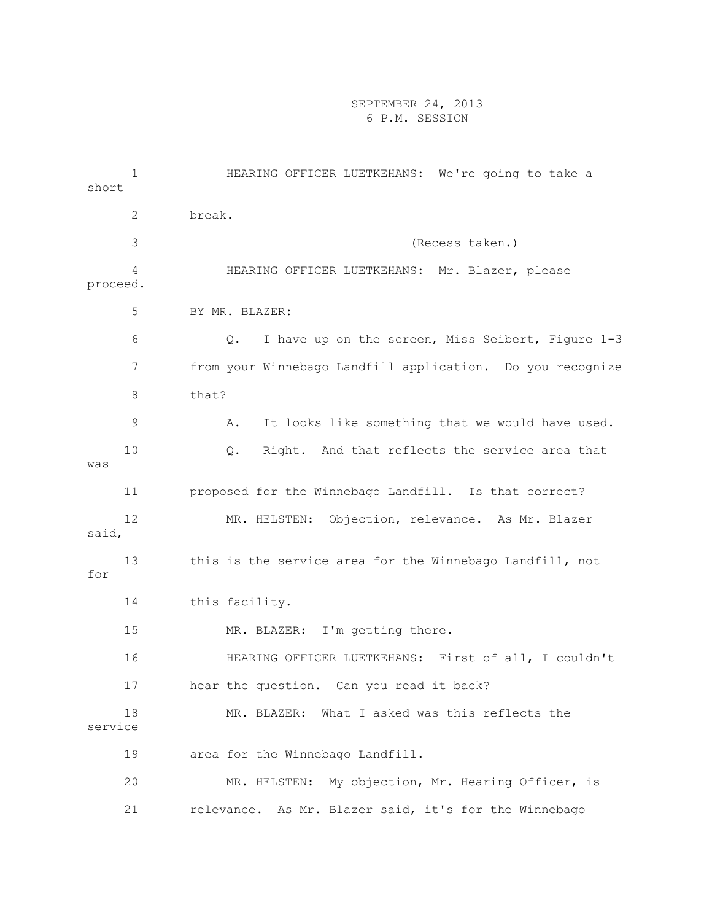| short    | $\mathbf 1$           | HEARING OFFICER LUETKEHANS: We're going to take a          |
|----------|-----------------------|------------------------------------------------------------|
|          | $\mathbf{2}^{\prime}$ | break.                                                     |
|          | 3                     | (Recess taken.)                                            |
| proceed. | 4                     | HEARING OFFICER LUETKEHANS: Mr. Blazer, please             |
|          | 5                     | BY MR. BLAZER:                                             |
|          | 6                     | I have up on the screen, Miss Seibert, Figure 1-3<br>Q.    |
|          | 7                     | from your Winnebago Landfill application. Do you recognize |
|          | 8                     | that?                                                      |
|          | $\mathsf 9$           | It looks like something that we would have used.<br>Α.     |
| was      | 10                    | Right. And that reflects the service area that<br>Q.       |
|          | 11                    | proposed for the Winnebago Landfill. Is that correct?      |
| said,    | 12                    | MR. HELSTEN: Objection, relevance. As Mr. Blazer           |
| for      | 13                    | this is the service area for the Winnebago Landfill, not   |
|          | 14                    | this facility.                                             |
|          | 15                    | MR. BLAZER: I'm getting there.                             |
|          | 16                    | HEARING OFFICER LUETKEHANS: First of all, I couldn't       |
|          | 17                    | hear the question. Can you read it back?                   |
| service  | 18                    | What I asked was this reflects the<br>MR. BLAZER:          |
|          | 19                    | area for the Winnebago Landfill.                           |
|          | 20                    | My objection, Mr. Hearing Officer, is<br>MR. HELSTEN:      |
|          | 21                    | As Mr. Blazer said, it's for the Winnebago<br>relevance.   |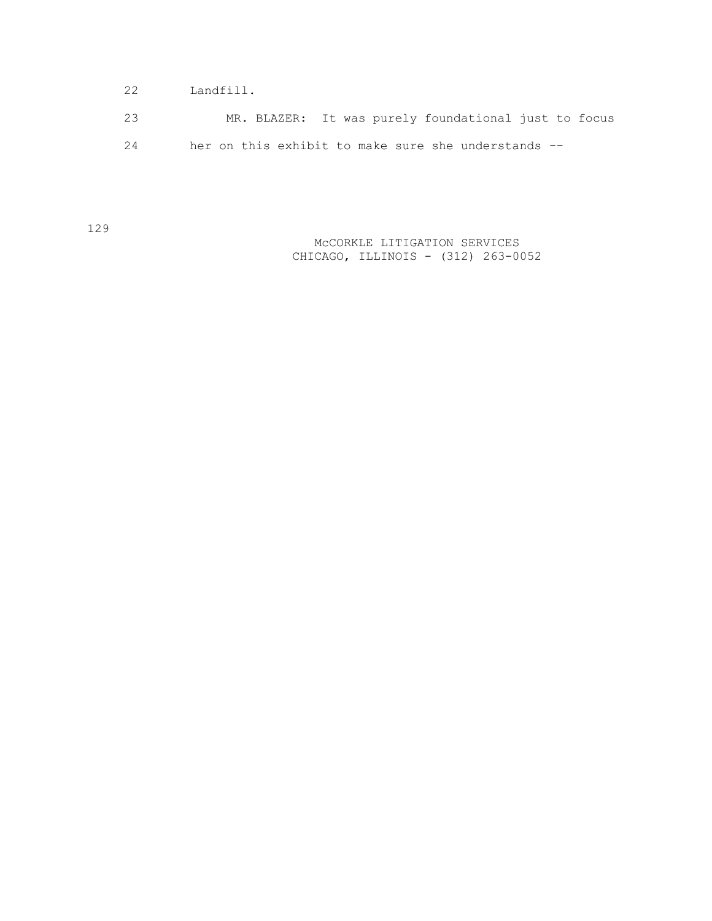22 Landfill.

 23 MR. BLAZER: It was purely foundational just to focus 24 her on this exhibit to make sure she understands --

> McCORKLE LITIGATION SERVICES CHICAGO, ILLINOIS - (312) 263-0052

129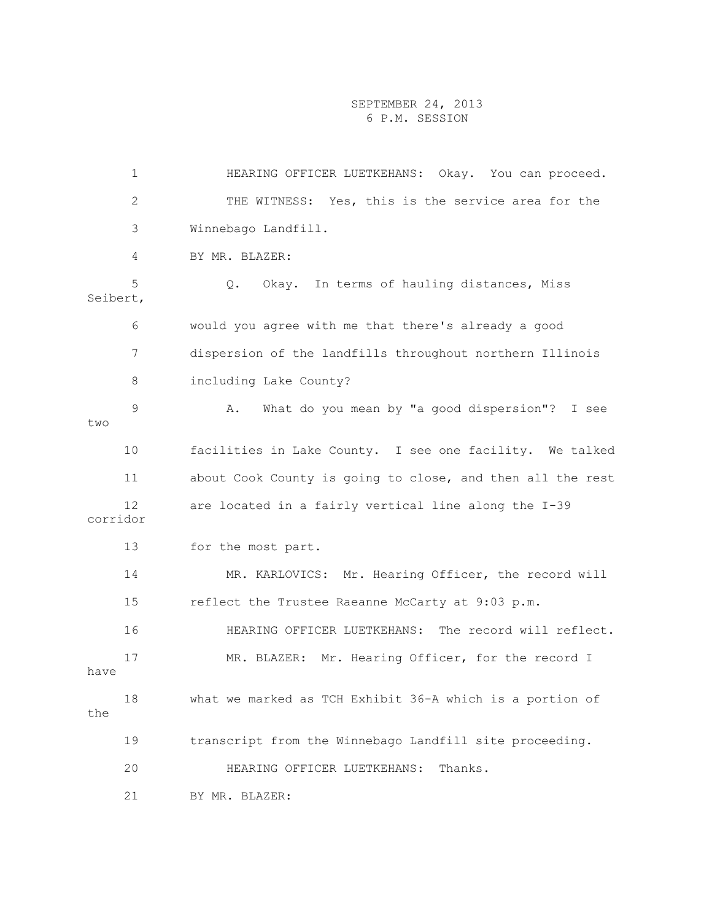1 HEARING OFFICER LUETKEHANS: Okay. You can proceed. 2 THE WITNESS: Yes, this is the service area for the 3 Winnebago Landfill. 4 BY MR. BLAZER: 5 Q. Okay. In terms of hauling distances, Miss Seibert, 6 would you agree with me that there's already a good 7 dispersion of the landfills throughout northern Illinois 8 including Lake County? 9 A. What do you mean by "a good dispersion"? I see two 10 facilities in Lake County. I see one facility. We talked 11 about Cook County is going to close, and then all the rest 12 are located in a fairly vertical line along the I-39 corridor 13 for the most part. 14 MR. KARLOVICS: Mr. Hearing Officer, the record will 15 reflect the Trustee Raeanne McCarty at 9:03 p.m. 16 HEARING OFFICER LUETKEHANS: The record will reflect. 17 MR. BLAZER: Mr. Hearing Officer, for the record I have 18 what we marked as TCH Exhibit 36-A which is a portion of the 19 transcript from the Winnebago Landfill site proceeding. 20 HEARING OFFICER LUETKEHANS: Thanks. 21 BY MR. BLAZER: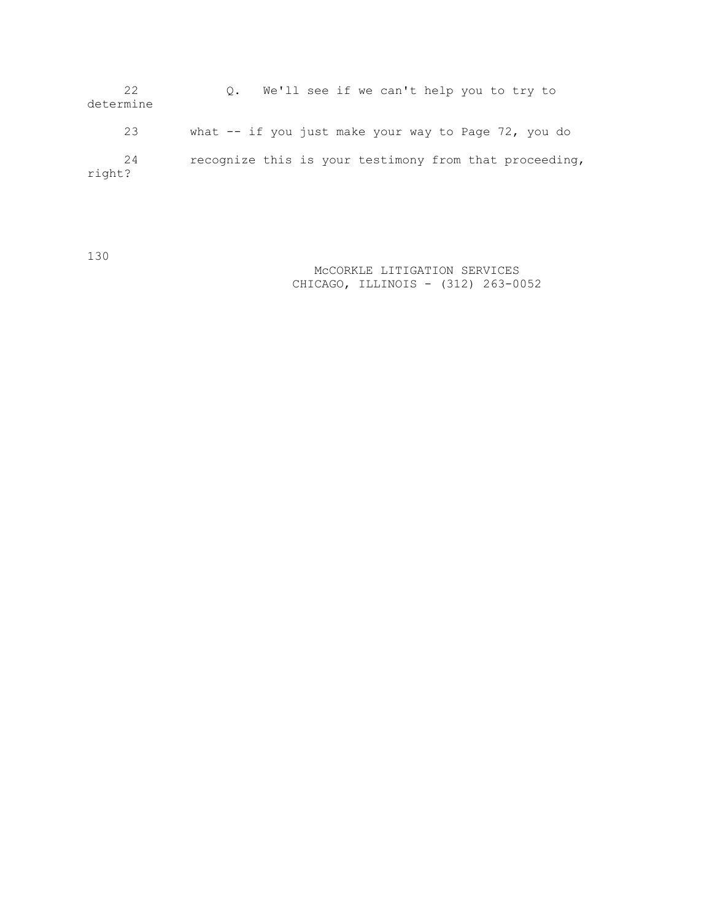22 Q. We'll see if we can't help you to try to determine 23 what -- if you just make your way to Page 72, you do 24 recognize this is your testimony from that proceeding, right?

130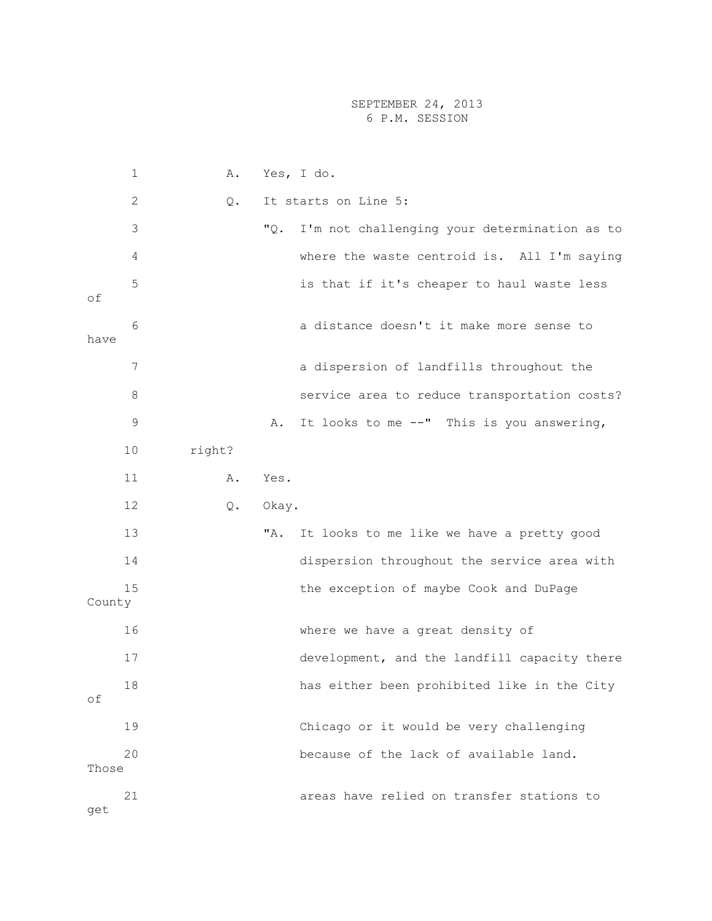|        | $\mathbf 1$  |        | Α. |       | Yes, I do.                                   |
|--------|--------------|--------|----|-------|----------------------------------------------|
|        | $\mathbf{2}$ |        | Q. |       | It starts on Line 5:                         |
|        | $\mathsf 3$  |        |    | "Q.   | I'm not challenging your determination as to |
|        | 4            |        |    |       | where the waste centroid is. All I'm saying  |
| оf     | 5            |        |    |       | is that if it's cheaper to haul waste less   |
| have   | 6            |        |    |       | a distance doesn't it make more sense to     |
|        | 7            |        |    |       | a dispersion of landfills throughout the     |
|        | 8            |        |    |       | service area to reduce transportation costs? |
|        | 9            |        |    | Α.    | It looks to me --" This is you answering,    |
|        | 10           | right? |    |       |                                              |
|        | 11           |        | Α. | Yes.  |                                              |
|        | 12           |        | Q. | Okay. |                                              |
|        | 13           |        |    | "A.   | It looks to me like we have a pretty good    |
|        | 14           |        |    |       | dispersion throughout the service area with  |
| County | 15           |        |    |       | the exception of maybe Cook and DuPage       |
|        | 16           |        |    |       | where we have a great density of             |
|        | 17           |        |    |       | development, and the landfill capacity there |
| οf     | 18           |        |    |       | has either been prohibited like in the City  |
|        | 19           |        |    |       | Chicago or it would be very challenging      |
| Those  | 20           |        |    |       | because of the lack of available land.       |
| get    | 21           |        |    |       | areas have relied on transfer stations to    |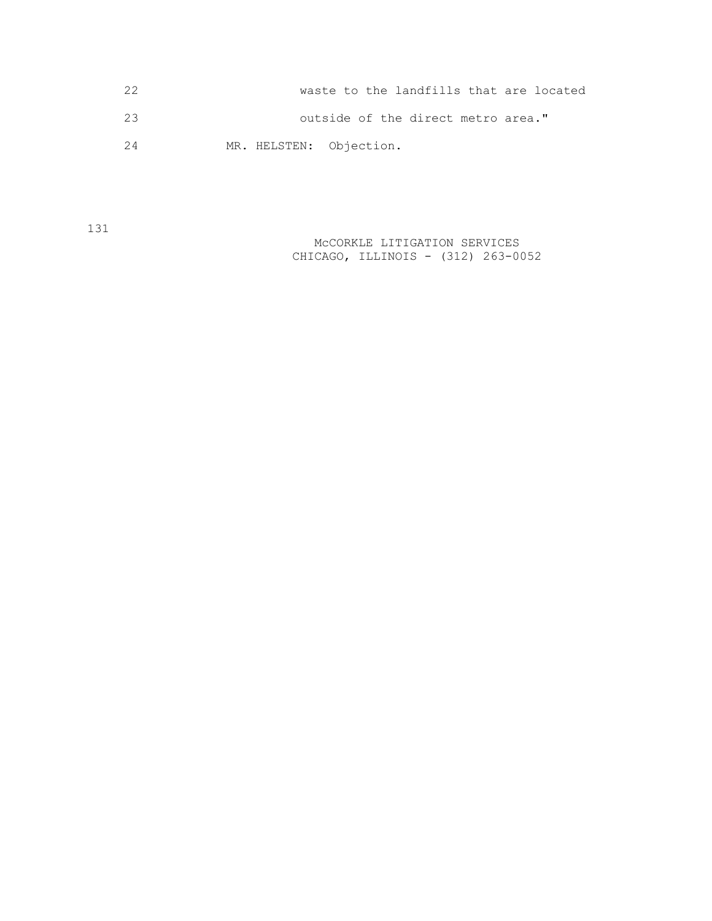|    | waste to the landfills that are located |
|----|-----------------------------------------|
| 23 | outside of the direct metro area."      |
| 24 | MR. HELSTEN: Objection.                 |

131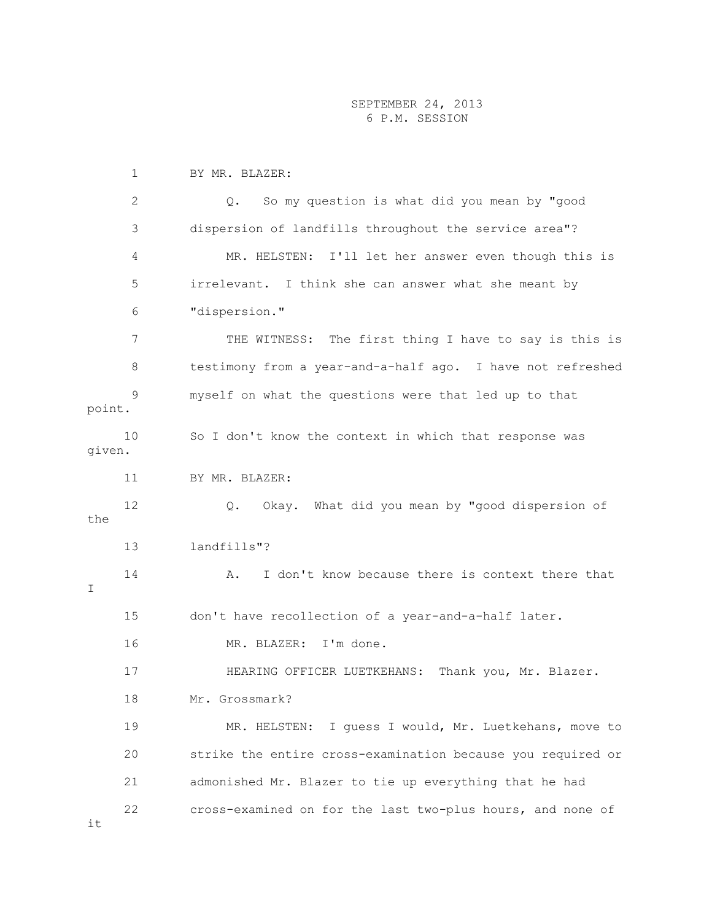1 BY MR. BLAZER: 2 Q. So my question is what did you mean by "good 3 dispersion of landfills throughout the service area"? 4 MR. HELSTEN: I'll let her answer even though this is 5 irrelevant. I think she can answer what she meant by 6 "dispersion." 7 THE WITNESS: The first thing I have to say is this is 8 testimony from a year-and-a-half ago. I have not refreshed 9 myself on what the questions were that led up to that point. 10 So I don't know the context in which that response was given. 11 BY MR. BLAZER: 12 Q. Okay. What did you mean by "good dispersion of the 13 landfills"? 14 A. I don't know because there is context there that T<sub>1</sub> 15 don't have recollection of a year-and-a-half later. 16 MR. BLAZER: I'm done. 17 HEARING OFFICER LUETKEHANS: Thank you, Mr. Blazer. 18 Mr. Grossmark? 19 MR. HELSTEN: I guess I would, Mr. Luetkehans, move to 20 strike the entire cross-examination because you required or 21 admonished Mr. Blazer to tie up everything that he had 22 cross-examined on for the last two-plus hours, and none of

it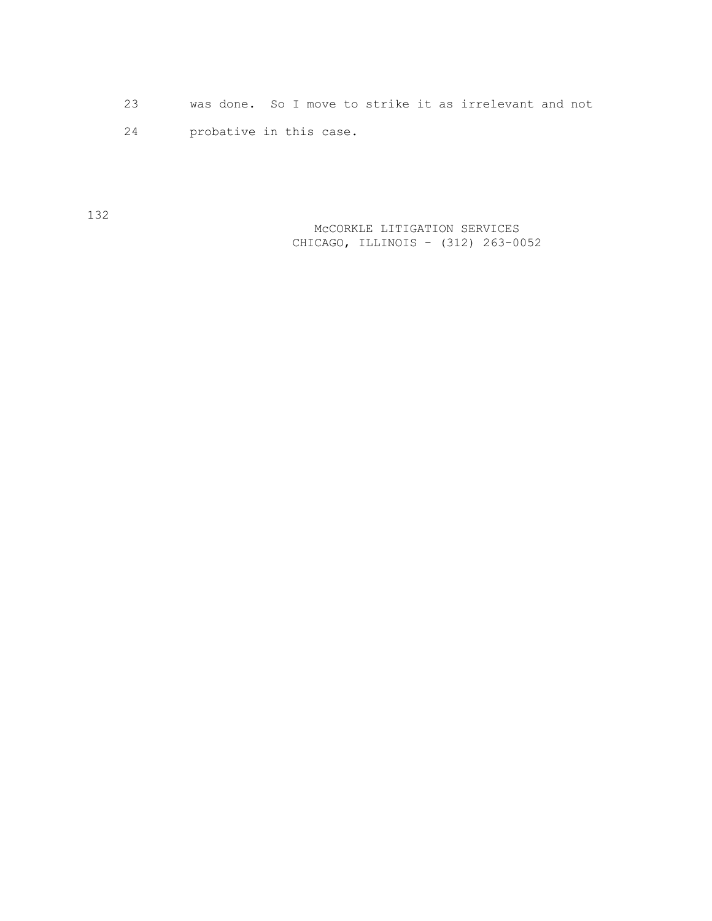- 23 was done. So I move to strike it as irrelevant and not
- 24 probative in this case.

132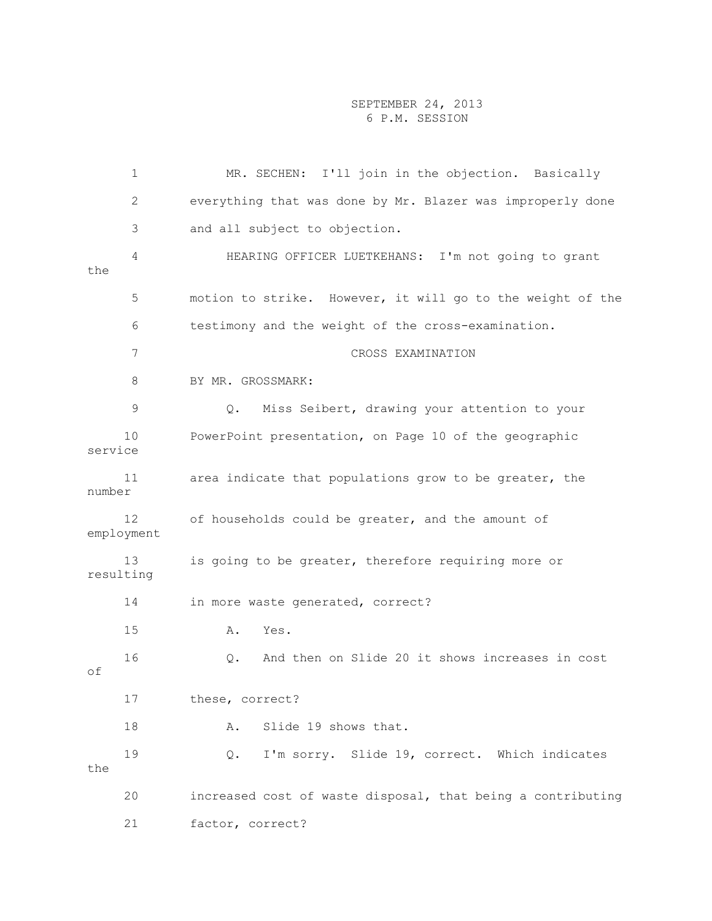1 MR. SECHEN: I'll join in the objection. Basically 2 everything that was done by Mr. Blazer was improperly done 3 and all subject to objection. 4 HEARING OFFICER LUETKEHANS: I'm not going to grant the 5 motion to strike. However, it will go to the weight of the 6 testimony and the weight of the cross-examination. 7 CROSS EXAMINATION 8 BY MR. GROSSMARK: 9 Q. Miss Seibert, drawing your attention to your 10 PowerPoint presentation, on Page 10 of the geographic service 11 area indicate that populations grow to be greater, the number 12 of households could be greater, and the amount of employment 13 is going to be greater, therefore requiring more or resulting 14 in more waste generated, correct? 15 A. Yes. 16 Q. And then on Slide 20 it shows increases in cost of 17 these, correct? 18 A. Slide 19 shows that. 19 Q. I'm sorry. Slide 19, correct. Which indicates the 20 increased cost of waste disposal, that being a contributing 21 factor, correct?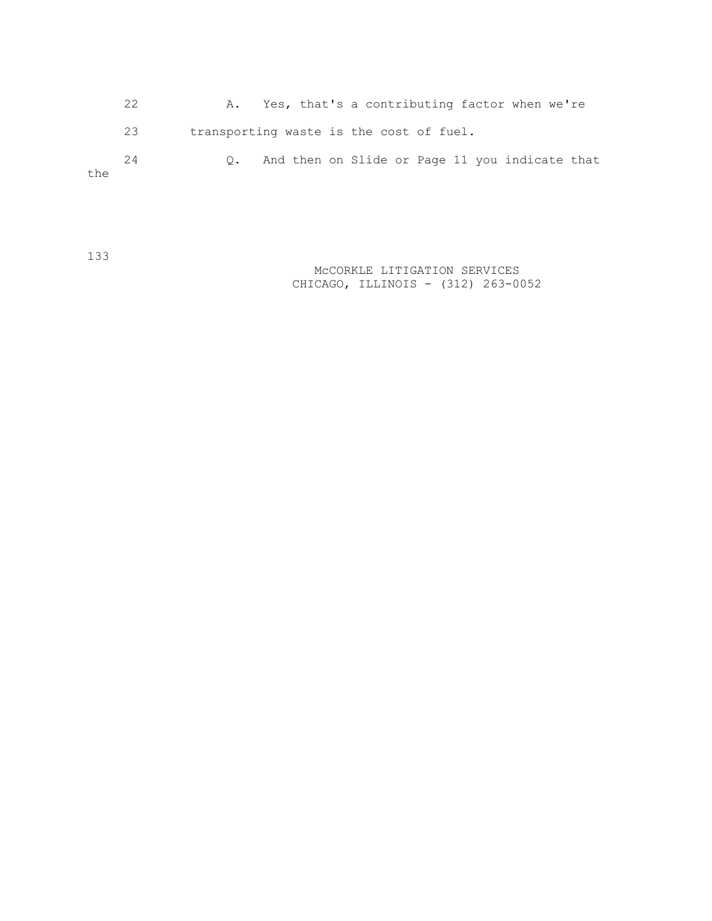22 A. Yes, that's a contributing factor when we're 23 transporting waste is the cost of fuel. 24 Q. And then on Slide or Page 11 you indicate that the

133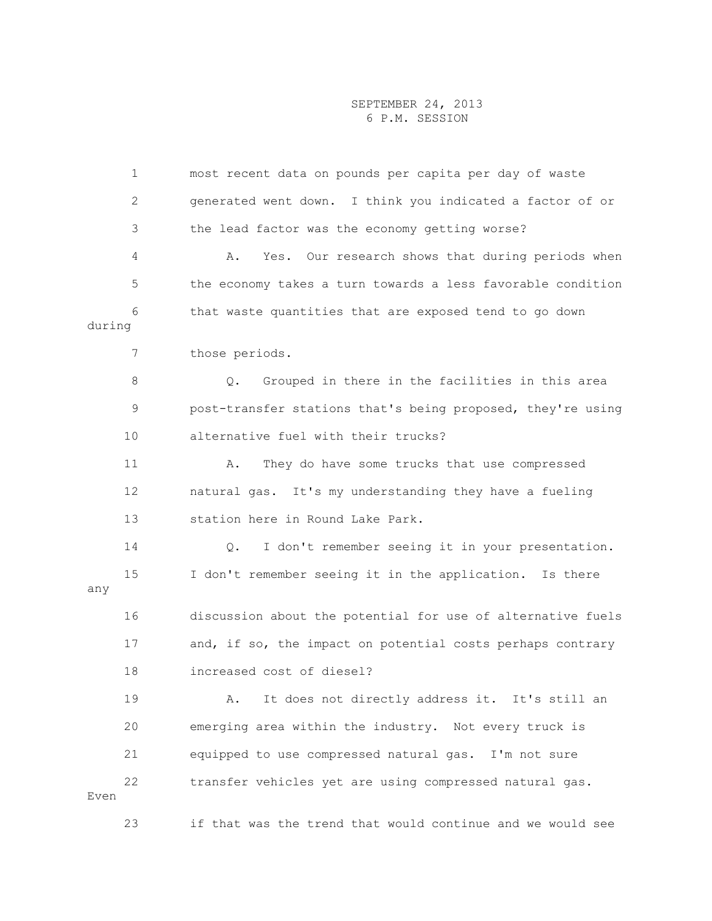1 most recent data on pounds per capita per day of waste 2 generated went down. I think you indicated a factor of or 3 the lead factor was the economy getting worse? 4 A. Yes. Our research shows that during periods when 5 the economy takes a turn towards a less favorable condition 6 that waste quantities that are exposed tend to go down during 7 those periods. 8 Q. Grouped in there in the facilities in this area 9 post-transfer stations that's being proposed, they're using 10 alternative fuel with their trucks? 11 A. They do have some trucks that use compressed 12 natural gas. It's my understanding they have a fueling 13 station here in Round Lake Park. 14 Q. I don't remember seeing it in your presentation. 15 I don't remember seeing it in the application. Is there any 16 discussion about the potential for use of alternative fuels 17 and, if so, the impact on potential costs perhaps contrary 18 increased cost of diesel? 19 A. It does not directly address it. It's still an 20 emerging area within the industry. Not every truck is 21 equipped to use compressed natural gas. I'm not sure 22 transfer vehicles yet are using compressed natural gas. Even 23 if that was the trend that would continue and we would see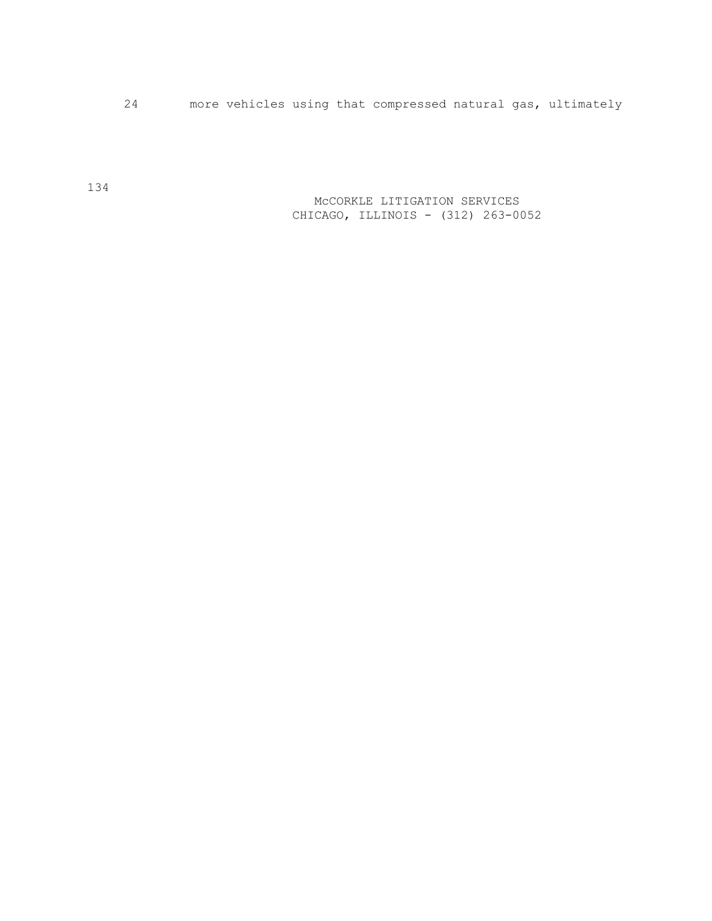24 more vehicles using that compressed natural gas, ultimately

 McCORKLE LITIGATION SERVICES CHICAGO, ILLINOIS - (312) 263-0052

134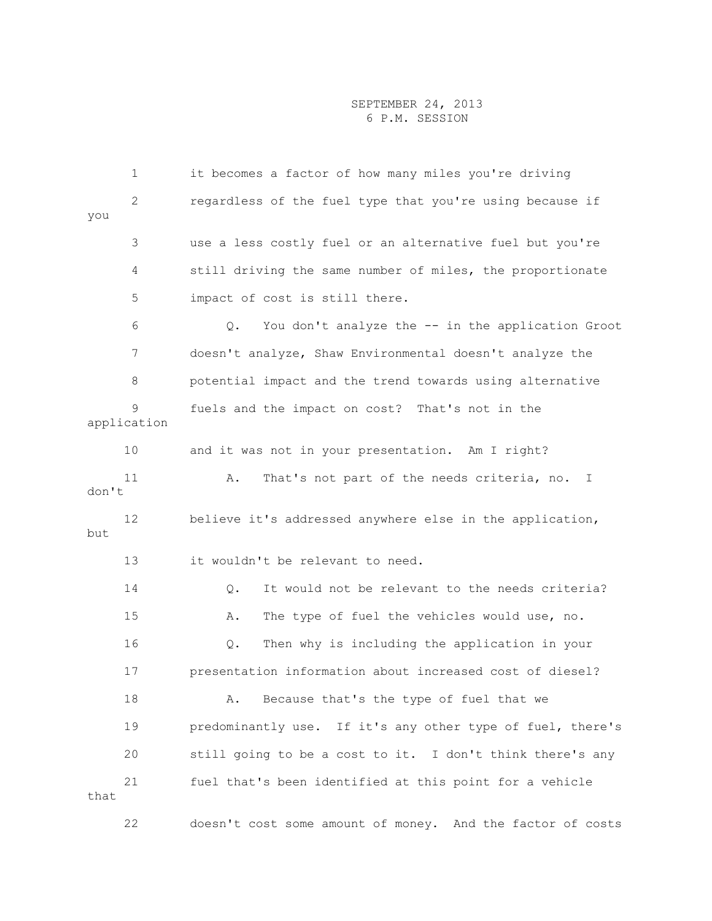1 it becomes a factor of how many miles you're driving 2 regardless of the fuel type that you're using because if you 3 use a less costly fuel or an alternative fuel but you're 4 still driving the same number of miles, the proportionate 5 impact of cost is still there. 6 Q. You don't analyze the -- in the application Groot 7 doesn't analyze, Shaw Environmental doesn't analyze the 8 potential impact and the trend towards using alternative 9 fuels and the impact on cost? That's not in the application 10 and it was not in your presentation. Am I right? 11 A. That's not part of the needs criteria, no. I don't 12 believe it's addressed anywhere else in the application, but 13 it wouldn't be relevant to need. 14 Q. It would not be relevant to the needs criteria? 15 A. The type of fuel the vehicles would use, no. 16 Q. Then why is including the application in your 17 presentation information about increased cost of diesel? 18 A. Because that's the type of fuel that we 19 predominantly use. If it's any other type of fuel, there's 20 still going to be a cost to it. I don't think there's any 21 fuel that's been identified at this point for a vehicle that 22 doesn't cost some amount of money. And the factor of costs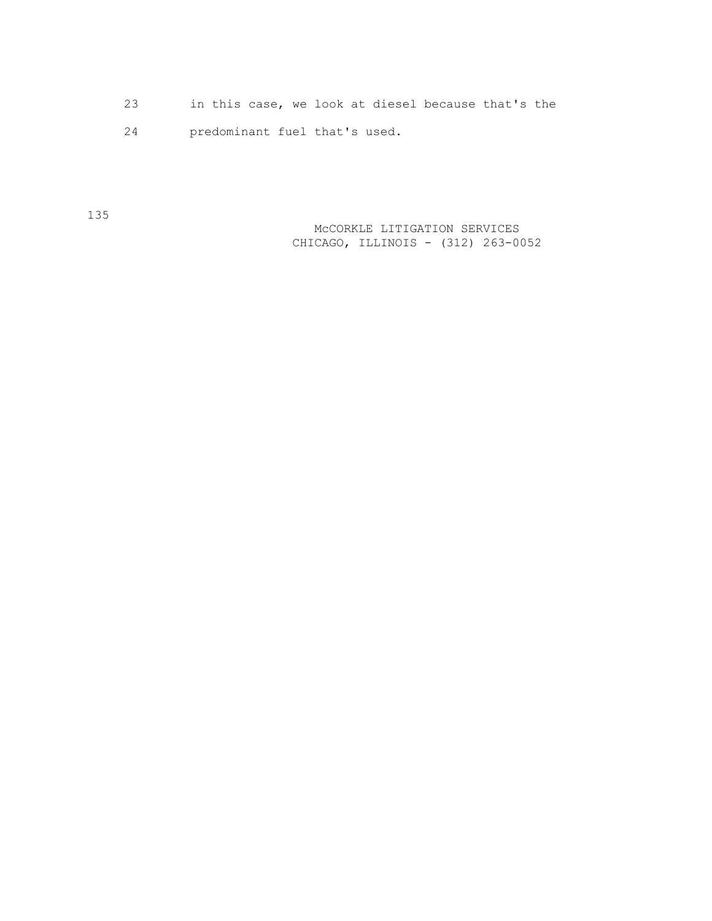- 23 in this case, we look at diesel because that's the
- 24 predominant fuel that's used.

135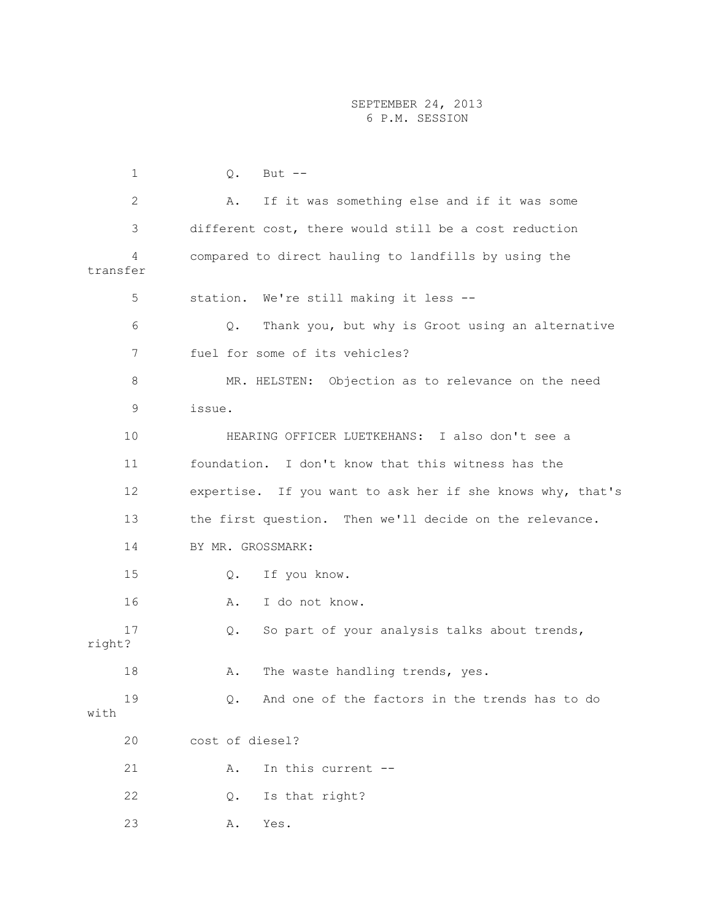1 Q. But -- 2 A. If it was something else and if it was some 3 different cost, there would still be a cost reduction 4 compared to direct hauling to landfills by using the transfer 5 station. We're still making it less -- 6 Q. Thank you, but why is Groot using an alternative 7 fuel for some of its vehicles? 8 MR. HELSTEN: Objection as to relevance on the need 9 issue. 10 HEARING OFFICER LUETKEHANS: I also don't see a 11 foundation. I don't know that this witness has the 12 expertise. If you want to ask her if she knows why, that's 13 the first question. Then we'll decide on the relevance. 14 BY MR. GROSSMARK: 15 Q. If you know. 16 A. I do not know. 17 Q. So part of your analysis talks about trends, right? 18 A. The waste handling trends, yes. 19 Q. And one of the factors in the trends has to do with 20 cost of diesel? 21 A. In this current -- 22 Q. Is that right? 23 A. Yes.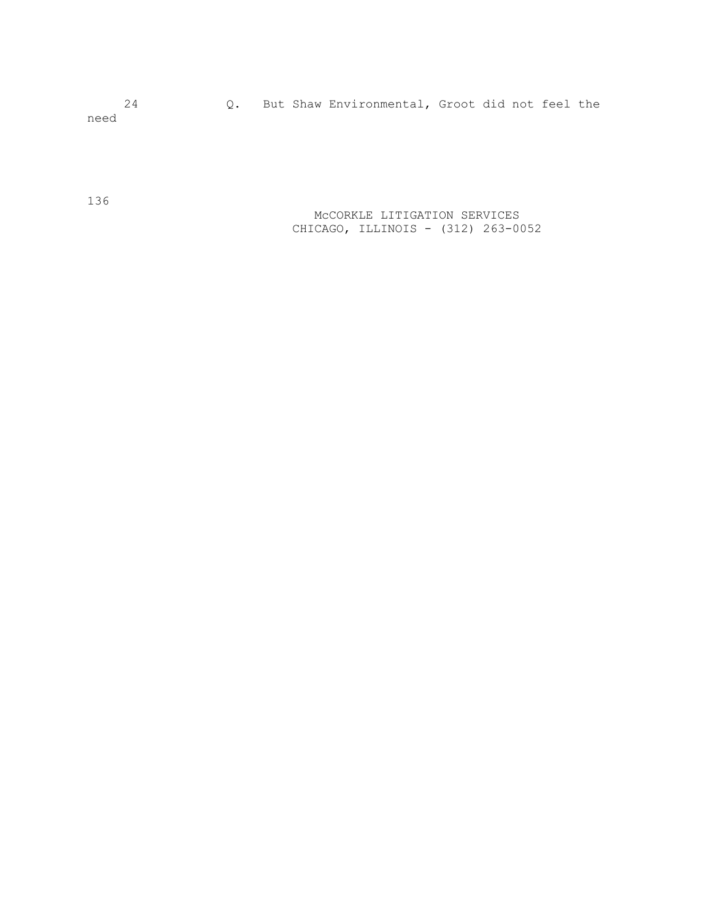24 Q. But Shaw Environmental, Groot did not feel the need

> McCORKLE LITIGATION SERVICES CHICAGO, ILLINOIS - (312) 263-0052

136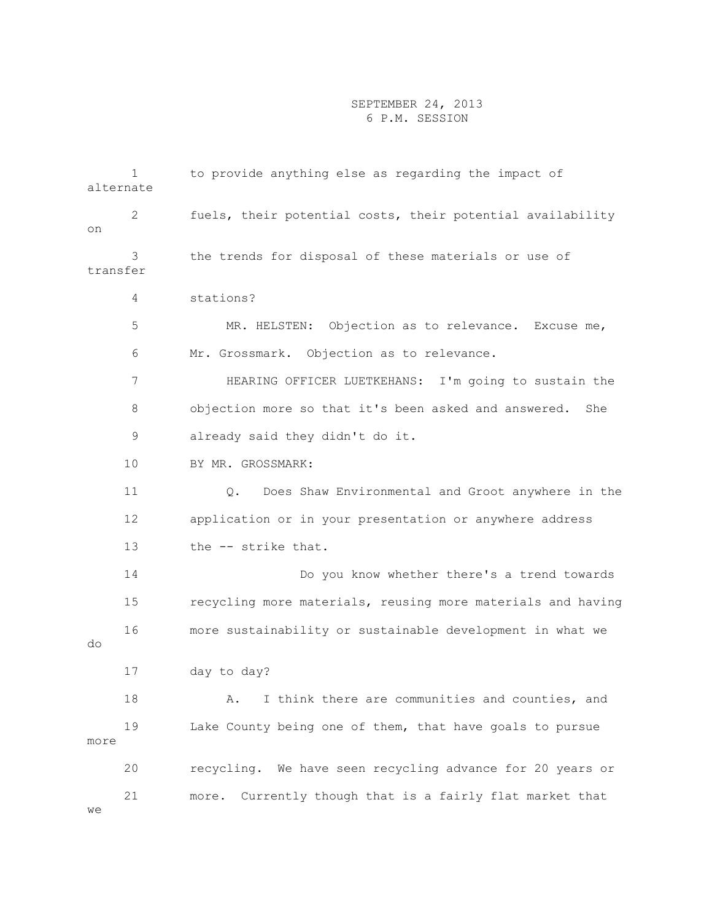1 to provide anything else as regarding the impact of alternate 2 fuels, their potential costs, their potential availability on 3 the trends for disposal of these materials or use of transfer 4 stations? 5 MR. HELSTEN: Objection as to relevance. Excuse me, 6 Mr. Grossmark. Objection as to relevance. 7 HEARING OFFICER LUETKEHANS: I'm going to sustain the 8 objection more so that it's been asked and answered. She 9 already said they didn't do it. 10 BY MR. GROSSMARK: 11 Q. Does Shaw Environmental and Groot anywhere in the 12 application or in your presentation or anywhere address 13 the -- strike that. 14 Do you know whether there's a trend towards 15 recycling more materials, reusing more materials and having 16 more sustainability or sustainable development in what we do 17 day to day? 18 A. I think there are communities and counties, and 19 Lake County being one of them, that have goals to pursue more 20 recycling. We have seen recycling advance for 20 years or 21 more. Currently though that is a fairly flat market that we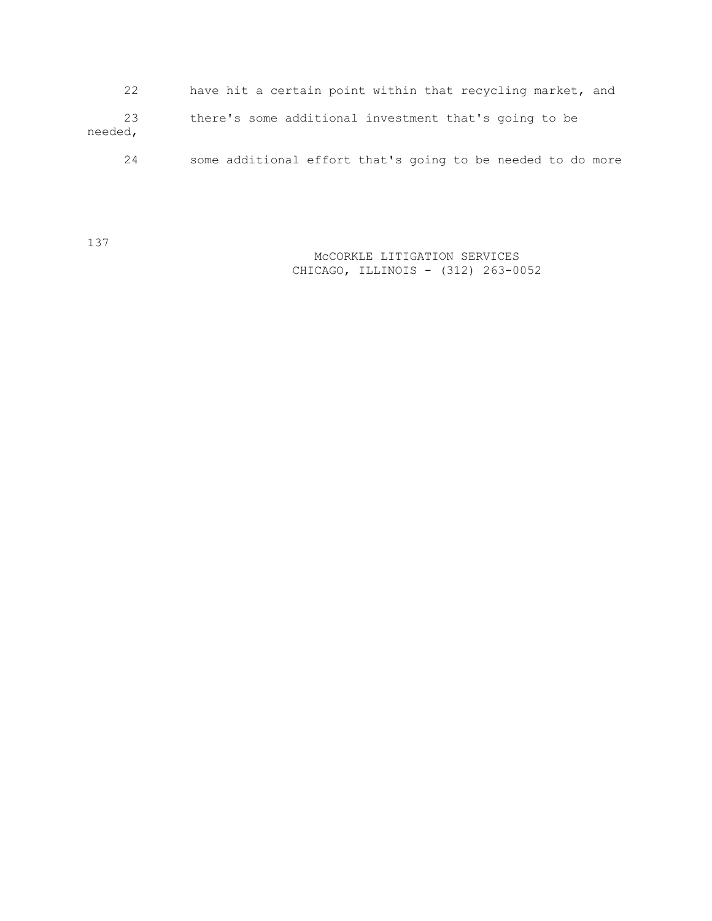| 22            | have hit a certain point within that recycling market, and  |
|---------------|-------------------------------------------------------------|
| 23<br>needed, | there's some additional investment that's going to be       |
| 24            | some additional effort that's going to be needed to do more |

137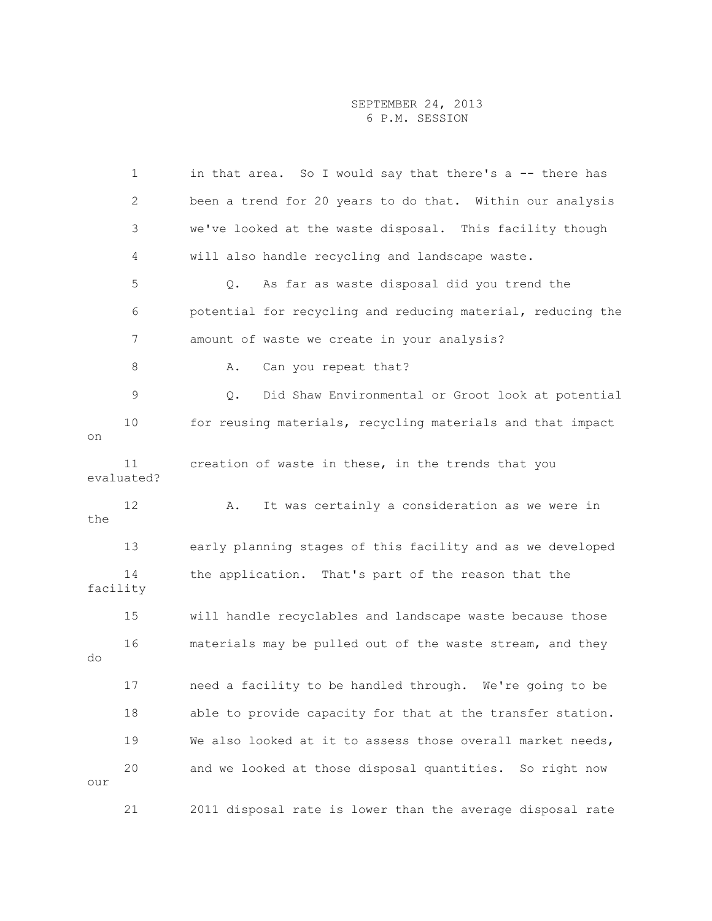|     | 1                | in that area. So I would say that there's a -- there has    |
|-----|------------------|-------------------------------------------------------------|
|     | 2                | been a trend for 20 years to do that. Within our analysis   |
|     | 3                | we've looked at the waste disposal. This facility though    |
|     | 4                | will also handle recycling and landscape waste.             |
|     | 5                | As far as waste disposal did you trend the<br>$Q$ .         |
|     | 6                | potential for recycling and reducing material, reducing the |
|     | 7                | amount of waste we create in your analysis?                 |
|     | 8                | Can you repeat that?<br>Α.                                  |
|     | 9                | Did Shaw Environmental or Groot look at potential<br>$Q$ .  |
| on  | 10               | for reusing materials, recycling materials and that impact  |
|     | 11<br>evaluated? | creation of waste in these, in the trends that you          |
| the | 12               | It was certainly a consideration as we were in<br>Α.        |
|     | 13               | early planning stages of this facility and as we developed  |
|     | 14<br>facility   | the application. That's part of the reason that the         |
|     | 15               | will handle recyclables and landscape waste because those   |
| do  | 16               | materials may be pulled out of the waste stream, and they   |
|     | 17               | need a facility to be handled through. We're going to be    |
|     | 18               | able to provide capacity for that at the transfer station.  |
|     | 19               | We also looked at it to assess those overall market needs,  |
| our | 20               | and we looked at those disposal quantities. So right now    |
|     | 21               | 2011 disposal rate is lower than the average disposal rate  |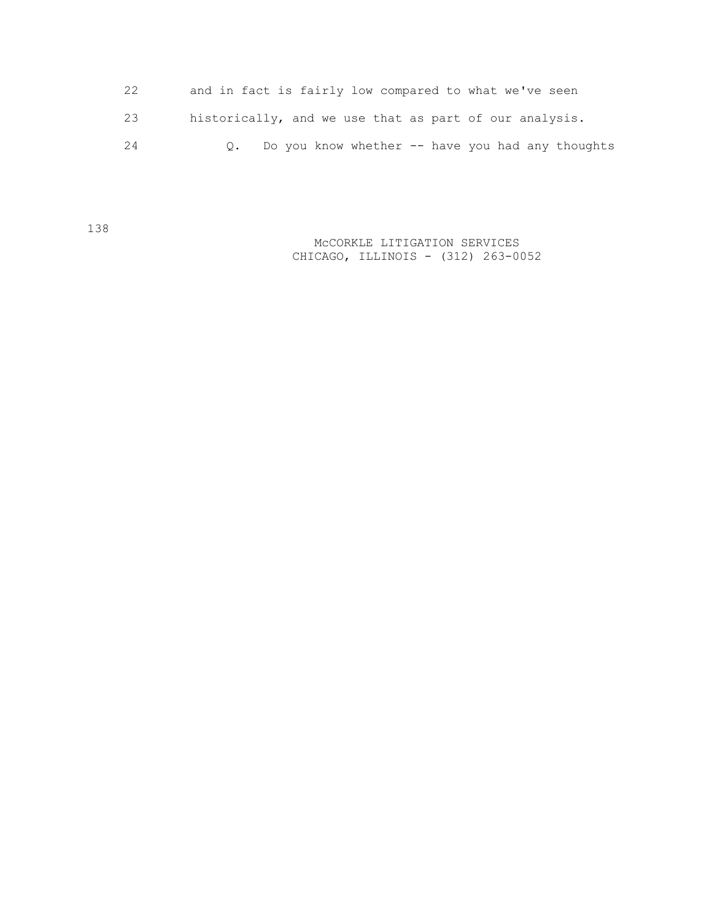| 22 | and in fact is fairly low compared to what we've seen  |
|----|--------------------------------------------------------|
| 23 | historically, and we use that as part of our analysis. |
| 24 | Q. Do you know whether -- have you had any thoughts    |

 McCORKLE LITIGATION SERVICES CHICAGO, ILLINOIS - (312) 263-0052

138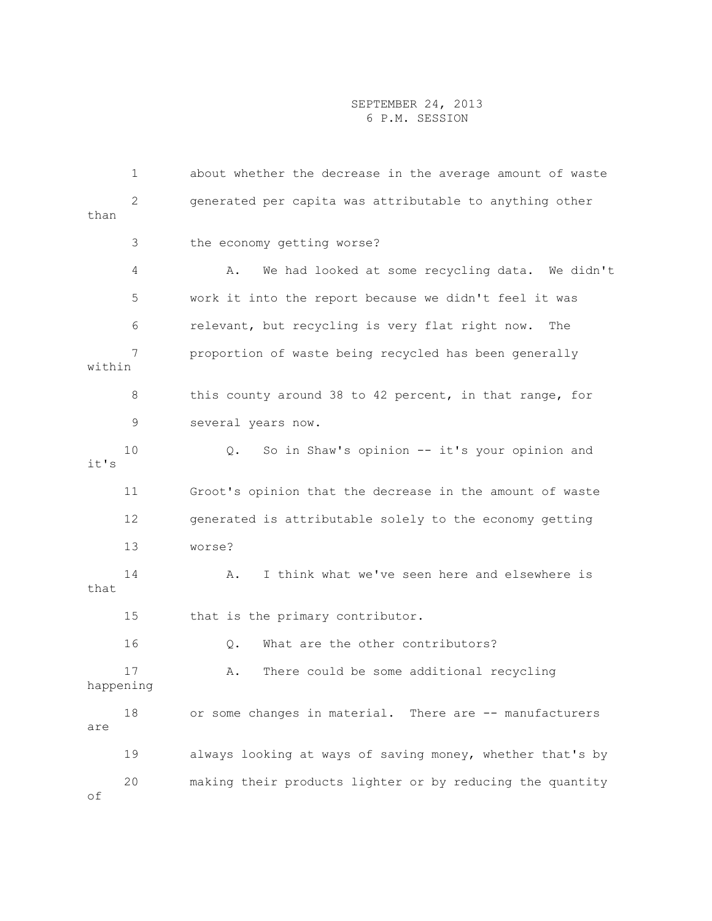|        | 1               | about whether the decrease in the average amount of waste  |
|--------|-----------------|------------------------------------------------------------|
| than   | 2               | generated per capita was attributable to anything other    |
|        | 3               | the economy getting worse?                                 |
|        | 4               | We had looked at some recycling data. We didn't<br>Α.      |
|        | 5               | work it into the report because we didn't feel it was      |
|        | 6               | relevant, but recycling is very flat right now.<br>The     |
| within | 7               | proportion of waste being recycled has been generally      |
|        | 8               | this county around 38 to 42 percent, in that range, for    |
|        | 9               | several years now.                                         |
| it's   | 10              | So in Shaw's opinion -- it's your opinion and<br>$\circ$ . |
|        | 11              | Groot's opinion that the decrease in the amount of waste   |
|        | 12              | generated is attributable solely to the economy getting    |
|        | 13              | worse?                                                     |
| that   | 14              | I think what we've seen here and elsewhere is<br>Α.        |
|        | 15              | that is the primary contributor.                           |
|        | 16              | What are the other contributors?<br>Q.                     |
|        | 17<br>happening | There could be some additional recycling<br>Α.             |
| are    | 18              | or some changes in material. There are -- manufacturers    |
|        | 19              | always looking at ways of saving money, whether that's by  |
| оf     | 20              | making their products lighter or by reducing the quantity  |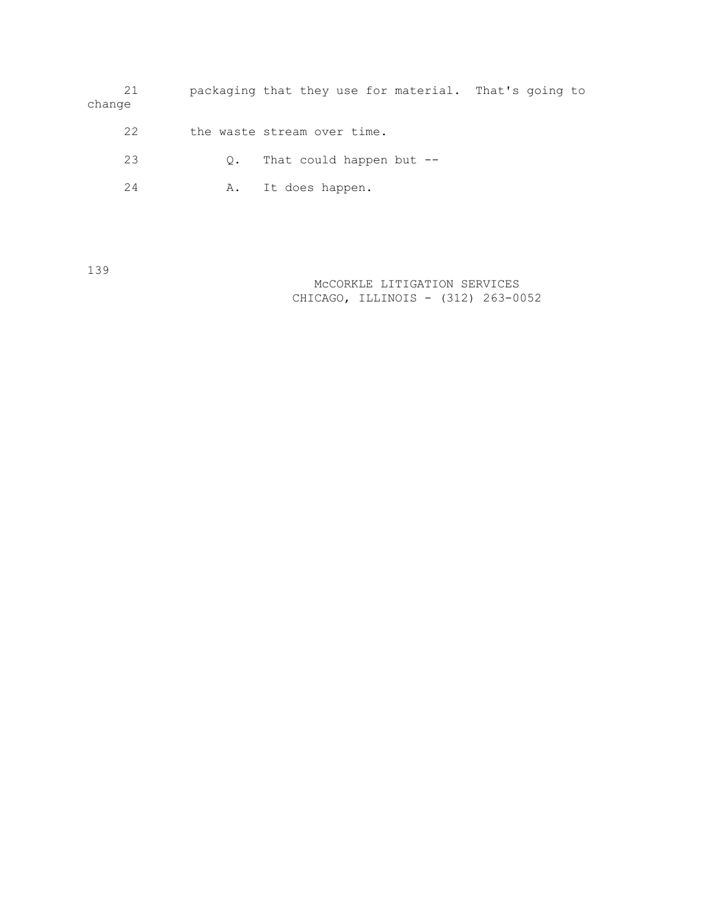| 21<br>change |           | packaging that they use for material. That's going to |  |
|--------------|-----------|-------------------------------------------------------|--|
| 22           |           | the waste stream over time.                           |  |
| 23           | $\circ$ . | That could happen but --                              |  |
| 24           | Α.        | It does happen.                                       |  |

139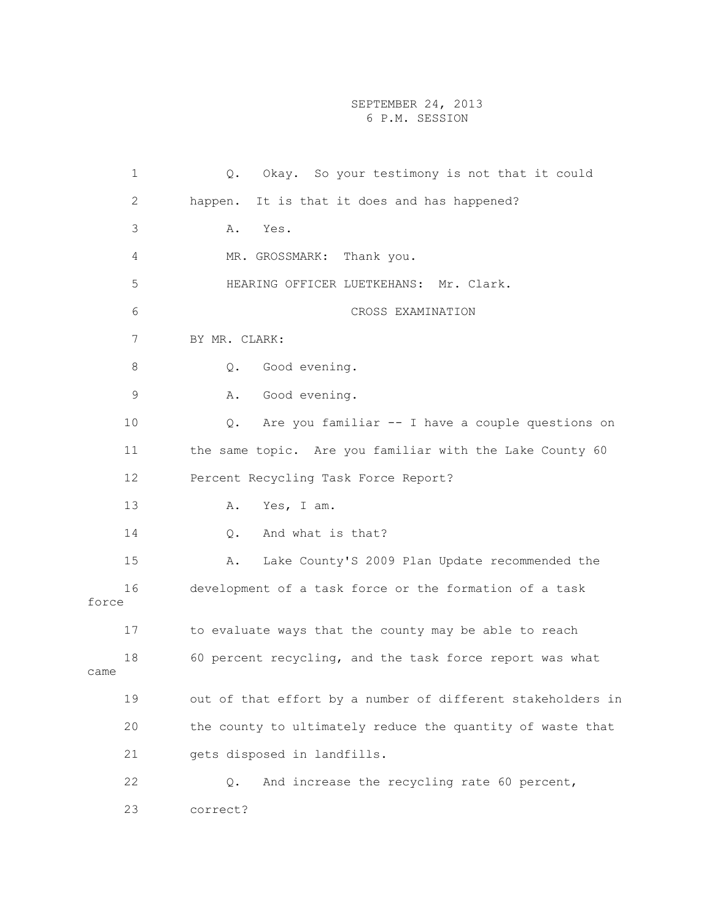1 Q. Okay. So your testimony is not that it could 2 happen. It is that it does and has happened? 3 A. Yes. 4 MR. GROSSMARK: Thank you. 5 HEARING OFFICER LUETKEHANS: Mr. Clark. 6 CROSS EXAMINATION 7 BY MR. CLARK: 8 Q. Good evening. 9 A. Good evening. 10 Q. Are you familiar -- I have a couple questions on 11 the same topic. Are you familiar with the Lake County 60 12 Percent Recycling Task Force Report? 13 A. Yes, I am. 14 Q. And what is that? 15 A. Lake County'S 2009 Plan Update recommended the 16 development of a task force or the formation of a task force 17 to evaluate ways that the county may be able to reach 18 60 percent recycling, and the task force report was what came 19 out of that effort by a number of different stakeholders in 20 the county to ultimately reduce the quantity of waste that 21 gets disposed in landfills. 22 Q. And increase the recycling rate 60 percent, 23 correct?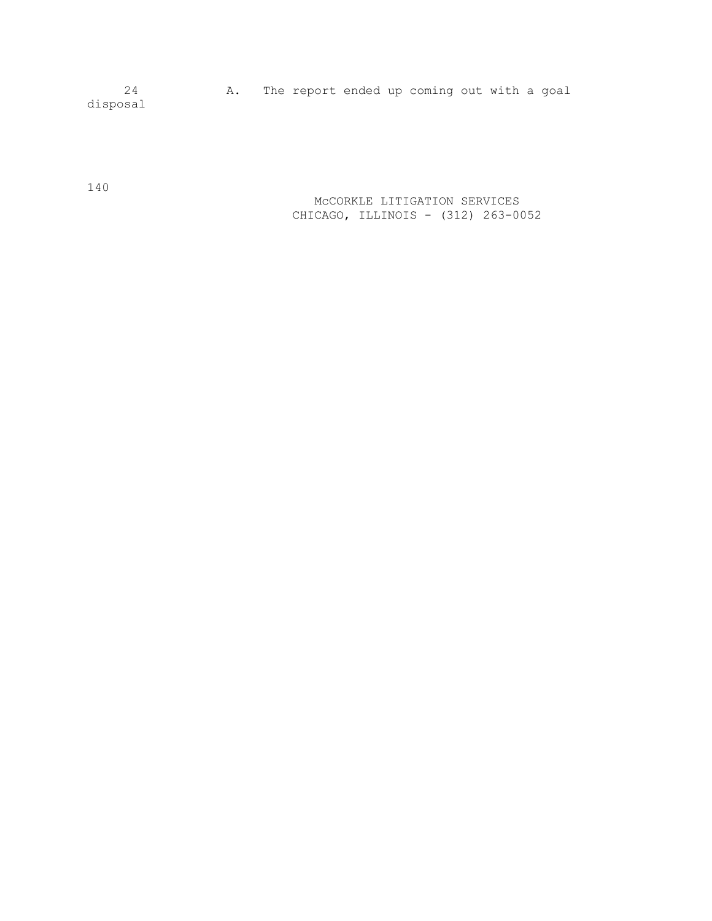24 A. The report ended up coming out with a goal disposal

140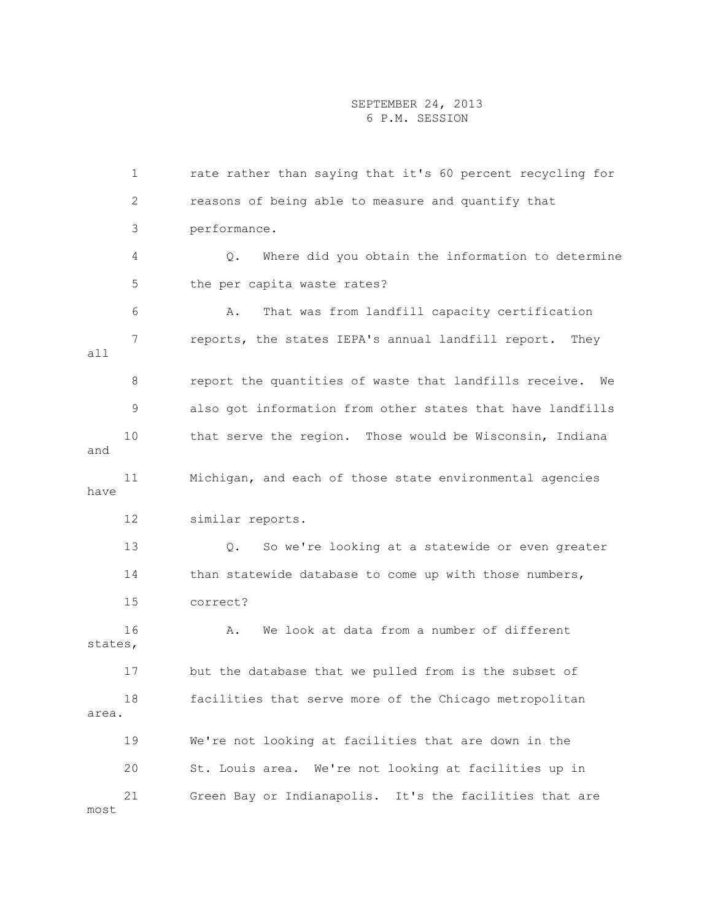1 rate rather than saying that it's 60 percent recycling for 2 reasons of being able to measure and quantify that 3 performance. 4 Q. Where did you obtain the information to determine 5 the per capita waste rates? 6 A. That was from landfill capacity certification 7 reports, the states IEPA's annual landfill report. They all 8 report the quantities of waste that landfills receive. We 9 also got information from other states that have landfills 10 that serve the region. Those would be Wisconsin, Indiana and 11 Michigan, and each of those state environmental agencies have 12 similar reports. 13 Q. So we're looking at a statewide or even greater 14 than statewide database to come up with those numbers, 15 correct? 16 A. We look at data from a number of different states, 17 but the database that we pulled from is the subset of 18 facilities that serve more of the Chicago metropolitan area. 19 We're not looking at facilities that are down in the 20 St. Louis area. We're not looking at facilities up in 21 Green Bay or Indianapolis. It's the facilities that are most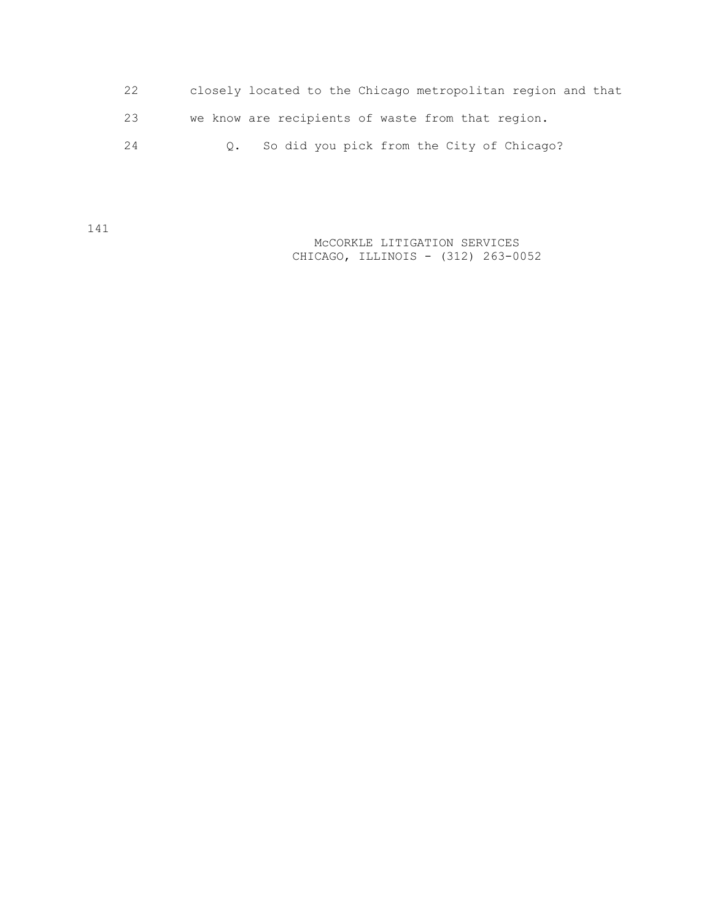| 22 | closely located to the Chicago metropolitan region and that |
|----|-------------------------------------------------------------|
| 23 | we know are recipients of waste from that region.           |
| 24 | So did you pick from the City of Chicago?                   |

 McCORKLE LITIGATION SERVICES CHICAGO, ILLINOIS - (312) 263-0052

141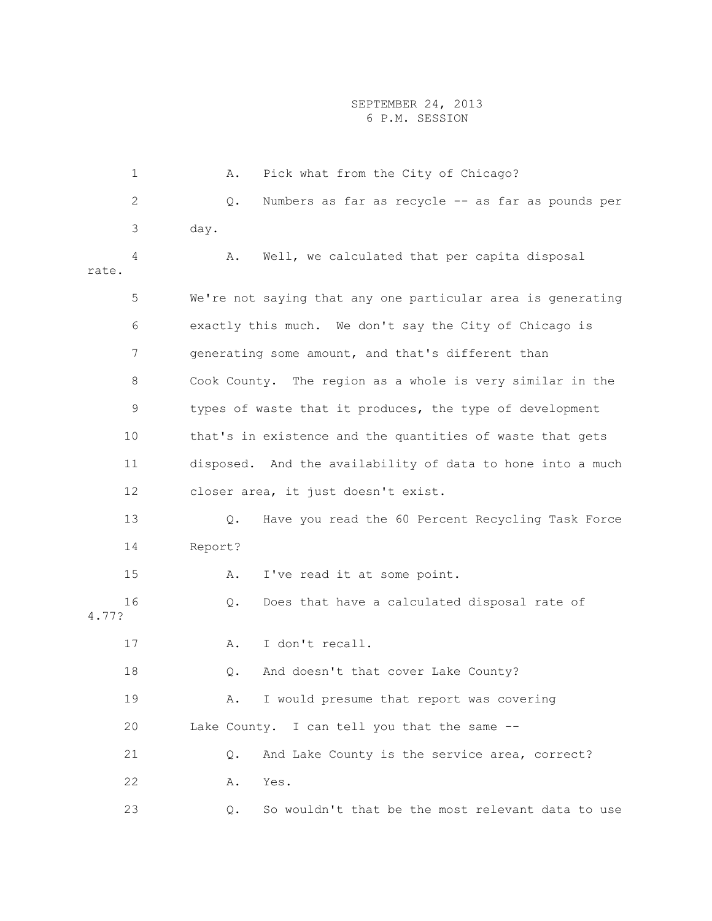| $\mathbf 1$  | Pick what from the City of Chicago?<br>Α.                   |
|--------------|-------------------------------------------------------------|
| $\mathbf{2}$ | Numbers as far as recycle -- as far as pounds per<br>Q.     |
| 3            | day.                                                        |
| 4<br>rate.   | Α.<br>Well, we calculated that per capita disposal          |
| 5            | We're not saying that any one particular area is generating |
| 6            | exactly this much. We don't say the City of Chicago is      |
| 7            | generating some amount, and that's different than           |
| 8            | Cook County. The region as a whole is very similar in the   |
| 9            | types of waste that it produces, the type of development    |
| 10           | that's in existence and the quantities of waste that gets   |
| 11           | disposed. And the availability of data to hone into a much  |
| 12           | closer area, it just doesn't exist.                         |
| 13           | Have you read the 60 Percent Recycling Task Force<br>Q.     |
| 14           | Report?                                                     |
| 15           | I've read it at some point.<br>Α.                           |
| 16<br>4.77?  | Does that have a calculated disposal rate of<br>Q.          |
| 17           | I don't recall.<br>Α.                                       |
| 18           | And doesn't that cover Lake County?<br>Q.                   |
| 19           | I would presume that report was covering<br>Α.              |
| 20           | Lake County. I can tell you that the same --                |
| 21           | And Lake County is the service area, correct?<br>$Q$ .      |
| 22           | Yes.<br>Α.                                                  |
| 23           | So wouldn't that be the most relevant data to use<br>Q.     |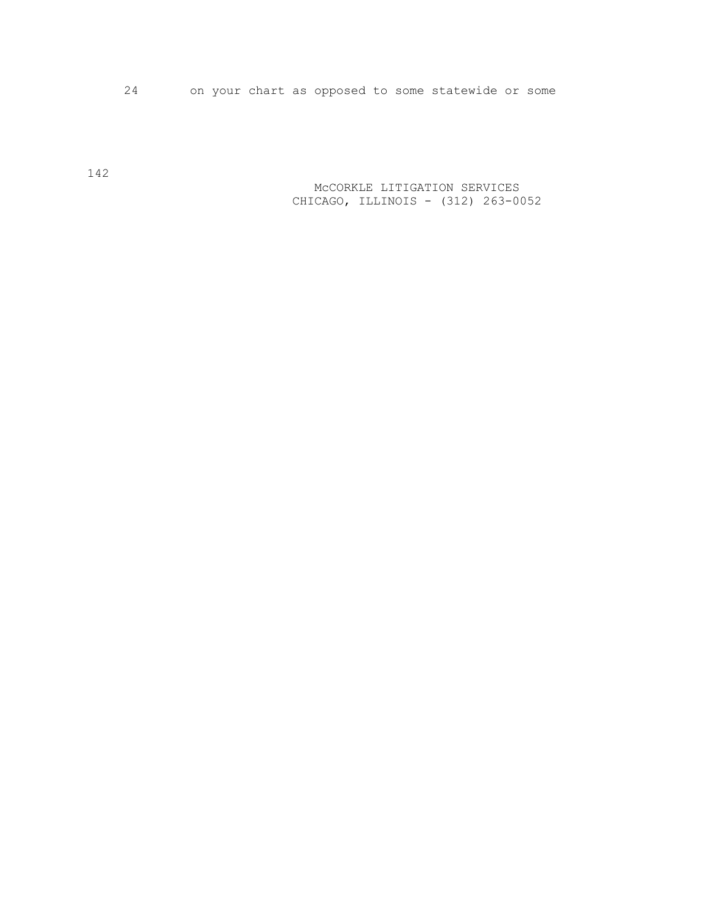24 on your chart as opposed to some statewide or some

 McCORKLE LITIGATION SERVICES CHICAGO, ILLINOIS - (312) 263-0052

142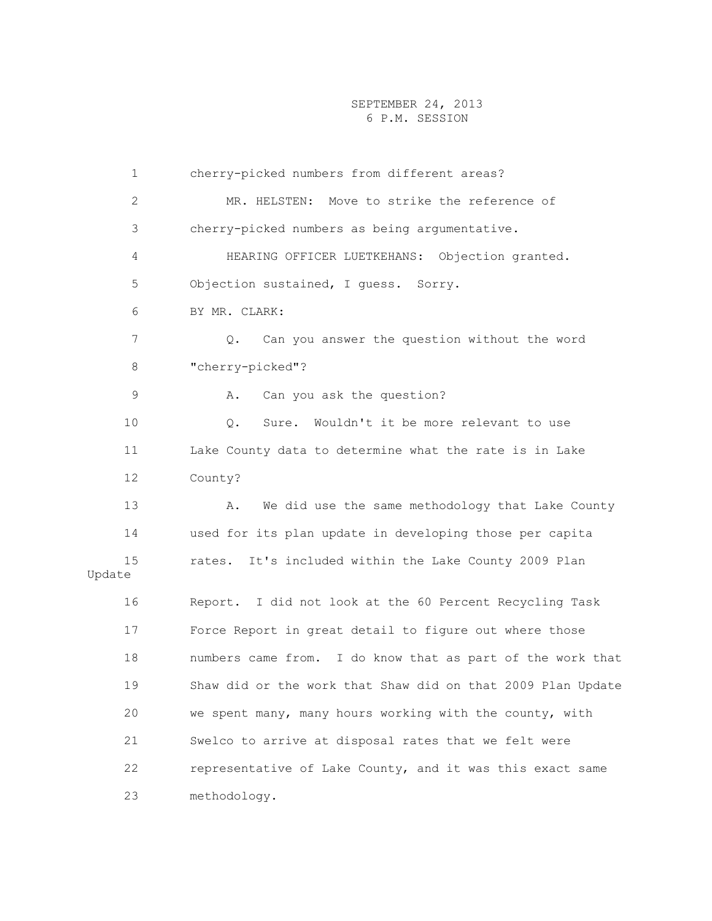1 cherry-picked numbers from different areas? 2 MR. HELSTEN: Move to strike the reference of 3 cherry-picked numbers as being argumentative. 4 HEARING OFFICER LUETKEHANS: Objection granted. 5 Objection sustained, I guess. Sorry. 6 BY MR. CLARK: 7 Q. Can you answer the question without the word 8 "cherry-picked"? 9 A. Can you ask the question? 10 Q. Sure. Wouldn't it be more relevant to use 11 Lake County data to determine what the rate is in Lake 12 County? 13 A. We did use the same methodology that Lake County 14 used for its plan update in developing those per capita 15 rates. It's included within the Lake County 2009 Plan Update 16 Report. I did not look at the 60 Percent Recycling Task 17 Force Report in great detail to figure out where those 18 numbers came from. I do know that as part of the work that 19 Shaw did or the work that Shaw did on that 2009 Plan Update 20 we spent many, many hours working with the county, with 21 Swelco to arrive at disposal rates that we felt were 22 representative of Lake County, and it was this exact same 23 methodology.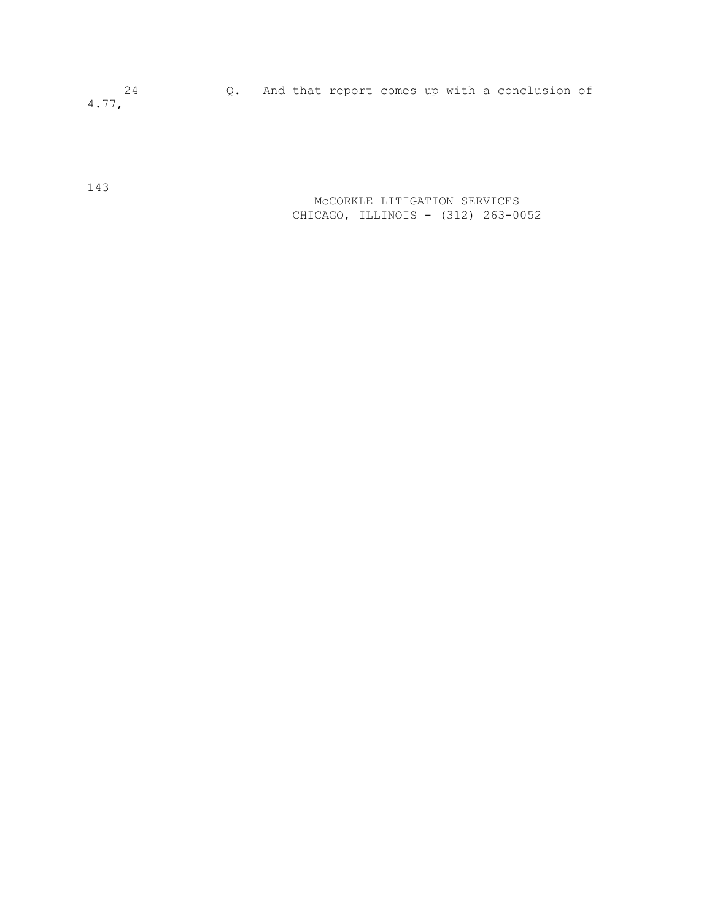24 Q. And that report comes up with a conclusion of 4.77,

143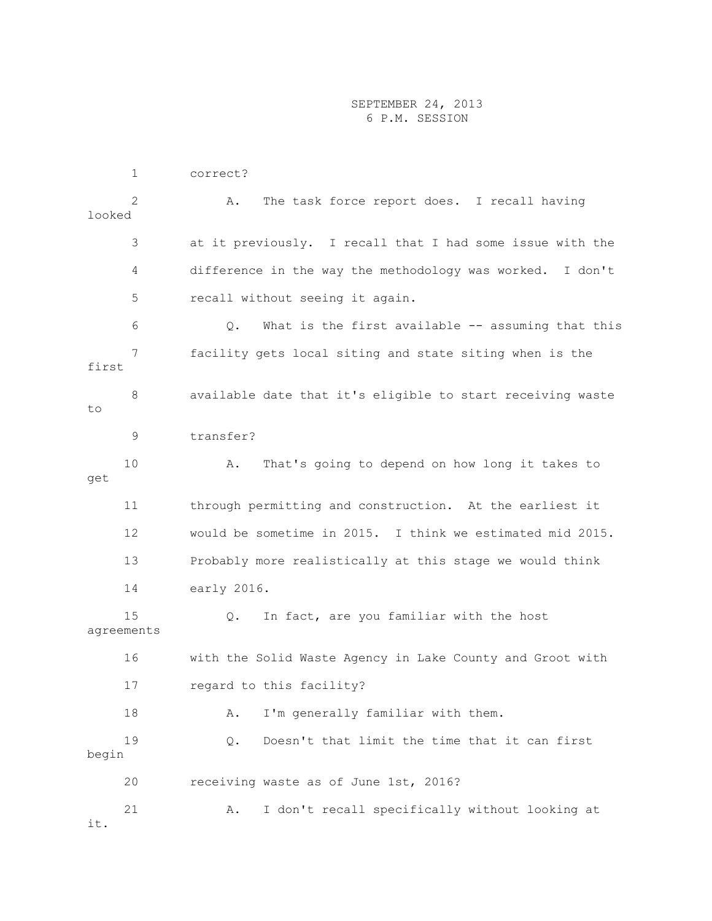1 correct? 2 A. The task force report does. I recall having looked 3 at it previously. I recall that I had some issue with the 4 difference in the way the methodology was worked. I don't 5 recall without seeing it again. 6 Q. What is the first available -- assuming that this 7 facility gets local siting and state siting when is the first 8 available date that it's eligible to start receiving waste to 9 transfer? 10 A. That's going to depend on how long it takes to get 11 through permitting and construction. At the earliest it 12 would be sometime in 2015. I think we estimated mid 2015. 13 Probably more realistically at this stage we would think 14 early 2016. 15 Q. In fact, are you familiar with the host agreements 16 with the Solid Waste Agency in Lake County and Groot with 17 regard to this facility? 18 A. I'm generally familiar with them. 19 Q. Doesn't that limit the time that it can first begin 20 receiving waste as of June 1st, 2016? 21 A. I don't recall specifically without looking at it.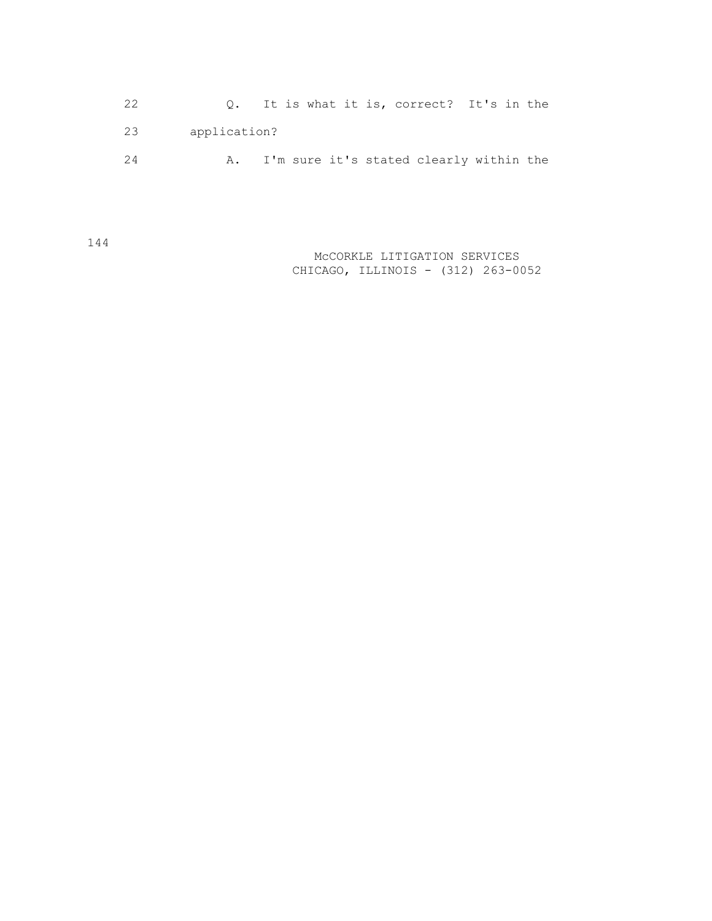|    |              |  | 0. It is what it is, correct? It's in the  |  |
|----|--------------|--|--------------------------------------------|--|
| 23 | application? |  |                                            |  |
| 24 |              |  | A. I'm sure it's stated clearly within the |  |

144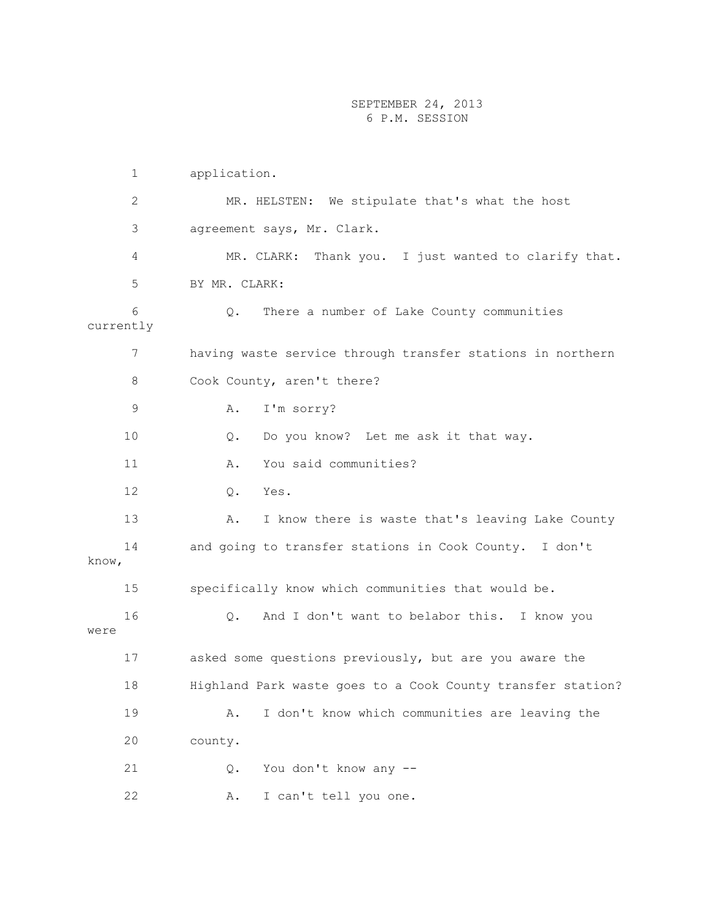1 application. 2 MR. HELSTEN: We stipulate that's what the host 3 agreement says, Mr. Clark. 4 MR. CLARK: Thank you. I just wanted to clarify that. 5 BY MR. CLARK: 6 Q. There a number of Lake County communities currently 7 having waste service through transfer stations in northern 8 Cook County, aren't there? 9 A. I'm sorry? 10 Q. Do you know? Let me ask it that way. 11 A. You said communities? 12 Q. Yes. 13 A. I know there is waste that's leaving Lake County 14 and going to transfer stations in Cook County. I don't know, 15 specifically know which communities that would be. 16 Q. And I don't want to belabor this. I know you were 17 asked some questions previously, but are you aware the 18 Highland Park waste goes to a Cook County transfer station? 19 A. I don't know which communities are leaving the 20 county. 21 Q. You don't know any -- 22 A. I can't tell you one.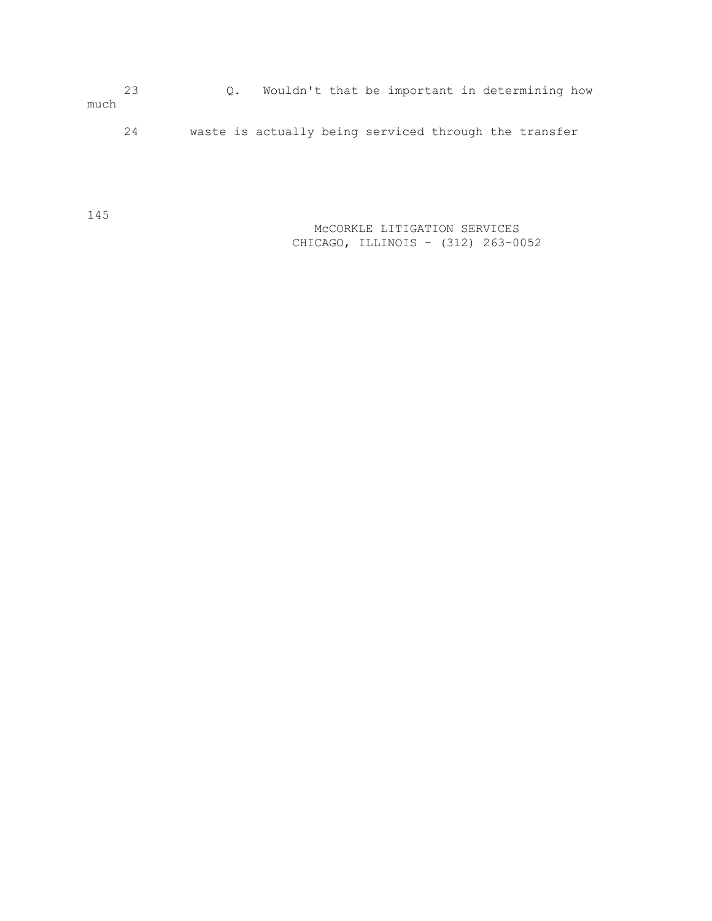23 Q. Wouldn't that be important in determining how much

24 waste is actually being serviced through the transfer

145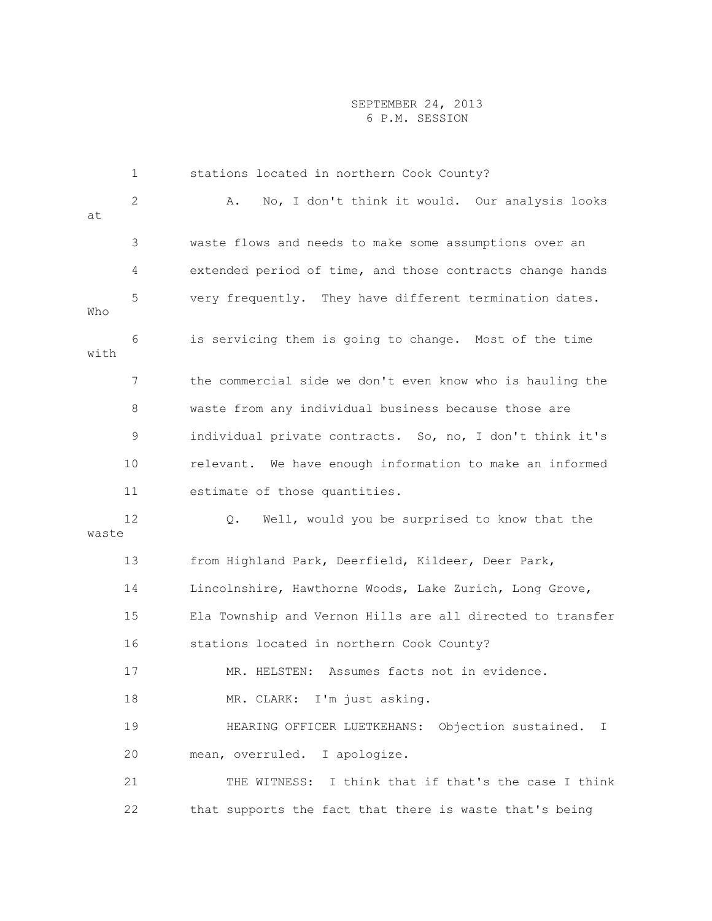|       | 1  | stations located in northern Cook County?                  |  |  |  |  |  |  |  |  |  |  |
|-------|----|------------------------------------------------------------|--|--|--|--|--|--|--|--|--|--|
| at    | 2  | No, I don't think it would. Our analysis looks<br>Α.       |  |  |  |  |  |  |  |  |  |  |
|       | 3  | waste flows and needs to make some assumptions over an     |  |  |  |  |  |  |  |  |  |  |
|       | 4  | extended period of time, and those contracts change hands  |  |  |  |  |  |  |  |  |  |  |
| Who   | 5  | very frequently. They have different termination dates.    |  |  |  |  |  |  |  |  |  |  |
| with  | 6  | is servicing them is going to change. Most of the time     |  |  |  |  |  |  |  |  |  |  |
|       | 7  | the commercial side we don't even know who is hauling the  |  |  |  |  |  |  |  |  |  |  |
|       | 8  | waste from any individual business because those are       |  |  |  |  |  |  |  |  |  |  |
|       | 9  | individual private contracts. So, no, I don't think it's   |  |  |  |  |  |  |  |  |  |  |
|       | 10 | relevant. We have enough information to make an informed   |  |  |  |  |  |  |  |  |  |  |
|       | 11 | estimate of those quantities.                              |  |  |  |  |  |  |  |  |  |  |
| waste | 12 | Well, would you be surprised to know that the<br>Q.        |  |  |  |  |  |  |  |  |  |  |
|       | 13 | from Highland Park, Deerfield, Kildeer, Deer Park,         |  |  |  |  |  |  |  |  |  |  |
|       | 14 | Lincolnshire, Hawthorne Woods, Lake Zurich, Long Grove,    |  |  |  |  |  |  |  |  |  |  |
|       | 15 | Ela Township and Vernon Hills are all directed to transfer |  |  |  |  |  |  |  |  |  |  |
|       | 16 | stations located in northern Cook County?                  |  |  |  |  |  |  |  |  |  |  |
|       | 17 | Assumes facts not in evidence.<br>MR. HELSTEN:             |  |  |  |  |  |  |  |  |  |  |
|       | 18 | MR. CLARK: I'm just asking.                                |  |  |  |  |  |  |  |  |  |  |
|       | 19 | HEARING OFFICER LUETKEHANS: Objection sustained.<br>I      |  |  |  |  |  |  |  |  |  |  |
|       | 20 | mean, overruled. I apologize.                              |  |  |  |  |  |  |  |  |  |  |
|       | 21 | THE WITNESS: I think that if that's the case I think       |  |  |  |  |  |  |  |  |  |  |
|       | 22 | that supports the fact that there is waste that's being    |  |  |  |  |  |  |  |  |  |  |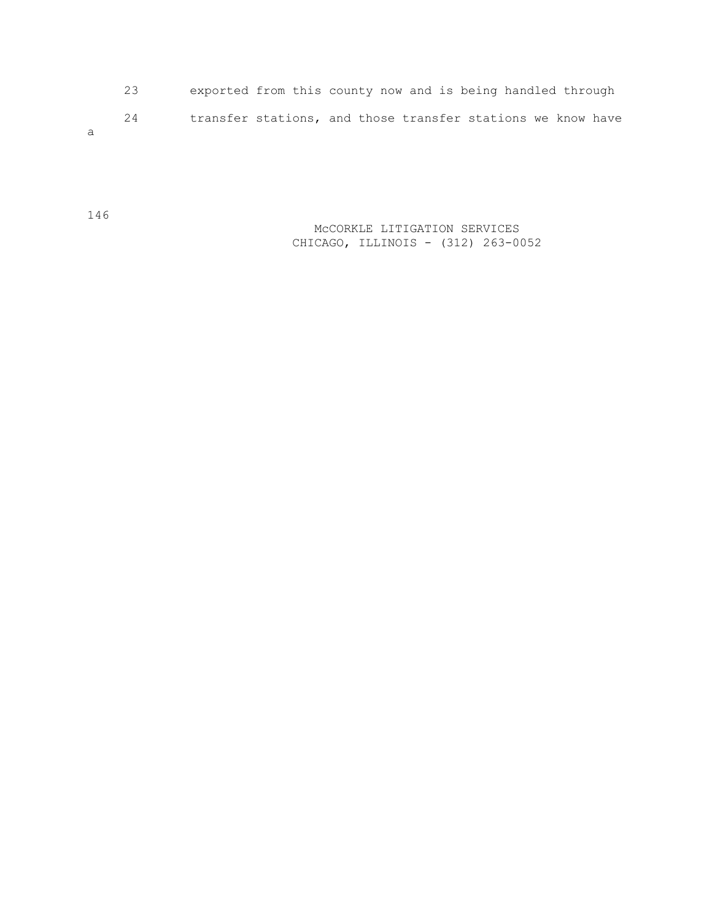23 exported from this county now and is being handled through 24 transfer stations, and those transfer stations we know have a

146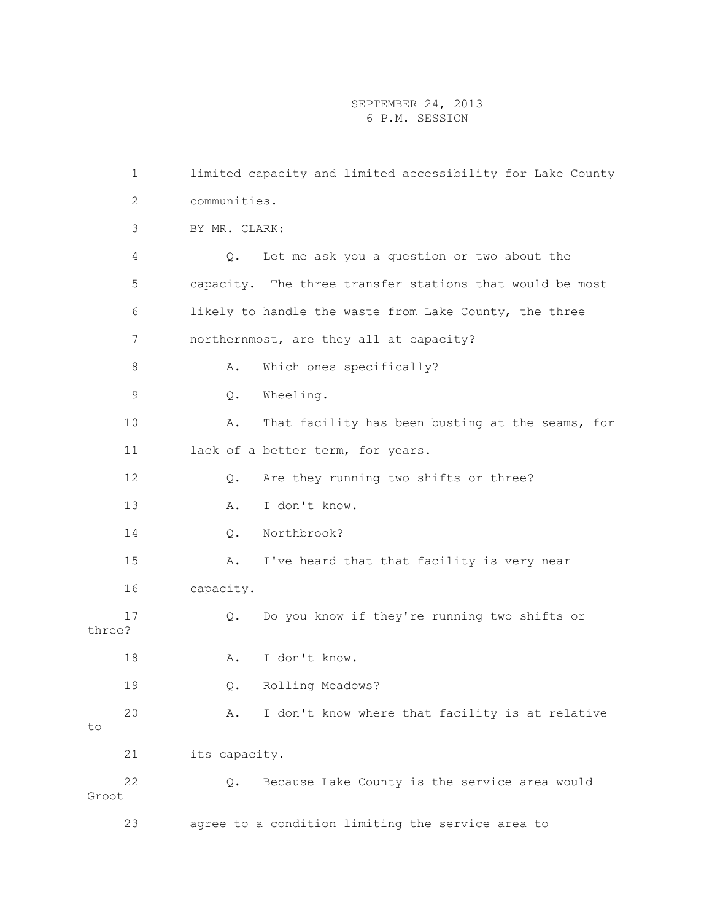|        | 1  | limited capacity and limited accessibility for Lake County  |  |  |  |  |  |  |  |  |  |  |  |  |
|--------|----|-------------------------------------------------------------|--|--|--|--|--|--|--|--|--|--|--|--|
|        | 2  | communities.                                                |  |  |  |  |  |  |  |  |  |  |  |  |
|        | 3  | BY MR. CLARK:                                               |  |  |  |  |  |  |  |  |  |  |  |  |
|        | 4  | Let me ask you a question or two about the<br>$Q_{\bullet}$ |  |  |  |  |  |  |  |  |  |  |  |  |
|        | 5  | capacity. The three transfer stations that would be most    |  |  |  |  |  |  |  |  |  |  |  |  |
|        | 6  | likely to handle the waste from Lake County, the three      |  |  |  |  |  |  |  |  |  |  |  |  |
|        | 7  | northernmost, are they all at capacity?                     |  |  |  |  |  |  |  |  |  |  |  |  |
|        | 8  | Which ones specifically?<br>Α.                              |  |  |  |  |  |  |  |  |  |  |  |  |
|        | 9  | Wheeling.<br>$Q$ .                                          |  |  |  |  |  |  |  |  |  |  |  |  |
|        | 10 | That facility has been busting at the seams, for<br>Α.      |  |  |  |  |  |  |  |  |  |  |  |  |
|        | 11 | lack of a better term, for years.                           |  |  |  |  |  |  |  |  |  |  |  |  |
|        | 12 | Are they running two shifts or three?<br>$Q$ .              |  |  |  |  |  |  |  |  |  |  |  |  |
|        | 13 | I don't know.<br>Α.                                         |  |  |  |  |  |  |  |  |  |  |  |  |
|        | 14 | Northbrook?<br>Q.                                           |  |  |  |  |  |  |  |  |  |  |  |  |
|        | 15 | I've heard that that facility is very near<br>Α.            |  |  |  |  |  |  |  |  |  |  |  |  |
|        | 16 | capacity.                                                   |  |  |  |  |  |  |  |  |  |  |  |  |
| three? | 17 | Do you know if they're running two shifts or<br>Q.          |  |  |  |  |  |  |  |  |  |  |  |  |
|        | 18 | I don't know.<br>Α.                                         |  |  |  |  |  |  |  |  |  |  |  |  |
|        | 19 | Rolling Meadows?<br>Q.                                      |  |  |  |  |  |  |  |  |  |  |  |  |
| to     | 20 | I don't know where that facility is at relative<br>Α.       |  |  |  |  |  |  |  |  |  |  |  |  |
|        | 21 | its capacity.                                               |  |  |  |  |  |  |  |  |  |  |  |  |
| Groot  | 22 | Because Lake County is the service area would<br>Q.         |  |  |  |  |  |  |  |  |  |  |  |  |
|        | 23 | agree to a condition limiting the service area to           |  |  |  |  |  |  |  |  |  |  |  |  |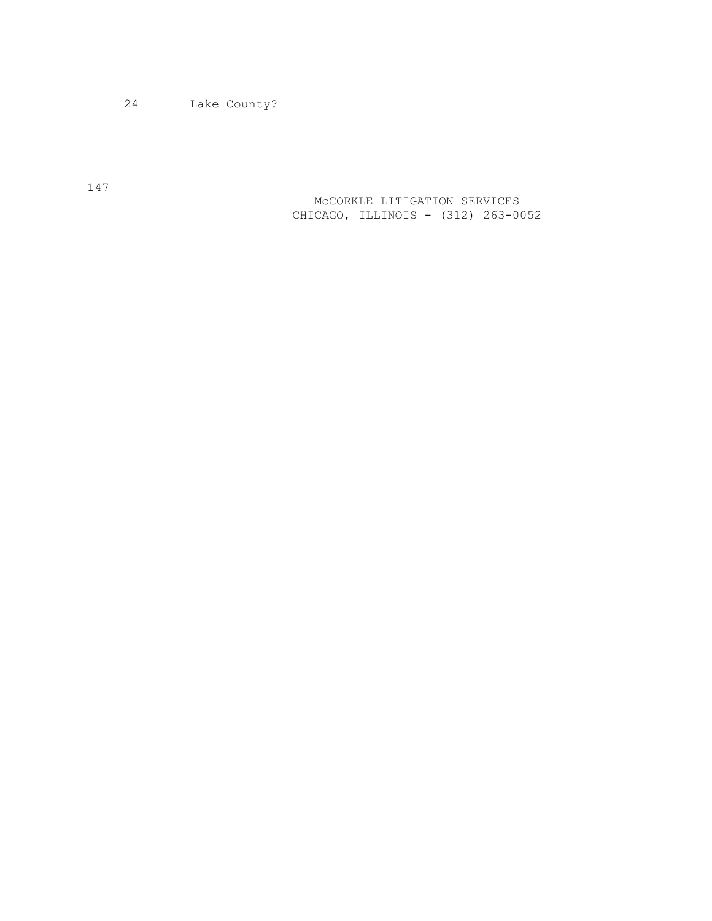24 Lake County?

 McCORKLE LITIGATION SERVICES CHICAGO, ILLINOIS - (312) 263-0052

147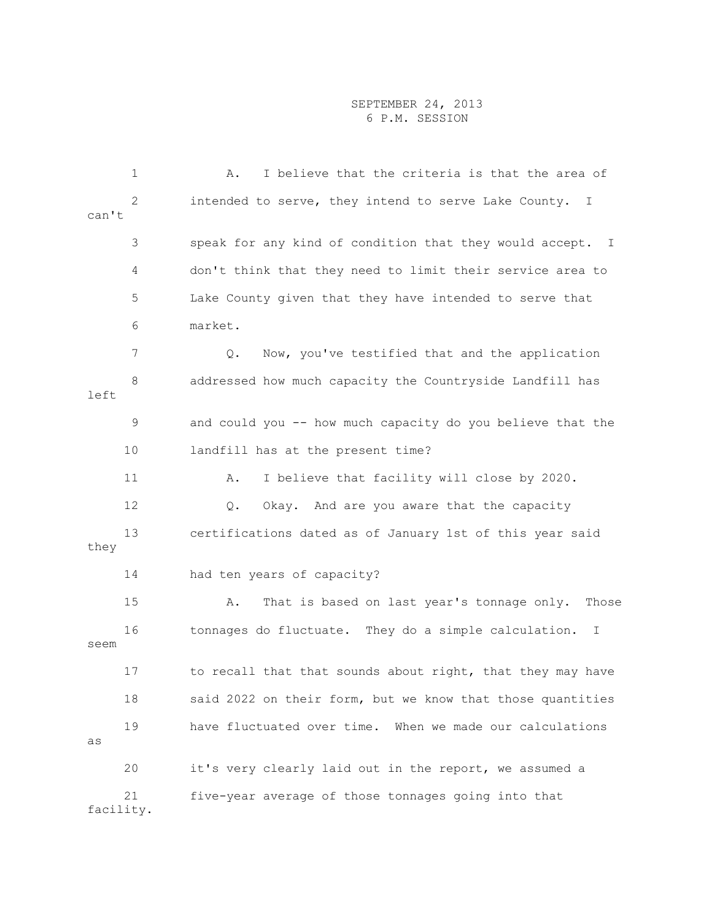1 A. I believe that the criteria is that the area of 2 intended to serve, they intend to serve Lake County. I can't 3 speak for any kind of condition that they would accept. I 4 don't think that they need to limit their service area to 5 Lake County given that they have intended to serve that 6 market. 7 Q. Now, you've testified that and the application 8 addressed how much capacity the Countryside Landfill has left 9 and could you -- how much capacity do you believe that the 10 landfill has at the present time? 11 A. I believe that facility will close by 2020. 12 Q. Okay. And are you aware that the capacity 13 certifications dated as of January 1st of this year said they 14 had ten years of capacity? 15 A. That is based on last year's tonnage only. Those 16 tonnages do fluctuate. They do a simple calculation. I seem 17 to recall that that sounds about right, that they may have 18 said 2022 on their form, but we know that those quantities 19 have fluctuated over time. When we made our calculations as 20 it's very clearly laid out in the report, we assumed a 21 five-year average of those tonnages going into that facility.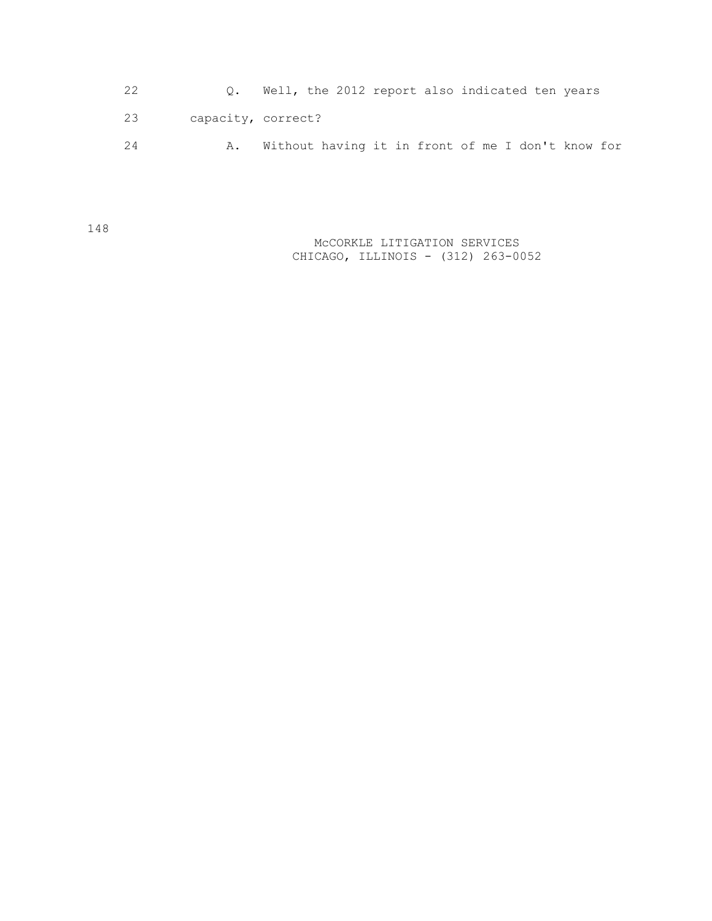| 22 |                    | Well, the 2012 report also indicated ten years    |  |  |  |  |  |  |
|----|--------------------|---------------------------------------------------|--|--|--|--|--|--|
| 23 | capacity, correct? |                                                   |  |  |  |  |  |  |
| 24 | Α.                 | Without having it in front of me I don't know for |  |  |  |  |  |  |

 McCORKLE LITIGATION SERVICES CHICAGO, ILLINOIS - (312) 263-0052

148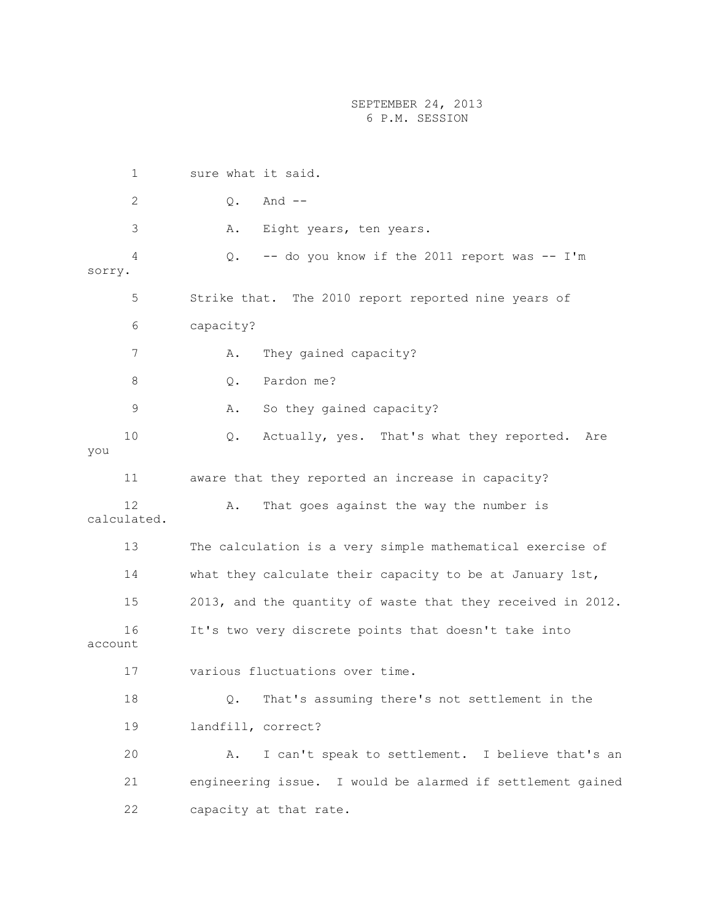1 sure what it said. 2 Q. And -- 3 A. Eight years, ten years. 4 Q. -- do you know if the 2011 report was -- I'm sorry. 5 Strike that. The 2010 report reported nine years of 6 capacity? 7 A. They gained capacity? 8 0. Pardon me? 9 A. So they gained capacity? 10 Q. Actually, yes. That's what they reported. Are you 11 aware that they reported an increase in capacity? 12 A. That goes against the way the number is calculated. 13 The calculation is a very simple mathematical exercise of 14 what they calculate their capacity to be at January 1st, 15 2013, and the quantity of waste that they received in 2012. 16 It's two very discrete points that doesn't take into account 17 various fluctuations over time. 18 Q. That's assuming there's not settlement in the 19 landfill, correct? 20 A. I can't speak to settlement. I believe that's an 21 engineering issue. I would be alarmed if settlement gained 22 capacity at that rate.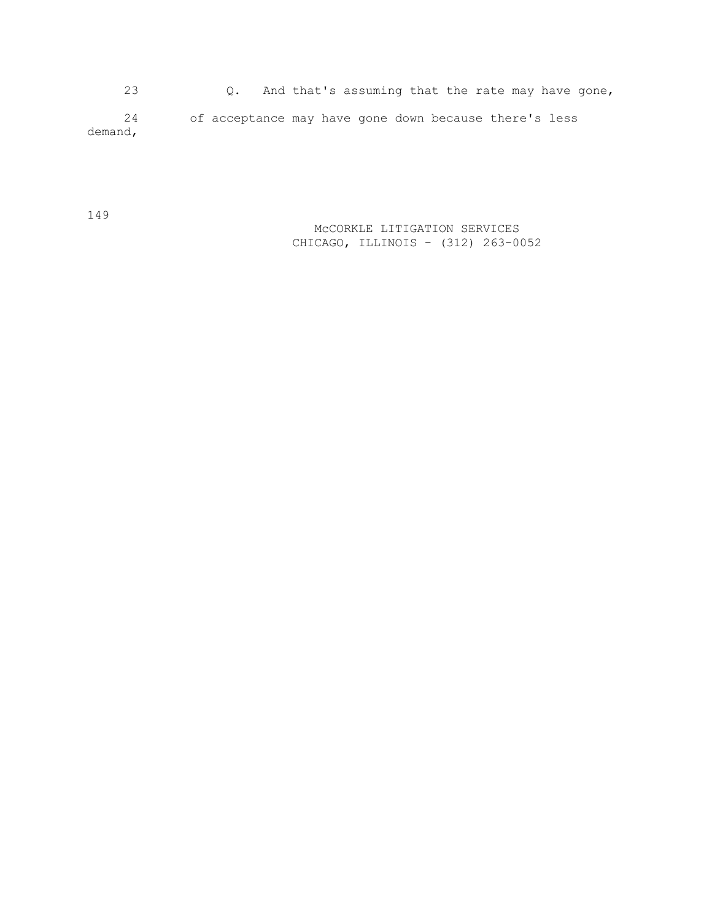23 Q. And that's assuming that the rate may have gone, 24 of acceptance may have gone down because there's less demand,

149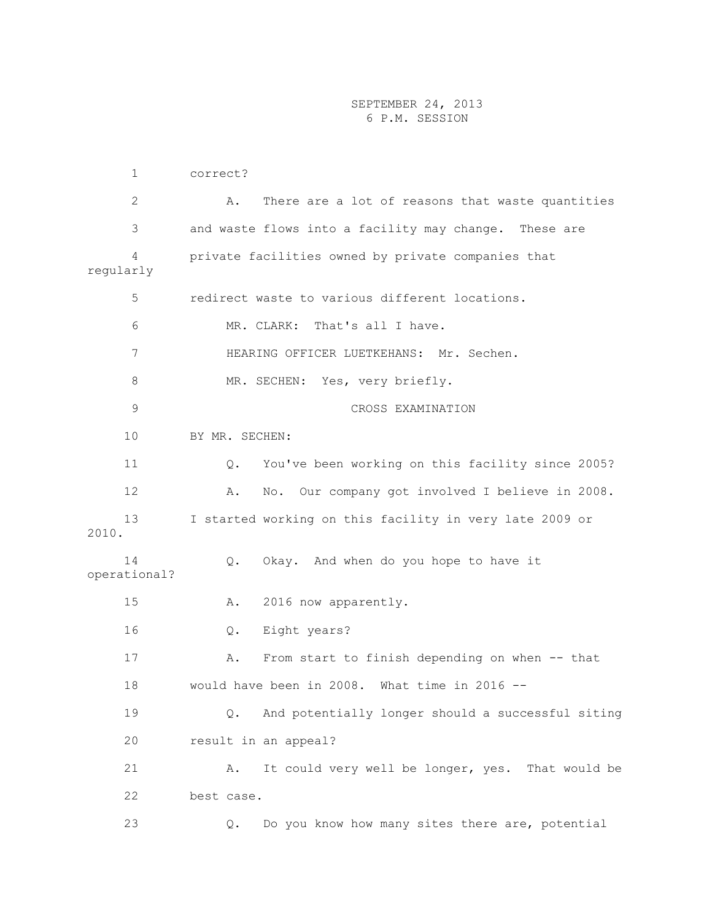1 correct? 2 A. There are a lot of reasons that waste quantities 3 and waste flows into a facility may change. These are 4 private facilities owned by private companies that regularly 5 redirect waste to various different locations. 6 MR. CLARK: That's all I have. 7 HEARING OFFICER LUETKEHANS: Mr. Sechen. 8 MR. SECHEN: Yes, very briefly. 9 CROSS EXAMINATION 10 BY MR. SECHEN: 11 Q. You've been working on this facility since 2005? 12 A. No. Our company got involved I believe in 2008. 13 I started working on this facility in very late 2009 or 2010. 14 Q. Okay. And when do you hope to have it operational? 15 A. 2016 now apparently. 16 Q. Eight years? 17 A. From start to finish depending on when -- that 18 would have been in 2008. What time in 2016 -- 19 Q. And potentially longer should a successful siting 20 result in an appeal? 21 A. It could very well be longer, yes. That would be 22 best case. 23 Q. Do you know how many sites there are, potential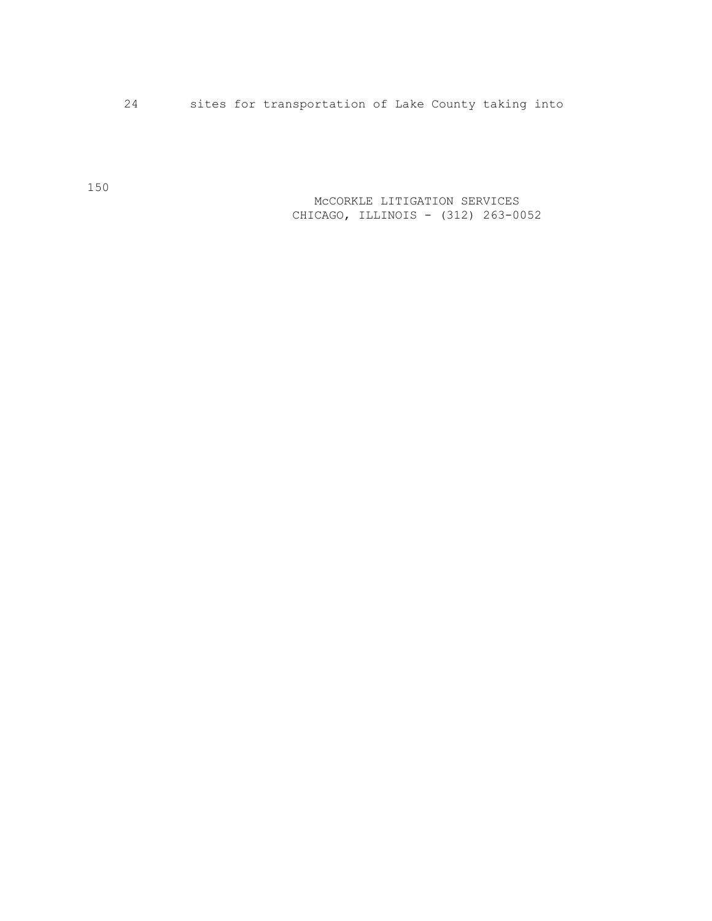24 sites for transportation of Lake County taking into

150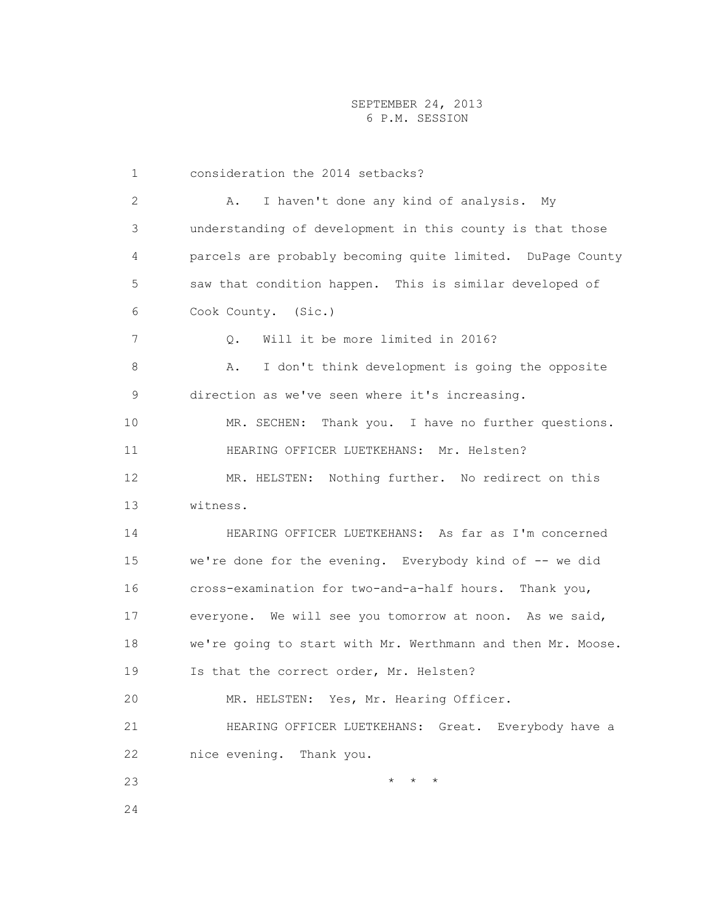1 consideration the 2014 setbacks? 2 A. I haven't done any kind of analysis. My 3 understanding of development in this county is that those 4 parcels are probably becoming quite limited. DuPage County 5 saw that condition happen. This is similar developed of 6 Cook County. (Sic.) 7 Q. Will it be more limited in 2016? 8 A. I don't think development is going the opposite 9 direction as we've seen where it's increasing. 10 MR. SECHEN: Thank you. I have no further questions. 11 HEARING OFFICER LUETKEHANS: Mr. Helsten? 12 MR. HELSTEN: Nothing further. No redirect on this 13 witness. 14 HEARING OFFICER LUETKEHANS: As far as I'm concerned 15 we're done for the evening. Everybody kind of -- we did 16 cross-examination for two-and-a-half hours. Thank you, 17 everyone. We will see you tomorrow at noon. As we said, 18 we're going to start with Mr. Werthmann and then Mr. Moose. 19 Is that the correct order, Mr. Helsten? 20 MR. HELSTEN: Yes, Mr. Hearing Officer. 21 HEARING OFFICER LUETKEHANS: Great. Everybody have a 22 nice evening. Thank you. 23  $\star \star \star$ 24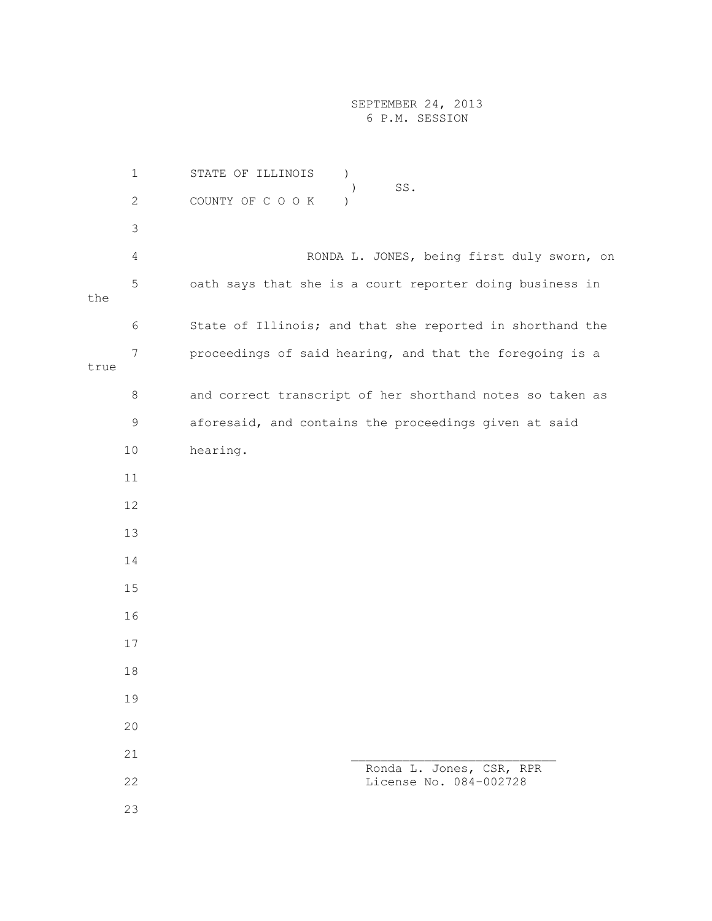1 STATE OF ILLINOIS ) ) SS. 2 COUNTY OF C O O K ) 3 4 RONDA L. JONES, being first duly sworn, on 5 oath says that she is a court reporter doing business in the 6 State of Illinois; and that she reported in shorthand the 7 proceedings of said hearing, and that the foregoing is a true 8 and correct transcript of her shorthand notes so taken as 9 aforesaid, and contains the proceedings given at said 10 hearing. 11 12 13 14 15 16 17 18 19 20 21 \_\_\_\_\_\_\_\_\_\_\_\_\_\_\_\_\_\_\_\_\_\_\_\_\_\_\_\_ Ronda L. Jones, CSR, RPR 22 License No. 084-002728 23